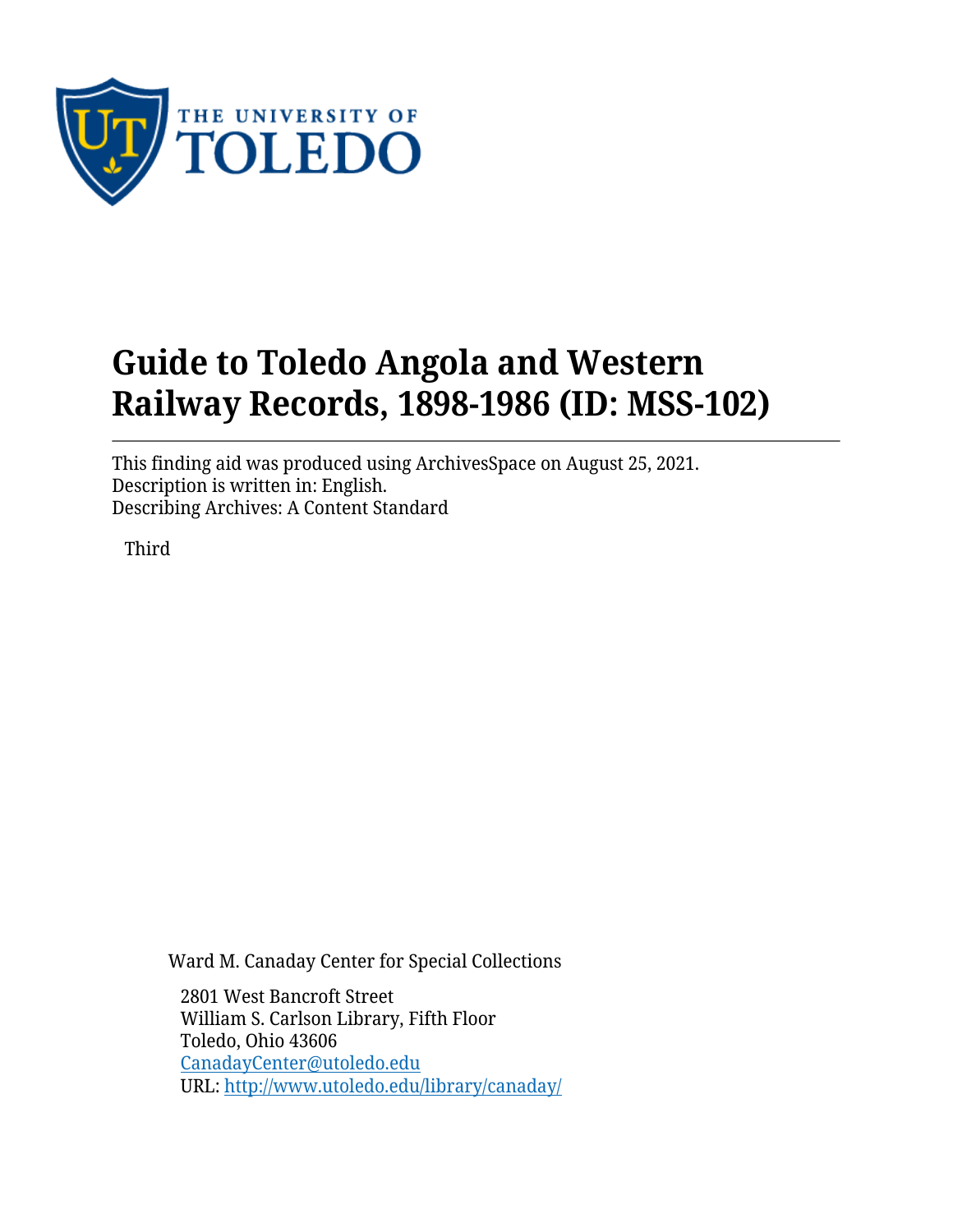

# **Guide to Toledo Angola and Western Railway Records, 1898-1986 (ID: MSS-102)**

This finding aid was produced using ArchivesSpace on August 25, 2021. Description is written in: English. Describing Archives: A Content Standard

Third

Ward M. Canaday Center for Special Collections

2801 West Bancroft Street William S. Carlson Library, Fifth Floor Toledo, Ohio 43606 [CanadayCenter@utoledo.edu](mailto:CanadayCenter@utoledo.edu) URL:<http://www.utoledo.edu/library/canaday/>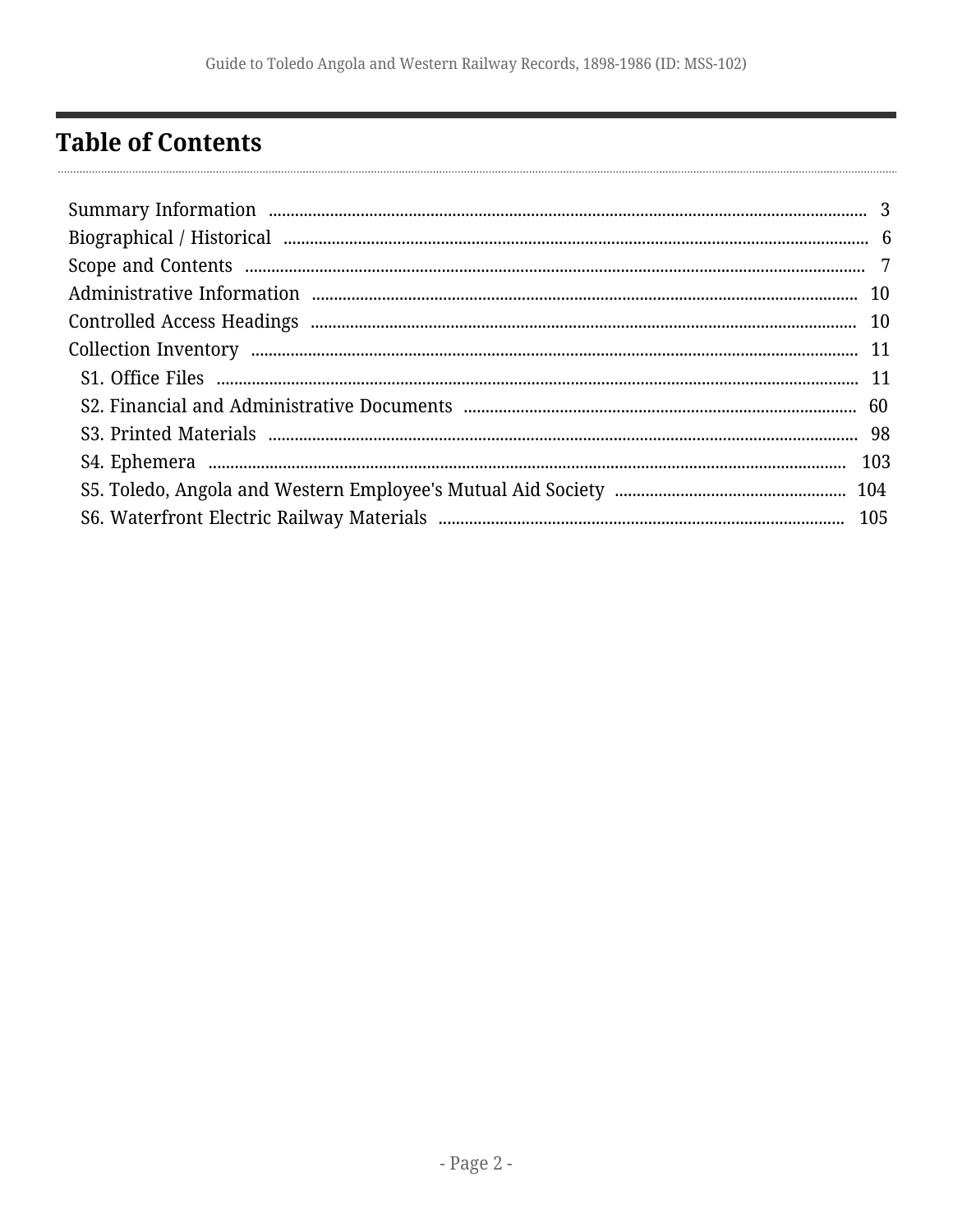# <span id="page-1-0"></span>**Table of Contents**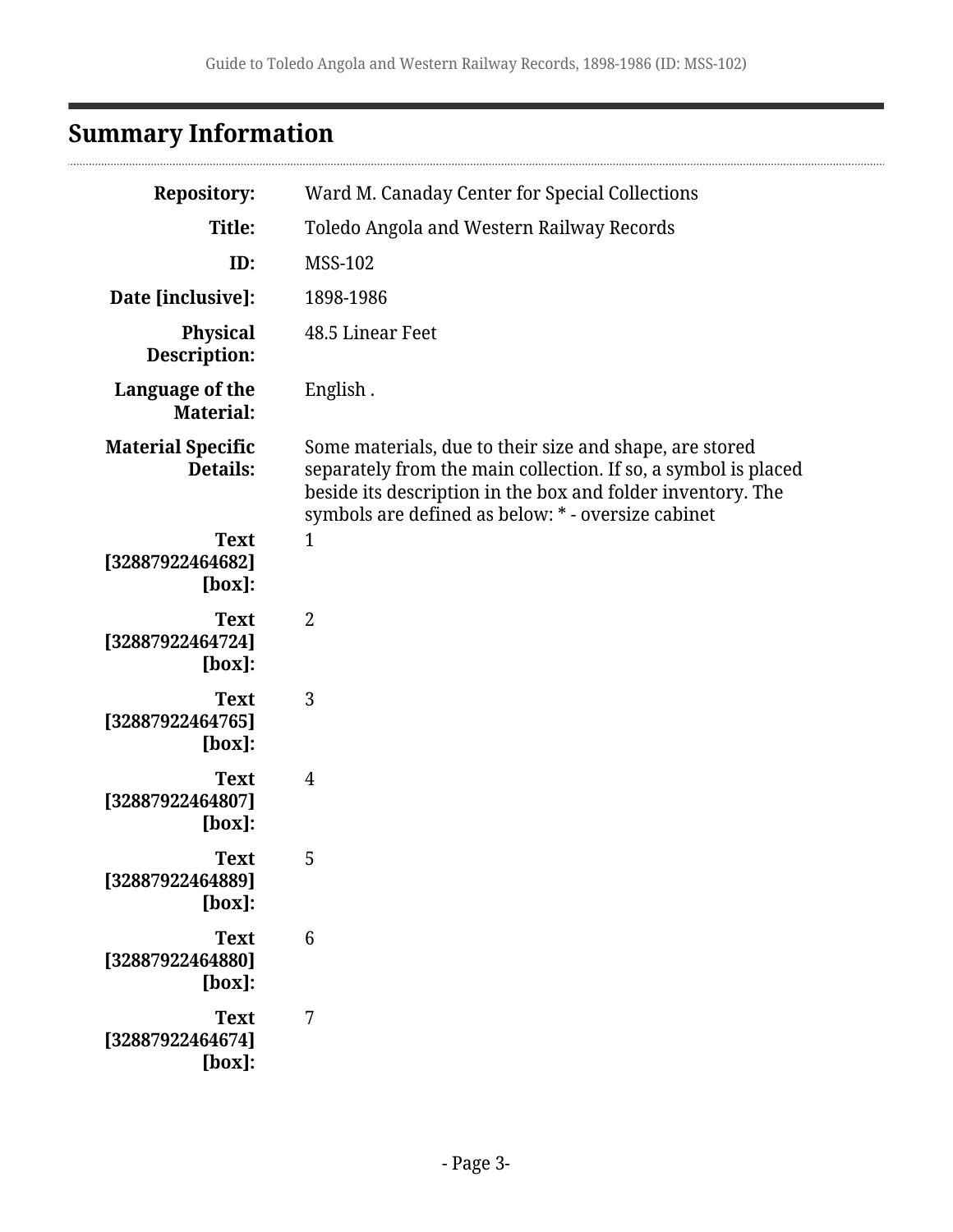# <span id="page-2-0"></span>**Summary Information**

| <b>Repository:</b>                           | Ward M. Canaday Center for Special Collections                                                                                                                                                                                                 |
|----------------------------------------------|------------------------------------------------------------------------------------------------------------------------------------------------------------------------------------------------------------------------------------------------|
| Title:                                       | Toledo Angola and Western Railway Records                                                                                                                                                                                                      |
| ID:                                          | <b>MSS-102</b>                                                                                                                                                                                                                                 |
| Date [inclusive]:                            | 1898-1986                                                                                                                                                                                                                                      |
| <b>Physical</b><br>Description:              | 48.5 Linear Feet                                                                                                                                                                                                                               |
| Language of the<br><b>Material:</b>          | English.                                                                                                                                                                                                                                       |
| <b>Material Specific</b><br>Details:         | Some materials, due to their size and shape, are stored<br>separately from the main collection. If so, a symbol is placed<br>beside its description in the box and folder inventory. The<br>symbols are defined as below: * - oversize cabinet |
| <b>Text</b><br>[32887922464682]<br>$[box]$ : | $\mathbf 1$                                                                                                                                                                                                                                    |
| <b>Text</b><br>[32887922464724]<br>$[box]$ : | $\overline{2}$                                                                                                                                                                                                                                 |
| <b>Text</b><br>[32887922464765]<br>$[box]$ : | 3                                                                                                                                                                                                                                              |
| <b>Text</b><br>[32887922464807]<br>$[box]$ : | $\overline{4}$                                                                                                                                                                                                                                 |
| <b>Text</b><br>[32887922464889]<br>[box]:    | 5                                                                                                                                                                                                                                              |
| <b>Text</b><br>[32887922464880]<br>[box]:    | $6\phantom{1}6$                                                                                                                                                                                                                                |
| <b>Text</b><br>[32887922464674]<br>[box]:    | 7                                                                                                                                                                                                                                              |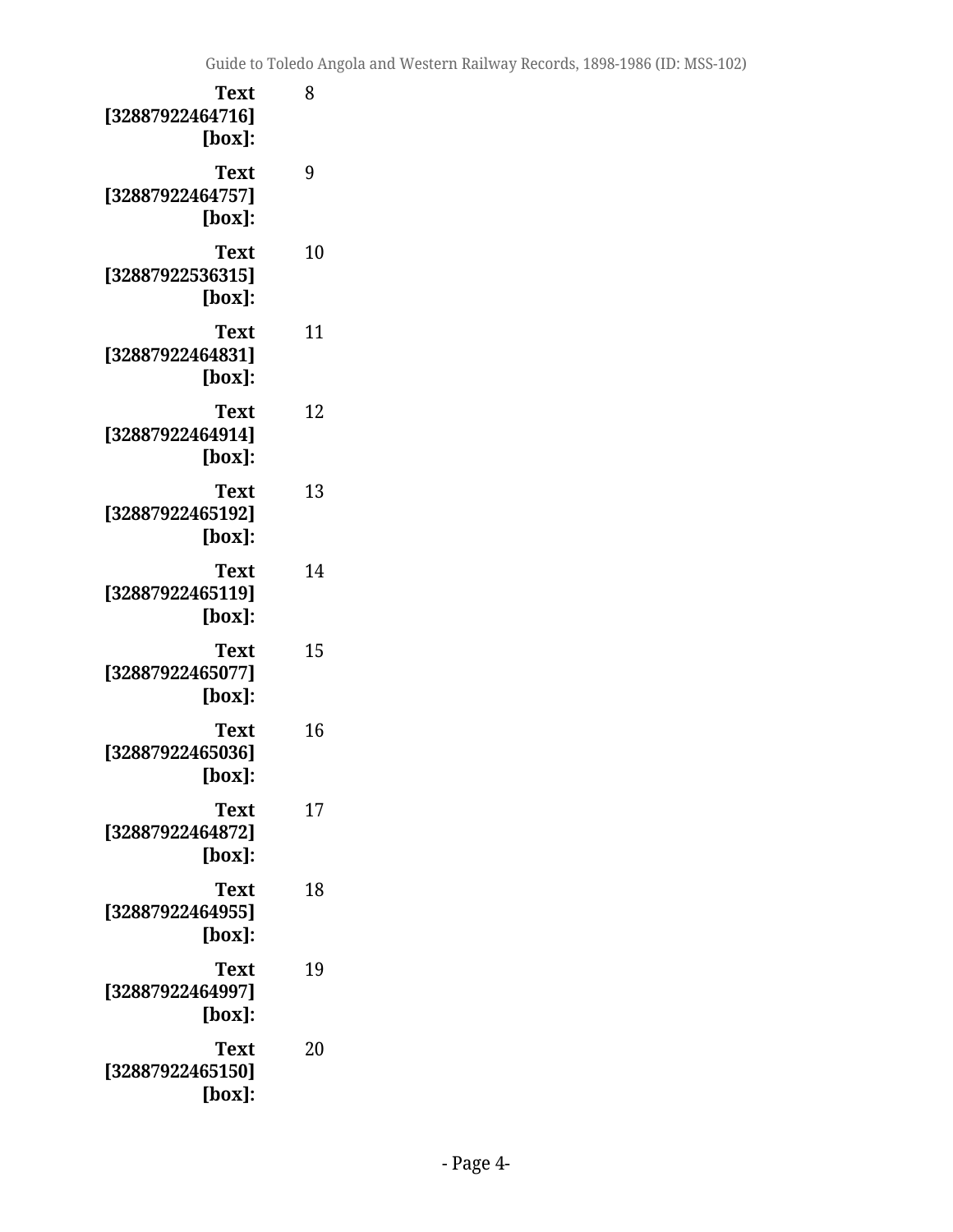| <b>Text</b><br>[32887922464716]<br>[box]:    | 8  |
|----------------------------------------------|----|
| Text<br>[32887922464757]<br>$[box]$ :        | 9  |
| Text<br>[32887922536315]<br>$[box]$ :        | 10 |
| Text<br>[32887922464831]<br>$[box]$ :        | 11 |
| <b>Text</b><br>[32887922464914]<br>$[box]$ : | 12 |
| Text<br>[32887922465192]<br>$[box]$ :        | 13 |
| Text<br>[32887922465119]<br>$[box]$ :        | 14 |
| Text<br>[32887922465077]<br>$[box]$ :        | 15 |
| <b>Text</b><br>[32887922465036]<br>[box]:    | 16 |
| <b>Text</b><br>[32887922464872]<br>$[box]$ : | 17 |
| <b>Text</b><br>[32887922464955]<br>$[box]$ : | 18 |
| <b>Text</b><br>[32887922464997]<br>$[box]$ : | 19 |
| Text<br>[32887922465150]<br>$[box]$ :        | 20 |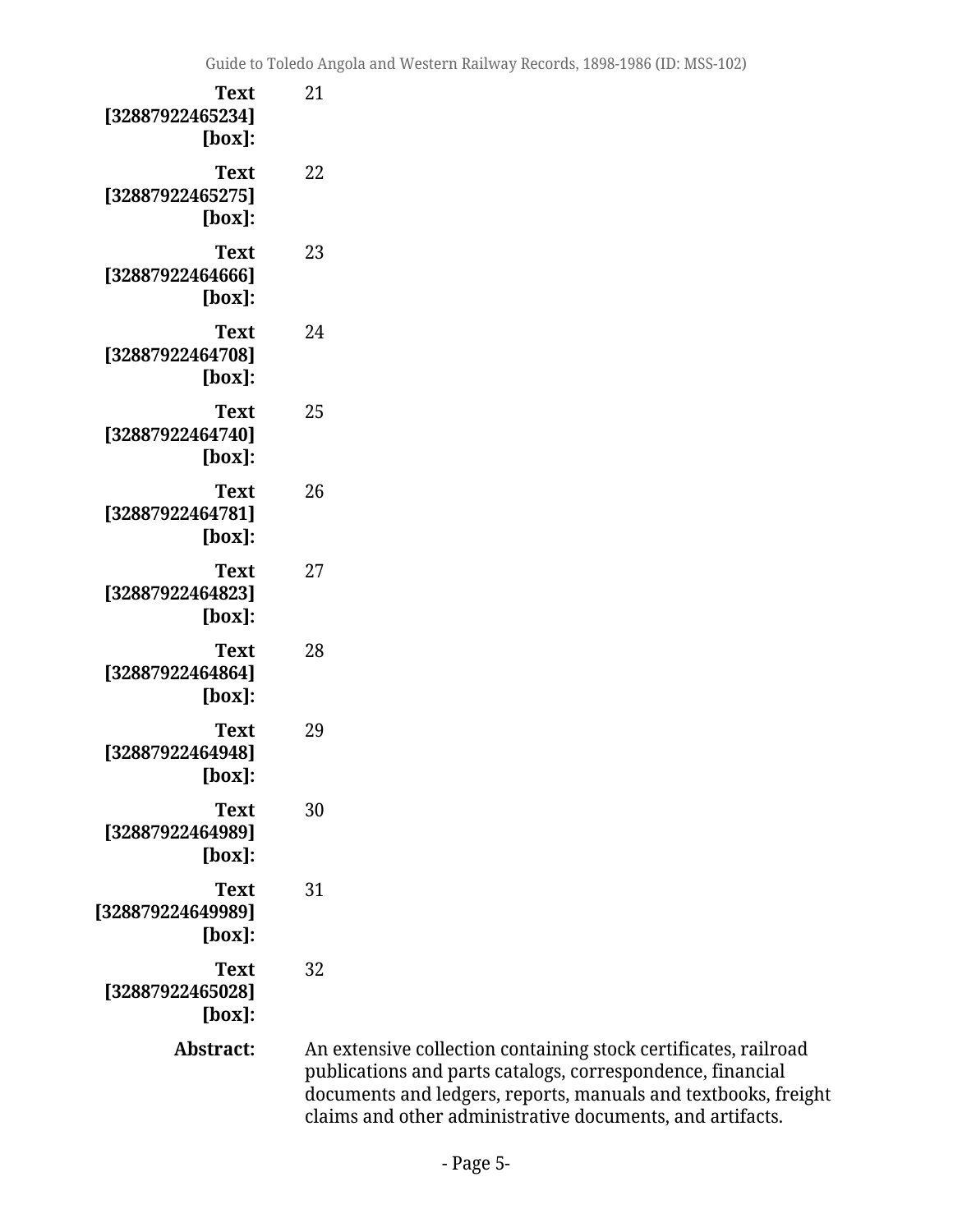| Text<br>[32887922465234]<br>[box]:        | 21                            |
|-------------------------------------------|-------------------------------|
| Text<br>[32887922465275]<br>$[box]$ :     | 22                            |
| Text<br>[32887922464666]<br>$[box]$ :     | 23                            |
| Text<br>[32887922464708]<br>$[box]$ :     | 24                            |
| Text<br>[32887922464740]<br>$[box]$ :     | 25                            |
| Text<br>[32887922464781]<br>$[box]$ :     | 26                            |
| Text<br>[32887922464823]<br>[box]:        | 27                            |
| Text<br>[32887922464864]<br>[box]:        | 28                            |
| Text<br>[32887922464948]<br>[box]:        | 29                            |
| <b>Text</b><br>[32887922464989]<br>[box]: | 30                            |
| Text<br>[328879224649989]<br>[box]:       | 31                            |
| <b>Text</b><br>[32887922465028]<br>[box]: | 32                            |
| Abstract:                                 | An e<br>pub.<br>docı<br>clair |

**Abstract:** An extensive collection containing stock certificates, railroad  $b$ lications and parts catalogs, correspondence, financial uments and ledgers, reports, manuals and textbooks, freight  ${\mathfrak m}$ s and other administrative documents, and artifacts.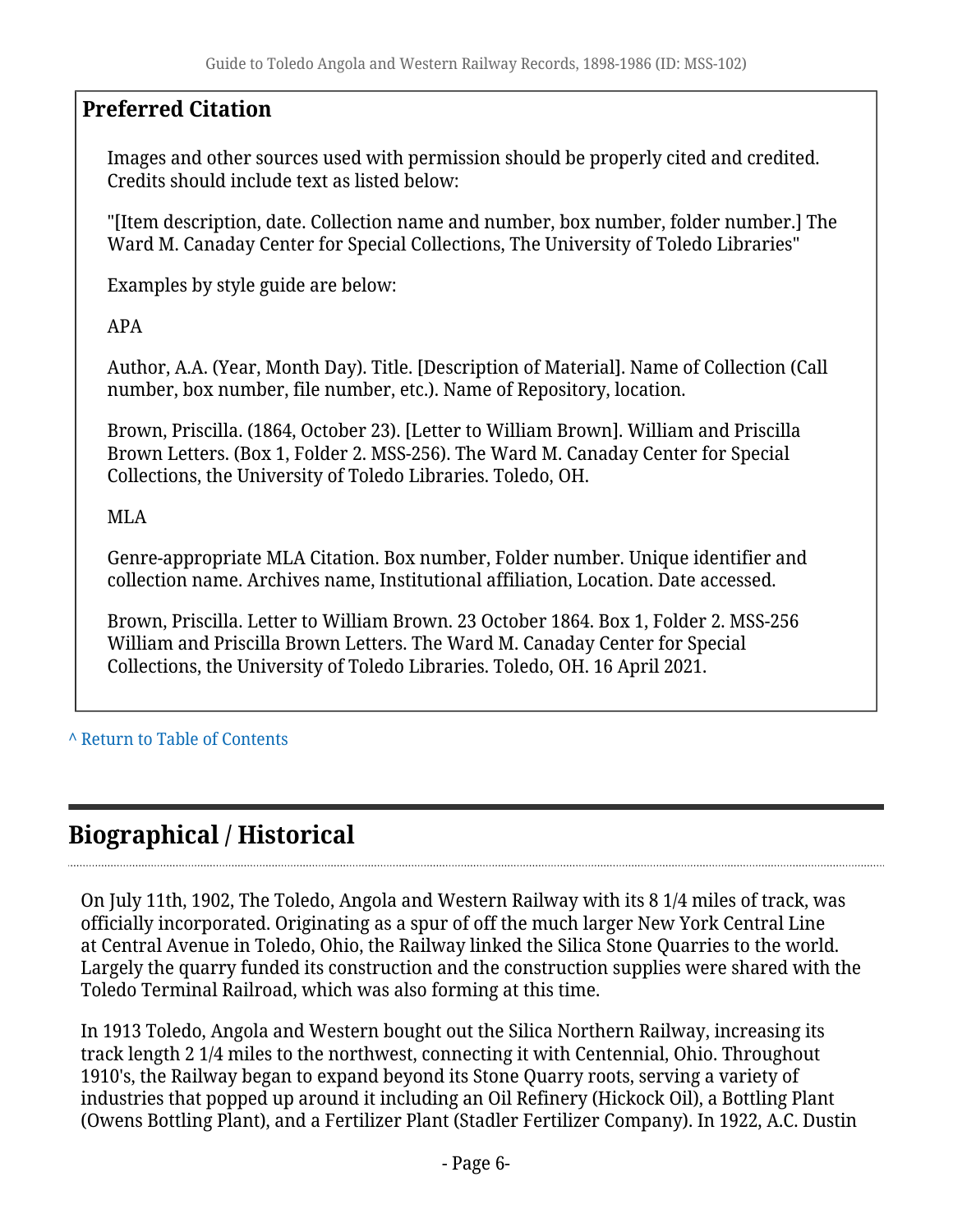## **Preferred Citation**

Images and other sources used with permission should be properly cited and credited. Credits should include text as listed below:

"[Item description, date. Collection name and number, box number, folder number.] The Ward M. Canaday Center for Special Collections, The University of Toledo Libraries"

Examples by style guide are below:

APA

Author, A.A. (Year, Month Day). Title. [Description of Material]. Name of Collection (Call number, box number, file number, etc.). Name of Repository, location.

Brown, Priscilla. (1864, October 23). [Letter to William Brown]. William and Priscilla Brown Letters. (Box 1, Folder 2. MSS-256). The Ward M. Canaday Center for Special Collections, the University of Toledo Libraries. Toledo, OH.

MLA

Genre-appropriate MLA Citation. Box number, Folder number. Unique identifier and collection name. Archives name, Institutional affiliation, Location. Date accessed.

Brown, Priscilla. Letter to William Brown. 23 October 1864. Box 1, Folder 2. MSS-256 William and Priscilla Brown Letters. The Ward M. Canaday Center for Special Collections, the University of Toledo Libraries. Toledo, OH. 16 April 2021.

**^** [Return to Table of Contents](#page-1-0)

# <span id="page-5-0"></span>**Biographical / Historical**

On July 11th, 1902, The Toledo, Angola and Western Railway with its 8 1/4 miles of track, was officially incorporated. Originating as a spur of off the much larger New York Central Line at Central Avenue in Toledo, Ohio, the Railway linked the Silica Stone Quarries to the world. Largely the quarry funded its construction and the construction supplies were shared with the Toledo Terminal Railroad, which was also forming at this time.

In 1913 Toledo, Angola and Western bought out the Silica Northern Railway, increasing its track length 2 1/4 miles to the northwest, connecting it with Centennial, Ohio. Throughout 1910's, the Railway began to expand beyond its Stone Quarry roots, serving a variety of industries that popped up around it including an Oil Refinery (Hickock Oil), a Bottling Plant (Owens Bottling Plant), and a Fertilizer Plant (Stadler Fertilizer Company). In 1922, A.C. Dustin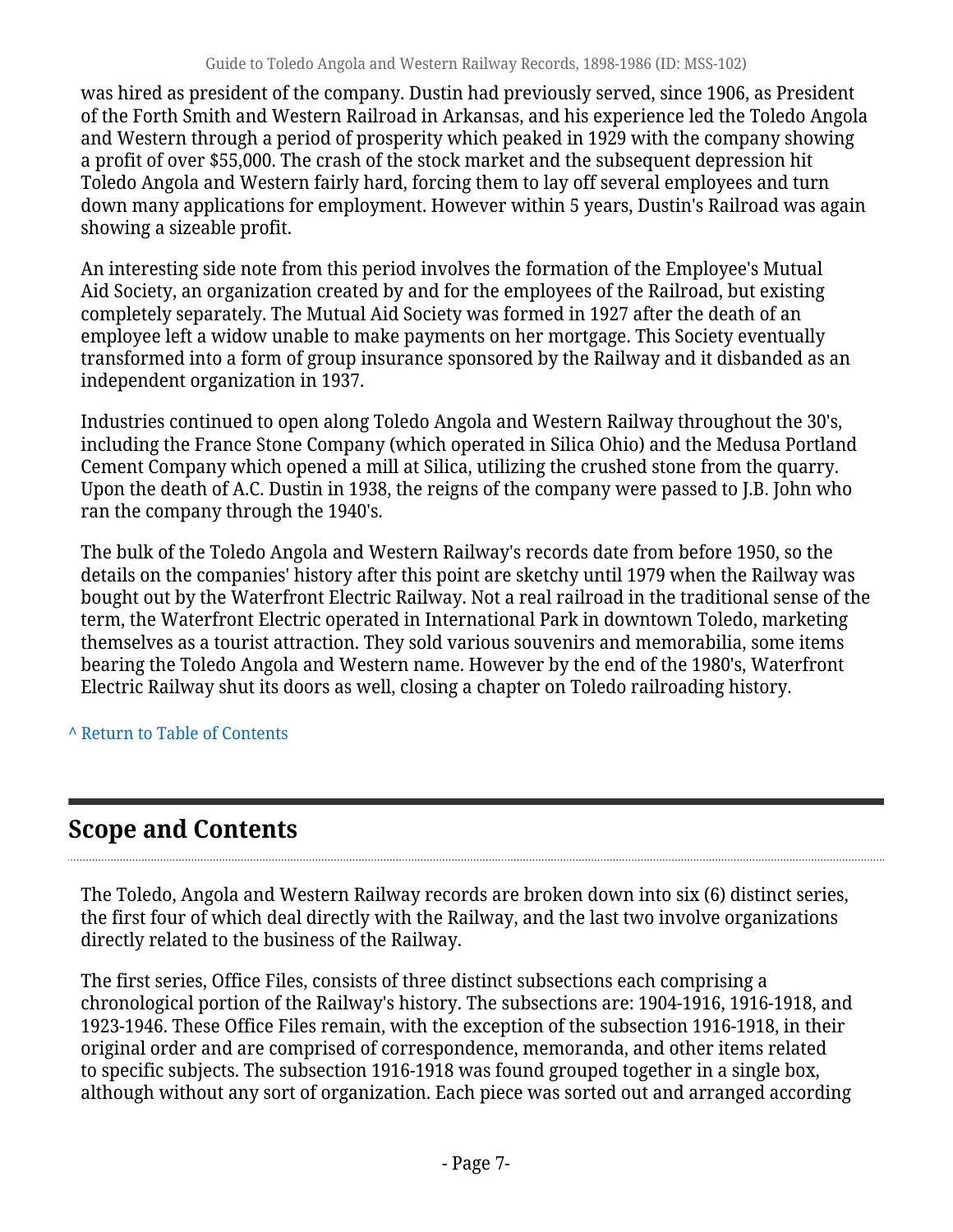was hired as president of the company. Dustin had previously served, since 1906, as President of the Forth Smith and Western Railroad in Arkansas, and his experience led the Toledo Angola and Western through a period of prosperity which peaked in 1929 with the company showing a profit of over \$55,000. The crash of the stock market and the subsequent depression hit Toledo Angola and Western fairly hard, forcing them to lay off several employees and turn down many applications for employment. However within 5 years, Dustin's Railroad was again showing a sizeable profit.

An interesting side note from this period involves the formation of the Employee's Mutual Aid Society, an organization created by and for the employees of the Railroad, but existing completely separately. The Mutual Aid Society was formed in 1927 after the death of an employee left a widow unable to make payments on her mortgage. This Society eventually transformed into a form of group insurance sponsored by the Railway and it disbanded as an independent organization in 1937.

Industries continued to open along Toledo Angola and Western Railway throughout the 30's, including the France Stone Company (which operated in Silica Ohio) and the Medusa Portland Cement Company which opened a mill at Silica, utilizing the crushed stone from the quarry. Upon the death of A.C. Dustin in 1938, the reigns of the company were passed to J.B. John who ran the company through the 1940's.

The bulk of the Toledo Angola and Western Railway's records date from before 1950, so the details on the companies' history after this point are sketchy until 1979 when the Railway was bought out by the Waterfront Electric Railway. Not a real railroad in the traditional sense of the term, the Waterfront Electric operated in International Park in downtown Toledo, marketing themselves as a tourist attraction. They sold various souvenirs and memorabilia, some items bearing the Toledo Angola and Western name. However by the end of the 1980's, Waterfront Electric Railway shut its doors as well, closing a chapter on Toledo railroading history.

**^** [Return to Table of Contents](#page-1-0)

# <span id="page-6-0"></span>**Scope and Contents**

The Toledo, Angola and Western Railway records are broken down into six (6) distinct series, the first four of which deal directly with the Railway, and the last two involve organizations directly related to the business of the Railway.

The first series, Office Files, consists of three distinct subsections each comprising a chronological portion of the Railway's history. The subsections are: 1904-1916, 1916-1918, and 1923-1946. These Office Files remain, with the exception of the subsection 1916-1918, in their original order and are comprised of correspondence, memoranda, and other items related to specific subjects. The subsection 1916-1918 was found grouped together in a single box, although without any sort of organization. Each piece was sorted out and arranged according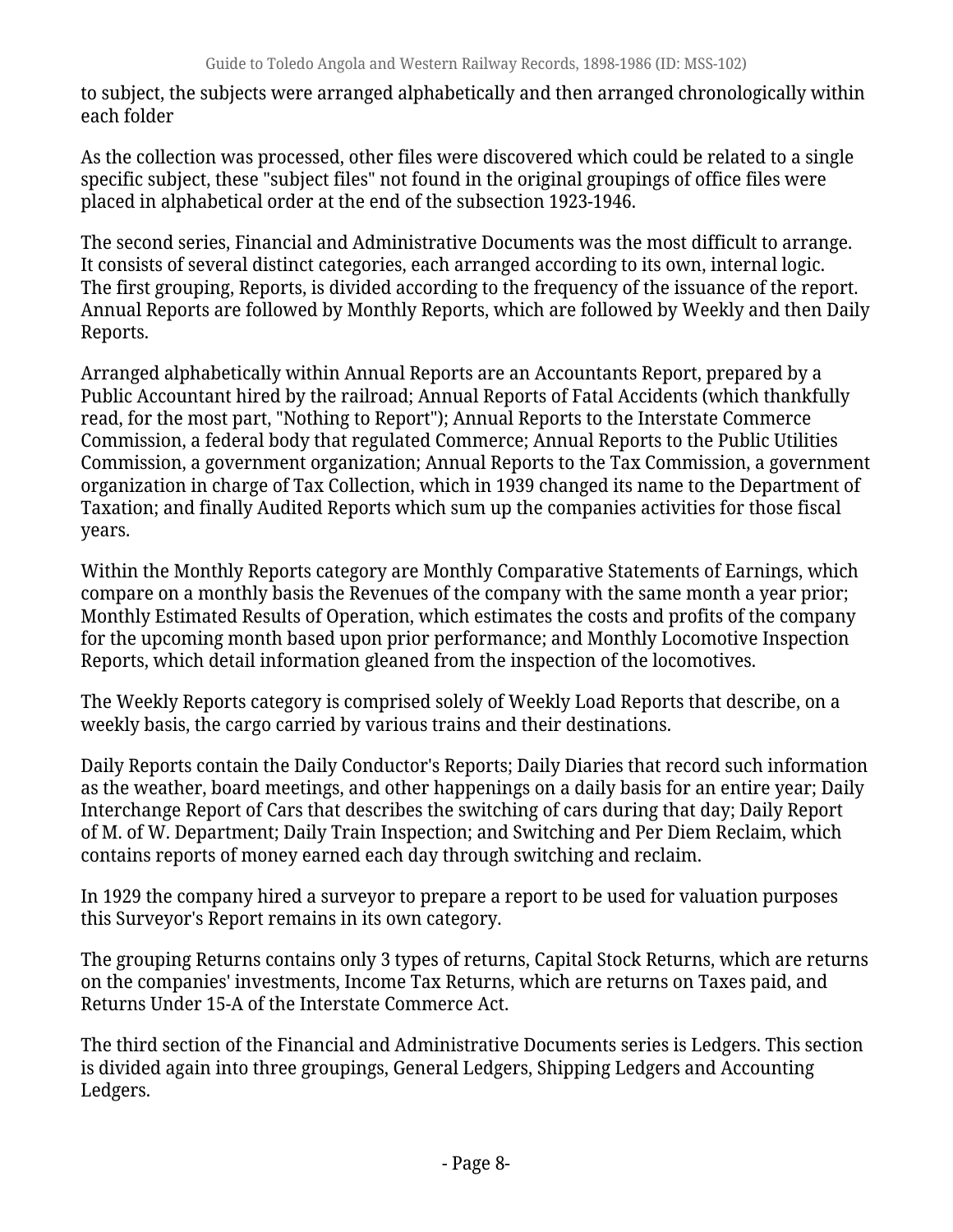to subject, the subjects were arranged alphabetically and then arranged chronologically within each folder

As the collection was processed, other files were discovered which could be related to a single specific subject, these "subject files" not found in the original groupings of office files were placed in alphabetical order at the end of the subsection 1923-1946.

The second series, Financial and Administrative Documents was the most difficult to arrange. It consists of several distinct categories, each arranged according to its own, internal logic. The first grouping, Reports, is divided according to the frequency of the issuance of the report. Annual Reports are followed by Monthly Reports, which are followed by Weekly and then Daily Reports.

Arranged alphabetically within Annual Reports are an Accountants Report, prepared by a Public Accountant hired by the railroad; Annual Reports of Fatal Accidents (which thankfully read, for the most part, "Nothing to Report"); Annual Reports to the Interstate Commerce Commission, a federal body that regulated Commerce; Annual Reports to the Public Utilities Commission, a government organization; Annual Reports to the Tax Commission, a government organization in charge of Tax Collection, which in 1939 changed its name to the Department of Taxation; and finally Audited Reports which sum up the companies activities for those fiscal years.

Within the Monthly Reports category are Monthly Comparative Statements of Earnings, which compare on a monthly basis the Revenues of the company with the same month a year prior; Monthly Estimated Results of Operation, which estimates the costs and profits of the company for the upcoming month based upon prior performance; and Monthly Locomotive Inspection Reports, which detail information gleaned from the inspection of the locomotives.

The Weekly Reports category is comprised solely of Weekly Load Reports that describe, on a weekly basis, the cargo carried by various trains and their destinations.

Daily Reports contain the Daily Conductor's Reports; Daily Diaries that record such information as the weather, board meetings, and other happenings on a daily basis for an entire year; Daily Interchange Report of Cars that describes the switching of cars during that day; Daily Report of M. of W. Department; Daily Train Inspection; and Switching and Per Diem Reclaim, which contains reports of money earned each day through switching and reclaim.

In 1929 the company hired a surveyor to prepare a report to be used for valuation purposes this Surveyor's Report remains in its own category.

The grouping Returns contains only 3 types of returns, Capital Stock Returns, which are returns on the companies' investments, Income Tax Returns, which are returns on Taxes paid, and Returns Under 15-A of the Interstate Commerce Act.

The third section of the Financial and Administrative Documents series is Ledgers. This section is divided again into three groupings, General Ledgers, Shipping Ledgers and Accounting Ledgers.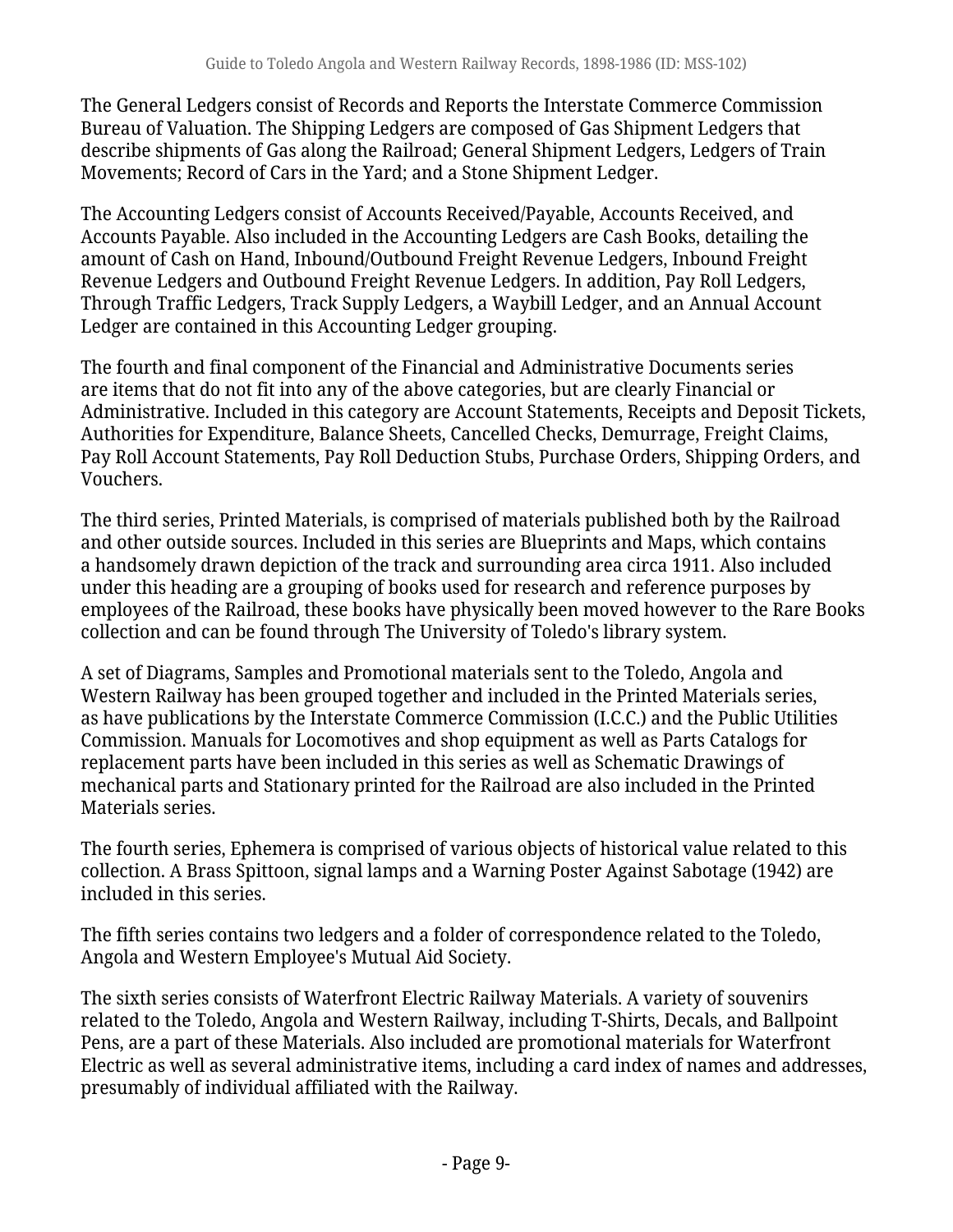The General Ledgers consist of Records and Reports the Interstate Commerce Commission Bureau of Valuation. The Shipping Ledgers are composed of Gas Shipment Ledgers that describe shipments of Gas along the Railroad; General Shipment Ledgers, Ledgers of Train Movements; Record of Cars in the Yard; and a Stone Shipment Ledger.

The Accounting Ledgers consist of Accounts Received/Payable, Accounts Received, and Accounts Payable. Also included in the Accounting Ledgers are Cash Books, detailing the amount of Cash on Hand, Inbound/Outbound Freight Revenue Ledgers, Inbound Freight Revenue Ledgers and Outbound Freight Revenue Ledgers. In addition, Pay Roll Ledgers, Through Traffic Ledgers, Track Supply Ledgers, a Waybill Ledger, and an Annual Account Ledger are contained in this Accounting Ledger grouping.

The fourth and final component of the Financial and Administrative Documents series are items that do not fit into any of the above categories, but are clearly Financial or Administrative. Included in this category are Account Statements, Receipts and Deposit Tickets, Authorities for Expenditure, Balance Sheets, Cancelled Checks, Demurrage, Freight Claims, Pay Roll Account Statements, Pay Roll Deduction Stubs, Purchase Orders, Shipping Orders, and Vouchers.

The third series, Printed Materials, is comprised of materials published both by the Railroad and other outside sources. Included in this series are Blueprints and Maps, which contains a handsomely drawn depiction of the track and surrounding area circa 1911. Also included under this heading are a grouping of books used for research and reference purposes by employees of the Railroad, these books have physically been moved however to the Rare Books collection and can be found through The University of Toledo's library system.

A set of Diagrams, Samples and Promotional materials sent to the Toledo, Angola and Western Railway has been grouped together and included in the Printed Materials series, as have publications by the Interstate Commerce Commission (I.C.C.) and the Public Utilities Commission. Manuals for Locomotives and shop equipment as well as Parts Catalogs for replacement parts have been included in this series as well as Schematic Drawings of mechanical parts and Stationary printed for the Railroad are also included in the Printed Materials series.

The fourth series, Ephemera is comprised of various objects of historical value related to this collection. A Brass Spittoon, signal lamps and a Warning Poster Against Sabotage (1942) are included in this series.

The fifth series contains two ledgers and a folder of correspondence related to the Toledo, Angola and Western Employee's Mutual Aid Society.

The sixth series consists of Waterfront Electric Railway Materials. A variety of souvenirs related to the Toledo, Angola and Western Railway, including T-Shirts, Decals, and Ballpoint Pens, are a part of these Materials. Also included are promotional materials for Waterfront Electric as well as several administrative items, including a card index of names and addresses, presumably of individual affiliated with the Railway.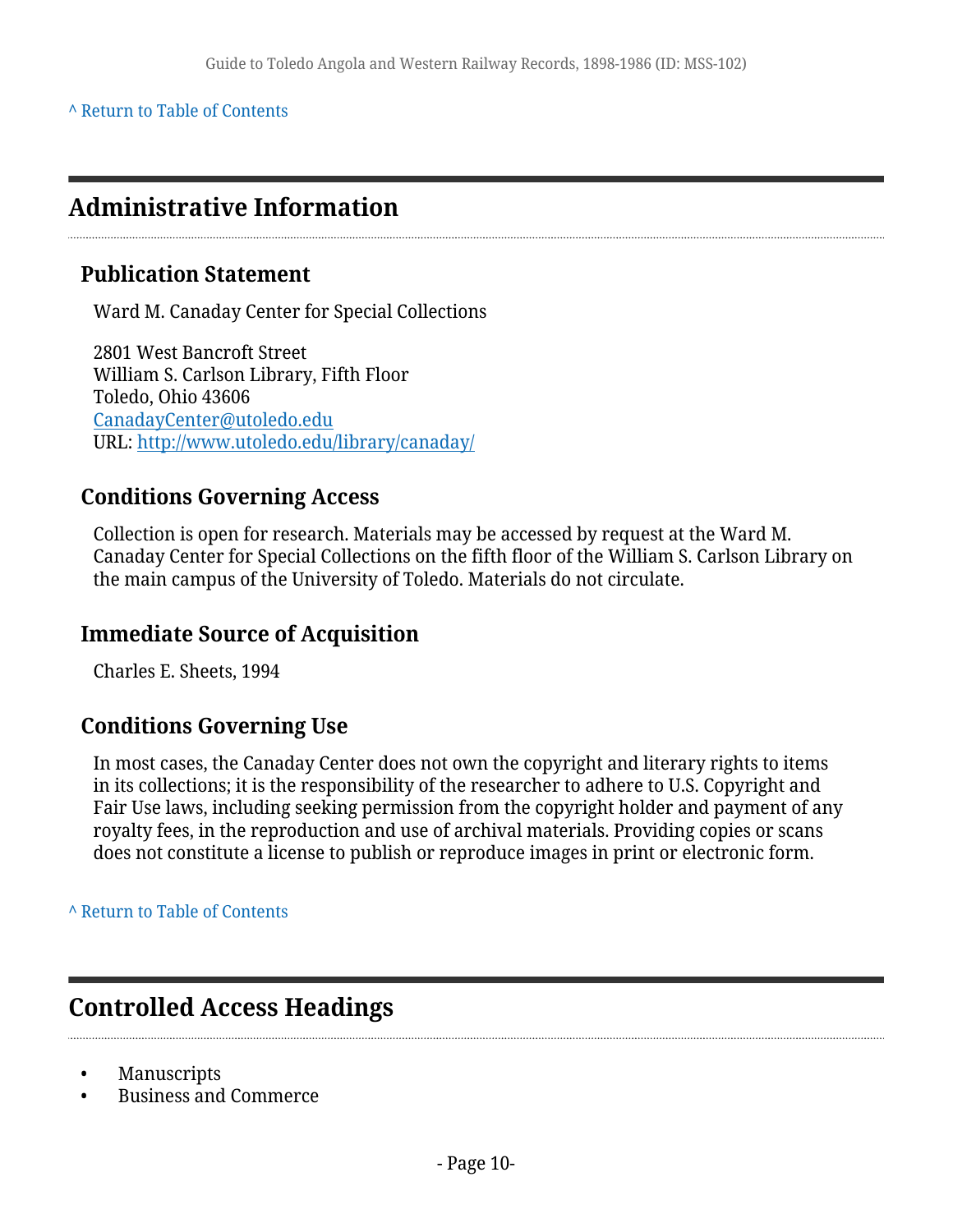#### **^** [Return to Table of Contents](#page-1-0)

## <span id="page-9-0"></span>**Administrative Information**

### **Publication Statement**

Ward M. Canaday Center for Special Collections

2801 West Bancroft Street William S. Carlson Library, Fifth Floor Toledo, Ohio 43606 [CanadayCenter@utoledo.edu](mailto:CanadayCenter@utoledo.edu) URL:<http://www.utoledo.edu/library/canaday/>

### **Conditions Governing Access**

Collection is open for research. Materials may be accessed by request at the Ward M. Canaday Center for Special Collections on the fifth floor of the William S. Carlson Library on the main campus of the University of Toledo. Materials do not circulate.

### **Immediate Source of Acquisition**

Charles E. Sheets, 1994

### **Conditions Governing Use**

In most cases, the Canaday Center does not own the copyright and literary rights to items in its collections; it is the responsibility of the researcher to adhere to U.S. Copyright and Fair Use laws, including seeking permission from the copyright holder and payment of any royalty fees, in the reproduction and use of archival materials. Providing copies or scans does not constitute a license to publish or reproduce images in print or electronic form.

#### **^** [Return to Table of Contents](#page-1-0)

## <span id="page-9-1"></span>**Controlled Access Headings**

- Manuscripts
- Business and Commerce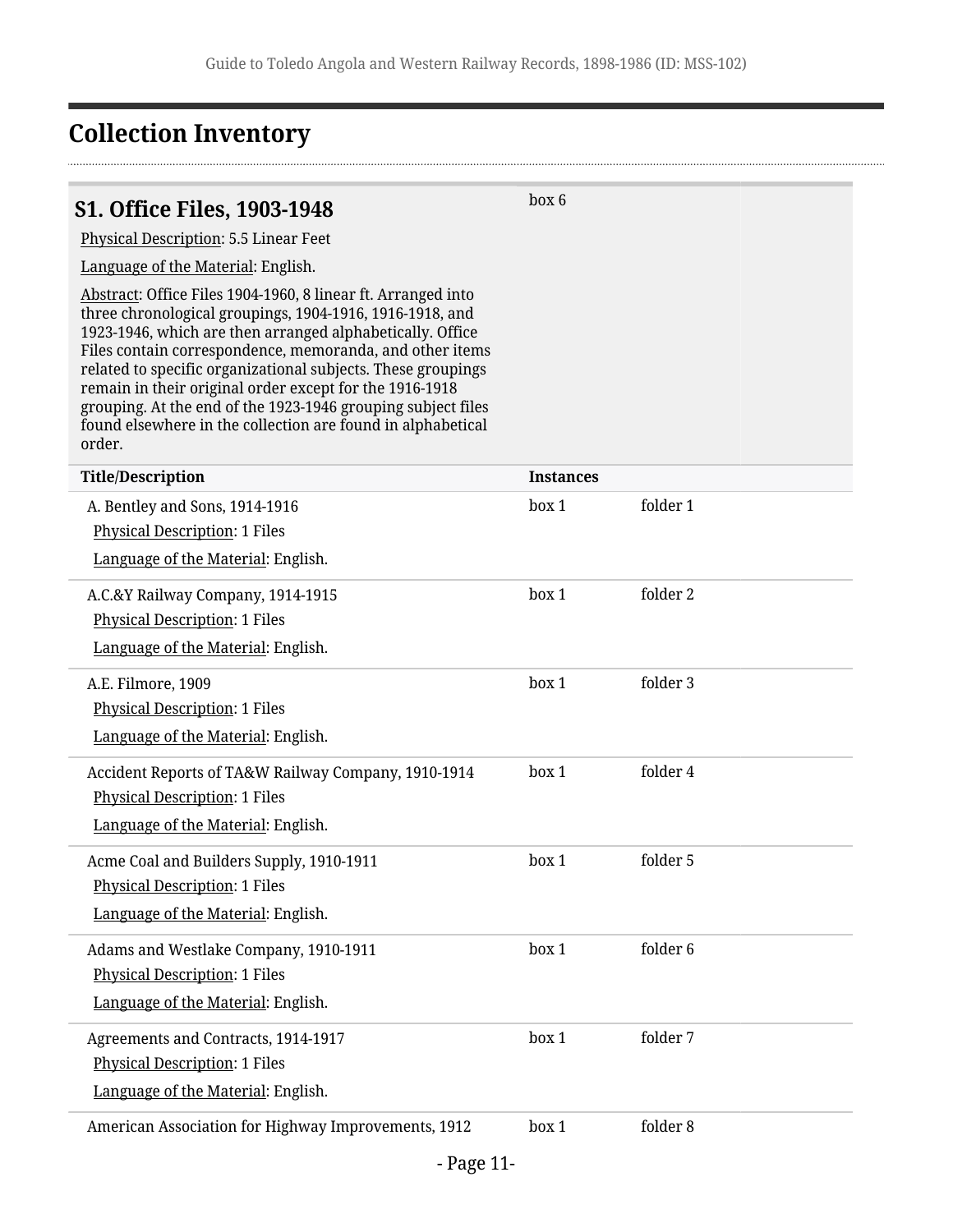## <span id="page-10-0"></span>**Collection Inventory**

### <span id="page-10-1"></span>**S1. Office Files, 1903-1948**

box 6

Physical Description: 5.5 Linear Feet

Language of the Material: English.

Abstract: Office Files 1904-1960, 8 linear ft. Arranged into three chronological groupings, 1904-1916, 1916-1918, and 1923-1946, which are then arranged alphabetically. Office Files contain correspondence, memoranda, and other items related to specific organizational subjects. These groupings remain in their original order except for the 1916-1918 grouping. At the end of the 1923-1946 grouping subject files found elsewhere in the collection are found in alphabetical order.

| <b>Title/Description</b>                                                                                                          | <b>Instances</b> |          |
|-----------------------------------------------------------------------------------------------------------------------------------|------------------|----------|
| A. Bentley and Sons, 1914-1916<br><b>Physical Description: 1 Files</b><br>Language of the Material: English.                      | box 1            | folder 1 |
| A.C.&Y Railway Company, 1914-1915<br>Physical Description: 1 Files<br>Language of the Material: English.                          | box 1            | folder 2 |
| A.E. Filmore, 1909<br><b>Physical Description: 1 Files</b><br>Language of the Material: English.                                  | box 1            | folder 3 |
| Accident Reports of TA&W Railway Company, 1910-1914<br><b>Physical Description: 1 Files</b><br>Language of the Material: English. | box 1            | folder 4 |
| Acme Coal and Builders Supply, 1910-1911<br><b>Physical Description: 1 Files</b><br>Language of the Material: English.            | box 1            | folder 5 |
| Adams and Westlake Company, 1910-1911<br><b>Physical Description: 1 Files</b><br>Language of the Material: English.               | box 1            | folder 6 |
| Agreements and Contracts, 1914-1917<br><b>Physical Description: 1 Files</b><br>Language of the Material: English.                 | box 1            | folder 7 |
| American Association for Highway Improvements, 1912                                                                               | box 1            | folder 8 |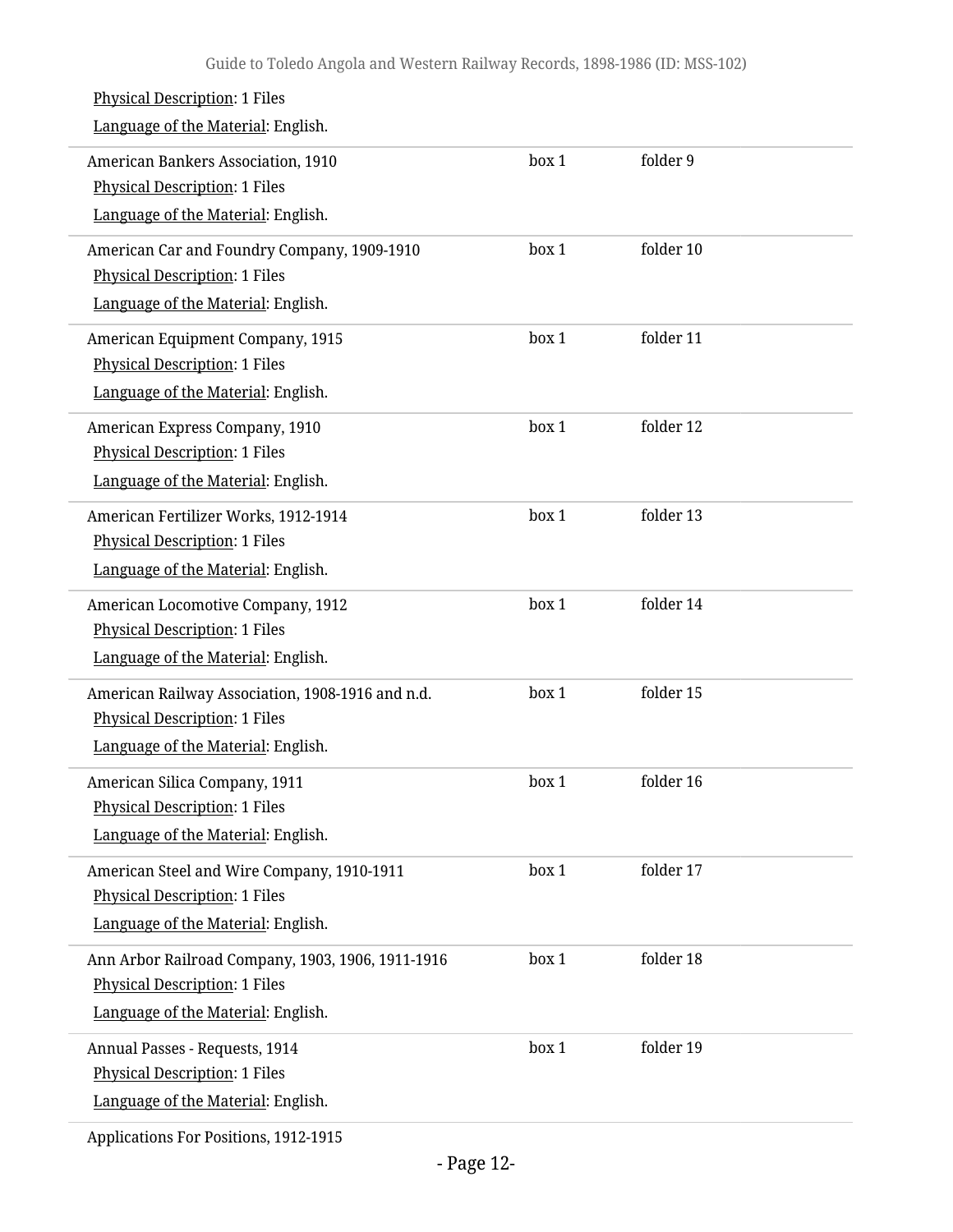| <b>Physical Description: 1 Files</b><br>Language of the Material: English.                                                      |       |           |  |
|---------------------------------------------------------------------------------------------------------------------------------|-------|-----------|--|
| American Bankers Association, 1910<br><b>Physical Description: 1 Files</b><br>Language of the Material: English.                | box 1 | folder 9  |  |
| American Car and Foundry Company, 1909-1910<br><b>Physical Description: 1 Files</b><br>Language of the Material: English.       | box 1 | folder 10 |  |
| American Equipment Company, 1915<br><b>Physical Description: 1 Files</b><br>Language of the Material: English.                  | box 1 | folder 11 |  |
| American Express Company, 1910<br><b>Physical Description: 1 Files</b><br>Language of the Material: English.                    | box 1 | folder 12 |  |
| American Fertilizer Works, 1912-1914<br><b>Physical Description: 1 Files</b><br>Language of the Material: English.              | box 1 | folder 13 |  |
| American Locomotive Company, 1912<br><b>Physical Description: 1 Files</b><br>Language of the Material: English.                 | box 1 | folder 14 |  |
| American Railway Association, 1908-1916 and n.d.<br><b>Physical Description: 1 Files</b><br>Language of the Material: English.  | box 1 | folder 15 |  |
| American Silica Company, 1911<br><b>Physical Description: 1 Files</b><br>Language of the Material: English.                     | box 1 | folder 16 |  |
| American Steel and Wire Company, 1910-1911<br><b>Physical Description: 1 Files</b><br>Language of the Material: English.        | box 1 | folder 17 |  |
| Ann Arbor Railroad Company, 1903, 1906, 1911-1916<br><b>Physical Description: 1 Files</b><br>Language of the Material: English. | box 1 | folder 18 |  |
| Annual Passes - Requests, 1914<br><b>Physical Description: 1 Files</b><br>Language of the Material: English.                    | box 1 | folder 19 |  |
|                                                                                                                                 |       |           |  |

Applications For Positions, 1912-1915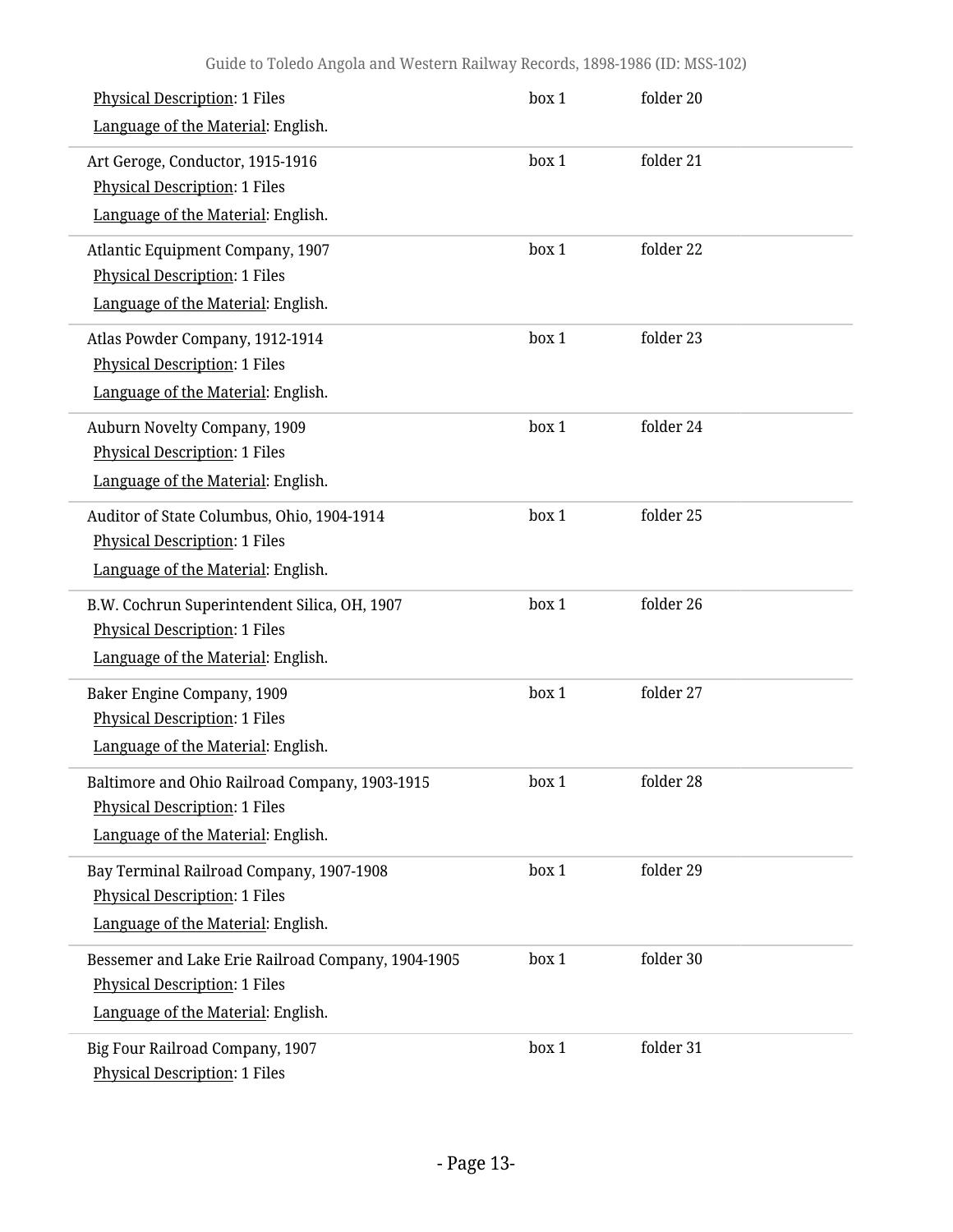| <b>Physical Description: 1 Files</b><br>Language of the Material: English.                                                       | box 1 | folder 20 |  |
|----------------------------------------------------------------------------------------------------------------------------------|-------|-----------|--|
| Art Geroge, Conductor, 1915-1916<br><b>Physical Description: 1 Files</b><br>Language of the Material: English.                   | box 1 | folder 21 |  |
| Atlantic Equipment Company, 1907<br><b>Physical Description: 1 Files</b><br>Language of the Material: English.                   | box 1 | folder 22 |  |
| Atlas Powder Company, 1912-1914<br><b>Physical Description: 1 Files</b><br>Language of the Material: English.                    | box 1 | folder 23 |  |
| Auburn Novelty Company, 1909<br><b>Physical Description: 1 Files</b><br>Language of the Material: English.                       | box 1 | folder 24 |  |
| Auditor of State Columbus, Ohio, 1904-1914<br><b>Physical Description: 1 Files</b><br>Language of the Material: English.         | box 1 | folder 25 |  |
| B.W. Cochrun Superintendent Silica, OH, 1907<br><b>Physical Description: 1 Files</b><br>Language of the Material: English.       | box 1 | folder 26 |  |
| Baker Engine Company, 1909<br><b>Physical Description: 1 Files</b><br>Language of the Material: English.                         | box 1 | folder 27 |  |
| Baltimore and Ohio Railroad Company, 1903-1915<br><b>Physical Description: 1 Files</b><br>Language of the Material: English.     | box 1 | folder 28 |  |
| Bay Terminal Railroad Company, 1907-1908<br>Physical Description: 1 Files<br>Language of the Material: English.                  | box 1 | folder 29 |  |
| Bessemer and Lake Erie Railroad Company, 1904-1905<br><b>Physical Description: 1 Files</b><br>Language of the Material: English. | box 1 | folder 30 |  |
| Big Four Railroad Company, 1907<br><b>Physical Description: 1 Files</b>                                                          | box 1 | folder 31 |  |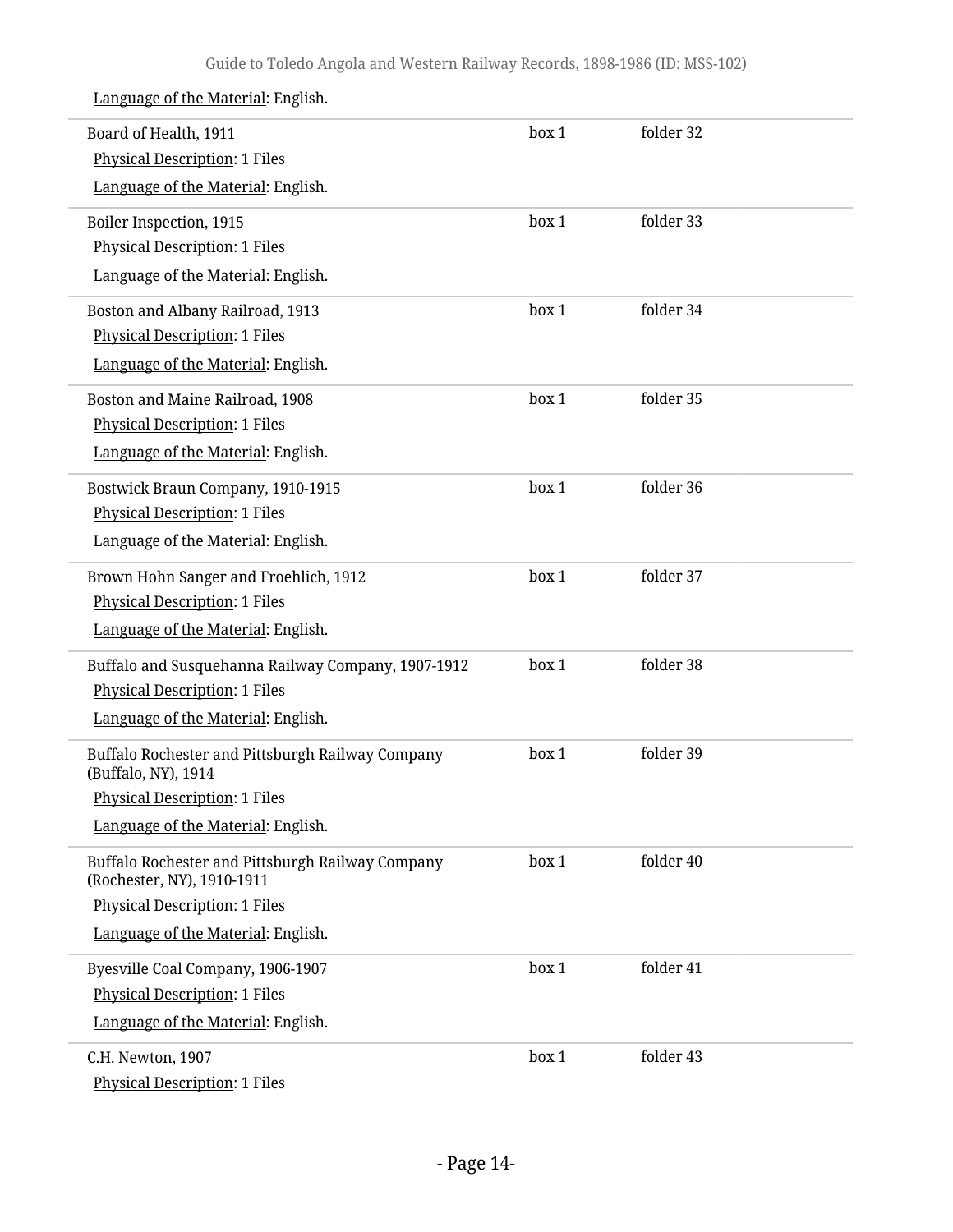| Board of Health, 1911<br><b>Physical Description: 1 Files</b>                  | box 1 | folder 32 |  |
|--------------------------------------------------------------------------------|-------|-----------|--|
| Language of the Material: English.                                             |       |           |  |
| Boiler Inspection, 1915                                                        | box 1 | folder 33 |  |
| <b>Physical Description: 1 Files</b>                                           |       |           |  |
| Language of the Material: English.                                             |       |           |  |
| Boston and Albany Railroad, 1913                                               | box 1 | folder 34 |  |
| <b>Physical Description: 1 Files</b>                                           |       |           |  |
| Language of the Material: English.                                             |       |           |  |
| Boston and Maine Railroad, 1908                                                | box 1 | folder 35 |  |
| <b>Physical Description: 1 Files</b>                                           |       |           |  |
| Language of the Material: English.                                             |       |           |  |
| Bostwick Braun Company, 1910-1915                                              | box 1 | folder 36 |  |
| <b>Physical Description: 1 Files</b>                                           |       |           |  |
| Language of the Material: English.                                             |       |           |  |
| Brown Hohn Sanger and Froehlich, 1912                                          | box 1 | folder 37 |  |
| <b>Physical Description: 1 Files</b>                                           |       |           |  |
| Language of the Material: English.                                             |       |           |  |
| Buffalo and Susquehanna Railway Company, 1907-1912                             | box 1 | folder 38 |  |
| <b>Physical Description: 1 Files</b>                                           |       |           |  |
| Language of the Material: English.                                             |       |           |  |
| Buffalo Rochester and Pittsburgh Railway Company<br>(Buffalo, NY), 1914        | box 1 | folder 39 |  |
| <b>Physical Description: 1 Files</b>                                           |       |           |  |
| Language of the Material: English.                                             |       |           |  |
| Buffalo Rochester and Pittsburgh Railway Company<br>(Rochester, NY), 1910-1911 | box 1 | folder 40 |  |
| <b>Physical Description: 1 Files</b>                                           |       |           |  |
| Language of the Material: English.                                             |       |           |  |
| Byesville Coal Company, 1906-1907                                              | box 1 | folder 41 |  |
| <b>Physical Description: 1 Files</b>                                           |       |           |  |
| Language of the Material: English.                                             |       |           |  |
| C.H. Newton, 1907                                                              | box 1 | folder 43 |  |
| <b>Physical Description: 1 Files</b>                                           |       |           |  |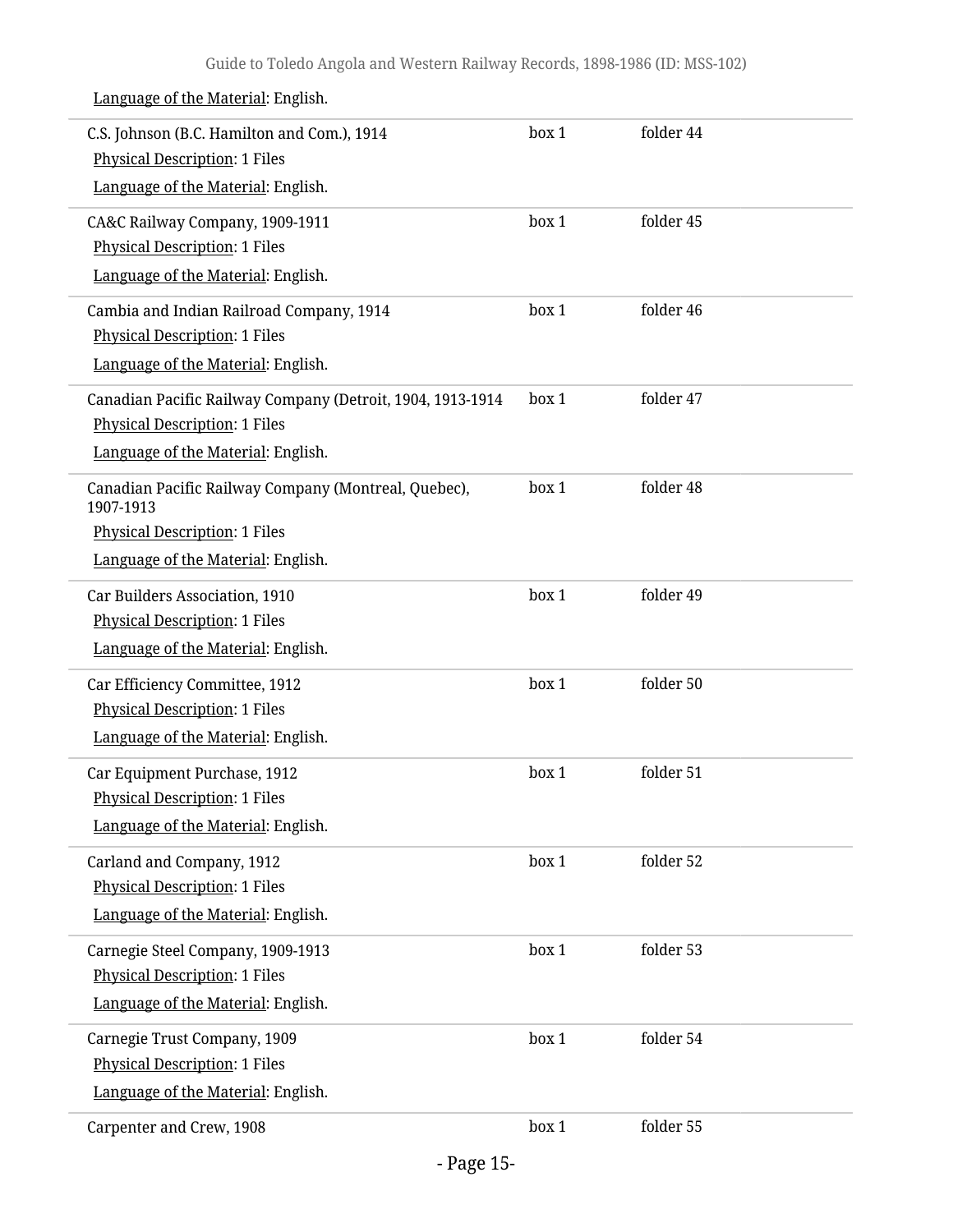| C.S. Johnson (B.C. Hamilton and Com.), 1914<br><b>Physical Description: 1 Files</b>                | box 1 | folder 44 |
|----------------------------------------------------------------------------------------------------|-------|-----------|
| Language of the Material: English.                                                                 |       |           |
| CA&C Railway Company, 1909-1911                                                                    | box 1 | folder 45 |
| <b>Physical Description: 1 Files</b>                                                               |       |           |
| Language of the Material: English.                                                                 |       |           |
| Cambia and Indian Railroad Company, 1914                                                           | box 1 | folder 46 |
| <b>Physical Description: 1 Files</b>                                                               |       |           |
| Language of the Material: English.                                                                 |       |           |
| Canadian Pacific Railway Company (Detroit, 1904, 1913-1914<br><b>Physical Description: 1 Files</b> | box 1 | folder 47 |
| Language of the Material: English.                                                                 |       |           |
|                                                                                                    |       | folder 48 |
| Canadian Pacific Railway Company (Montreal, Quebec),<br>1907-1913                                  | box 1 |           |
| <b>Physical Description: 1 Files</b>                                                               |       |           |
| Language of the Material: English.                                                                 |       |           |
| Car Builders Association, 1910                                                                     | box 1 | folder 49 |
| <b>Physical Description: 1 Files</b>                                                               |       |           |
| Language of the Material: English.                                                                 |       |           |
| Car Efficiency Committee, 1912                                                                     | box 1 | folder 50 |
| <b>Physical Description: 1 Files</b>                                                               |       |           |
| Language of the Material: English.                                                                 |       |           |
| Car Equipment Purchase, 1912                                                                       | box 1 | folder 51 |
| <b>Physical Description: 1 Files</b>                                                               |       |           |
| Language of the Material: English.                                                                 |       |           |
| Carland and Company, 1912                                                                          | box 1 | folder 52 |
| <b>Physical Description: 1 Files</b>                                                               |       |           |
| Language of the Material: English.                                                                 |       |           |
| Carnegie Steel Company, 1909-1913                                                                  | box 1 | folder 53 |
| <b>Physical Description: 1 Files</b>                                                               |       |           |
| Language of the Material: English.                                                                 |       |           |
| Carnegie Trust Company, 1909                                                                       | box 1 | folder 54 |
| <b>Physical Description: 1 Files</b>                                                               |       |           |
| Language of the Material: English.                                                                 |       |           |
| Carpenter and Crew, 1908                                                                           | box 1 | folder 55 |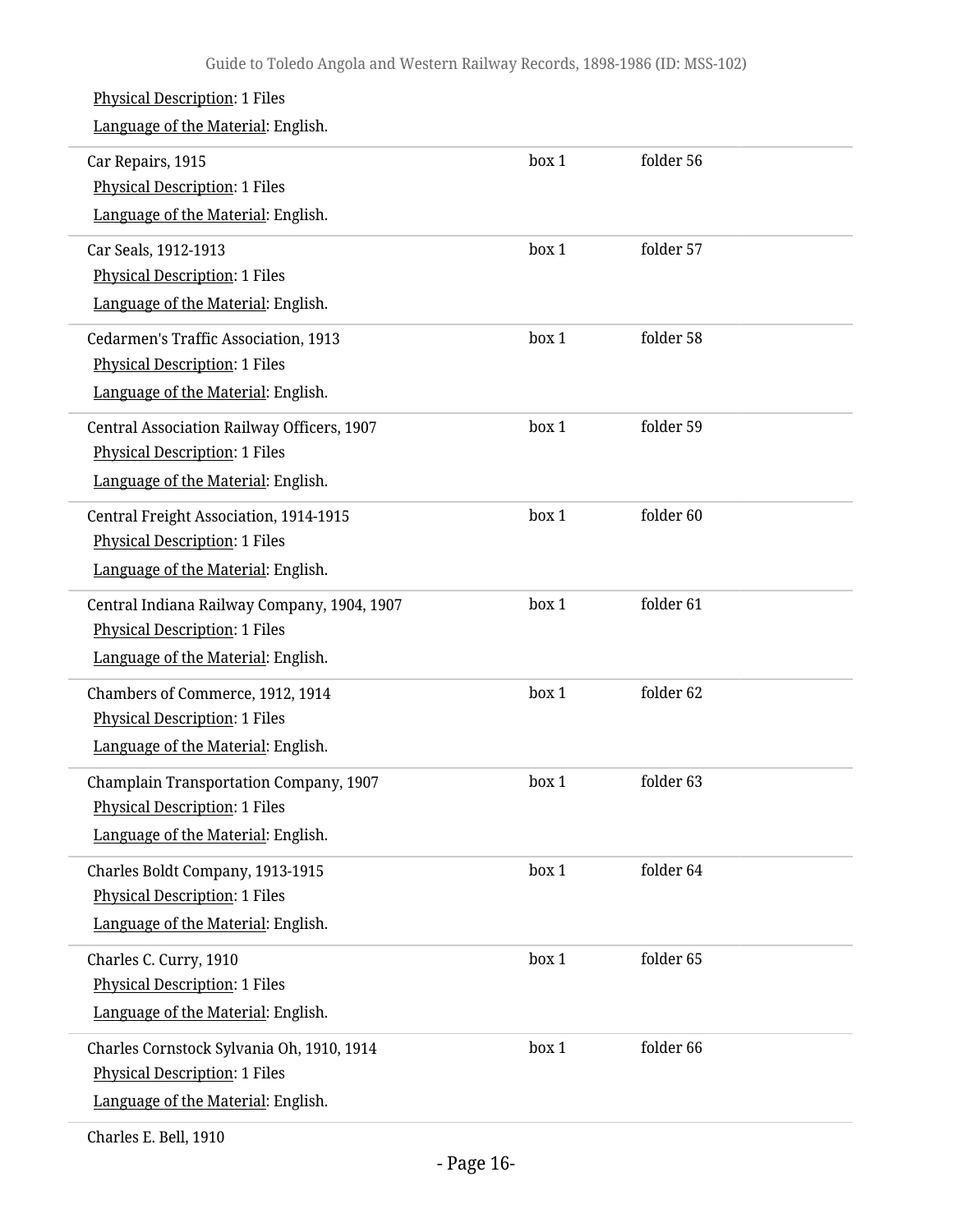#### Physical Description: 1 Files Language of the Material: English. Car Repairs, 1915 Physical Description: 1 Files Language of the Material: English. box 1 folder 56 Car Seals, 1912-1913 Physical Description: 1 Files Language of the Material: English. box 1 folder 57 Cedarmen's Traffic Association, 1913 Physical Description: 1 Files Language of the Material: English. box 1 folder 58 Central Association Railway Officers, 1907 Physical Description: 1 Files Language of the Material: English. box 1 folder 59 Central Freight Association, 1914-1915 Physical Description: 1 Files Language of the Material: English. box 1 folder 60 Central Indiana Railway Company, 1904, 1907 Physical Description: 1 Files Language of the Material: English. box 1 folder 61 Chambers of Commerce, 1912, 1914 Physical Description: 1 Files Language of the Material: English. box 1 folder 62 Champlain Transportation Company, 1907 Physical Description: 1 Files Language of the Material: English. box 1 folder 63 Charles Boldt Company, 1913-1915 Physical Description: 1 Files Language of the Material: English. box 1 folder 64 Charles C. Curry, 1910 Physical Description: 1 Files Language of the Material: English. box 1 folder 65 Charles Cornstock Sylvania Oh, 1910, 1914 Physical Description: 1 Files Language of the Material: English. box 1 folder 66

Charles E. Bell, 1910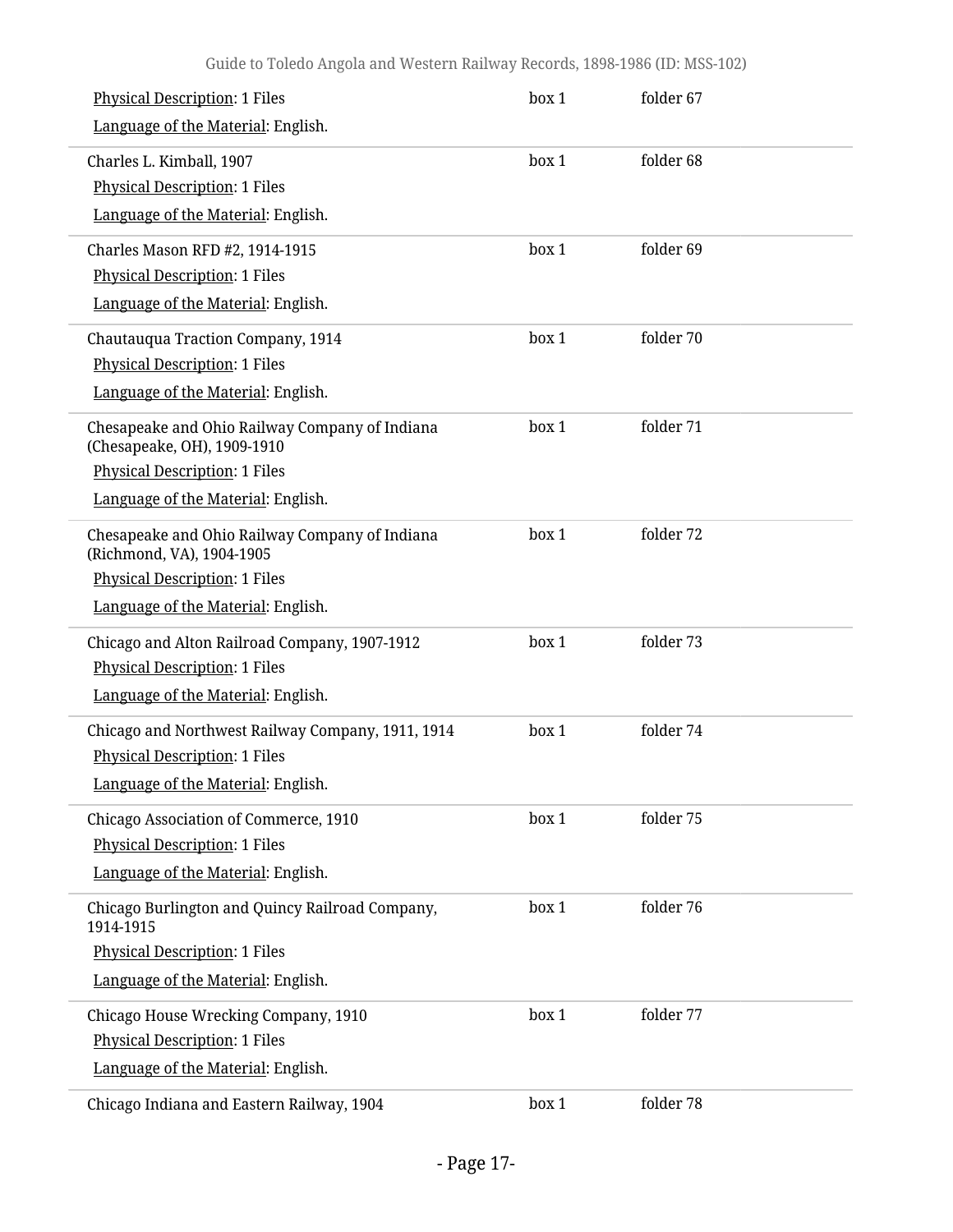| <b>Physical Description: 1 Files</b><br>Language of the Material: English.                             | box 1 | folder 67 |  |
|--------------------------------------------------------------------------------------------------------|-------|-----------|--|
| Charles L. Kimball, 1907<br><b>Physical Description: 1 Files</b><br>Language of the Material: English. | box 1 | folder 68 |  |
| Charles Mason RFD #2, 1914-1915                                                                        | box 1 | folder 69 |  |
| <b>Physical Description: 1 Files</b>                                                                   |       |           |  |
| Language of the Material: English.                                                                     |       |           |  |
| Chautauqua Traction Company, 1914                                                                      | box 1 | folder 70 |  |
| <b>Physical Description: 1 Files</b>                                                                   |       |           |  |
| Language of the Material: English.                                                                     |       |           |  |
| Chesapeake and Ohio Railway Company of Indiana<br>(Chesapeake, OH), 1909-1910                          | box 1 | folder 71 |  |
| <b>Physical Description: 1 Files</b>                                                                   |       |           |  |
| Language of the Material: English.                                                                     |       |           |  |
| Chesapeake and Ohio Railway Company of Indiana<br>(Richmond, VA), 1904-1905                            | box 1 | folder 72 |  |
| <b>Physical Description: 1 Files</b>                                                                   |       |           |  |
| Language of the Material: English.                                                                     |       |           |  |
| Chicago and Alton Railroad Company, 1907-1912                                                          | box 1 | folder 73 |  |
| <b>Physical Description: 1 Files</b>                                                                   |       |           |  |
| Language of the Material: English.                                                                     |       |           |  |
| Chicago and Northwest Railway Company, 1911, 1914                                                      | box 1 | folder 74 |  |
| <b>Physical Description: 1 Files</b>                                                                   |       |           |  |
| Language of the Material: English.                                                                     |       |           |  |
| Chicago Association of Commerce, 1910                                                                  | box 1 | folder 75 |  |
| <b>Physical Description: 1 Files</b>                                                                   |       |           |  |
| Language of the Material: English.                                                                     |       |           |  |
| Chicago Burlington and Quincy Railroad Company,<br>1914-1915                                           | box 1 | folder 76 |  |
| <b>Physical Description: 1 Files</b>                                                                   |       |           |  |
| Language of the Material: English.                                                                     |       |           |  |
| Chicago House Wrecking Company, 1910                                                                   | box 1 | folder 77 |  |
| <b>Physical Description: 1 Files</b>                                                                   |       |           |  |
| Language of the Material: English.                                                                     |       |           |  |
| Chicago Indiana and Eastern Railway, 1904                                                              | box 1 | folder 78 |  |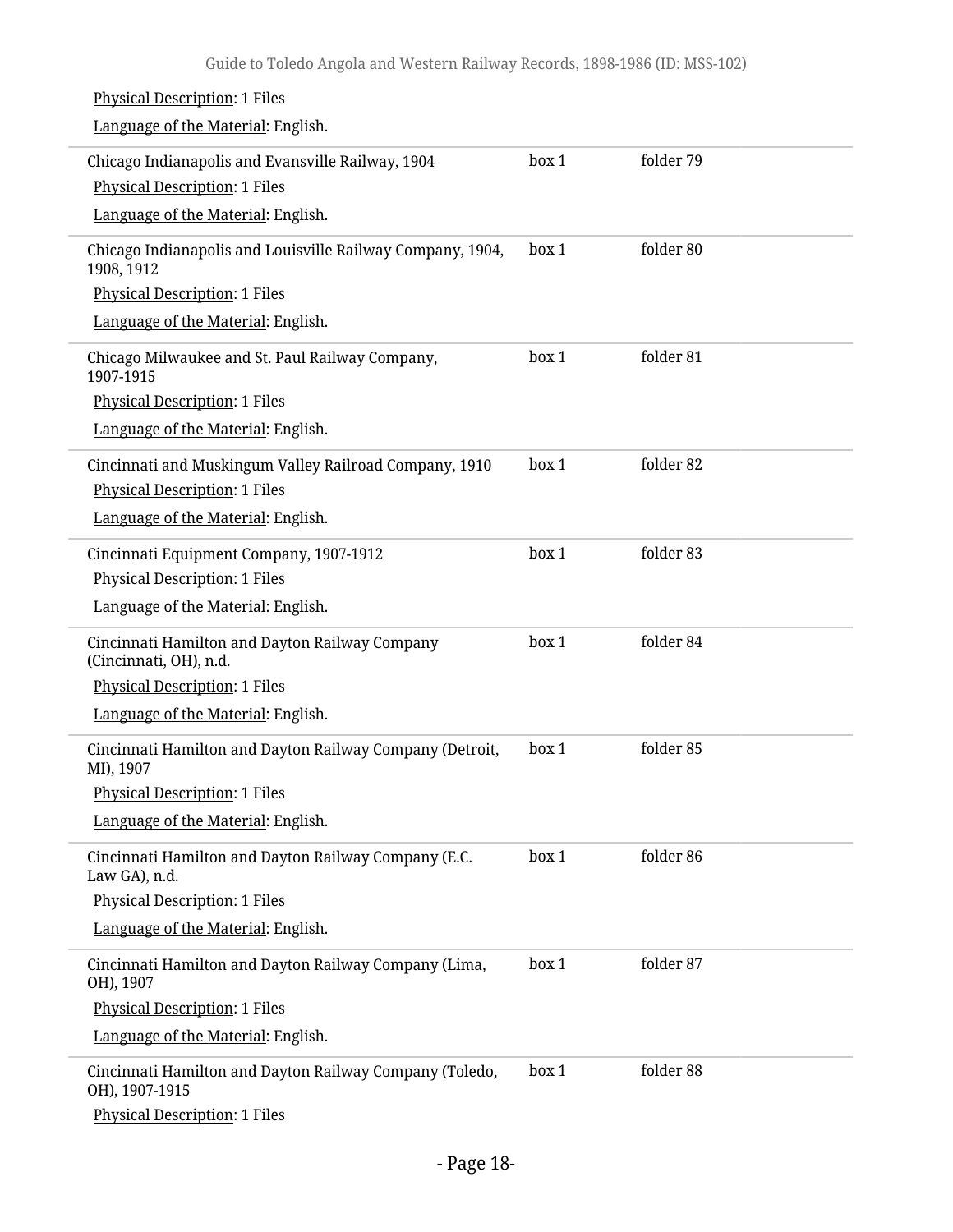| <b>Physical Description: 1 Files</b>                                      |       |           |
|---------------------------------------------------------------------------|-------|-----------|
| Language of the Material: English.                                        |       |           |
| Chicago Indianapolis and Evansville Railway, 1904                         | box 1 | folder 79 |
| <b>Physical Description: 1 Files</b>                                      |       |           |
| Language of the Material: English.                                        |       |           |
| Chicago Indianapolis and Louisville Railway Company, 1904,<br>1908, 1912  | box 1 | folder 80 |
| <b>Physical Description: 1 Files</b>                                      |       |           |
| Language of the Material: English.                                        |       |           |
| Chicago Milwaukee and St. Paul Railway Company,<br>1907-1915              | box 1 | folder 81 |
| <b>Physical Description: 1 Files</b>                                      |       |           |
| Language of the Material: English.                                        |       |           |
| Cincinnati and Muskingum Valley Railroad Company, 1910                    | box 1 | folder 82 |
| <b>Physical Description: 1 Files</b>                                      |       |           |
| Language of the Material: English.                                        |       |           |
| Cincinnati Equipment Company, 1907-1912                                   | box 1 | folder 83 |
| <b>Physical Description: 1 Files</b>                                      |       |           |
| Language of the Material: English.                                        |       |           |
| Cincinnati Hamilton and Dayton Railway Company<br>(Cincinnati, OH), n.d.  | box 1 | folder 84 |
| <b>Physical Description: 1 Files</b>                                      |       |           |
| Language of the Material: English.                                        |       |           |
| Cincinnati Hamilton and Dayton Railway Company (Detroit,<br>MI), 1907     | box 1 | folder 85 |
| <b>Physical Description: 1 Files</b>                                      |       |           |
| Language of the Material: English.                                        |       |           |
| Cincinnati Hamilton and Dayton Railway Company (E.C.<br>Law GA), n.d.     | box 1 | folder 86 |
| <b>Physical Description: 1 Files</b>                                      |       |           |
| Language of the Material: English.                                        |       |           |
| Cincinnati Hamilton and Dayton Railway Company (Lima,<br>OH), 1907        | box 1 | folder 87 |
| <b>Physical Description: 1 Files</b>                                      |       |           |
| Language of the Material: English.                                        |       |           |
| Cincinnati Hamilton and Dayton Railway Company (Toledo,<br>OH), 1907-1915 | box 1 | folder 88 |
| <b>Physical Description: 1 Files</b>                                      |       |           |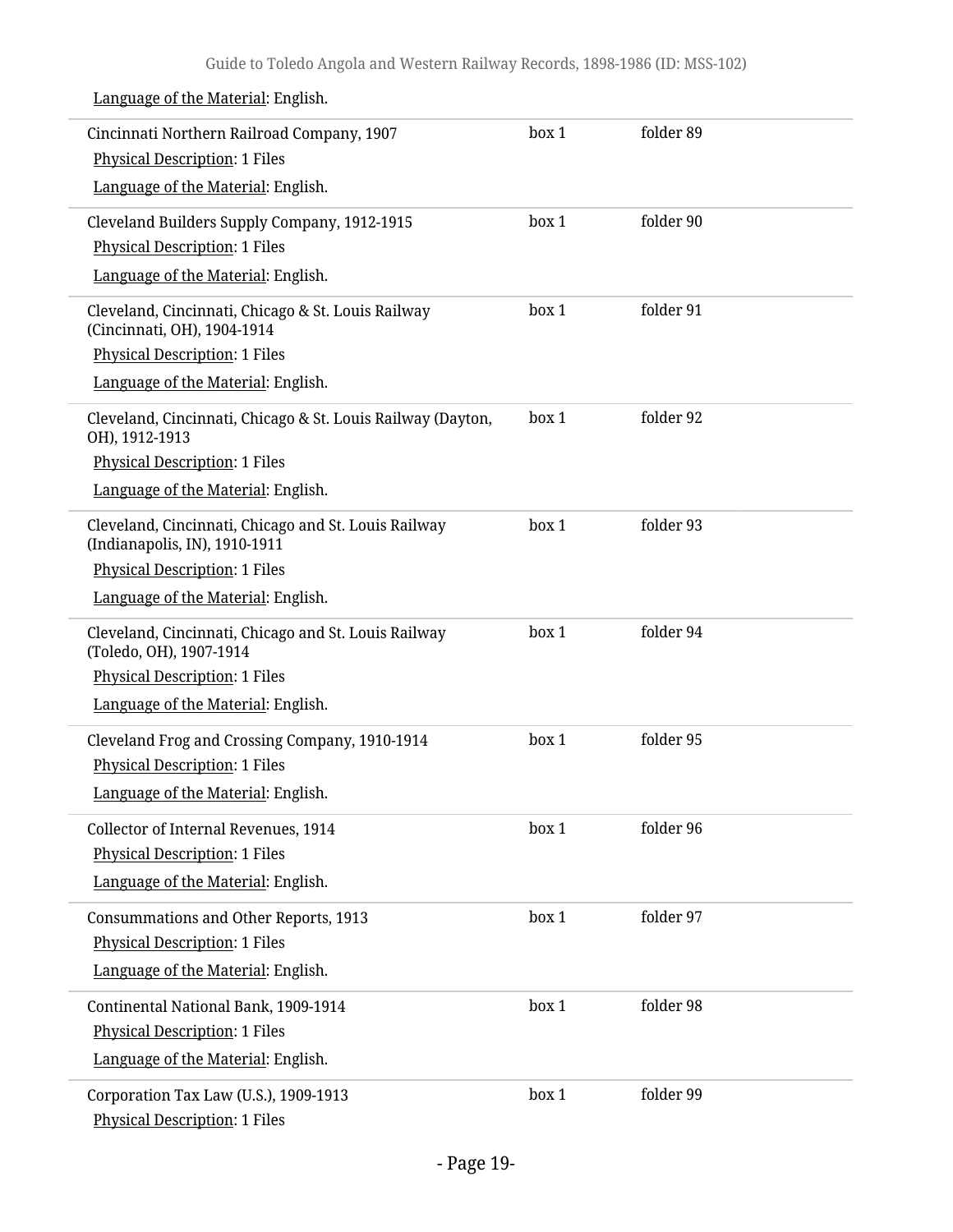| Cincinnati Northern Railroad Company, 1907<br><b>Physical Description: 1 Files</b>                                                                                  | box 1 | folder 89 |
|---------------------------------------------------------------------------------------------------------------------------------------------------------------------|-------|-----------|
| Language of the Material: English.                                                                                                                                  |       |           |
| Cleveland Builders Supply Company, 1912-1915<br><b>Physical Description: 1 Files</b><br>Language of the Material: English.                                          | box 1 | folder 90 |
| Cleveland, Cincinnati, Chicago & St. Louis Railway<br>(Cincinnati, OH), 1904-1914<br><b>Physical Description: 1 Files</b><br>Language of the Material: English.     | box 1 | folder 91 |
| Cleveland, Cincinnati, Chicago & St. Louis Railway (Dayton,<br>OH), 1912-1913<br><b>Physical Description: 1 Files</b><br>Language of the Material: English.         | box 1 | folder 92 |
| Cleveland, Cincinnati, Chicago and St. Louis Railway<br>(Indianapolis, IN), 1910-1911<br><b>Physical Description: 1 Files</b><br>Language of the Material: English. | box 1 | folder 93 |
| Cleveland, Cincinnati, Chicago and St. Louis Railway<br>(Toledo, OH), 1907-1914<br><b>Physical Description: 1 Files</b><br>Language of the Material: English.       | box 1 | folder 94 |
| Cleveland Frog and Crossing Company, 1910-1914<br><b>Physical Description: 1 Files</b><br>Language of the Material: English.                                        | box 1 | folder 95 |
| Collector of Internal Revenues, 1914<br><b>Physical Description: 1 Files</b><br>Language of the Material: English.                                                  | box 1 | folder 96 |
| <b>Consummations and Other Reports, 1913</b><br><b>Physical Description: 1 Files</b><br>Language of the Material: English.                                          | box 1 | folder 97 |
| Continental National Bank, 1909-1914<br><b>Physical Description: 1 Files</b><br>Language of the Material: English.                                                  | box 1 | folder 98 |
| Corporation Tax Law (U.S.), 1909-1913<br><b>Physical Description: 1 Files</b>                                                                                       | box 1 | folder 99 |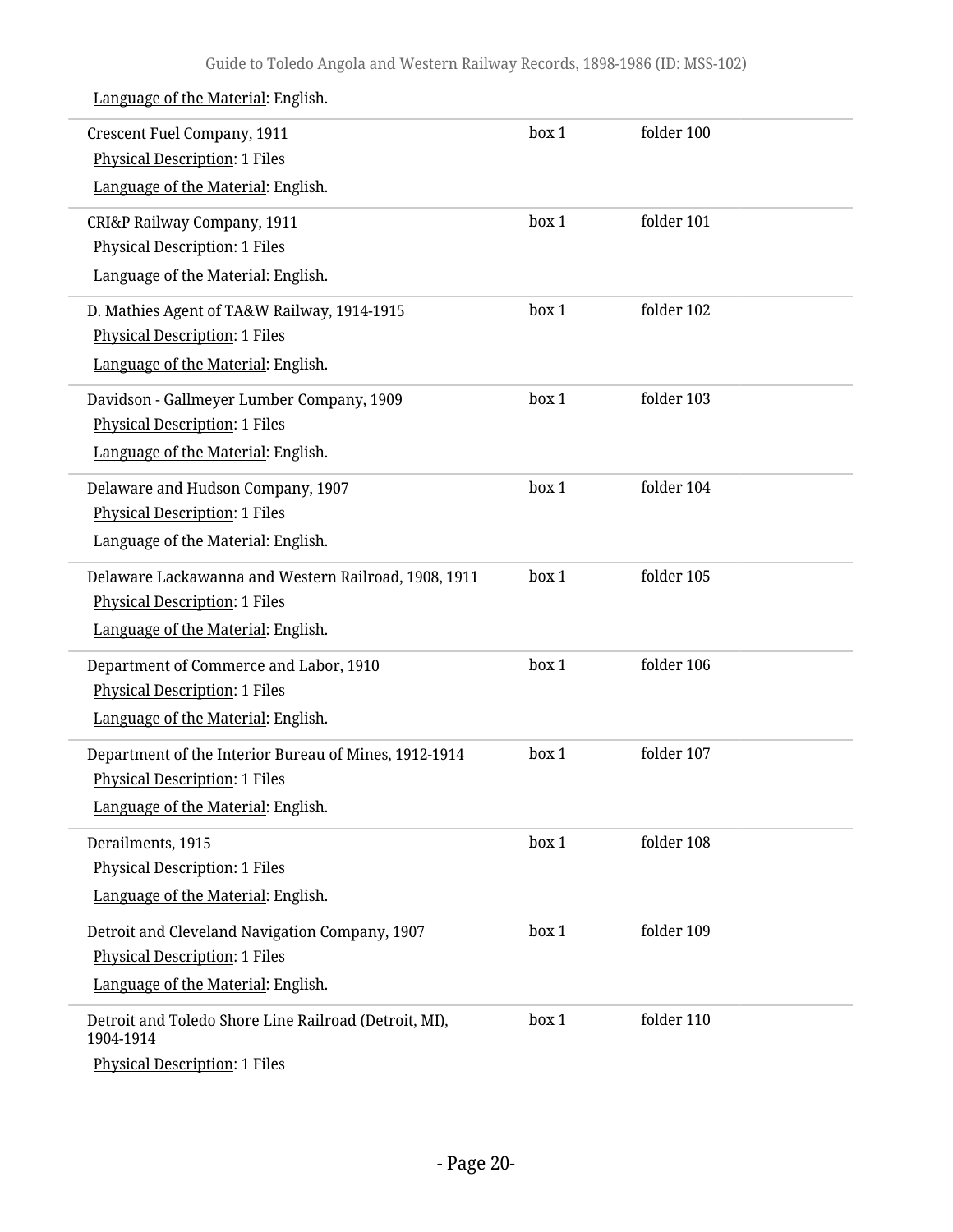| Crescent Fuel Company, 1911<br><b>Physical Description: 1 Files</b><br>Language of the Material: English.                           | box 1 | folder 100 |  |
|-------------------------------------------------------------------------------------------------------------------------------------|-------|------------|--|
| CRI&P Railway Company, 1911<br><b>Physical Description: 1 Files</b><br>Language of the Material: English.                           | box 1 | folder 101 |  |
| D. Mathies Agent of TA&W Railway, 1914-1915<br><b>Physical Description: 1 Files</b><br>Language of the Material: English.           | box 1 | folder 102 |  |
| Davidson - Gallmeyer Lumber Company, 1909<br><b>Physical Description: 1 Files</b><br>Language of the Material: English.             | box 1 | folder 103 |  |
| Delaware and Hudson Company, 1907<br><b>Physical Description: 1 Files</b><br>Language of the Material: English.                     | box 1 | folder 104 |  |
| Delaware Lackawanna and Western Railroad, 1908, 1911<br><b>Physical Description: 1 Files</b><br>Language of the Material: English.  | box 1 | folder 105 |  |
| Department of Commerce and Labor, 1910<br><b>Physical Description: 1 Files</b><br>Language of the Material: English.                | box 1 | folder 106 |  |
| Department of the Interior Bureau of Mines, 1912-1914<br><b>Physical Description: 1 Files</b><br>Language of the Material: English. | box 1 | folder 107 |  |
| Derailments, 1915<br><b>Physical Description: 1 Files</b><br>Language of the Material: English.                                     | box 1 | folder 108 |  |
| Detroit and Cleveland Navigation Company, 1907<br><b>Physical Description: 1 Files</b><br>Language of the Material: English.        | box 1 | folder 109 |  |
| Detroit and Toledo Shore Line Railroad (Detroit, MI),<br>1904-1914<br><b>Physical Description: 1 Files</b>                          | box 1 | folder 110 |  |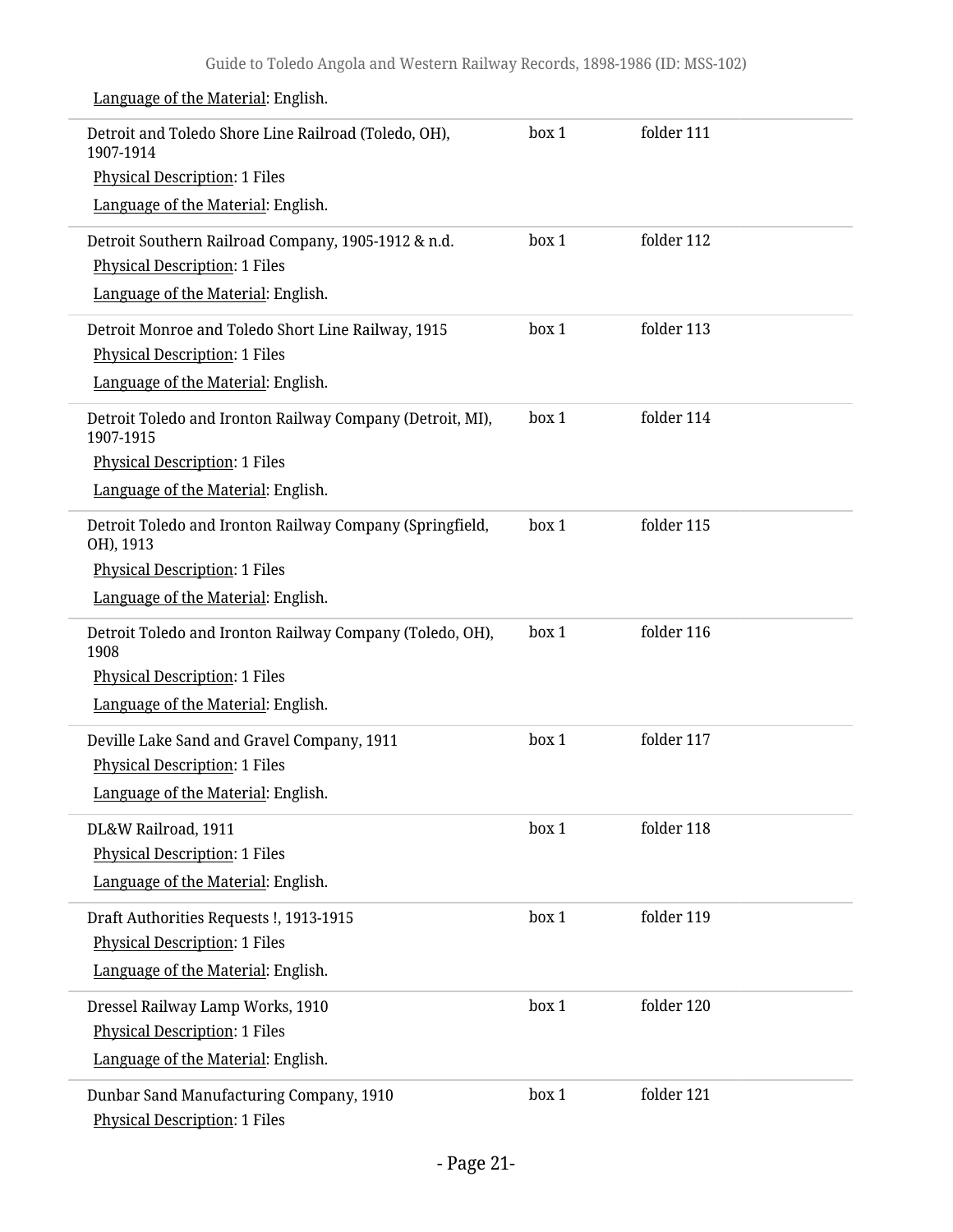Detroit and Toledo Shore Line Railroad (Toledo, OH), 1907-1914 Physical Description: 1 Files Language of the Material: English. box 1 folder 111 Detroit Southern Railroad Company, 1905-1912 & n.d. Physical Description: 1 Files Language of the Material: English. box 1 folder 112 Detroit Monroe and Toledo Short Line Railway, 1915 Physical Description: 1 Files Language of the Material: English. box 1 folder 113 Detroit Toledo and Ironton Railway Company (Detroit, MI), 1907-1915 Physical Description: 1 Files Language of the Material: English. box 1 folder 114 Detroit Toledo and Ironton Railway Company (Springfield, OH), 1913 Physical Description: 1 Files Language of the Material: English. box 1 folder 115 Detroit Toledo and Ironton Railway Company (Toledo, OH), 1908 Physical Description: 1 Files Language of the Material: English. box 1 folder 116 Deville Lake Sand and Gravel Company, 1911 Physical Description: 1 Files Language of the Material: English. box 1 folder 117 DL&W Railroad, 1911 Physical Description: 1 Files Language of the Material: English. box 1 folder 118 Draft Authorities Requests !, 1913-1915 Physical Description: 1 Files Language of the Material: English. box 1 folder 119 Dressel Railway Lamp Works, 1910 Physical Description: 1 Files Language of the Material: English. box 1 folder 120 Dunbar Sand Manufacturing Company, 1910 Physical Description: 1 Files box 1 folder 121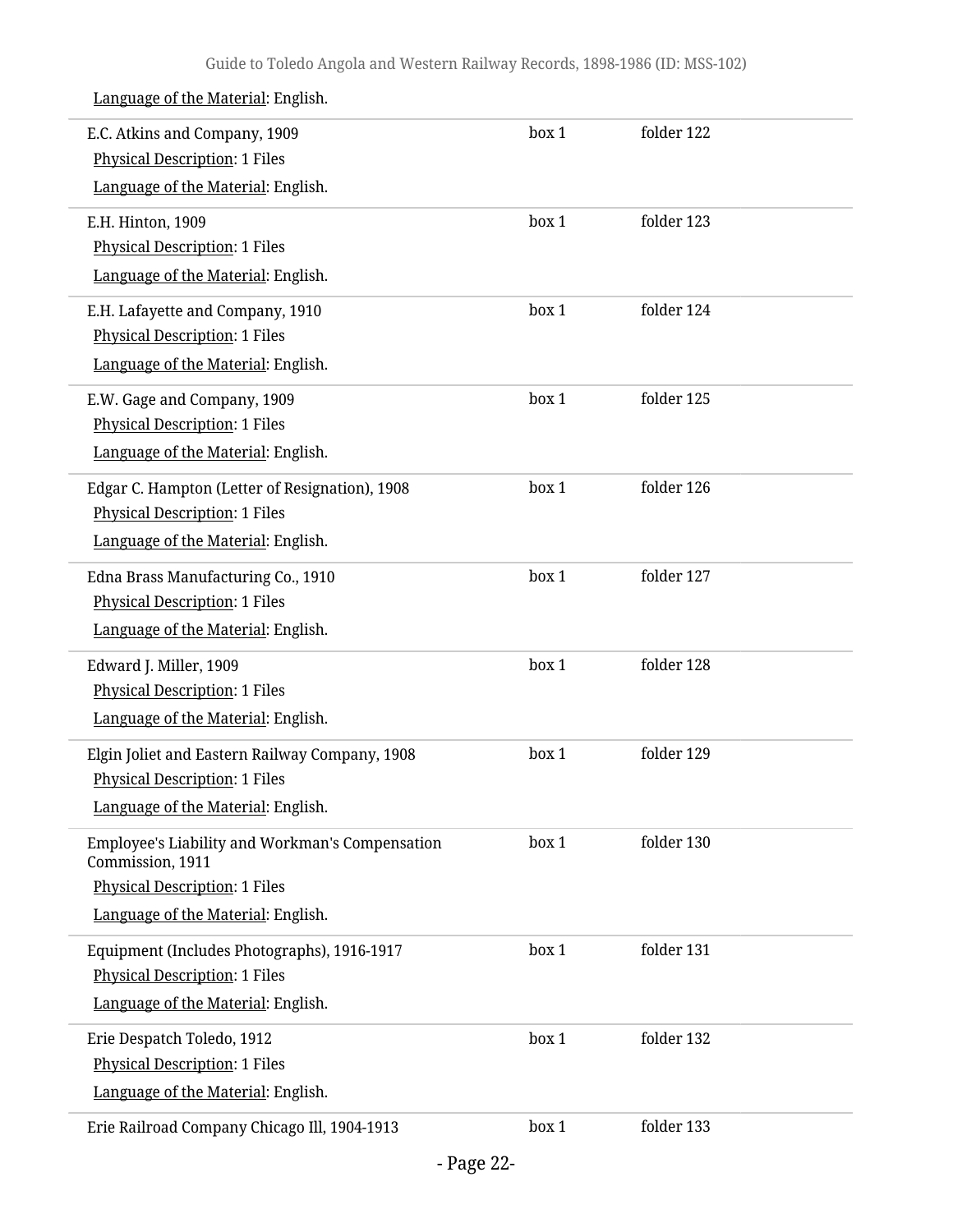| E.C. Atkins and Company, 1909                                       | box 1 | folder 122 |  |
|---------------------------------------------------------------------|-------|------------|--|
| <b>Physical Description: 1 Files</b>                                |       |            |  |
| Language of the Material: English.                                  |       |            |  |
| E.H. Hinton, 1909                                                   | box 1 | folder 123 |  |
| Physical Description: 1 Files                                       |       |            |  |
| Language of the Material: English.                                  |       |            |  |
| E.H. Lafayette and Company, 1910                                    | box 1 | folder 124 |  |
| <b>Physical Description: 1 Files</b>                                |       |            |  |
| Language of the Material: English.                                  |       |            |  |
| E.W. Gage and Company, 1909                                         | box 1 | folder 125 |  |
| <b>Physical Description: 1 Files</b>                                |       |            |  |
| Language of the Material: English.                                  |       |            |  |
| Edgar C. Hampton (Letter of Resignation), 1908                      | box 1 | folder 126 |  |
| <b>Physical Description: 1 Files</b>                                |       |            |  |
| Language of the Material: English.                                  |       |            |  |
| Edna Brass Manufacturing Co., 1910                                  | box 1 | folder 127 |  |
| <b>Physical Description: 1 Files</b>                                |       |            |  |
| Language of the Material: English.                                  |       |            |  |
| Edward J. Miller, 1909                                              | box 1 | folder 128 |  |
| <b>Physical Description: 1 Files</b>                                |       |            |  |
| Language of the Material: English.                                  |       |            |  |
| Elgin Joliet and Eastern Railway Company, 1908                      | box 1 | folder 129 |  |
| <b>Physical Description: 1 Files</b>                                |       |            |  |
| Language of the Material: English.                                  |       |            |  |
| Employee's Liability and Workman's Compensation<br>Commission, 1911 | box 1 | folder 130 |  |
| <b>Physical Description: 1 Files</b>                                |       |            |  |
| Language of the Material: English.                                  |       |            |  |
| Equipment (Includes Photographs), 1916-1917                         | box 1 | folder 131 |  |
| <b>Physical Description: 1 Files</b>                                |       |            |  |
| Language of the Material: English.                                  |       |            |  |
| Erie Despatch Toledo, 1912                                          | box 1 | folder 132 |  |
| <b>Physical Description: 1 Files</b>                                |       |            |  |
| Language of the Material: English.                                  |       |            |  |
| Erie Railroad Company Chicago Ill, 1904-1913                        | box 1 | folder 133 |  |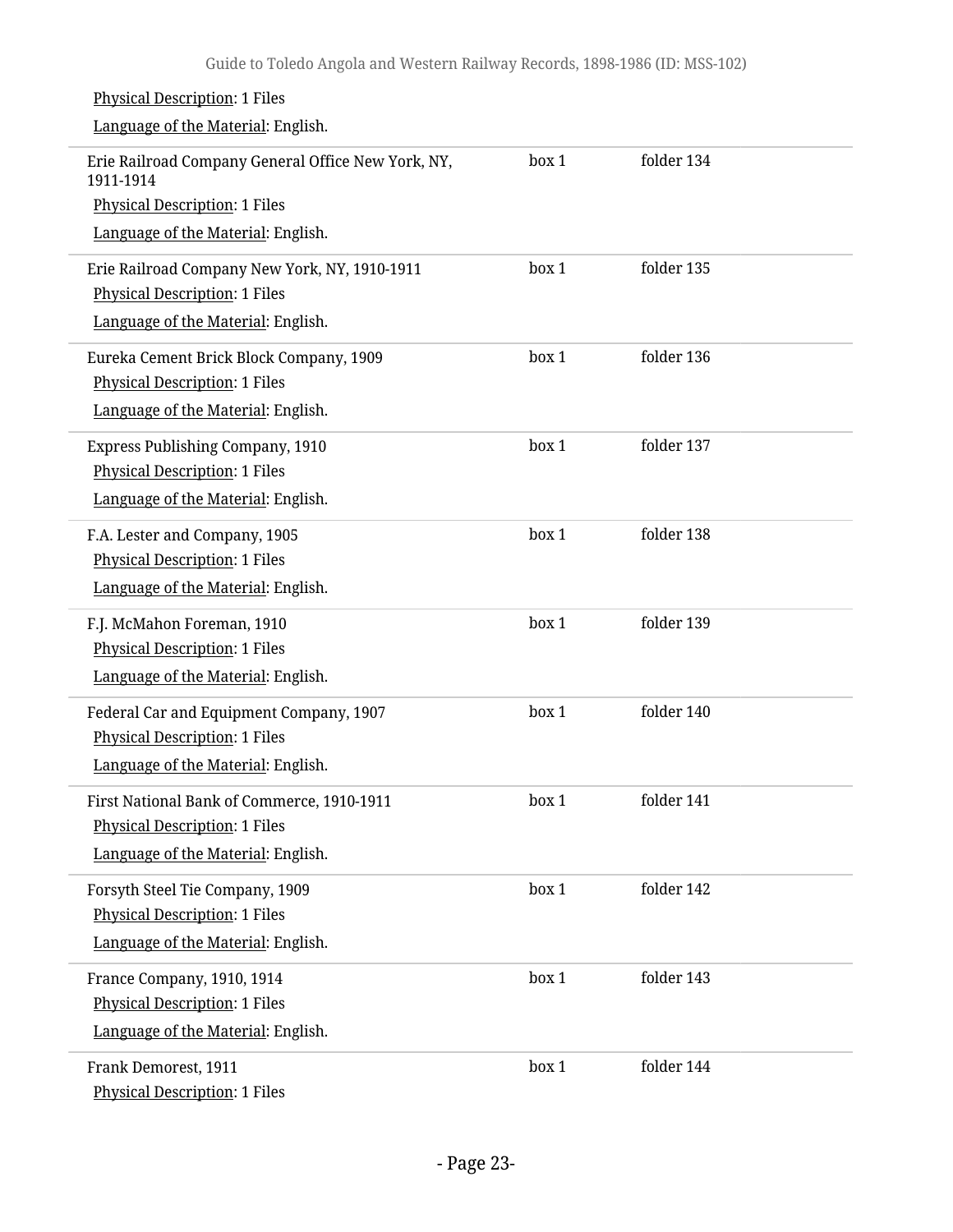#### Physical Description: 1 Files Language of the Material: English. Erie Railroad Company General Office New York, NY, 1911-1914 Physical Description: 1 Files Language of the Material: English. box 1 folder 134 Erie Railroad Company New York, NY, 1910-1911 Physical Description: 1 Files Language of the Material: English. box 1 folder 135 Eureka Cement Brick Block Company, 1909 Physical Description: 1 Files Language of the Material: English. box 1 folder 136 Express Publishing Company, 1910 Physical Description: 1 Files Language of the Material: English. box 1 folder 137 F.A. Lester and Company, 1905 Physical Description: 1 Files Language of the Material: English. box 1 folder 138 F.J. McMahon Foreman, 1910 Physical Description: 1 Files Language of the Material: English. box 1 folder 139 Federal Car and Equipment Company, 1907 Physical Description: 1 Files Language of the Material: English. box 1 folder 140 First National Bank of Commerce, 1910-1911 Physical Description: 1 Files Language of the Material: English. box 1 folder 141 Forsyth Steel Tie Company, 1909 Physical Description: 1 Files Language of the Material: English. box 1 folder 142 France Company, 1910, 1914 Physical Description: 1 Files Language of the Material: English. box 1 folder 143 Frank Demorest, 1911 Physical Description: 1 Files box 1 folder 144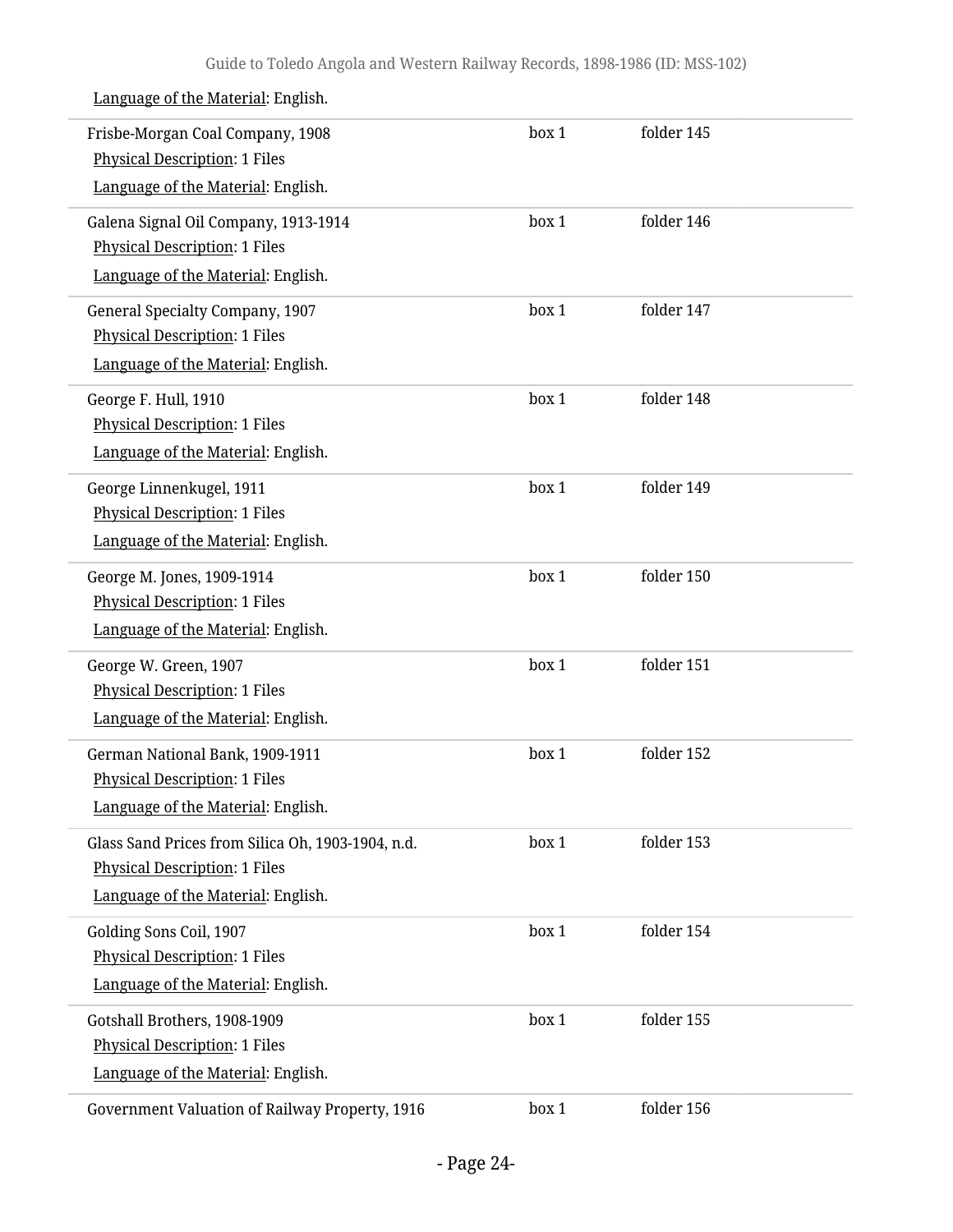| Language of the Material: English. |  |
|------------------------------------|--|
|                                    |  |

| Frisbe-Morgan Coal Company, 1908<br><b>Physical Description: 1 Files</b> | box 1 | folder 145 |  |
|--------------------------------------------------------------------------|-------|------------|--|
| Language of the Material: English.                                       |       |            |  |
| Galena Signal Oil Company, 1913-1914                                     | box 1 | folder 146 |  |
| <b>Physical Description: 1 Files</b>                                     |       |            |  |
| Language of the Material: English.                                       |       |            |  |
| General Specialty Company, 1907                                          | box 1 | folder 147 |  |
| <b>Physical Description: 1 Files</b>                                     |       |            |  |
| Language of the Material: English.                                       |       |            |  |
| George F. Hull, 1910                                                     | box 1 | folder 148 |  |
| <b>Physical Description: 1 Files</b>                                     |       |            |  |
| Language of the Material: English.                                       |       |            |  |
| George Linnenkugel, 1911                                                 | box 1 | folder 149 |  |
| <b>Physical Description: 1 Files</b>                                     |       |            |  |
| Language of the Material: English.                                       |       |            |  |
| George M. Jones, 1909-1914                                               | box 1 | folder 150 |  |
| <b>Physical Description: 1 Files</b>                                     |       |            |  |
| Language of the Material: English.                                       |       |            |  |
| George W. Green, 1907                                                    | box 1 | folder 151 |  |
| <b>Physical Description: 1 Files</b>                                     |       |            |  |
| Language of the Material: English.                                       |       |            |  |
| German National Bank, 1909-1911                                          | box 1 | folder 152 |  |
| <b>Physical Description: 1 Files</b>                                     |       |            |  |
| Language of the Material: English.                                       |       |            |  |
| Glass Sand Prices from Silica Oh, 1903-1904, n.d.                        | box 1 | folder 153 |  |
| <b>Physical Description: 1 Files</b>                                     |       |            |  |
| Language of the Material: English.                                       |       |            |  |
| Golding Sons Coil, 1907                                                  | box 1 | folder 154 |  |
| <b>Physical Description: 1 Files</b>                                     |       |            |  |
| Language of the Material: English.                                       |       |            |  |
| Gotshall Brothers, 1908-1909                                             | box 1 | folder 155 |  |
| <b>Physical Description: 1 Files</b>                                     |       |            |  |
| Language of the Material: English.                                       |       |            |  |
| Government Valuation of Railway Property, 1916                           | box 1 | folder 156 |  |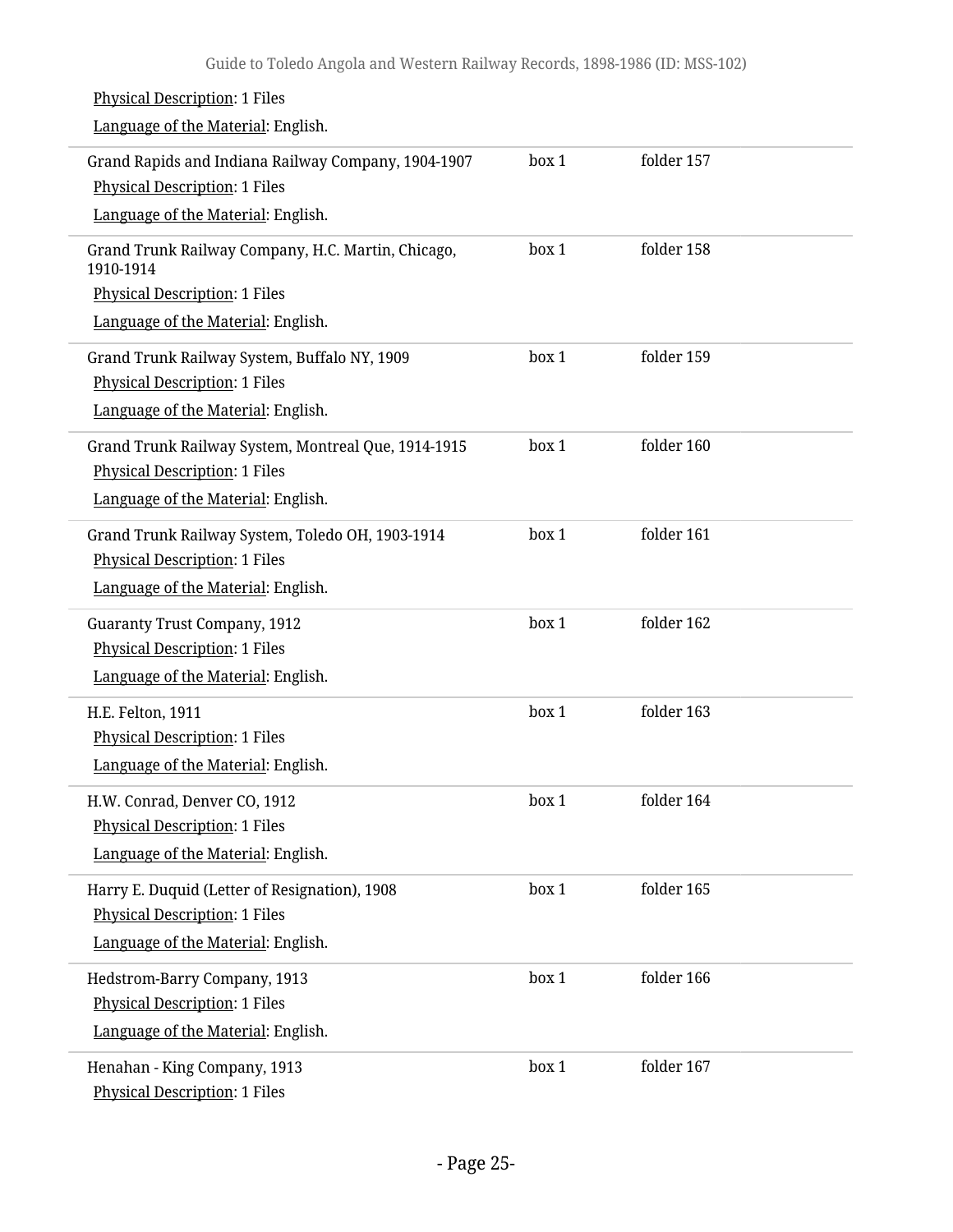| <b>Physical Description: 1 Files</b><br>Language of the Material: English.                                                        |       |            |  |
|-----------------------------------------------------------------------------------------------------------------------------------|-------|------------|--|
| Grand Rapids and Indiana Railway Company, 1904-1907<br><b>Physical Description: 1 Files</b><br>Language of the Material: English. | box 1 | folder 157 |  |
| Grand Trunk Railway Company, H.C. Martin, Chicago,                                                                                | box 1 | folder 158 |  |
| 1910-1914<br>Physical Description: 1 Files                                                                                        |       |            |  |
| Language of the Material: English.                                                                                                |       |            |  |
| Grand Trunk Railway System, Buffalo NY, 1909<br><b>Physical Description: 1 Files</b><br>Language of the Material: English.        | box 1 | folder 159 |  |
| Grand Trunk Railway System, Montreal Que, 1914-1915<br><b>Physical Description: 1 Files</b><br>Language of the Material: English. | box 1 | folder 160 |  |
| Grand Trunk Railway System, Toledo OH, 1903-1914<br><b>Physical Description: 1 Files</b><br>Language of the Material: English.    | box 1 | folder 161 |  |
| <b>Guaranty Trust Company, 1912</b><br><b>Physical Description: 1 Files</b><br>Language of the Material: English.                 | box 1 | folder 162 |  |
| H.E. Felton, 1911<br>Physical Description: 1 Files<br>Language of the Material: English.                                          | box 1 | folder 163 |  |
| H.W. Conrad, Denver CO, 1912<br><b>Physical Description: 1 Files</b><br>Language of the Material: English.                        | box 1 | folder 164 |  |
| Harry E. Duquid (Letter of Resignation), 1908<br><b>Physical Description: 1 Files</b><br>Language of the Material: English.       | box 1 | folder 165 |  |
| Hedstrom-Barry Company, 1913<br><b>Physical Description: 1 Files</b><br>Language of the Material: English.                        | box 1 | folder 166 |  |
| Henahan - King Company, 1913<br><b>Physical Description: 1 Files</b>                                                              | box 1 | folder 167 |  |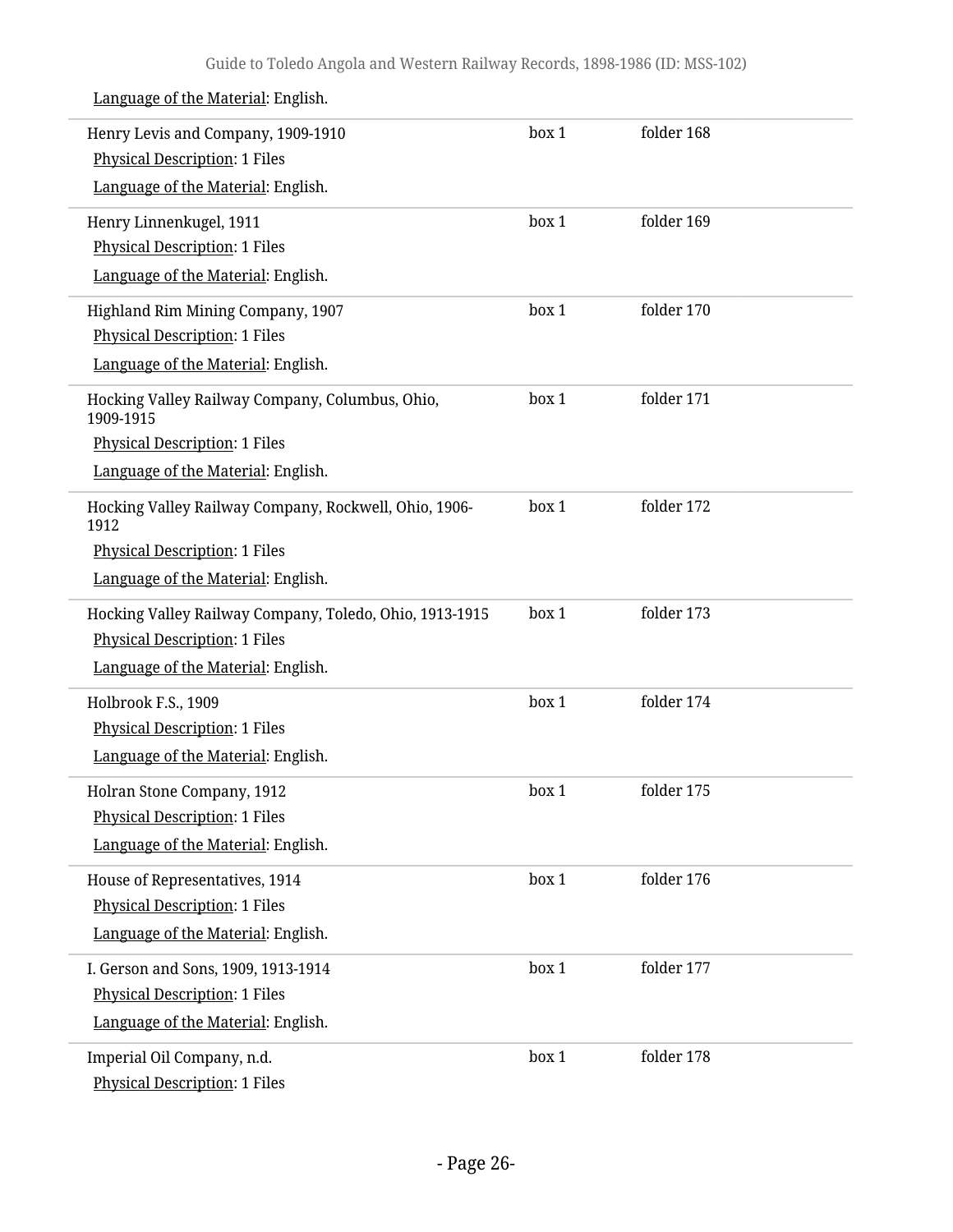| Henry Levis and Company, 1909-1910<br>Physical Description: 1 Files | box 1 | folder 168 |  |
|---------------------------------------------------------------------|-------|------------|--|
| Language of the Material: English.                                  |       |            |  |
| Henry Linnenkugel, 1911                                             | box 1 | folder 169 |  |
| <b>Physical Description: 1 Files</b>                                |       |            |  |
| Language of the Material: English.                                  |       |            |  |
| Highland Rim Mining Company, 1907                                   | box 1 | folder 170 |  |
| <b>Physical Description: 1 Files</b>                                |       |            |  |
| Language of the Material: English.                                  |       |            |  |
| Hocking Valley Railway Company, Columbus, Ohio,<br>1909-1915        | box 1 | folder 171 |  |
| <b>Physical Description: 1 Files</b>                                |       |            |  |
| Language of the Material: English.                                  |       |            |  |
| Hocking Valley Railway Company, Rockwell, Ohio, 1906-<br>1912       | box 1 | folder 172 |  |
| <b>Physical Description: 1 Files</b>                                |       |            |  |
| Language of the Material: English.                                  |       |            |  |
| Hocking Valley Railway Company, Toledo, Ohio, 1913-1915             | box 1 | folder 173 |  |
| <b>Physical Description: 1 Files</b>                                |       |            |  |
| Language of the Material: English.                                  |       |            |  |
| Holbrook F.S., 1909                                                 | box 1 | folder 174 |  |
| <b>Physical Description: 1 Files</b>                                |       |            |  |
| Language of the Material: English.                                  |       |            |  |
| Holran Stone Company, 1912                                          | box 1 | folder 175 |  |
| Physical Description: 1 Files                                       |       |            |  |
| Language of the Material: English.                                  |       |            |  |
| House of Representatives, 1914                                      | box 1 | folder 176 |  |
| <b>Physical Description: 1 Files</b>                                |       |            |  |
| Language of the Material: English.                                  |       |            |  |
| I. Gerson and Sons, 1909, 1913-1914                                 | box 1 | folder 177 |  |
| <b>Physical Description: 1 Files</b>                                |       |            |  |
| Language of the Material: English.                                  |       |            |  |
| Imperial Oil Company, n.d.                                          | box 1 | folder 178 |  |
| <b>Physical Description: 1 Files</b>                                |       |            |  |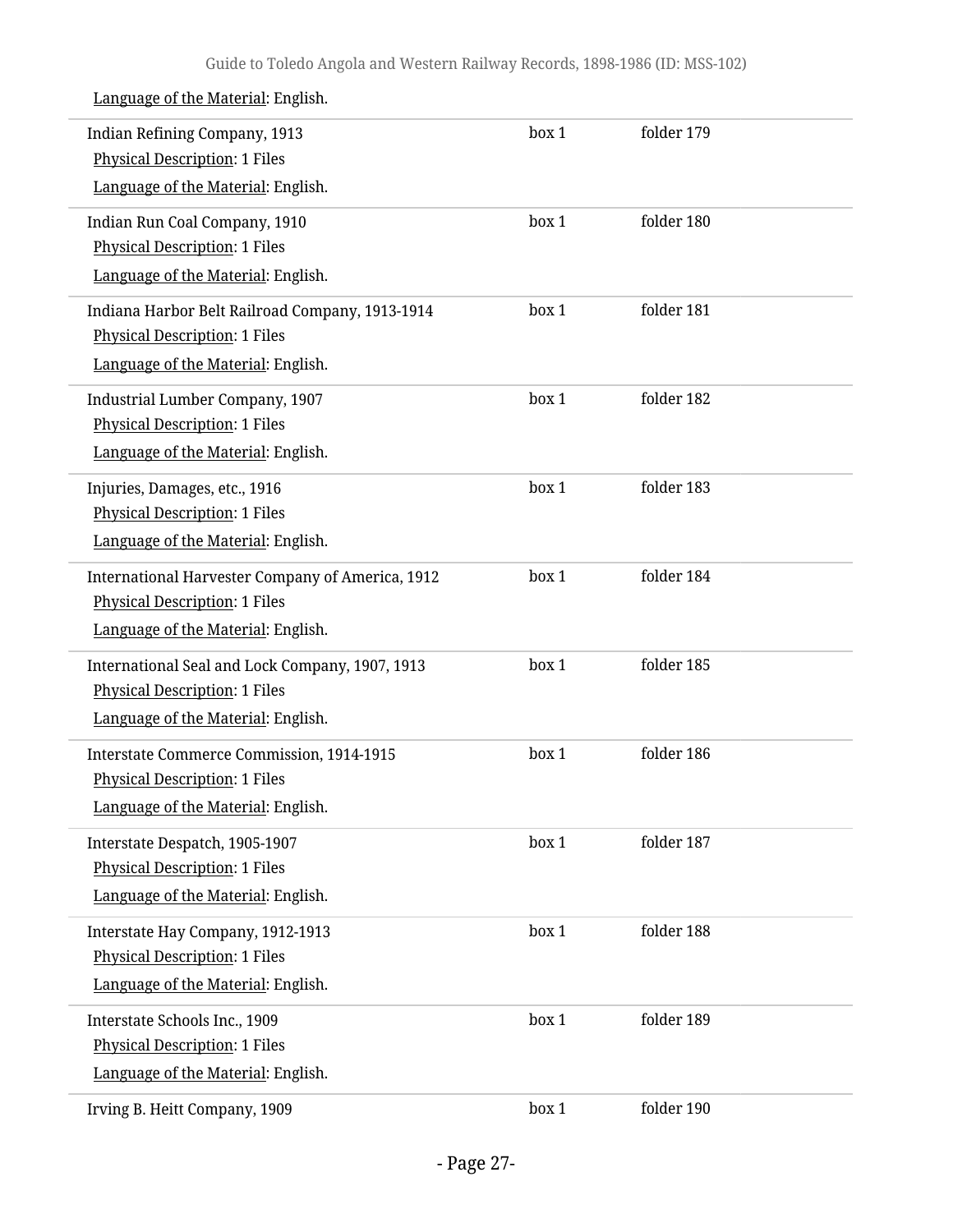| Indian Refining Company, 1913<br><b>Physical Description: 1 Files</b>                                                          | box 1 | folder 179 |  |
|--------------------------------------------------------------------------------------------------------------------------------|-------|------------|--|
| Language of the Material: English.                                                                                             |       |            |  |
| Indian Run Coal Company, 1910<br><b>Physical Description: 1 Files</b><br>Language of the Material: English.                    | box 1 | folder 180 |  |
| Indiana Harbor Belt Railroad Company, 1913-1914<br><b>Physical Description: 1 Files</b><br>Language of the Material: English.  | box 1 | folder 181 |  |
| Industrial Lumber Company, 1907<br><b>Physical Description: 1 Files</b><br>Language of the Material: English.                  | box 1 | folder 182 |  |
| Injuries, Damages, etc., 1916<br><b>Physical Description: 1 Files</b><br>Language of the Material: English.                    | box 1 | folder 183 |  |
| International Harvester Company of America, 1912<br><b>Physical Description: 1 Files</b><br>Language of the Material: English. | box 1 | folder 184 |  |
| International Seal and Lock Company, 1907, 1913<br><b>Physical Description: 1 Files</b><br>Language of the Material: English.  | box 1 | folder 185 |  |
| <b>Interstate Commerce Commission, 1914-1915</b><br><b>Physical Description: 1 Files</b><br>Language of the Material: English. | box 1 | folder 186 |  |
| Interstate Despatch, 1905-1907<br><b>Physical Description: 1 Files</b><br>Language of the Material: English.                   | box 1 | folder 187 |  |
| Interstate Hay Company, 1912-1913<br><b>Physical Description: 1 Files</b><br>Language of the Material: English.                | box 1 | folder 188 |  |
| Interstate Schools Inc., 1909<br><b>Physical Description: 1 Files</b><br>Language of the Material: English.                    | box 1 | folder 189 |  |
| Irving B. Heitt Company, 1909                                                                                                  | box 1 | folder 190 |  |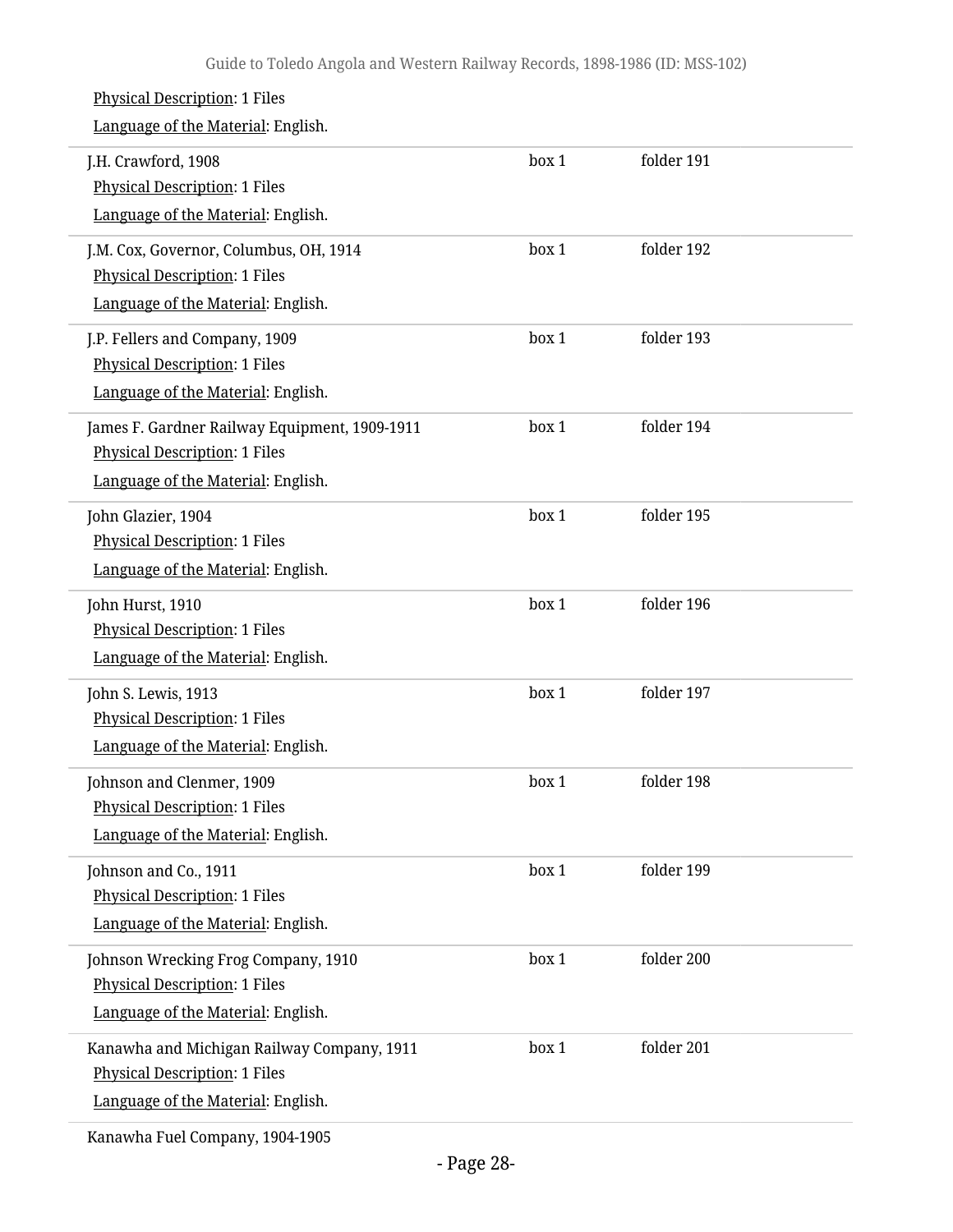#### Physical Description: 1 Files Language of the Material: English. J.H. Crawford, 1908 Physical Description: 1 Files Language of the Material: English. box 1 folder 191 J.M. Cox, Governor, Columbus, OH, 1914 Physical Description: 1 Files Language of the Material: English. box 1 folder 192 J.P. Fellers and Company, 1909 Physical Description: 1 Files Language of the Material: English. box 1 folder 193 James F. Gardner Railway Equipment, 1909-1911 Physical Description: 1 Files Language of the Material: English. box 1 folder 194 John Glazier, 1904 Physical Description: 1 Files Language of the Material: English. box 1 folder 195 John Hurst, 1910 Physical Description: 1 Files Language of the Material: English. box 1 folder 196 John S. Lewis, 1913 Physical Description: 1 Files Language of the Material: English. box 1 folder 197 Johnson and Clenmer, 1909 Physical Description: 1 Files Language of the Material: English. box 1 folder 198 Johnson and Co., 1911 Physical Description: 1 Files Language of the Material: English. box 1 folder 199 Johnson Wrecking Frog Company, 1910 Physical Description: 1 Files Language of the Material: English. box 1 folder 200 Kanawha and Michigan Railway Company, 1911 Physical Description: 1 Files Language of the Material: English. box 1 folder 201

Kanawha Fuel Company, 1904-1905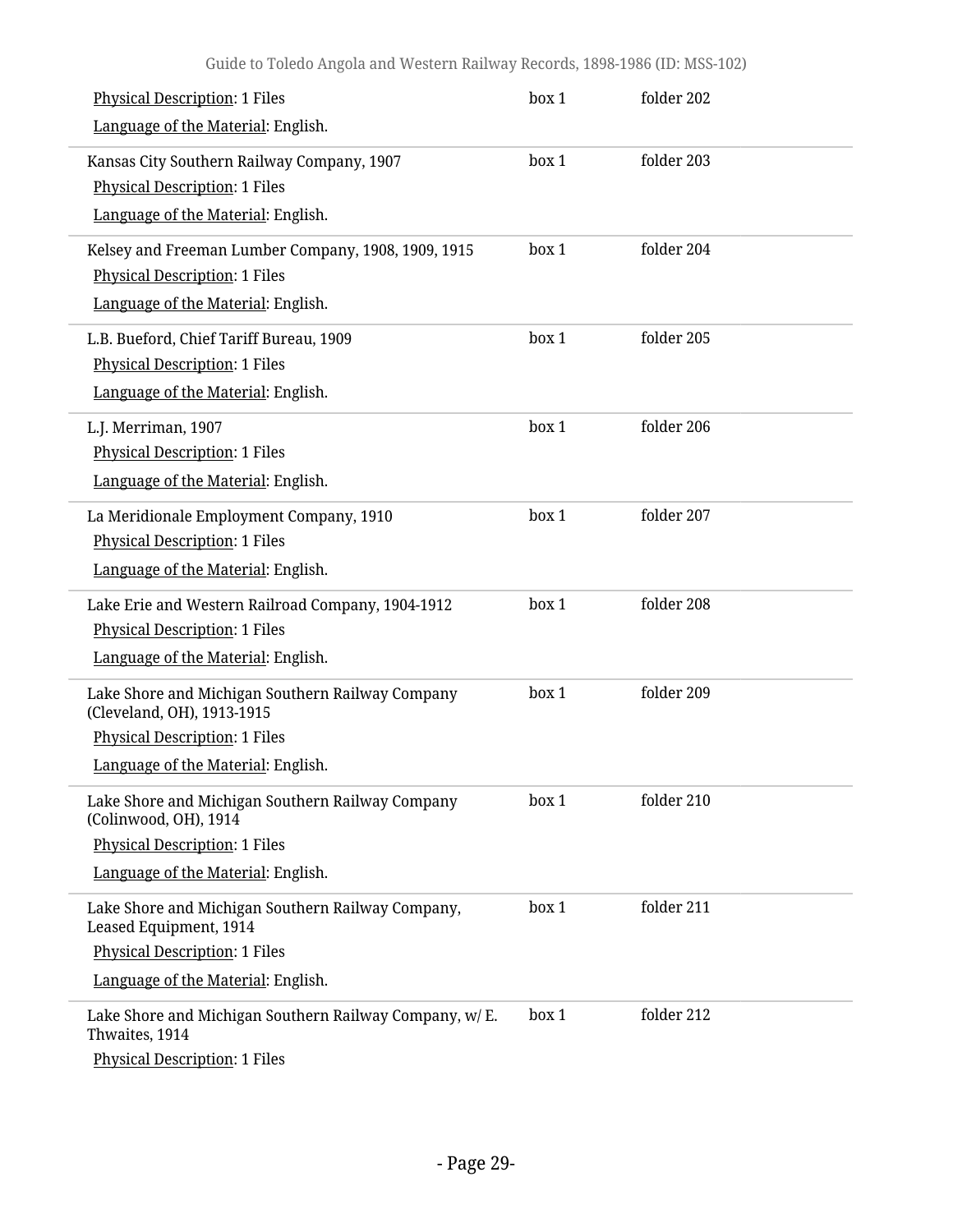| <b>Physical Description: 1 Files</b><br>Language of the Material: English.                                                                                | box 1 | folder 202 |
|-----------------------------------------------------------------------------------------------------------------------------------------------------------|-------|------------|
| Kansas City Southern Railway Company, 1907<br><b>Physical Description: 1 Files</b><br>Language of the Material: English.                                  | box 1 | folder 203 |
| Kelsey and Freeman Lumber Company, 1908, 1909, 1915<br><b>Physical Description: 1 Files</b><br>Language of the Material: English.                         | box 1 | folder 204 |
| L.B. Bueford, Chief Tariff Bureau, 1909<br><b>Physical Description: 1 Files</b><br>Language of the Material: English.                                     | box 1 | folder 205 |
| L.J. Merriman, 1907<br><b>Physical Description: 1 Files</b><br>Language of the Material: English.                                                         | box 1 | folder 206 |
| La Meridionale Employment Company, 1910<br><b>Physical Description: 1 Files</b><br>Language of the Material: English.                                     | box 1 | folder 207 |
| Lake Erie and Western Railroad Company, 1904-1912<br><b>Physical Description: 1 Files</b><br>Language of the Material: English.                           | box 1 | folder 208 |
| Lake Shore and Michigan Southern Railway Company<br>(Cleveland, OH), 1913-1915<br>Physical Description: 1 Files<br>Language of the Material: English.     | box 1 | folder 209 |
| Lake Shore and Michigan Southern Railway Company<br>(Colinwood, OH), 1914<br><b>Physical Description: 1 Files</b><br>Language of the Material: English.   | box 1 | folder 210 |
| Lake Shore and Michigan Southern Railway Company,<br>Leased Equipment, 1914<br><b>Physical Description: 1 Files</b><br>Language of the Material: English. | box 1 | folder 211 |
| Lake Shore and Michigan Southern Railway Company, w/ E.<br>Thwaites, 1914<br><b>Physical Description: 1 Files</b>                                         | box 1 | folder 212 |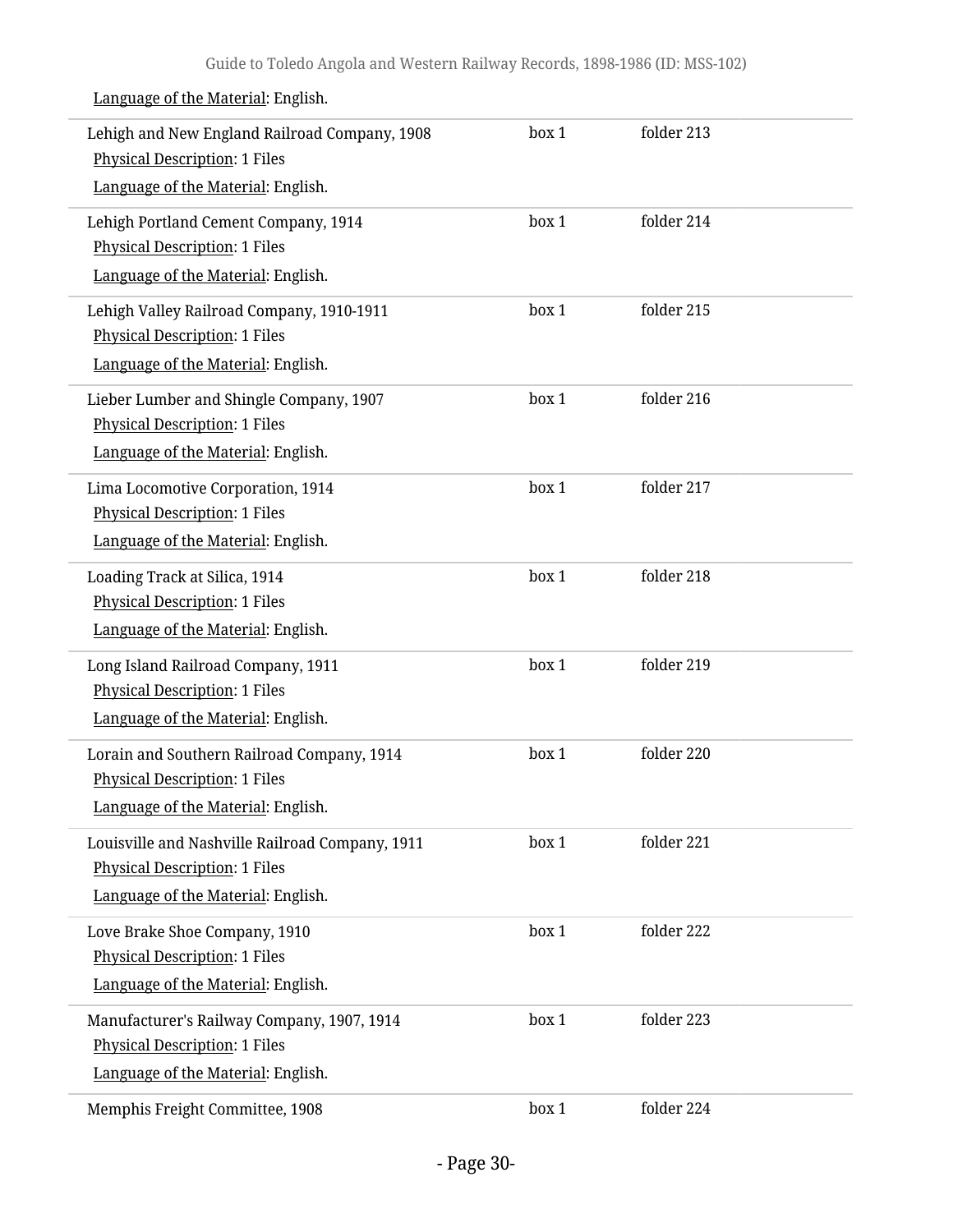| Lehigh and New England Railroad Company, 1908<br><b>Physical Description: 1 Files</b><br>Language of the Material: English. | box 1 | folder 213 |  |
|-----------------------------------------------------------------------------------------------------------------------------|-------|------------|--|
| Lehigh Portland Cement Company, 1914<br><b>Physical Description: 1 Files</b><br>Language of the Material: English.          | box 1 | folder 214 |  |
| Lehigh Valley Railroad Company, 1910-1911<br><b>Physical Description: 1 Files</b><br>Language of the Material: English.     | box 1 | folder 215 |  |
| Lieber Lumber and Shingle Company, 1907<br><b>Physical Description: 1 Files</b><br>Language of the Material: English.       | box 1 | folder 216 |  |
| Lima Locomotive Corporation, 1914<br><b>Physical Description: 1 Files</b><br>Language of the Material: English.             | box 1 | folder 217 |  |
| Loading Track at Silica, 1914<br><b>Physical Description: 1 Files</b><br>Language of the Material: English.                 | box 1 | folder 218 |  |
| Long Island Railroad Company, 1911<br><b>Physical Description: 1 Files</b><br>Language of the Material: English.            | box 1 | folder 219 |  |
| Lorain and Southern Railroad Company, 1914<br><b>Physical Description: 1 Files</b><br>Language of the Material: English.    | box 1 | folder 220 |  |
| Louisville and Nashville Railroad Company, 1911<br>Physical Description: 1 Files<br>Language of the Material: English.      | box 1 | folder 221 |  |
| Love Brake Shoe Company, 1910<br><b>Physical Description: 1 Files</b><br>Language of the Material: English.                 | box 1 | folder 222 |  |
| Manufacturer's Railway Company, 1907, 1914<br>Physical Description: 1 Files<br>Language of the Material: English.           | box 1 | folder 223 |  |
| Memphis Freight Committee, 1908                                                                                             | box 1 | folder 224 |  |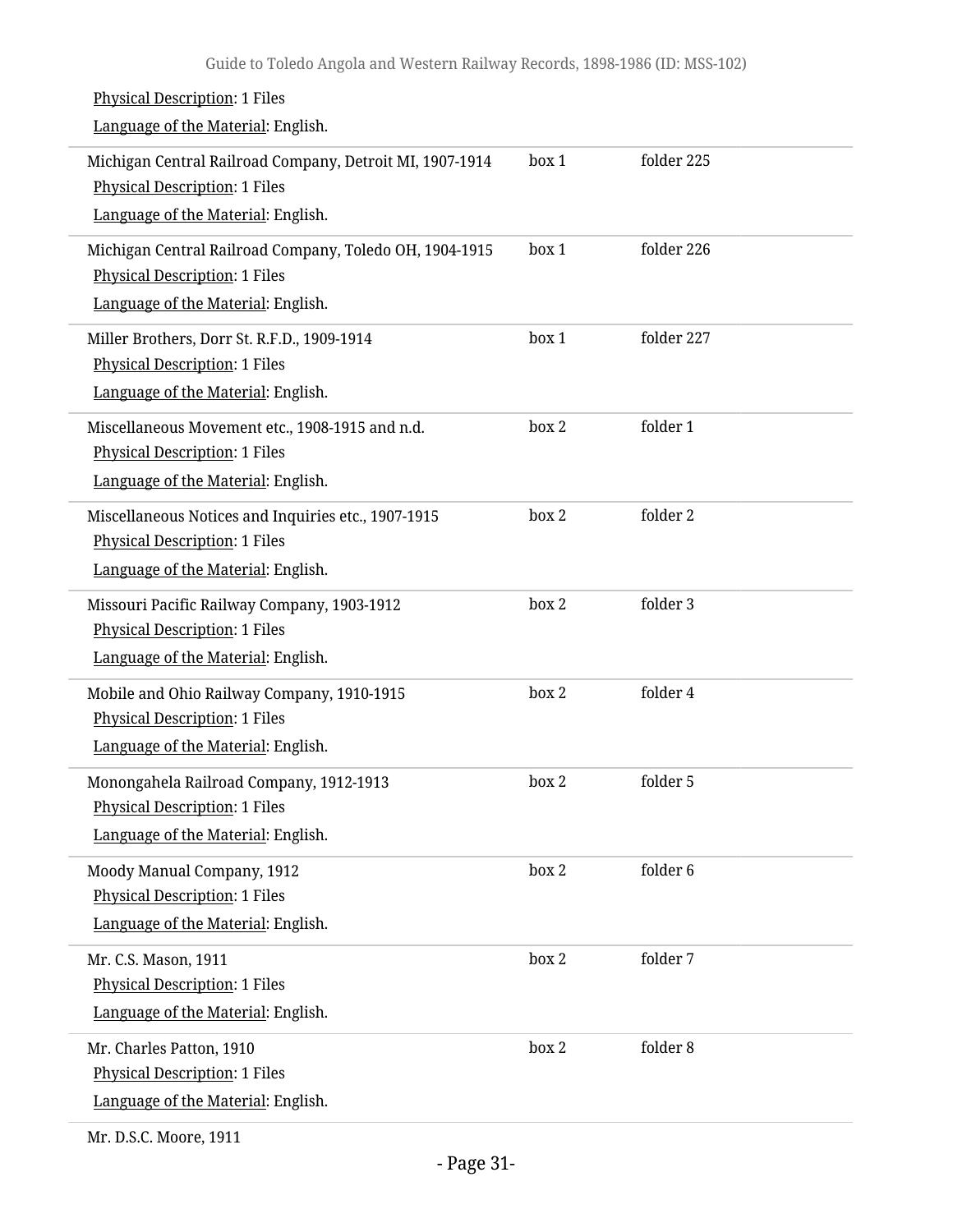| <b>Physical Description: 1 Files</b><br>Language of the Material: English.                                                             |       |            |
|----------------------------------------------------------------------------------------------------------------------------------------|-------|------------|
| Michigan Central Railroad Company, Detroit MI, 1907-1914<br><b>Physical Description: 1 Files</b><br>Language of the Material: English. | box 1 | folder 225 |
| Michigan Central Railroad Company, Toledo OH, 1904-1915<br>Physical Description: 1 Files<br>Language of the Material: English.         | box 1 | folder 226 |
| Miller Brothers, Dorr St. R.F.D., 1909-1914<br>Physical Description: 1 Files<br>Language of the Material: English.                     | box 1 | folder 227 |
| Miscellaneous Movement etc., 1908-1915 and n.d.<br><b>Physical Description: 1 Files</b><br>Language of the Material: English.          | box 2 | folder 1   |
| Miscellaneous Notices and Inquiries etc., 1907-1915<br><b>Physical Description: 1 Files</b><br>Language of the Material: English.      | box 2 | folder 2   |
| Missouri Pacific Railway Company, 1903-1912<br>Physical Description: 1 Files<br>Language of the Material: English.                     | box 2 | folder 3   |
| Mobile and Ohio Railway Company, 1910-1915<br><b>Physical Description: 1 Files</b><br>Language of the Material: English.               | box 2 | folder 4   |
| Monongahela Railroad Company, 1912-1913<br>Physical Description: 1 Files<br>Language of the Material: English.                         | box 2 | folder 5   |
| Moody Manual Company, 1912<br><b>Physical Description: 1 Files</b><br>Language of the Material: English.                               | box 2 | folder 6   |
| Mr. C.S. Mason, 1911<br>Physical Description: 1 Files<br>Language of the Material: English.                                            | box 2 | folder 7   |
| Mr. Charles Patton, 1910<br>Physical Description: 1 Files<br>Language of the Material: English.                                        | box 2 | folder 8   |
|                                                                                                                                        |       |            |

Mr. D.S.C. Moore, 1911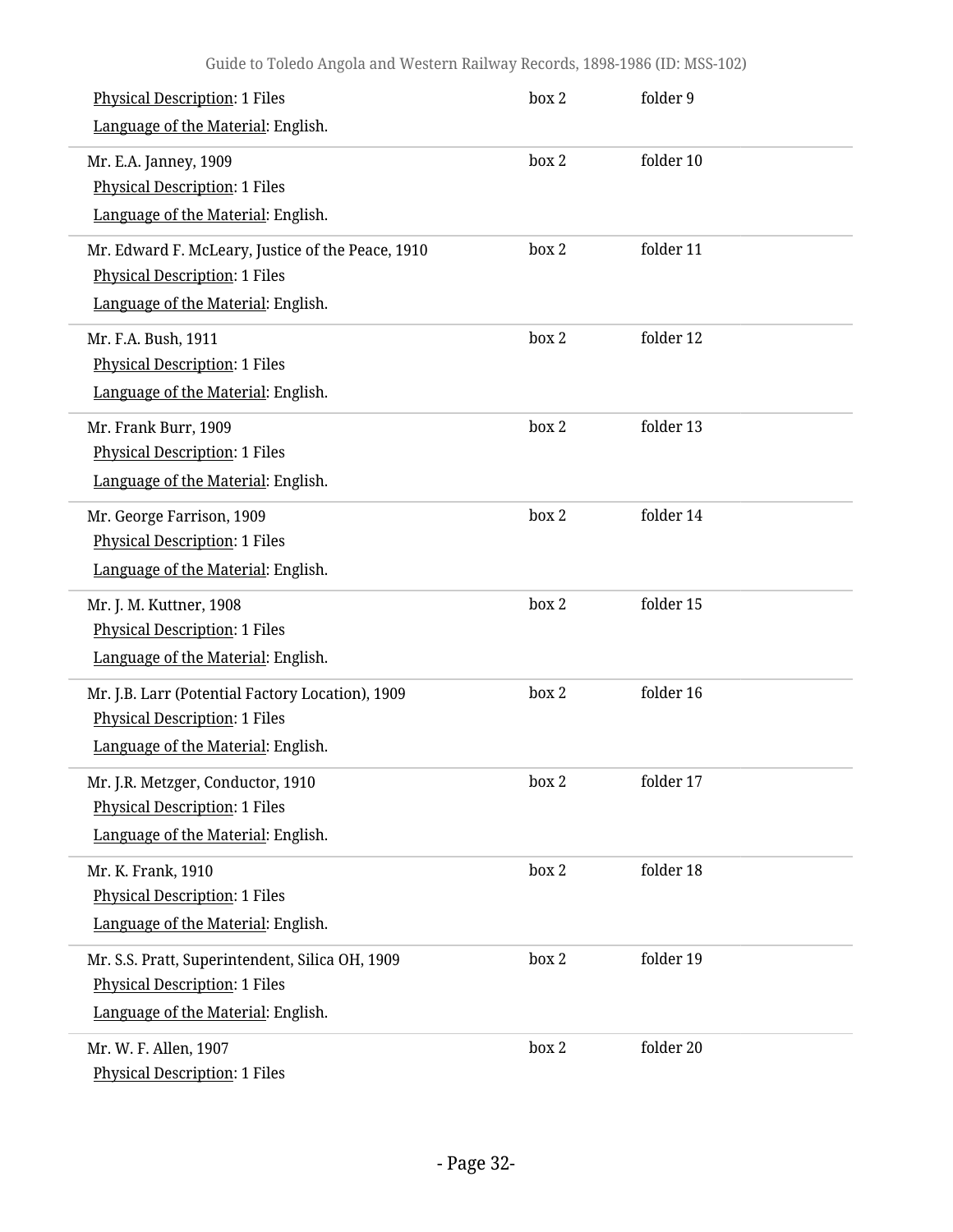| <b>Physical Description: 1 Files</b><br>Language of the Material: English.                                                      | box 2 | folder 9  |  |
|---------------------------------------------------------------------------------------------------------------------------------|-------|-----------|--|
| Mr. E.A. Janney, 1909<br><b>Physical Description: 1 Files</b><br>Language of the Material: English.                             | box 2 | folder 10 |  |
| Mr. Edward F. McLeary, Justice of the Peace, 1910<br><b>Physical Description: 1 Files</b><br>Language of the Material: English. | box 2 | folder 11 |  |
| Mr. F.A. Bush, 1911<br>Physical Description: 1 Files<br>Language of the Material: English.                                      | box 2 | folder 12 |  |
| Mr. Frank Burr, 1909<br><b>Physical Description: 1 Files</b><br>Language of the Material: English.                              | box 2 | folder 13 |  |
| Mr. George Farrison, 1909<br><b>Physical Description: 1 Files</b><br>Language of the Material: English.                         | box 2 | folder 14 |  |
| Mr. J. M. Kuttner, 1908<br><b>Physical Description: 1 Files</b><br>Language of the Material: English.                           | box 2 | folder 15 |  |
| Mr. J.B. Larr (Potential Factory Location), 1909<br><b>Physical Description: 1 Files</b><br>Language of the Material: English.  | box 2 | folder 16 |  |
| Mr. J.R. Metzger, Conductor, 1910<br><b>Physical Description: 1 Files</b><br>Language of the Material: English.                 | box 2 | folder 17 |  |
| Mr. K. Frank, 1910<br><b>Physical Description: 1 Files</b><br>Language of the Material: English.                                | box 2 | folder 18 |  |
| Mr. S.S. Pratt, Superintendent, Silica OH, 1909<br><b>Physical Description: 1 Files</b><br>Language of the Material: English.   | box 2 | folder 19 |  |
| Mr. W. F. Allen, 1907<br><b>Physical Description: 1 Files</b>                                                                   | box 2 | folder 20 |  |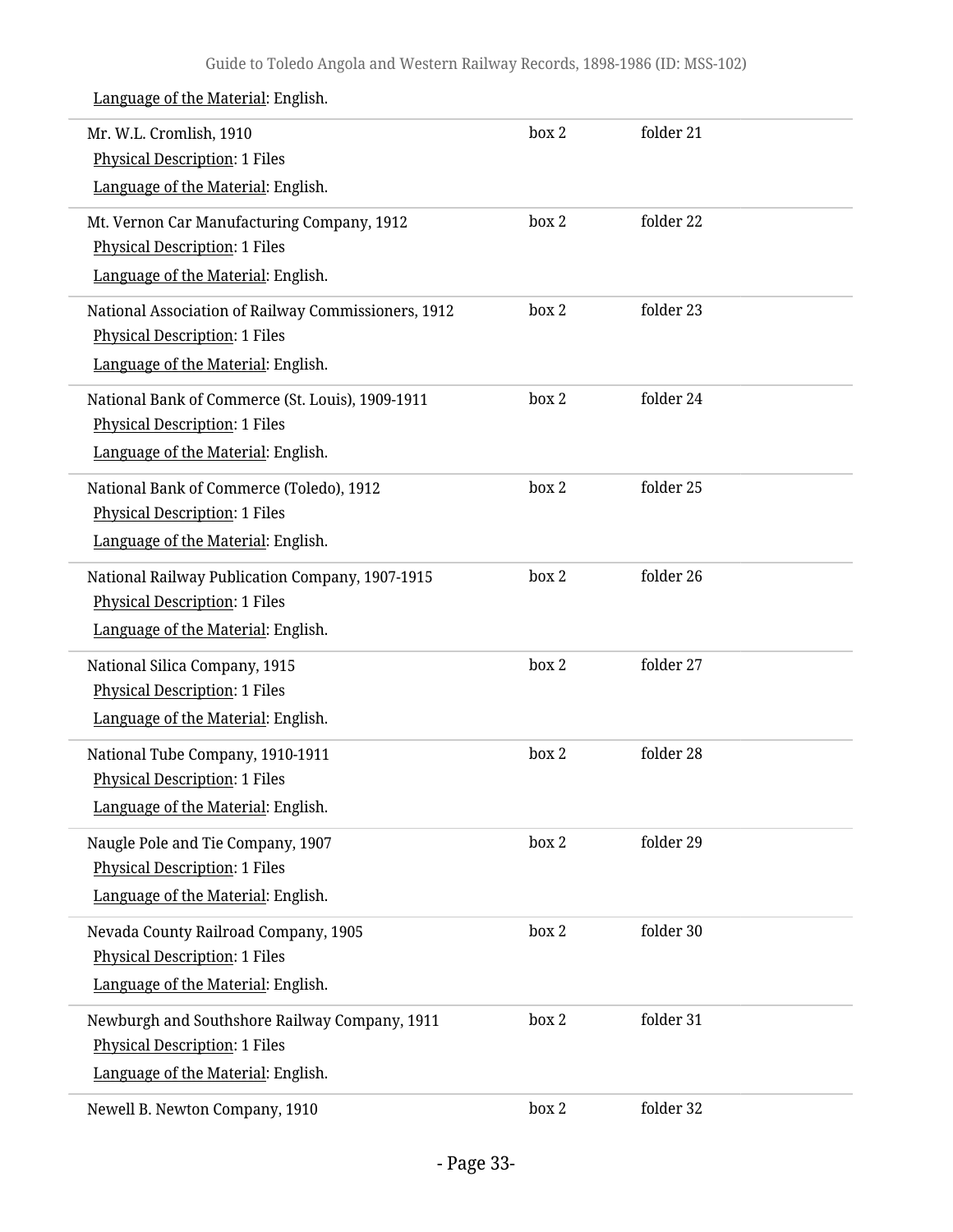| Mr. W.L. Cromlish, 1910<br><b>Physical Description: 1 Files</b>                         | box 2 | folder 21 |  |
|-----------------------------------------------------------------------------------------|-------|-----------|--|
| Language of the Material: English.                                                      |       |           |  |
| Mt. Vernon Car Manufacturing Company, 1912                                              | box 2 | folder 22 |  |
| <b>Physical Description: 1 Files</b>                                                    |       |           |  |
| Language of the Material: English.                                                      |       |           |  |
| National Association of Railway Commissioners, 1912                                     | box 2 | folder 23 |  |
| <b>Physical Description: 1 Files</b><br>Language of the Material: English.              |       |           |  |
|                                                                                         |       |           |  |
| National Bank of Commerce (St. Louis), 1909-1911                                        | box 2 | folder 24 |  |
| <b>Physical Description: 1 Files</b><br>Language of the Material: English.              |       |           |  |
|                                                                                         |       |           |  |
| National Bank of Commerce (Toledo), 1912<br><b>Physical Description: 1 Files</b>        | box 2 | folder 25 |  |
| Language of the Material: English.                                                      |       |           |  |
|                                                                                         |       |           |  |
| National Railway Publication Company, 1907-1915<br><b>Physical Description: 1 Files</b> | box 2 | folder 26 |  |
| Language of the Material: English.                                                      |       |           |  |
|                                                                                         |       |           |  |
| National Silica Company, 1915<br><b>Physical Description: 1 Files</b>                   | box 2 | folder 27 |  |
| Language of the Material: English.                                                      |       |           |  |
| National Tube Company, 1910-1911                                                        | box 2 | folder 28 |  |
| <b>Physical Description: 1 Files</b>                                                    |       |           |  |
| Language of the Material: English.                                                      |       |           |  |
| Naugle Pole and Tie Company, 1907                                                       | box 2 | folder 29 |  |
| <b>Physical Description: 1 Files</b>                                                    |       |           |  |
| Language of the Material: English.                                                      |       |           |  |
| Nevada County Railroad Company, 1905                                                    | box 2 | folder 30 |  |
| <b>Physical Description: 1 Files</b>                                                    |       |           |  |
| Language of the Material: English.                                                      |       |           |  |
| Newburgh and Southshore Railway Company, 1911                                           | box 2 | folder 31 |  |
| <b>Physical Description: 1 Files</b>                                                    |       |           |  |
| Language of the Material: English.                                                      |       |           |  |
| Newell B. Newton Company, 1910                                                          | box 2 | folder 32 |  |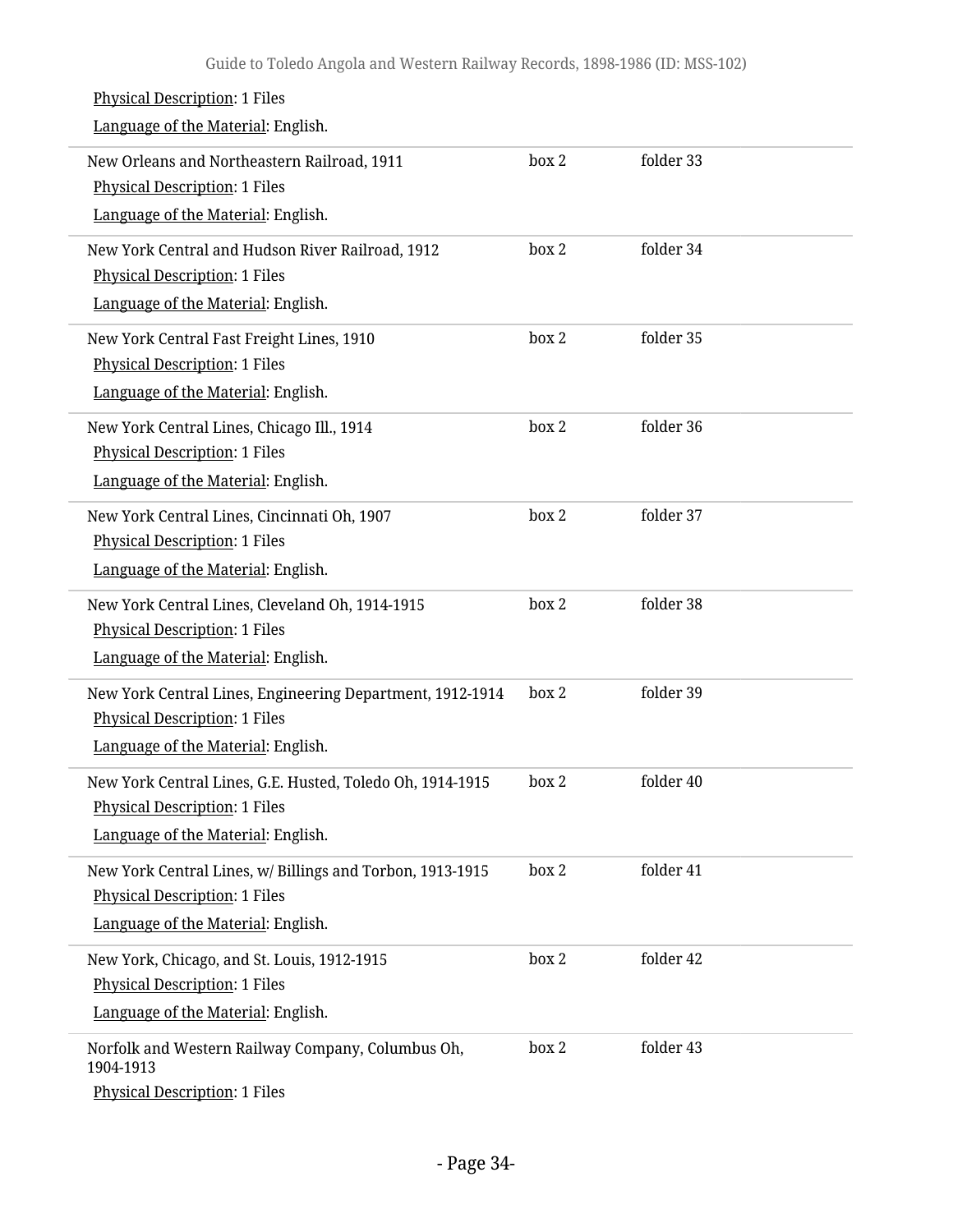| <b>Physical Description: 1 Files</b>                                                |       |           |
|-------------------------------------------------------------------------------------|-------|-----------|
| Language of the Material: English.                                                  |       |           |
| New Orleans and Northeastern Railroad, 1911<br><b>Physical Description: 1 Files</b> | box 2 | folder 33 |
| Language of the Material: English.                                                  |       |           |
| New York Central and Hudson River Railroad, 1912                                    | box 2 | folder 34 |
| <b>Physical Description: 1 Files</b>                                                |       |           |
| Language of the Material: English.                                                  |       |           |
| New York Central Fast Freight Lines, 1910                                           | box 2 | folder 35 |
| <b>Physical Description: 1 Files</b>                                                |       |           |
| Language of the Material: English.                                                  |       |           |
| New York Central Lines, Chicago Ill., 1914                                          | box 2 | folder 36 |
| <b>Physical Description: 1 Files</b>                                                |       |           |
| Language of the Material: English.                                                  |       |           |
| New York Central Lines, Cincinnati Oh, 1907                                         | box 2 | folder 37 |
| <b>Physical Description: 1 Files</b>                                                |       |           |
| Language of the Material: English.                                                  |       |           |
| New York Central Lines, Cleveland Oh, 1914-1915                                     | box 2 | folder 38 |
| <b>Physical Description: 1 Files</b>                                                |       |           |
| Language of the Material: English.                                                  |       |           |
| New York Central Lines, Engineering Department, 1912-1914                           | box 2 | folder 39 |
| Physical Description: 1 Files                                                       |       |           |
| Language of the Material: English.                                                  |       |           |
| New York Central Lines, G.E. Husted, Toledo Oh, 1914-1915                           | box 2 | folder 40 |
| Physical Description: 1 Files                                                       |       |           |
| Language of the Material: English.                                                  |       |           |
| New York Central Lines, w/ Billings and Torbon, 1913-1915                           | box 2 | folder 41 |
| Physical Description: 1 Files                                                       |       |           |
| Language of the Material: English.                                                  |       |           |
| New York, Chicago, and St. Louis, 1912-1915                                         | box 2 | folder 42 |
| <b>Physical Description: 1 Files</b>                                                |       |           |
| Language of the Material: English.                                                  |       |           |
| Norfolk and Western Railway Company, Columbus Oh,<br>1904-1913                      | box 2 | folder 43 |
| Physical Description: 1 Files                                                       |       |           |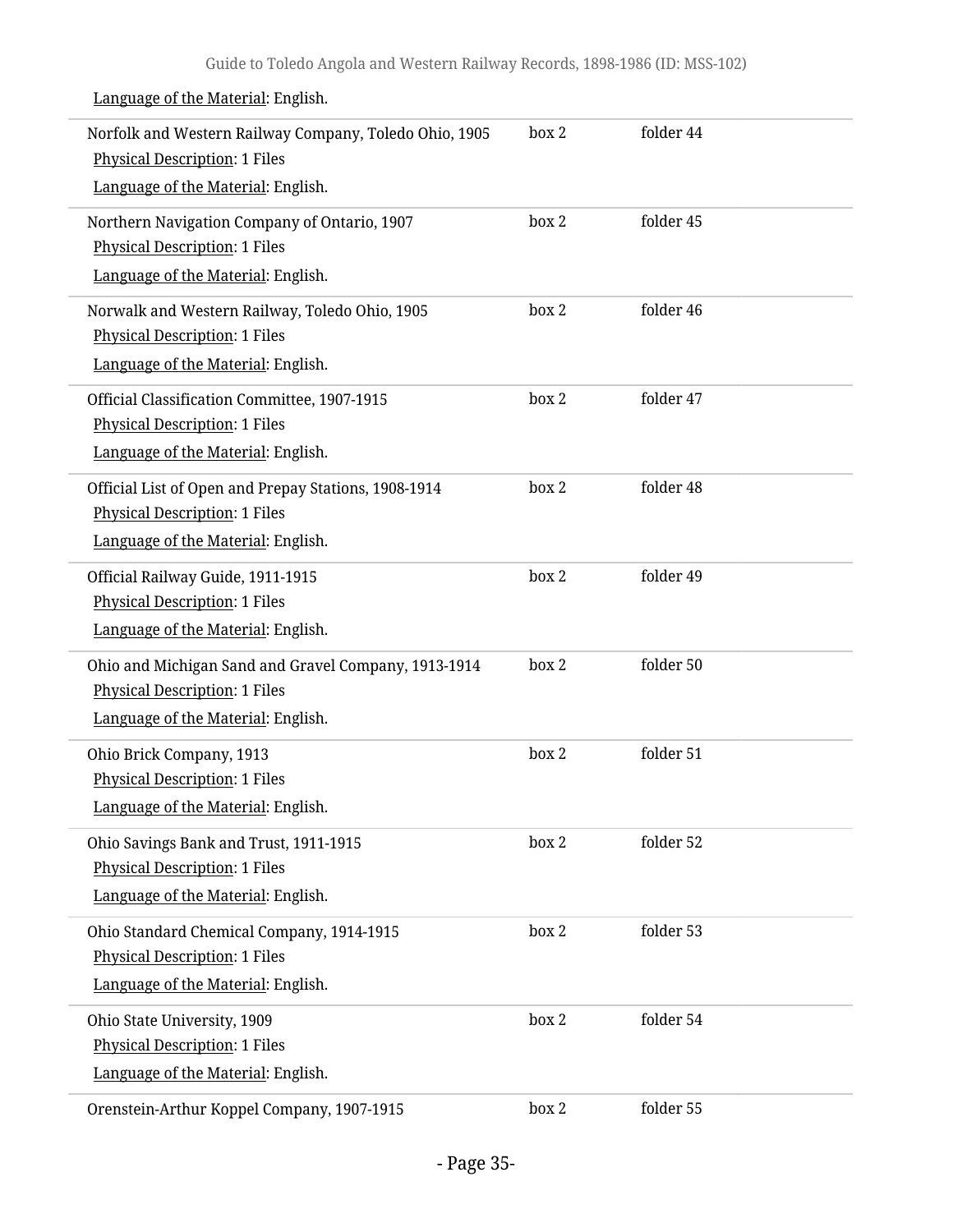|                             | Norfolk and Western Railway Company, Toledo Ohio, 1905<br>Physical Description: 1 Files      | box 2 | folder 44 |  |
|-----------------------------|----------------------------------------------------------------------------------------------|-------|-----------|--|
|                             | Language of the Material: English.                                                           |       |           |  |
|                             | Northern Navigation Company of Ontario, 1907<br><b>Physical Description: 1 Files</b>         | box 2 | folder 45 |  |
|                             | Language of the Material: English.                                                           |       |           |  |
|                             | Norwalk and Western Railway, Toledo Ohio, 1905<br><b>Physical Description: 1 Files</b>       | box 2 | folder 46 |  |
|                             | Language of the Material: English.                                                           |       |           |  |
|                             | Official Classification Committee, 1907-1915<br><b>Physical Description: 1 Files</b>         | box 2 | folder 47 |  |
|                             | Language of the Material: English.                                                           |       |           |  |
|                             | Official List of Open and Prepay Stations, 1908-1914<br><b>Physical Description: 1 Files</b> | box 2 | folder 48 |  |
|                             | Language of the Material: English.                                                           |       |           |  |
|                             | Official Railway Guide, 1911-1915                                                            | box 2 | folder 49 |  |
|                             | <b>Physical Description: 1 Files</b><br>Language of the Material: English.                   |       |           |  |
|                             |                                                                                              |       |           |  |
|                             | Ohio and Michigan Sand and Gravel Company, 1913-1914<br><b>Physical Description: 1 Files</b> | box 2 | folder 50 |  |
|                             | Language of the Material: English.                                                           |       |           |  |
| Ohio Brick Company, 1913    |                                                                                              | box 2 | folder 51 |  |
|                             | <b>Physical Description: 1 Files</b>                                                         |       |           |  |
|                             | Language of the Material: English.                                                           |       |           |  |
|                             | Ohio Savings Bank and Trust, 1911-1915                                                       | box 2 | folder 52 |  |
|                             | <b>Physical Description: 1 Files</b>                                                         |       |           |  |
|                             | Language of the Material: English.                                                           |       |           |  |
|                             | Ohio Standard Chemical Company, 1914-1915<br><b>Physical Description: 1 Files</b>            | box 2 | folder 53 |  |
|                             | Language of the Material: English.                                                           |       |           |  |
|                             |                                                                                              |       |           |  |
| Ohio State University, 1909 | <b>Physical Description: 1 Files</b>                                                         | box 2 | folder 54 |  |
|                             | Language of the Material: English.                                                           |       |           |  |
|                             | Orenstein-Arthur Koppel Company, 1907-1915                                                   | box 2 | folder 55 |  |
|                             |                                                                                              |       |           |  |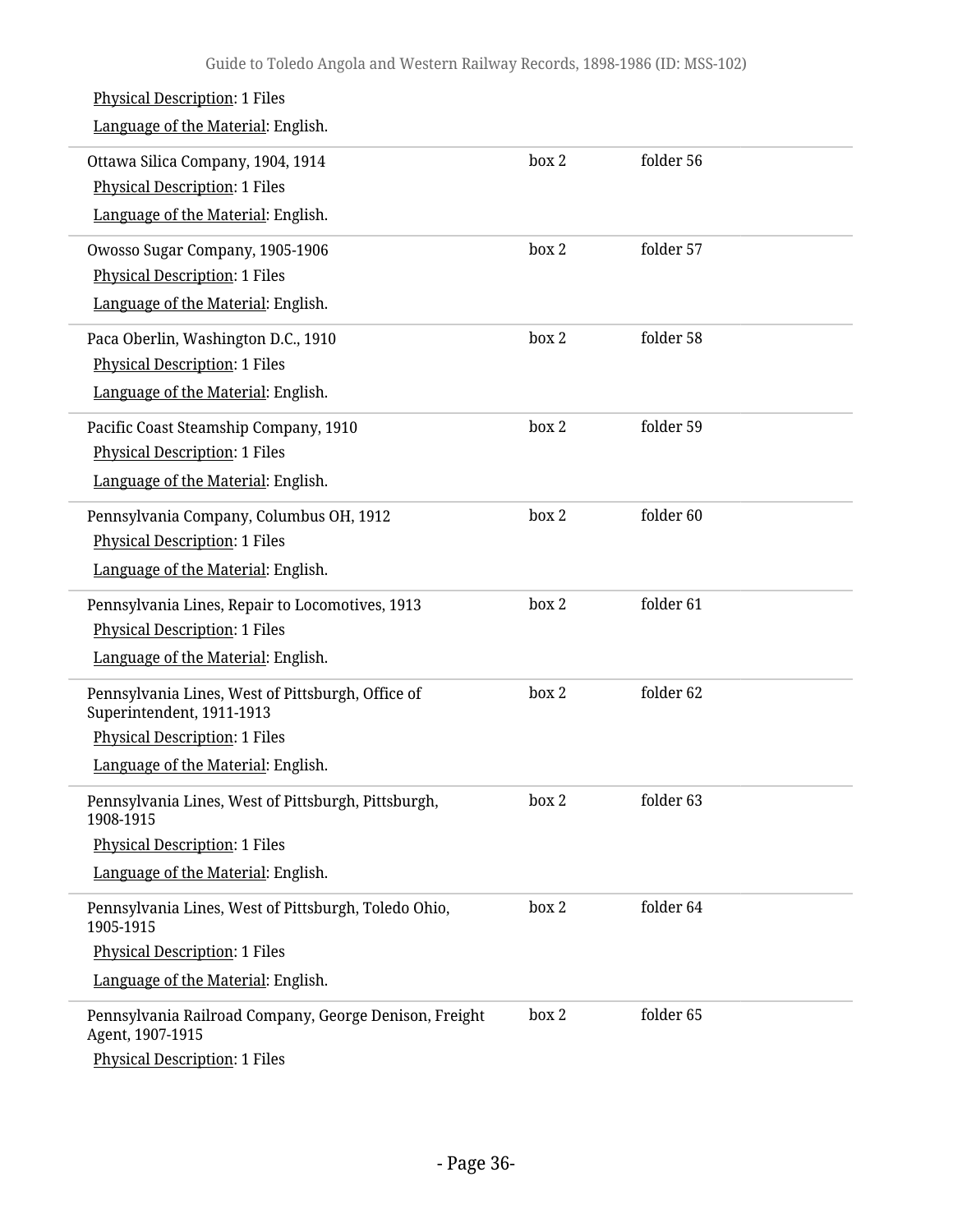| <b>Physical Description: 1 Files</b><br>Language of the Material: English.                                                                                   |       |           |
|--------------------------------------------------------------------------------------------------------------------------------------------------------------|-------|-----------|
| Ottawa Silica Company, 1904, 1914<br><b>Physical Description: 1 Files</b><br>Language of the Material: English.                                              | box 2 | folder 56 |
| Owosso Sugar Company, 1905-1906<br><b>Physical Description: 1 Files</b><br>Language of the Material: English.                                                | box 2 | folder 57 |
| Paca Oberlin, Washington D.C., 1910<br><b>Physical Description: 1 Files</b><br>Language of the Material: English.                                            | box 2 | folder 58 |
| Pacific Coast Steamship Company, 1910<br><b>Physical Description: 1 Files</b><br>Language of the Material: English.                                          | box 2 | folder 59 |
| Pennsylvania Company, Columbus OH, 1912<br><b>Physical Description: 1 Files</b><br>Language of the Material: English.                                        | box 2 | folder 60 |
| Pennsylvania Lines, Repair to Locomotives, 1913<br><b>Physical Description: 1 Files</b><br>Language of the Material: English.                                | box 2 | folder 61 |
| Pennsylvania Lines, West of Pittsburgh, Office of<br>Superintendent, 1911-1913<br><b>Physical Description: 1 Files</b><br>Language of the Material: English. | box 2 | folder 62 |
| Pennsylvania Lines, West of Pittsburgh, Pittsburgh,<br>1908-1915<br><b>Physical Description: 1 Files</b><br>Language of the Material: English.               | box 2 | folder 63 |
| Pennsylvania Lines, West of Pittsburgh, Toledo Ohio,<br>1905-1915<br><b>Physical Description: 1 Files</b><br>Language of the Material: English.              | box 2 | folder 64 |
| Pennsylvania Railroad Company, George Denison, Freight<br>Agent, 1907-1915<br><b>Physical Description: 1 Files</b>                                           | box 2 | folder 65 |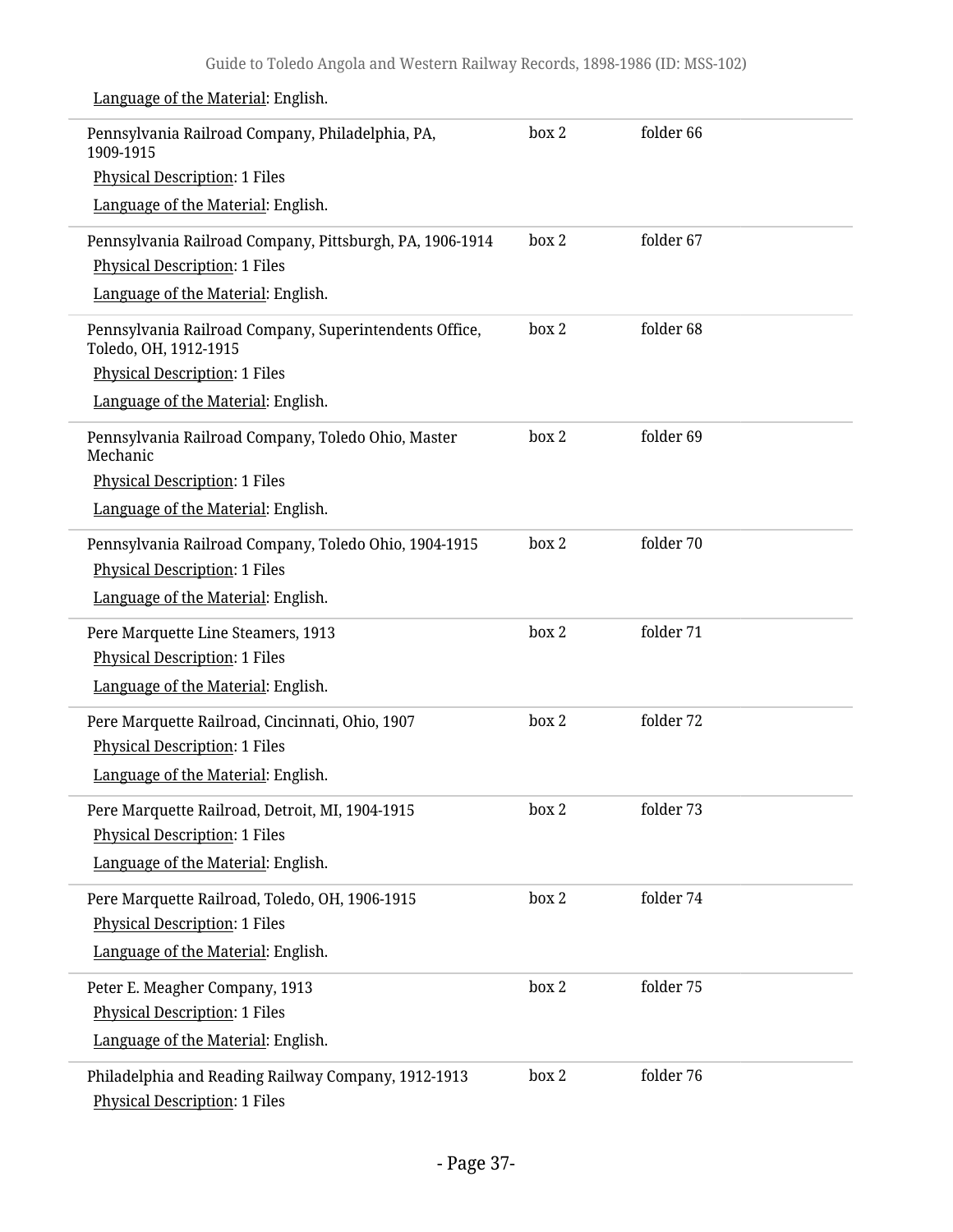| Pennsylvania Railroad Company, Philadelphia, PA,<br>1909-1915                               | box 2 | folder 66 |
|---------------------------------------------------------------------------------------------|-------|-----------|
| <b>Physical Description: 1 Files</b>                                                        |       |           |
| Language of the Material: English.                                                          |       |           |
| Pennsylvania Railroad Company, Pittsburgh, PA, 1906-1914                                    | box 2 | folder 67 |
| <b>Physical Description: 1 Files</b>                                                        |       |           |
| Language of the Material: English.                                                          |       |           |
| Pennsylvania Railroad Company, Superintendents Office,<br>Toledo, OH, 1912-1915             | box 2 | folder 68 |
| <b>Physical Description: 1 Files</b>                                                        |       |           |
| Language of the Material: English.                                                          |       |           |
| Pennsylvania Railroad Company, Toledo Ohio, Master<br>Mechanic                              | box 2 | folder 69 |
| <b>Physical Description: 1 Files</b>                                                        |       |           |
| Language of the Material: English.                                                          |       |           |
| Pennsylvania Railroad Company, Toledo Ohio, 1904-1915                                       | box 2 | folder 70 |
| <b>Physical Description: 1 Files</b>                                                        |       |           |
| Language of the Material: English.                                                          |       |           |
| Pere Marquette Line Steamers, 1913                                                          | box 2 | folder 71 |
| <b>Physical Description: 1 Files</b>                                                        |       |           |
| Language of the Material: English.                                                          |       |           |
| Pere Marquette Railroad, Cincinnati, Ohio, 1907                                             | box 2 | folder 72 |
| <b>Physical Description: 1 Files</b>                                                        |       |           |
| Language of the Material: English.                                                          |       |           |
| Pere Marquette Railroad, Detroit, MI, 1904-1915                                             | box 2 | folder 73 |
| <b>Physical Description: 1 Files</b>                                                        |       |           |
| Language of the Material: English.                                                          |       |           |
| Pere Marquette Railroad, Toledo, OH, 1906-1915                                              | box 2 | folder 74 |
| <b>Physical Description: 1 Files</b>                                                        |       |           |
| Language of the Material: English.                                                          |       |           |
| Peter E. Meagher Company, 1913                                                              | box 2 | folder 75 |
| <b>Physical Description: 1 Files</b>                                                        |       |           |
| Language of the Material: English.                                                          |       |           |
| Philadelphia and Reading Railway Company, 1912-1913<br><b>Physical Description: 1 Files</b> | box 2 | folder 76 |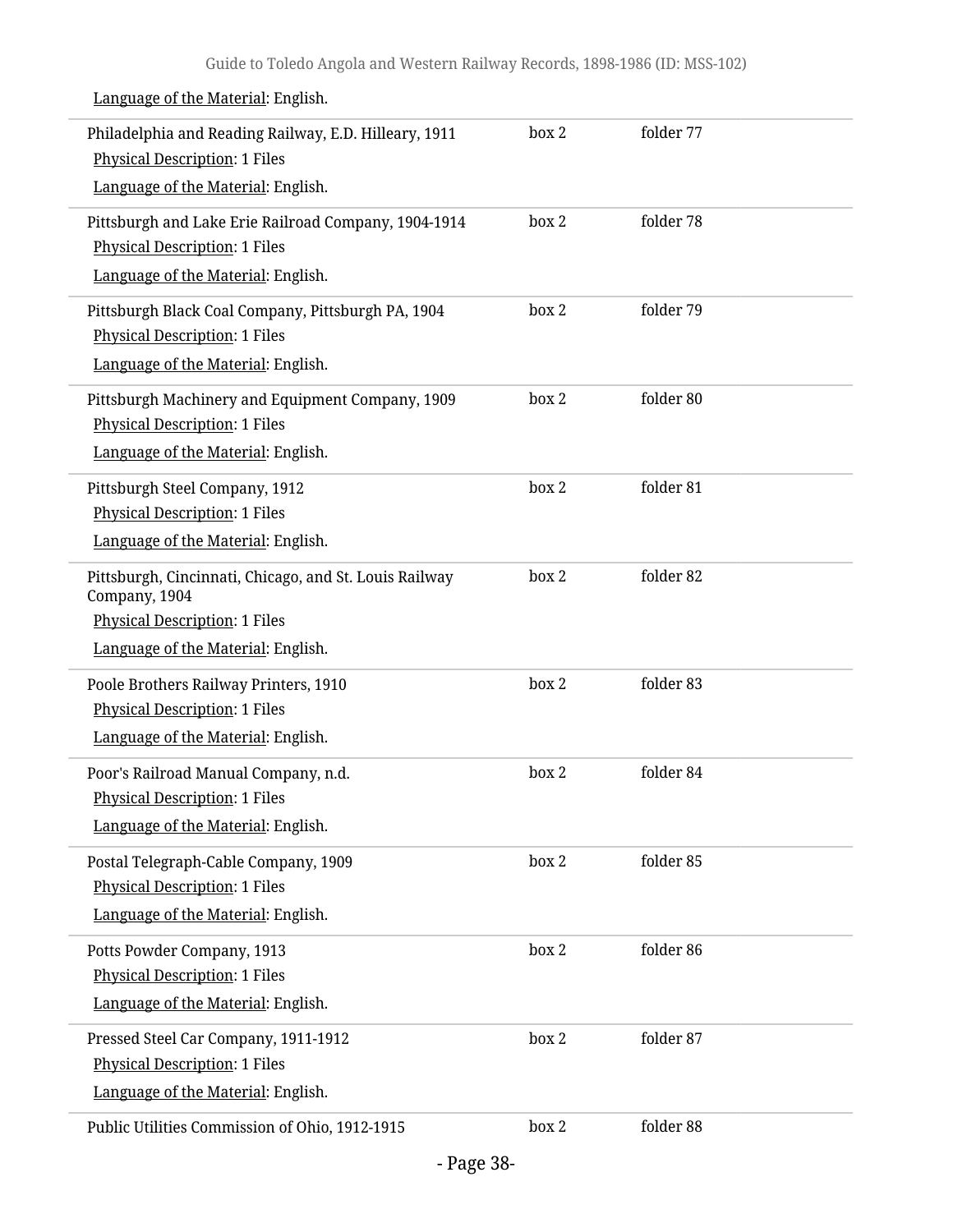| Philadelphia and Reading Railway, E.D. Hilleary, 1911<br><b>Physical Description: 1 Files</b>                                      | box 2 | folder 77 |  |
|------------------------------------------------------------------------------------------------------------------------------------|-------|-----------|--|
| Language of the Material: English.                                                                                                 |       |           |  |
| Pittsburgh and Lake Erie Railroad Company, 1904-1914<br><b>Physical Description: 1 Files</b><br>Language of the Material: English. | box 2 | folder 78 |  |
| Pittsburgh Black Coal Company, Pittsburgh PA, 1904                                                                                 | box 2 | folder 79 |  |
| <b>Physical Description: 1 Files</b>                                                                                               |       |           |  |
| Language of the Material: English.                                                                                                 |       |           |  |
| Pittsburgh Machinery and Equipment Company, 1909<br><b>Physical Description: 1 Files</b>                                           | box 2 | folder 80 |  |
| Language of the Material: English.                                                                                                 |       |           |  |
| Pittsburgh Steel Company, 1912                                                                                                     | box 2 | folder 81 |  |
| <b>Physical Description: 1 Files</b><br>Language of the Material: English.                                                         |       |           |  |
| Pittsburgh, Cincinnati, Chicago, and St. Louis Railway                                                                             | box 2 | folder 82 |  |
| Company, 1904                                                                                                                      |       |           |  |
| <b>Physical Description: 1 Files</b>                                                                                               |       |           |  |
| Language of the Material: English.                                                                                                 |       |           |  |
| Poole Brothers Railway Printers, 1910                                                                                              | box 2 | folder 83 |  |
| <b>Physical Description: 1 Files</b><br>Language of the Material: English.                                                         |       |           |  |
| Poor's Railroad Manual Company, n.d.                                                                                               | box 2 | folder 84 |  |
| <b>Physical Description: 1 Files</b>                                                                                               |       |           |  |
| Language of the Material: English.                                                                                                 |       |           |  |
| Postal Telegraph-Cable Company, 1909                                                                                               | box 2 | folder 85 |  |
| <b>Physical Description: 1 Files</b>                                                                                               |       |           |  |
| Language of the Material: English.                                                                                                 |       |           |  |
| Potts Powder Company, 1913                                                                                                         | box 2 | folder 86 |  |
| <b>Physical Description: 1 Files</b><br>Language of the Material: English.                                                         |       |           |  |
|                                                                                                                                    |       |           |  |
| Pressed Steel Car Company, 1911-1912<br><b>Physical Description: 1 Files</b>                                                       | box 2 | folder 87 |  |
| Language of the Material: English.                                                                                                 |       |           |  |
| Public Utilities Commission of Ohio, 1912-1915                                                                                     | box 2 | folder 88 |  |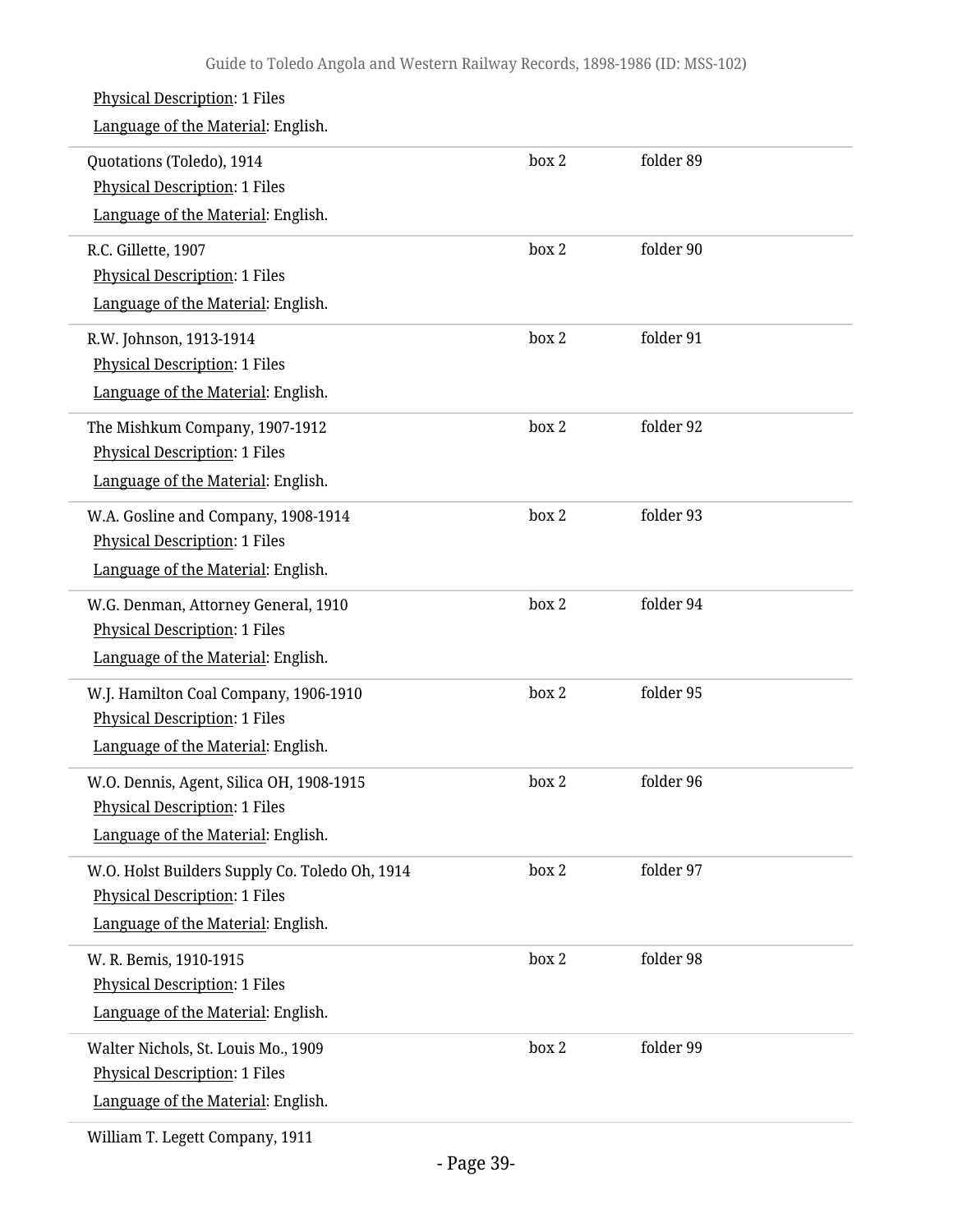| <b>Physical Description: 1 Files</b><br>Language of the Material: English.                                                   |       |           |  |
|------------------------------------------------------------------------------------------------------------------------------|-------|-----------|--|
| Quotations (Toledo), 1914<br><b>Physical Description: 1 Files</b><br>Language of the Material: English.                      | box 2 | folder 89 |  |
| R.C. Gillette, 1907<br>Physical Description: 1 Files<br>Language of the Material: English.                                   | box 2 | folder 90 |  |
| R.W. Johnson, 1913-1914<br><b>Physical Description: 1 Files</b><br>Language of the Material: English.                        | box 2 | folder 91 |  |
| The Mishkum Company, 1907-1912<br><b>Physical Description: 1 Files</b><br>Language of the Material: English.                 | box 2 | folder 92 |  |
| W.A. Gosline and Company, 1908-1914<br><b>Physical Description: 1 Files</b><br>Language of the Material: English.            | box 2 | folder 93 |  |
| W.G. Denman, Attorney General, 1910<br><b>Physical Description: 1 Files</b><br>Language of the Material: English.            | box 2 | folder 94 |  |
| W.J. Hamilton Coal Company, 1906-1910<br><b>Physical Description: 1 Files</b><br>Language of the Material: English.          | box 2 | folder 95 |  |
| W.O. Dennis, Agent, Silica OH, 1908-1915<br><b>Physical Description: 1 Files</b><br>Language of the Material: English.       | box 2 | folder 96 |  |
| W.O. Holst Builders Supply Co. Toledo Oh, 1914<br><b>Physical Description: 1 Files</b><br>Language of the Material: English. | box 2 | folder 97 |  |
| W. R. Bemis, 1910-1915<br>Physical Description: 1 Files<br>Language of the Material: English.                                | box 2 | folder 98 |  |
| Walter Nichols, St. Louis Mo., 1909<br><b>Physical Description: 1 Files</b><br>Language of the Material: English.            | box 2 | folder 99 |  |
|                                                                                                                              |       |           |  |

William T. Legett Company, 1911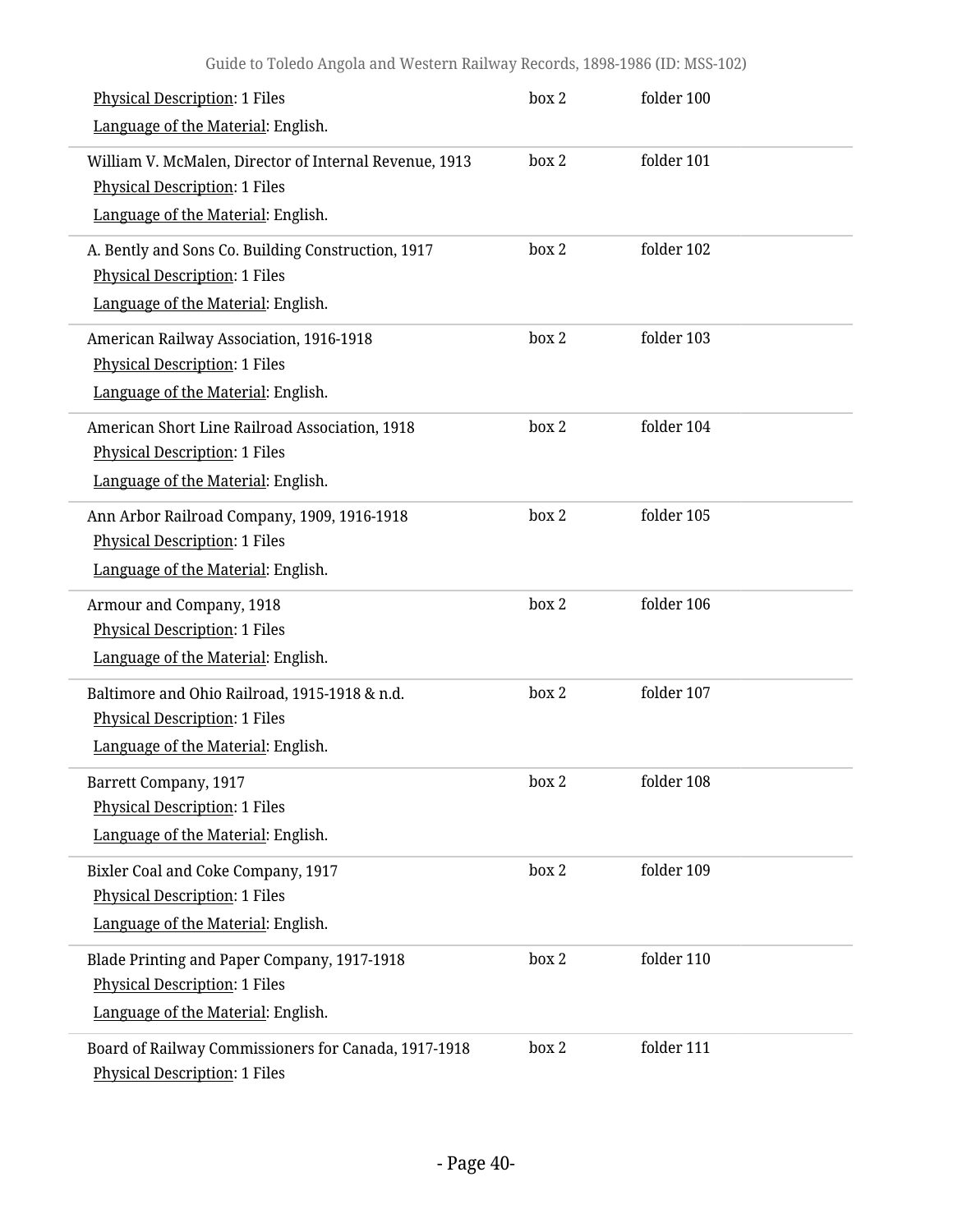| <b>Physical Description: 1 Files</b><br>Language of the Material: English.                                                           | box 2 | folder 100 |
|--------------------------------------------------------------------------------------------------------------------------------------|-------|------------|
| William V. McMalen, Director of Internal Revenue, 1913<br><b>Physical Description: 1 Files</b><br>Language of the Material: English. | box 2 | folder 101 |
| A. Bently and Sons Co. Building Construction, 1917<br><b>Physical Description: 1 Files</b><br>Language of the Material: English.     | box 2 | folder 102 |
| American Railway Association, 1916-1918<br><b>Physical Description: 1 Files</b><br>Language of the Material: English.                | box 2 | folder 103 |
| American Short Line Railroad Association, 1918<br><b>Physical Description: 1 Files</b><br>Language of the Material: English.         | box 2 | folder 104 |
| Ann Arbor Railroad Company, 1909, 1916-1918<br><b>Physical Description: 1 Files</b><br>Language of the Material: English.            | box 2 | folder 105 |
| Armour and Company, 1918<br><b>Physical Description: 1 Files</b><br>Language of the Material: English.                               | box 2 | folder 106 |
| Baltimore and Ohio Railroad, 1915-1918 & n.d.<br><b>Physical Description: 1 Files</b><br>Language of the Material: English.          | box 2 | folder 107 |
| <b>Barrett Company, 1917</b><br><b>Physical Description: 1 Files</b><br>Language of the Material: English.                           | box 2 | folder 108 |
| Bixler Coal and Coke Company, 1917<br><b>Physical Description: 1 Files</b><br>Language of the Material: English.                     | box 2 | folder 109 |
| Blade Printing and Paper Company, 1917-1918<br><b>Physical Description: 1 Files</b><br>Language of the Material: English.            | box 2 | folder 110 |
| Board of Railway Commissioners for Canada, 1917-1918<br><b>Physical Description: 1 Files</b>                                         | box 2 | folder 111 |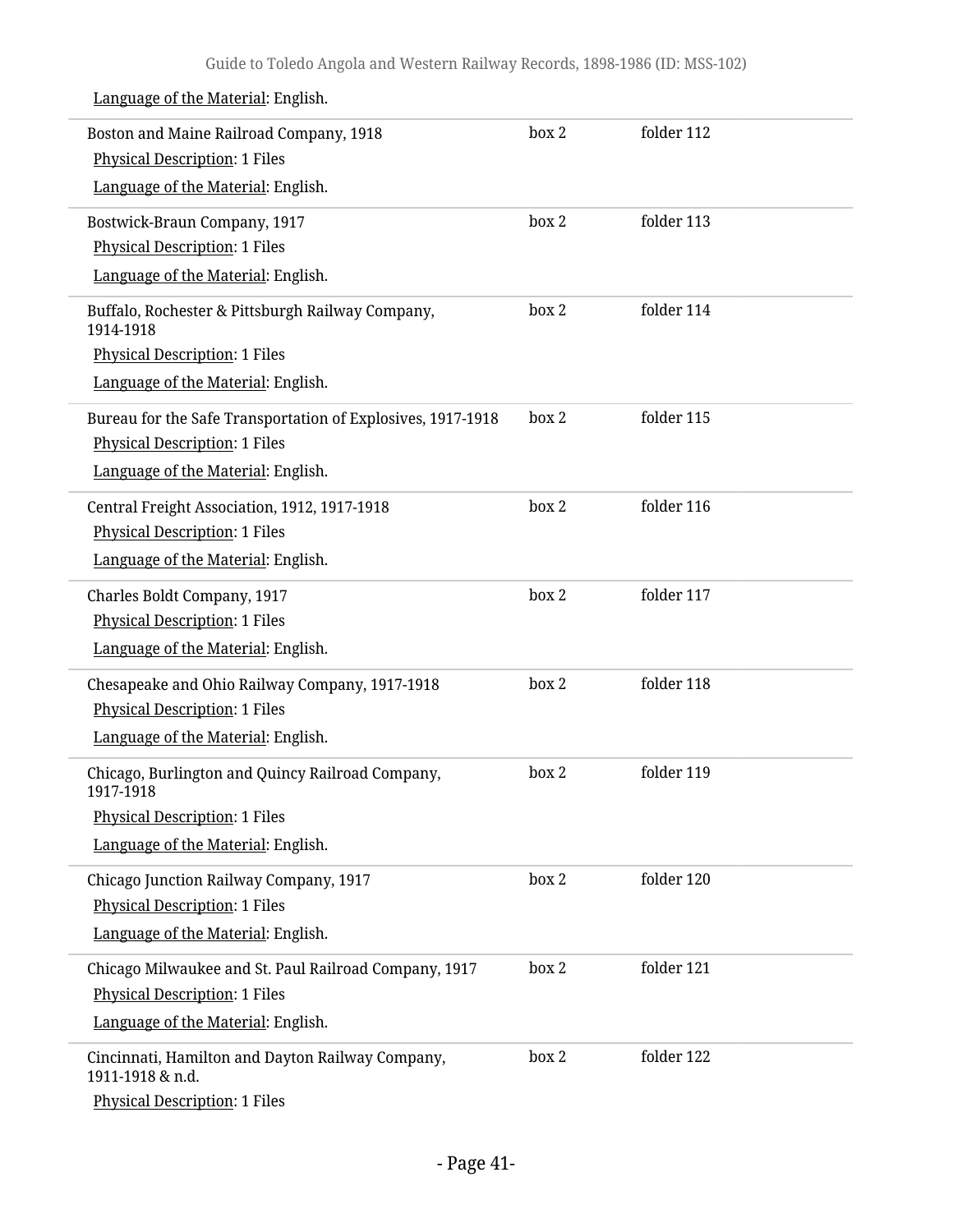| Boston and Maine Railroad Company, 1918<br><b>Physical Description: 1 Files</b> | box 2 | folder 112 |
|---------------------------------------------------------------------------------|-------|------------|
| Language of the Material: English.                                              |       |            |
| Bostwick-Braun Company, 1917                                                    | box 2 | folder 113 |
| <b>Physical Description: 1 Files</b>                                            |       |            |
| Language of the Material: English.                                              |       |            |
| Buffalo, Rochester & Pittsburgh Railway Company,<br>1914-1918                   | box 2 | folder 114 |
| <b>Physical Description: 1 Files</b>                                            |       |            |
| Language of the Material: English.                                              |       |            |
| Bureau for the Safe Transportation of Explosives, 1917-1918                     | box 2 | folder 115 |
| <b>Physical Description: 1 Files</b>                                            |       |            |
| Language of the Material: English.                                              |       |            |
| Central Freight Association, 1912, 1917-1918                                    | box 2 | folder 116 |
| <b>Physical Description: 1 Files</b>                                            |       |            |
| Language of the Material: English.                                              |       |            |
| Charles Boldt Company, 1917                                                     | box 2 | folder 117 |
| <b>Physical Description: 1 Files</b>                                            |       |            |
| Language of the Material: English.                                              |       |            |
| Chesapeake and Ohio Railway Company, 1917-1918                                  | box 2 | folder 118 |
| <b>Physical Description: 1 Files</b>                                            |       |            |
| Language of the Material: English.                                              |       |            |
| Chicago, Burlington and Quincy Railroad Company,<br>1917-1918                   | box 2 | folder 119 |
| <b>Physical Description: 1 Files</b>                                            |       |            |
| Language of the Material: English.                                              |       |            |
| Chicago Junction Railway Company, 1917                                          | box 2 | folder 120 |
| <b>Physical Description: 1 Files</b>                                            |       |            |
| Language of the Material: English.                                              |       |            |
| Chicago Milwaukee and St. Paul Railroad Company, 1917                           | box 2 | folder 121 |
| <b>Physical Description: 1 Files</b>                                            |       |            |
| Language of the Material: English.                                              |       |            |
| Cincinnati, Hamilton and Dayton Railway Company,<br>1911-1918 & n.d.            | box 2 | folder 122 |
| <b>Physical Description: 1 Files</b>                                            |       |            |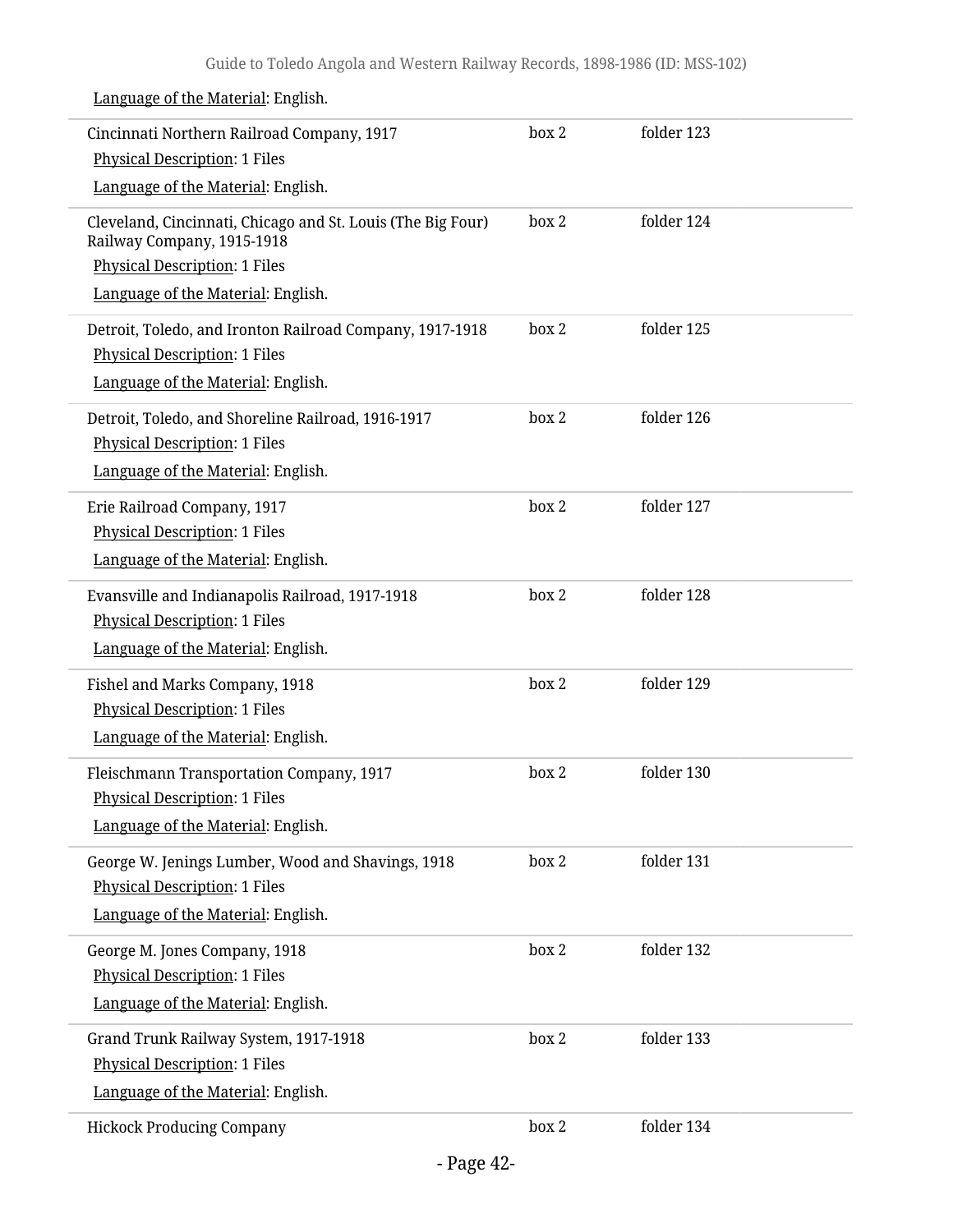| Cincinnati Northern Railroad Company, 1917<br><b>Physical Description: 1 Files</b>                                                     | box 2 | folder 123 |
|----------------------------------------------------------------------------------------------------------------------------------------|-------|------------|
| Language of the Material: English.                                                                                                     |       |            |
| Cleveland, Cincinnati, Chicago and St. Louis (The Big Four)<br>Railway Company, 1915-1918<br><b>Physical Description: 1 Files</b>      | box 2 | folder 124 |
| Language of the Material: English.                                                                                                     |       |            |
| Detroit, Toledo, and Ironton Railroad Company, 1917-1918<br><b>Physical Description: 1 Files</b><br>Language of the Material: English. | box 2 | folder 125 |
| Detroit, Toledo, and Shoreline Railroad, 1916-1917<br><b>Physical Description: 1 Files</b><br>Language of the Material: English.       | box 2 | folder 126 |
| Erie Railroad Company, 1917<br><b>Physical Description: 1 Files</b><br>Language of the Material: English.                              | box 2 | folder 127 |
| Evansville and Indianapolis Railroad, 1917-1918<br><b>Physical Description: 1 Files</b><br>Language of the Material: English.          | box 2 | folder 128 |
| Fishel and Marks Company, 1918<br><b>Physical Description: 1 Files</b><br>Language of the Material: English.                           | box 2 | folder 129 |
| Fleischmann Transportation Company, 1917<br><b>Physical Description: 1 Files</b><br>Language of the Material: English.                 | box 2 | folder 130 |
| George W. Jenings Lumber, Wood and Shavings, 1918<br><b>Physical Description: 1 Files</b><br>Language of the Material: English.        | box 2 | folder 131 |
| George M. Jones Company, 1918<br><b>Physical Description: 1 Files</b><br>Language of the Material: English.                            | box 2 | folder 132 |
| Grand Trunk Railway System, 1917-1918<br><b>Physical Description: 1 Files</b><br>Language of the Material: English.                    | box 2 | folder 133 |
| <b>Hickock Producing Company</b>                                                                                                       | box 2 | folder 134 |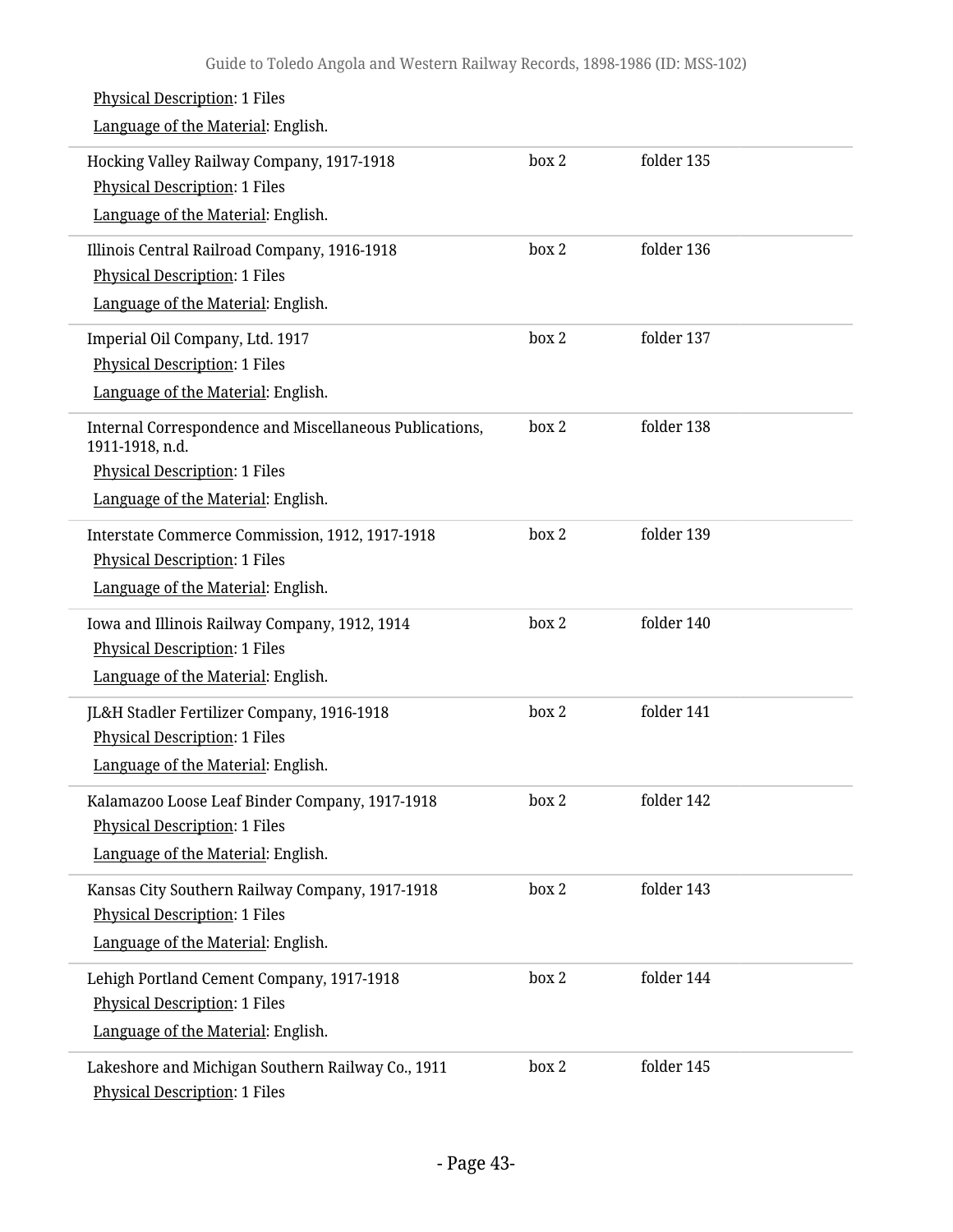| <b>Physical Description: 1 Files</b><br>Language of the Material: English.                                                                               |       |            |  |
|----------------------------------------------------------------------------------------------------------------------------------------------------------|-------|------------|--|
| Hocking Valley Railway Company, 1917-1918<br><b>Physical Description: 1 Files</b><br>Language of the Material: English.                                  | box 2 | folder 135 |  |
| Illinois Central Railroad Company, 1916-1918<br><b>Physical Description: 1 Files</b><br>Language of the Material: English.                               | box 2 | folder 136 |  |
| Imperial Oil Company, Ltd. 1917<br><b>Physical Description: 1 Files</b><br>Language of the Material: English.                                            | box 2 | folder 137 |  |
| Internal Correspondence and Miscellaneous Publications,<br>1911-1918, n.d.<br><b>Physical Description: 1 Files</b><br>Language of the Material: English. | box 2 | folder 138 |  |
| Interstate Commerce Commission, 1912, 1917-1918<br><b>Physical Description: 1 Files</b><br>Language of the Material: English.                            | box 2 | folder 139 |  |
| Iowa and Illinois Railway Company, 1912, 1914<br><b>Physical Description: 1 Files</b><br>Language of the Material: English.                              | box 2 | folder 140 |  |
| JL&H Stadler Fertilizer Company, 1916-1918<br><b>Physical Description: 1 Files</b><br>Language of the Material: English.                                 | box 2 | folder 141 |  |
| Kalamazoo Loose Leaf Binder Company, 1917-1918<br>Physical Description: 1 Files<br>Language of the Material: English.                                    | box 2 | folder 142 |  |
| Kansas City Southern Railway Company, 1917-1918<br><b>Physical Description: 1 Files</b><br>Language of the Material: English.                            | box 2 | folder 143 |  |
| Lehigh Portland Cement Company, 1917-1918<br>Physical Description: 1 Files<br>Language of the Material: English.                                         | box 2 | folder 144 |  |
| Lakeshore and Michigan Southern Railway Co., 1911<br><b>Physical Description: 1 Files</b>                                                                | box 2 | folder 145 |  |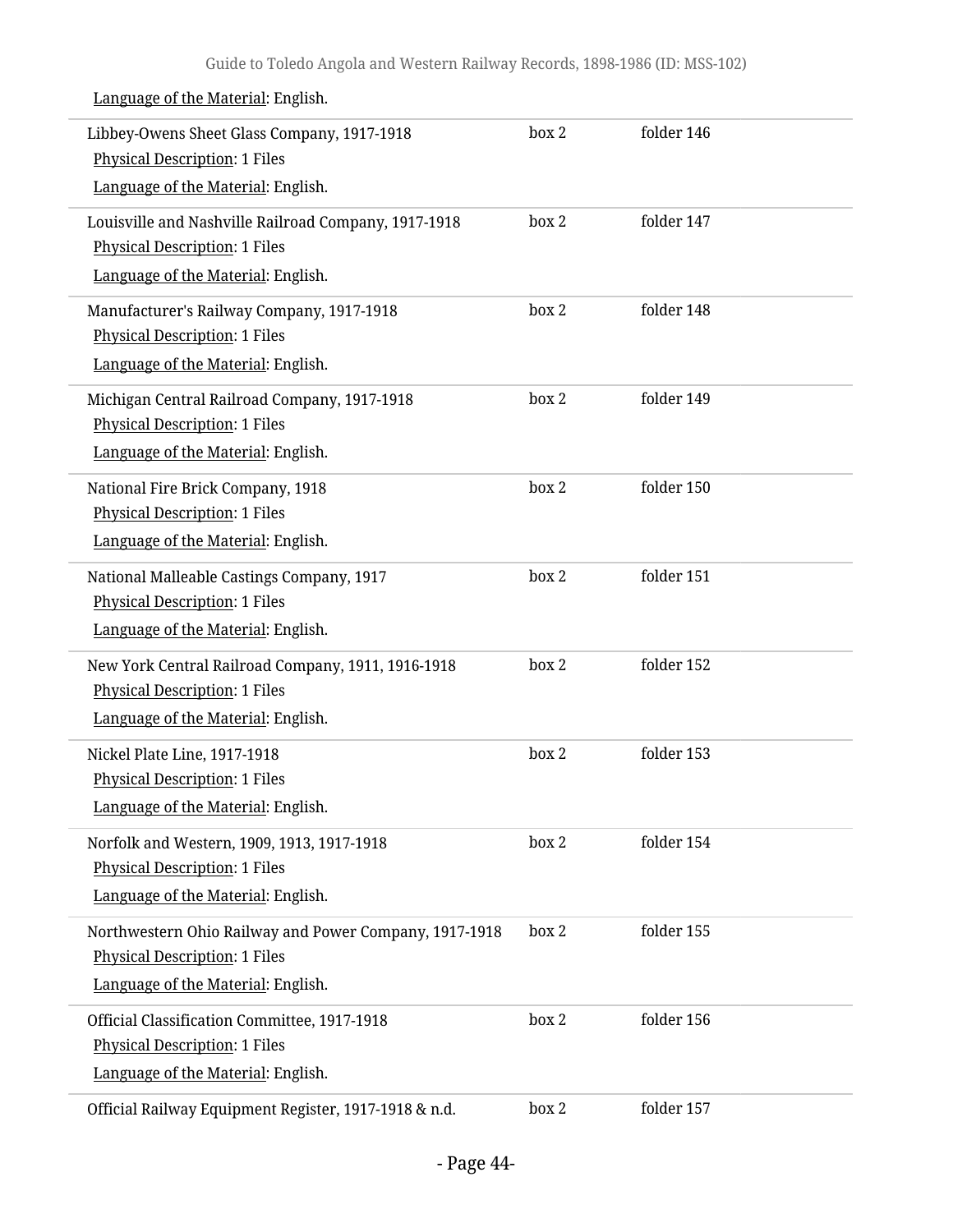| Libbey-Owens Sheet Glass Company, 1917-1918<br>Physical Description: 1 Files                                                         | box 2 | folder 146 |
|--------------------------------------------------------------------------------------------------------------------------------------|-------|------------|
| Language of the Material: English.                                                                                                   |       |            |
| Louisville and Nashville Railroad Company, 1917-1918<br>Physical Description: 1 Files<br>Language of the Material: English.          | box 2 | folder 147 |
| Manufacturer's Railway Company, 1917-1918<br><b>Physical Description: 1 Files</b><br>Language of the Material: English.              | box 2 | folder 148 |
| Michigan Central Railroad Company, 1917-1918<br><b>Physical Description: 1 Files</b><br>Language of the Material: English.           | box 2 | folder 149 |
| National Fire Brick Company, 1918<br><b>Physical Description: 1 Files</b><br>Language of the Material: English.                      | box 2 | folder 150 |
| National Malleable Castings Company, 1917<br>Physical Description: 1 Files<br>Language of the Material: English.                     | box 2 | folder 151 |
| New York Central Railroad Company, 1911, 1916-1918<br><b>Physical Description: 1 Files</b><br>Language of the Material: English.     | box 2 | folder 152 |
| Nickel Plate Line, 1917-1918<br><b>Physical Description: 1 Files</b><br>Language of the Material: English.                           | box 2 | folder 153 |
| Norfolk and Western, 1909, 1913, 1917-1918<br><b>Physical Description: 1 Files</b><br>Language of the Material: English.             | box 2 | folder 154 |
| Northwestern Ohio Railway and Power Company, 1917-1918<br><b>Physical Description: 1 Files</b><br>Language of the Material: English. | box 2 | folder 155 |
| Official Classification Committee, 1917-1918<br><b>Physical Description: 1 Files</b><br>Language of the Material: English.           | box 2 | folder 156 |
| Official Railway Equipment Register, 1917-1918 & n.d.                                                                                | box 2 | folder 157 |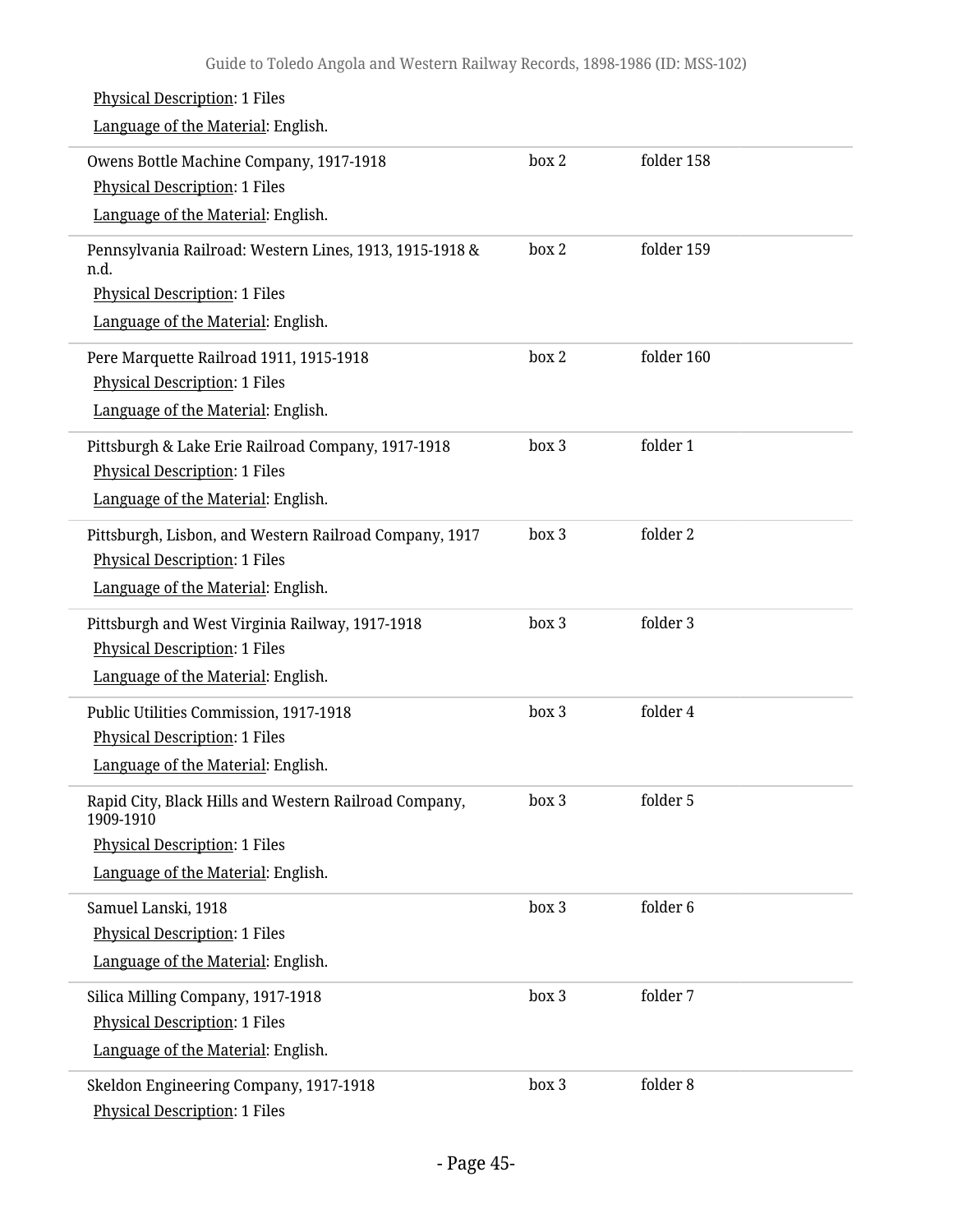| <b>Physical Description: 1 Files</b><br>Language of the Material: English.                                                                       |       |            |
|--------------------------------------------------------------------------------------------------------------------------------------------------|-------|------------|
| Owens Bottle Machine Company, 1917-1918<br><b>Physical Description: 1 Files</b><br>Language of the Material: English.                            | box 2 | folder 158 |
| Pennsylvania Railroad: Western Lines, 1913, 1915-1918 &<br>n.d.<br><b>Physical Description: 1 Files</b><br>Language of the Material: English.    | box 2 | folder 159 |
| Pere Marquette Railroad 1911, 1915-1918<br><b>Physical Description: 1 Files</b><br>Language of the Material: English.                            | box 2 | folder 160 |
| Pittsburgh & Lake Erie Railroad Company, 1917-1918<br><b>Physical Description: 1 Files</b><br>Language of the Material: English.                 | box 3 | folder 1   |
| Pittsburgh, Lisbon, and Western Railroad Company, 1917<br><b>Physical Description: 1 Files</b><br>Language of the Material: English.             | box 3 | folder 2   |
| Pittsburgh and West Virginia Railway, 1917-1918<br><b>Physical Description: 1 Files</b><br>Language of the Material: English.                    | box 3 | folder 3   |
| Public Utilities Commission, 1917-1918<br><b>Physical Description: 1 Files</b><br>Language of the Material: English.                             | box 3 | folder 4   |
| Rapid City, Black Hills and Western Railroad Company,<br>1909-1910<br><b>Physical Description: 1 Files</b><br>Language of the Material: English. | box 3 | folder 5   |
| Samuel Lanski, 1918<br><b>Physical Description: 1 Files</b><br>Language of the Material: English.                                                | box 3 | folder 6   |
| Silica Milling Company, 1917-1918<br><b>Physical Description: 1 Files</b><br>Language of the Material: English.                                  | box 3 | folder 7   |
| Skeldon Engineering Company, 1917-1918<br><b>Physical Description: 1 Files</b>                                                                   | box 3 | folder 8   |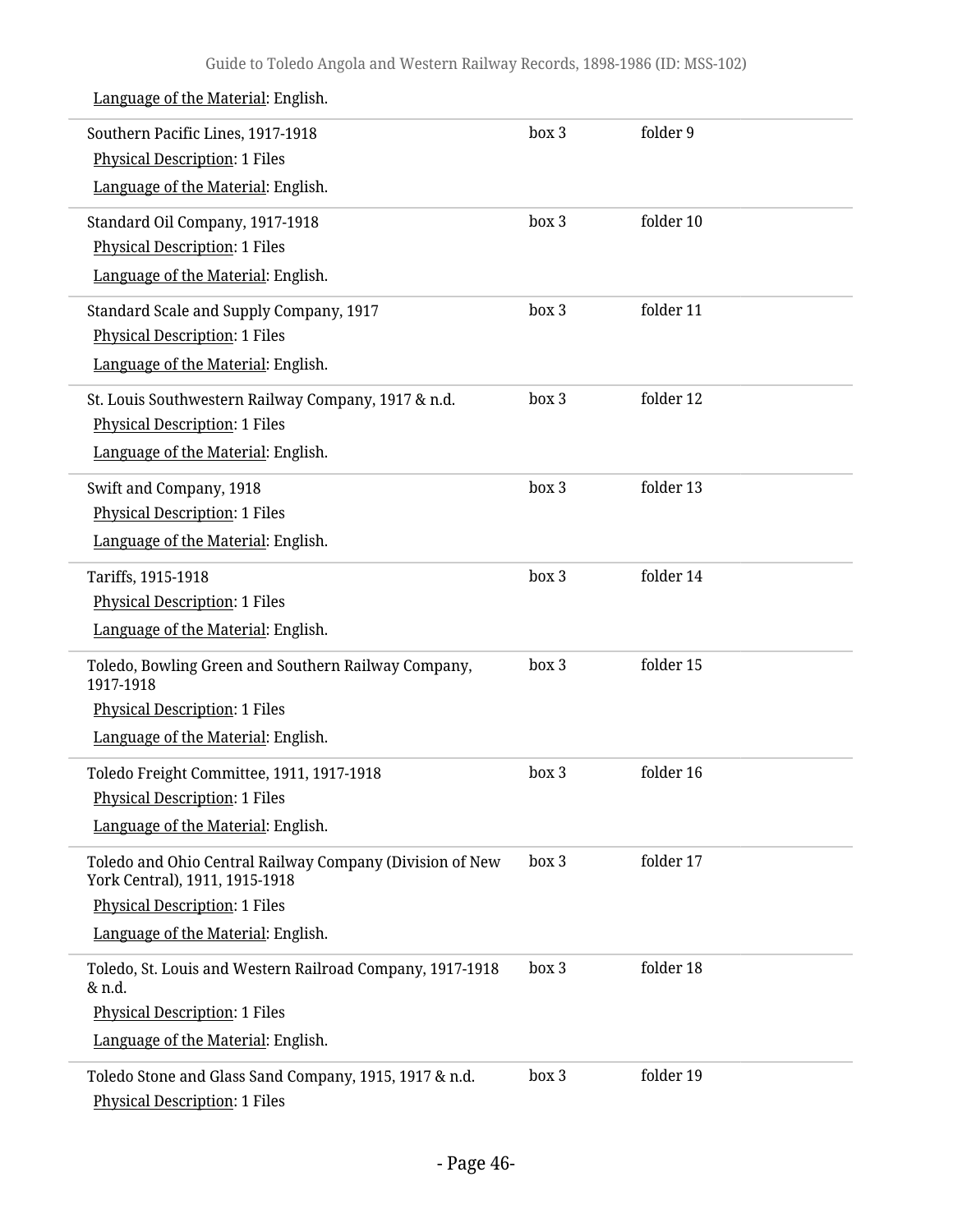| Southern Pacific Lines, 1917-1918<br><b>Physical Description: 1 Files</b><br>Language of the Material: English.                                                          | box 3 | folder 9  |
|--------------------------------------------------------------------------------------------------------------------------------------------------------------------------|-------|-----------|
| Standard Oil Company, 1917-1918<br><b>Physical Description: 1 Files</b><br>Language of the Material: English.                                                            | box 3 | folder 10 |
| Standard Scale and Supply Company, 1917<br><b>Physical Description: 1 Files</b><br>Language of the Material: English.                                                    | box 3 | folder 11 |
| St. Louis Southwestern Railway Company, 1917 & n.d.<br><b>Physical Description: 1 Files</b><br>Language of the Material: English.                                        | box 3 | folder 12 |
| Swift and Company, 1918<br><b>Physical Description: 1 Files</b><br>Language of the Material: English.                                                                    | box 3 | folder 13 |
| Tariffs, 1915-1918<br><b>Physical Description: 1 Files</b><br>Language of the Material: English.                                                                         | box 3 | folder 14 |
| Toledo, Bowling Green and Southern Railway Company,<br>1917-1918<br><b>Physical Description: 1 Files</b><br>Language of the Material: English.                           | box 3 | folder 15 |
| Toledo Freight Committee, 1911, 1917-1918<br><b>Physical Description: 1 Files</b><br>Language of the Material: English.                                                  | box 3 | folder 16 |
| Toledo and Ohio Central Railway Company (Division of New<br>York Central), 1911, 1915-1918<br><b>Physical Description: 1 Files</b><br>Language of the Material: English. | box 3 | folder 17 |
| Toledo, St. Louis and Western Railroad Company, 1917-1918<br>& n.d.<br><b>Physical Description: 1 Files</b><br>Language of the Material: English.                        | box 3 | folder 18 |
| Toledo Stone and Glass Sand Company, 1915, 1917 & n.d.<br><b>Physical Description: 1 Files</b>                                                                           | box 3 | folder 19 |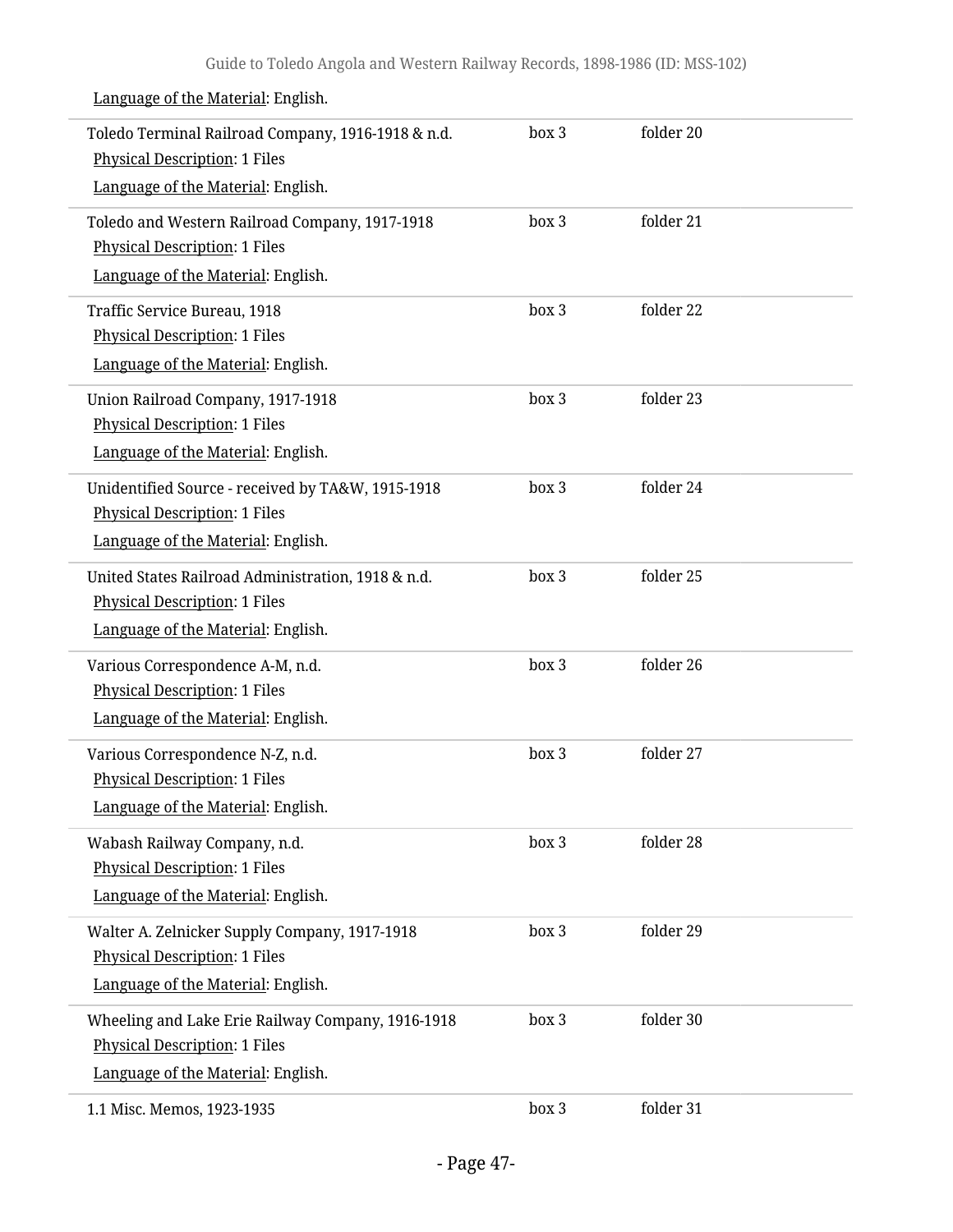| Toledo Terminal Railroad Company, 1916-1918 & n.d.<br><b>Physical Description: 1 Files</b><br>Language of the Material: English. | box 3 | folder 20 |  |
|----------------------------------------------------------------------------------------------------------------------------------|-------|-----------|--|
| Toledo and Western Railroad Company, 1917-1918<br><b>Physical Description: 1 Files</b><br>Language of the Material: English.     | box 3 | folder 21 |  |
| Traffic Service Bureau, 1918<br>Physical Description: 1 Files<br>Language of the Material: English.                              | box 3 | folder 22 |  |
| Union Railroad Company, 1917-1918<br><b>Physical Description: 1 Files</b><br>Language of the Material: English.                  | box 3 | folder 23 |  |
| Unidentified Source - received by TA&W, 1915-1918<br><b>Physical Description: 1 Files</b><br>Language of the Material: English.  | box 3 | folder 24 |  |
| United States Railroad Administration, 1918 & n.d.<br><b>Physical Description: 1 Files</b><br>Language of the Material: English. | box 3 | folder 25 |  |
| Various Correspondence A-M, n.d.<br><b>Physical Description: 1 Files</b><br>Language of the Material: English.                   | box 3 | folder 26 |  |
| Various Correspondence N-Z, n.d.<br><b>Physical Description: 1 Files</b><br>Language of the Material: English.                   | box 3 | folder 27 |  |
| Wabash Railway Company, n.d.<br><b>Physical Description: 1 Files</b><br>Language of the Material: English.                       | box 3 | folder 28 |  |
| Walter A. Zelnicker Supply Company, 1917-1918<br><b>Physical Description: 1 Files</b><br>Language of the Material: English.      | box 3 | folder 29 |  |
| Wheeling and Lake Erie Railway Company, 1916-1918<br><b>Physical Description: 1 Files</b><br>Language of the Material: English.  | box 3 | folder 30 |  |
| 1.1 Misc. Memos, 1923-1935                                                                                                       | box 3 | folder 31 |  |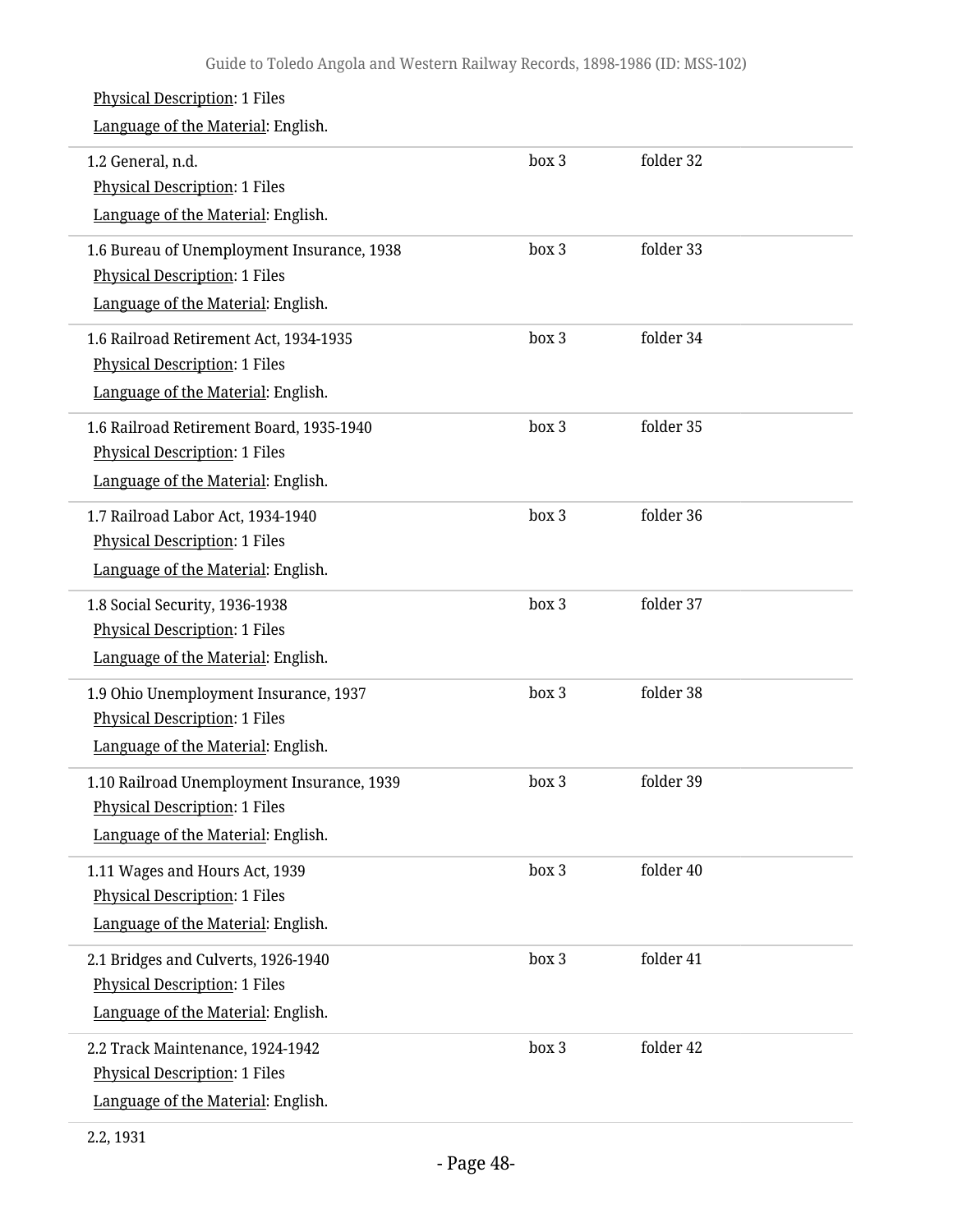## Physical Description: 1 Files Language of the Material: English. 1.2 General, n.d. Physical Description: 1 Files Language of the Material: English. box 3 folder 32 1.6 Bureau of Unemployment Insurance, 1938 Physical Description: 1 Files Language of the Material: English. box 3 folder 33 1.6 Railroad Retirement Act, 1934-1935 Physical Description: 1 Files Language of the Material: English. box 3 folder 34 1.6 Railroad Retirement Board, 1935-1940 Physical Description: 1 Files Language of the Material: English. box 3 folder 35 1.7 Railroad Labor Act, 1934-1940 Physical Description: 1 Files Language of the Material: English. box 3 folder 36 1.8 Social Security, 1936-1938 Physical Description: 1 Files Language of the Material: English. box 3 folder 37 1.9 Ohio Unemployment Insurance, 1937 Physical Description: 1 Files Language of the Material: English. box 3 folder 38 1.10 Railroad Unemployment Insurance, 1939 Physical Description: 1 Files Language of the Material: English. box 3 folder 39 1.11 Wages and Hours Act, 1939 Physical Description: 1 Files Language of the Material: English. box 3 folder 40 2.1 Bridges and Culverts, 1926-1940 Physical Description: 1 Files Language of the Material: English. box 3 folder 41 2.2 Track Maintenance, 1924-1942 Physical Description: 1 Files Language of the Material: English. box 3 folder 42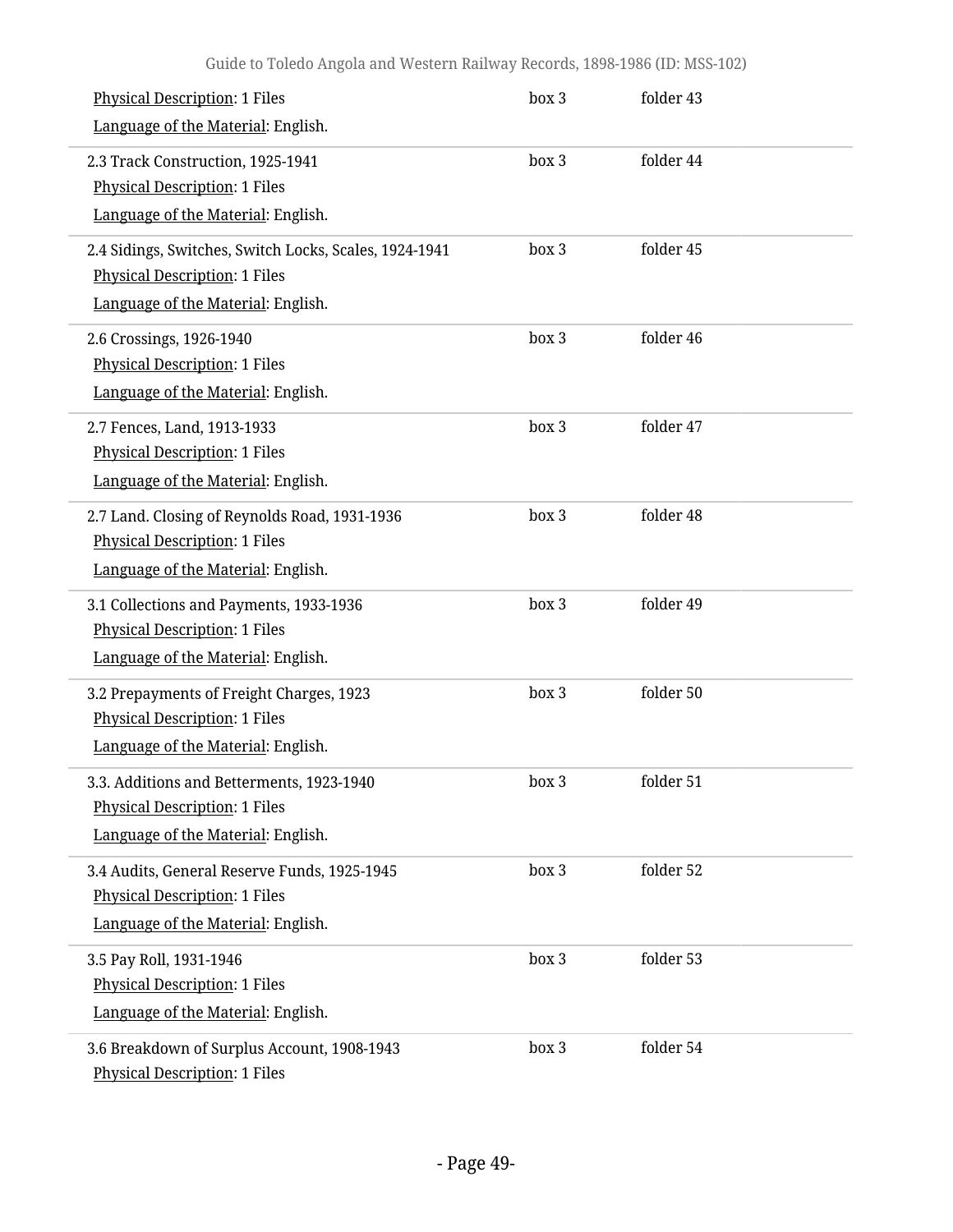| <b>Physical Description: 1 Files</b><br>Language of the Material: English.                                                           | box 3 | folder 43 |  |
|--------------------------------------------------------------------------------------------------------------------------------------|-------|-----------|--|
| 2.3 Track Construction, 1925-1941<br><b>Physical Description: 1 Files</b><br>Language of the Material: English.                      | box 3 | folder 44 |  |
| 2.4 Sidings, Switches, Switch Locks, Scales, 1924-1941<br><b>Physical Description: 1 Files</b><br>Language of the Material: English. | box 3 | folder 45 |  |
| 2.6 Crossings, 1926-1940<br><b>Physical Description: 1 Files</b><br>Language of the Material: English.                               | box 3 | folder 46 |  |
| 2.7 Fences, Land, 1913-1933<br><b>Physical Description: 1 Files</b><br>Language of the Material: English.                            | box 3 | folder 47 |  |
| 2.7 Land. Closing of Reynolds Road, 1931-1936<br><b>Physical Description: 1 Files</b><br>Language of the Material: English.          | box 3 | folder 48 |  |
| 3.1 Collections and Payments, 1933-1936<br><b>Physical Description: 1 Files</b><br>Language of the Material: English.                | box 3 | folder 49 |  |
| 3.2 Prepayments of Freight Charges, 1923<br><b>Physical Description: 1 Files</b><br>Language of the Material: English.               | box 3 | folder 50 |  |
| 3.3. Additions and Betterments, 1923-1940<br><b>Physical Description: 1 Files</b><br>Language of the Material: English.              | box 3 | folder 51 |  |
| 3.4 Audits, General Reserve Funds, 1925-1945<br><b>Physical Description: 1 Files</b><br>Language of the Material: English.           | box 3 | folder 52 |  |
| 3.5 Pay Roll, 1931-1946<br><b>Physical Description: 1 Files</b><br>Language of the Material: English.                                | box 3 | folder 53 |  |
| 3.6 Breakdown of Surplus Account, 1908-1943<br><b>Physical Description: 1 Files</b>                                                  | box 3 | folder 54 |  |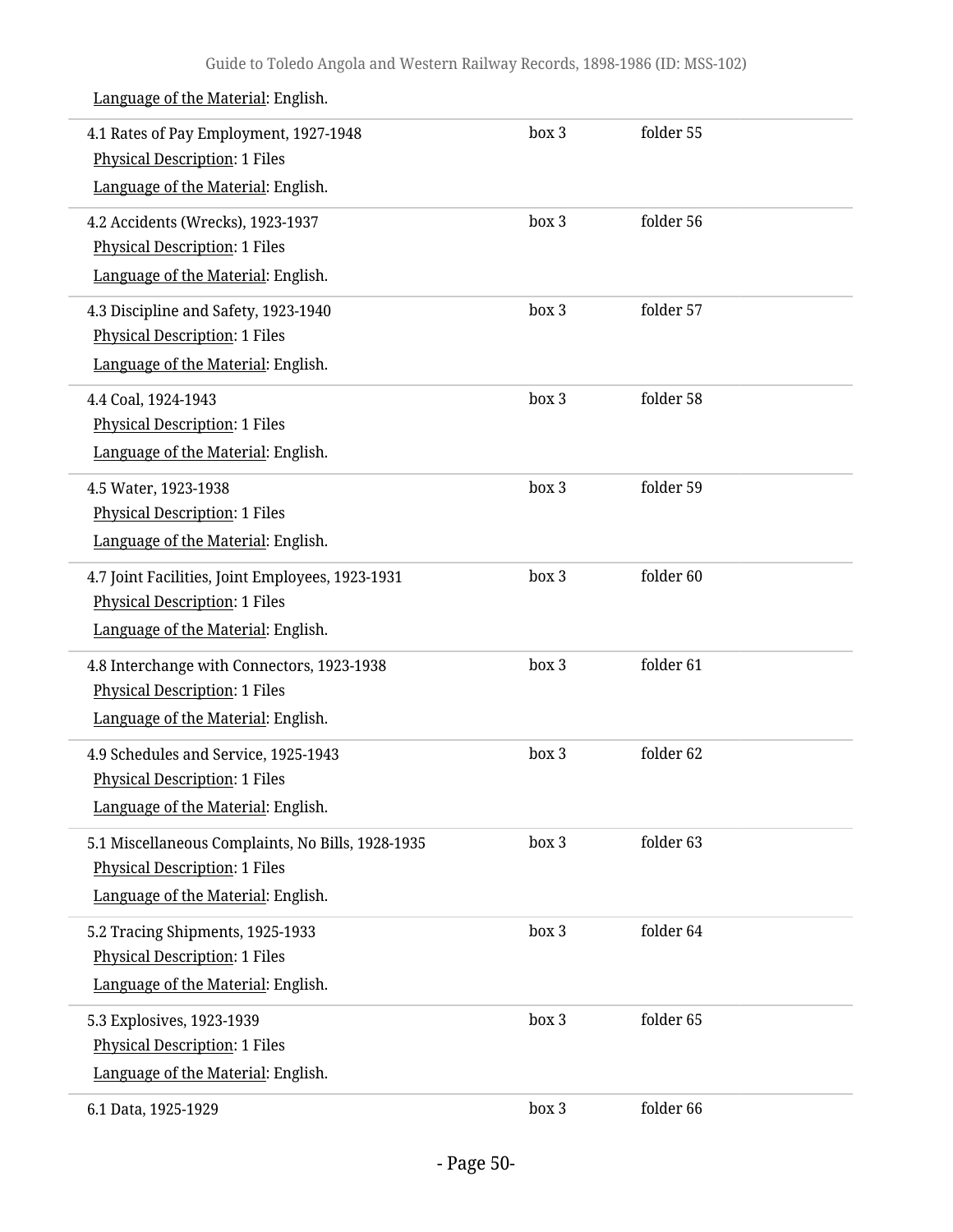| 4.1 Rates of Pay Employment, 1927-1948<br><b>Physical Description: 1 Files</b><br>Language of the Material: English.            | box 3 | folder 55 |  |
|---------------------------------------------------------------------------------------------------------------------------------|-------|-----------|--|
| 4.2 Accidents (Wrecks), 1923-1937<br><b>Physical Description: 1 Files</b><br>Language of the Material: English.                 | box 3 | folder 56 |  |
| 4.3 Discipline and Safety, 1923-1940<br><b>Physical Description: 1 Files</b><br>Language of the Material: English.              | box 3 | folder 57 |  |
| 4.4 Coal, 1924-1943<br><b>Physical Description: 1 Files</b><br>Language of the Material: English.                               | box 3 | folder 58 |  |
| 4.5 Water, 1923-1938<br><b>Physical Description: 1 Files</b><br>Language of the Material: English.                              | box 3 | folder 59 |  |
| 4.7 Joint Facilities, Joint Employees, 1923-1931<br><b>Physical Description: 1 Files</b><br>Language of the Material: English.  | box 3 | folder 60 |  |
| 4.8 Interchange with Connectors, 1923-1938<br><b>Physical Description: 1 Files</b><br>Language of the Material: English.        | box 3 | folder 61 |  |
| 4.9 Schedules and Service, 1925-1943<br><b>Physical Description: 1 Files</b><br>Language of the Material: English.              | box 3 | folder 62 |  |
| 5.1 Miscellaneous Complaints, No Bills, 1928-1935<br><b>Physical Description: 1 Files</b><br>Language of the Material: English. | box 3 | folder 63 |  |
| 5.2 Tracing Shipments, 1925-1933<br><b>Physical Description: 1 Files</b><br>Language of the Material: English.                  | box 3 | folder 64 |  |
| 5.3 Explosives, 1923-1939<br><b>Physical Description: 1 Files</b><br>Language of the Material: English.                         | box 3 | folder 65 |  |
| 6.1 Data, 1925-1929                                                                                                             | box 3 | folder 66 |  |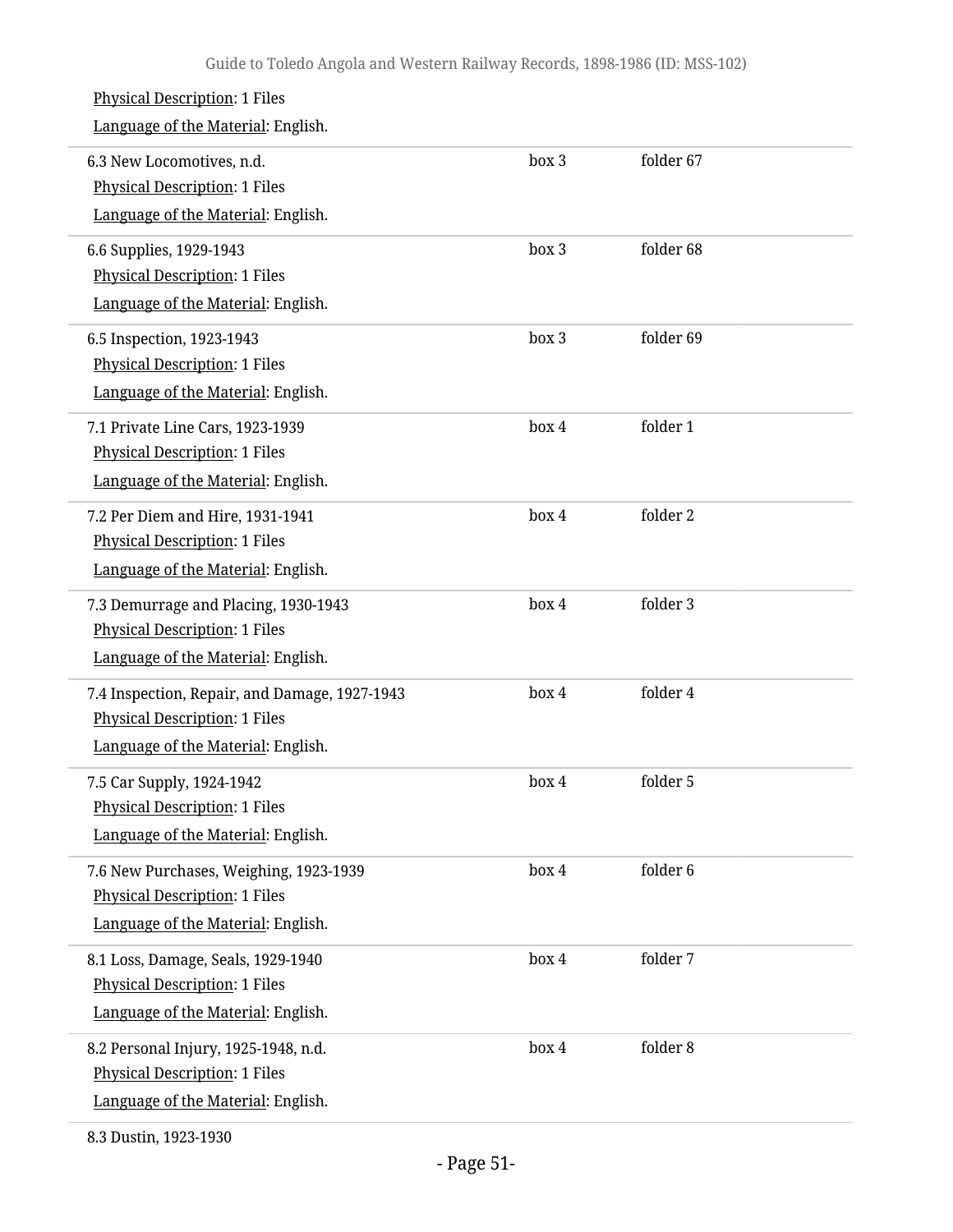| <b>Physical Description: 1 Files</b><br>Language of the Material: English.                                                  |       |           |
|-----------------------------------------------------------------------------------------------------------------------------|-------|-----------|
| 6.3 New Locomotives, n.d.<br><b>Physical Description: 1 Files</b><br>Language of the Material: English.                     | box 3 | folder 67 |
| 6.6 Supplies, 1929-1943<br><b>Physical Description: 1 Files</b><br>Language of the Material: English.                       | box 3 | folder 68 |
| 6.5 Inspection, 1923-1943<br>Physical Description: 1 Files<br>Language of the Material: English.                            | box 3 | folder 69 |
| 7.1 Private Line Cars, 1923-1939<br><b>Physical Description: 1 Files</b><br>Language of the Material: English.              | box 4 | folder 1  |
| 7.2 Per Diem and Hire, 1931-1941<br>Physical Description: 1 Files<br>Language of the Material: English.                     | box 4 | folder 2  |
| 7.3 Demurrage and Placing, 1930-1943<br><b>Physical Description: 1 Files</b><br>Language of the Material: English.          | box 4 | folder 3  |
| 7.4 Inspection, Repair, and Damage, 1927-1943<br><b>Physical Description: 1 Files</b><br>Language of the Material: English. | box 4 | folder 4  |
| 7.5 Car Supply, 1924-1942<br><b>Physical Description: 1 Files</b><br>Language of the Material: English.                     | box 4 | folder 5  |
| 7.6 New Purchases, Weighing, 1923-1939<br><b>Physical Description: 1 Files</b><br>Language of the Material: English.        | box 4 | folder 6  |
| 8.1 Loss, Damage, Seals, 1929-1940<br><b>Physical Description: 1 Files</b><br>Language of the Material: English.            | box 4 | folder 7  |
| 8.2 Personal Injury, 1925-1948, n.d.<br><b>Physical Description: 1 Files</b><br>Language of the Material: English.          | box 4 | folder 8  |
|                                                                                                                             |       |           |

8.3 Dustin, 1923-1930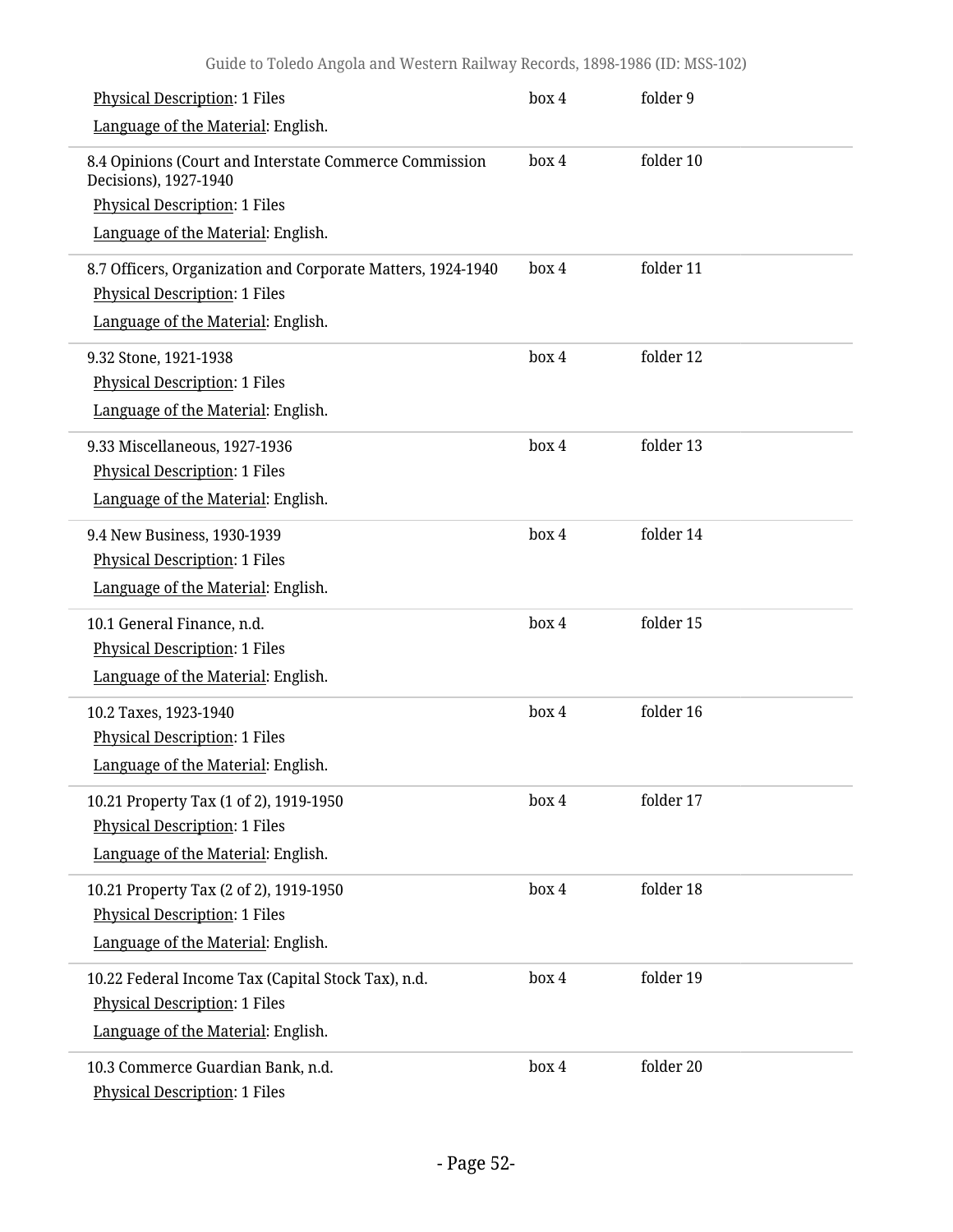| <b>Physical Description: 1 Files</b>                                            | box 4 | folder 9  |
|---------------------------------------------------------------------------------|-------|-----------|
| Language of the Material: English.                                              |       |           |
| 8.4 Opinions (Court and Interstate Commerce Commission<br>Decisions), 1927-1940 | box 4 | folder 10 |
| <b>Physical Description: 1 Files</b>                                            |       |           |
| Language of the Material: English.                                              |       |           |
| 8.7 Officers, Organization and Corporate Matters, 1924-1940                     | box 4 | folder 11 |
| <b>Physical Description: 1 Files</b>                                            |       |           |
| Language of the Material: English.                                              |       |           |
| 9.32 Stone, 1921-1938                                                           | box 4 | folder 12 |
| <b>Physical Description: 1 Files</b>                                            |       |           |
| Language of the Material: English.                                              |       |           |
| 9.33 Miscellaneous, 1927-1936                                                   | box 4 | folder 13 |
| <b>Physical Description: 1 Files</b>                                            |       |           |
| Language of the Material: English.                                              |       |           |
| 9.4 New Business, 1930-1939                                                     | box 4 | folder 14 |
| <b>Physical Description: 1 Files</b>                                            |       |           |
| Language of the Material: English.                                              |       |           |
| 10.1 General Finance, n.d.                                                      | box 4 | folder 15 |
| <b>Physical Description: 1 Files</b>                                            |       |           |
| Language of the Material: English.                                              |       |           |
| 10.2 Taxes, 1923-1940                                                           | box 4 | folder 16 |
| <b>Physical Description: 1 Files</b>                                            |       |           |
| Language of the Material: English.                                              |       |           |
| 10.21 Property Tax (1 of 2), 1919-1950                                          | box 4 | folder 17 |
| <b>Physical Description: 1 Files</b>                                            |       |           |
| Language of the Material: English.                                              |       |           |
| 10.21 Property Tax (2 of 2), 1919-1950                                          | box 4 | folder 18 |
| <b>Physical Description: 1 Files</b>                                            |       |           |
| Language of the Material: English.                                              |       |           |
| 10.22 Federal Income Tax (Capital Stock Tax), n.d.                              | box 4 | folder 19 |
| <b>Physical Description: 1 Files</b>                                            |       |           |
| Language of the Material: English.                                              |       |           |
| 10.3 Commerce Guardian Bank, n.d.<br><b>Physical Description: 1 Files</b>       | box 4 | folder 20 |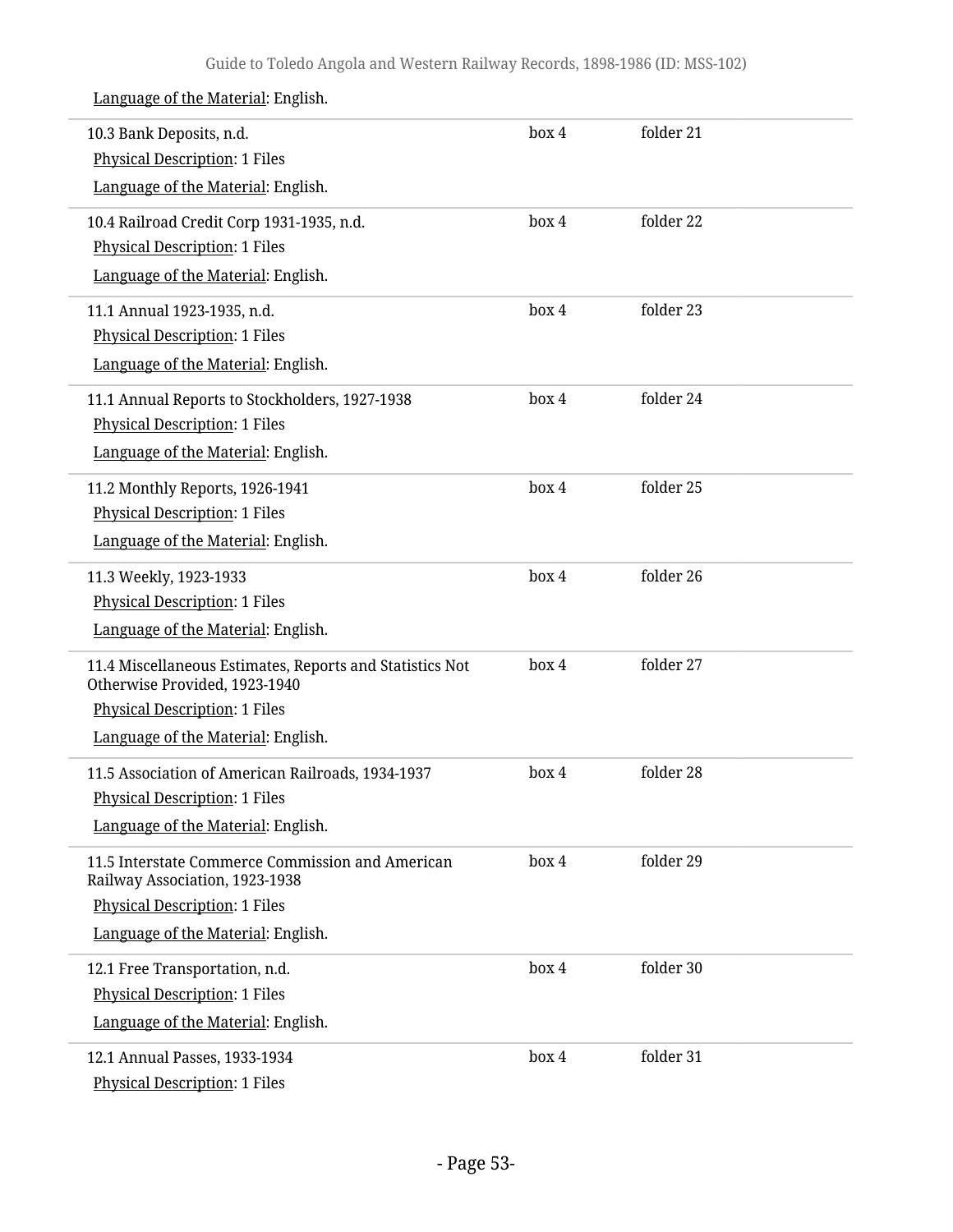| 10.3 Bank Deposits, n.d.<br><b>Physical Description: 1 Files</b>                          | box 4 | folder 21 |  |
|-------------------------------------------------------------------------------------------|-------|-----------|--|
| Language of the Material: English.                                                        |       |           |  |
| 10.4 Railroad Credit Corp 1931-1935, n.d.                                                 | box 4 | folder 22 |  |
| <b>Physical Description: 1 Files</b>                                                      |       |           |  |
| Language of the Material: English.                                                        |       |           |  |
| 11.1 Annual 1923-1935, n.d.                                                               | box 4 | folder 23 |  |
| <b>Physical Description: 1 Files</b>                                                      |       |           |  |
| Language of the Material: English.                                                        |       |           |  |
| 11.1 Annual Reports to Stockholders, 1927-1938                                            | box 4 | folder 24 |  |
| <b>Physical Description: 1 Files</b>                                                      |       |           |  |
| Language of the Material: English.                                                        |       |           |  |
| 11.2 Monthly Reports, 1926-1941                                                           | box 4 | folder 25 |  |
| <b>Physical Description: 1 Files</b>                                                      |       |           |  |
| Language of the Material: English.                                                        |       |           |  |
| 11.3 Weekly, 1923-1933                                                                    | box 4 | folder 26 |  |
| <b>Physical Description: 1 Files</b>                                                      |       |           |  |
| Language of the Material: English.                                                        |       |           |  |
| 11.4 Miscellaneous Estimates, Reports and Statistics Not<br>Otherwise Provided, 1923-1940 | box 4 | folder 27 |  |
| <b>Physical Description: 1 Files</b>                                                      |       |           |  |
| Language of the Material: English.                                                        |       |           |  |
| 11.5 Association of American Railroads, 1934-1937                                         | box 4 | folder 28 |  |
| <b>Physical Description: 1 Files</b>                                                      |       |           |  |
| Language of the Material: English.                                                        |       |           |  |
| 11.5 Interstate Commerce Commission and American<br>Railway Association, 1923-1938        | box 4 | folder 29 |  |
| <b>Physical Description: 1 Files</b>                                                      |       |           |  |
| Language of the Material: English.                                                        |       |           |  |
| 12.1 Free Transportation, n.d.                                                            | box 4 | folder 30 |  |
| <b>Physical Description: 1 Files</b>                                                      |       |           |  |
| Language of the Material: English.                                                        |       |           |  |
| 12.1 Annual Passes, 1933-1934                                                             | box 4 | folder 31 |  |
| <b>Physical Description: 1 Files</b>                                                      |       |           |  |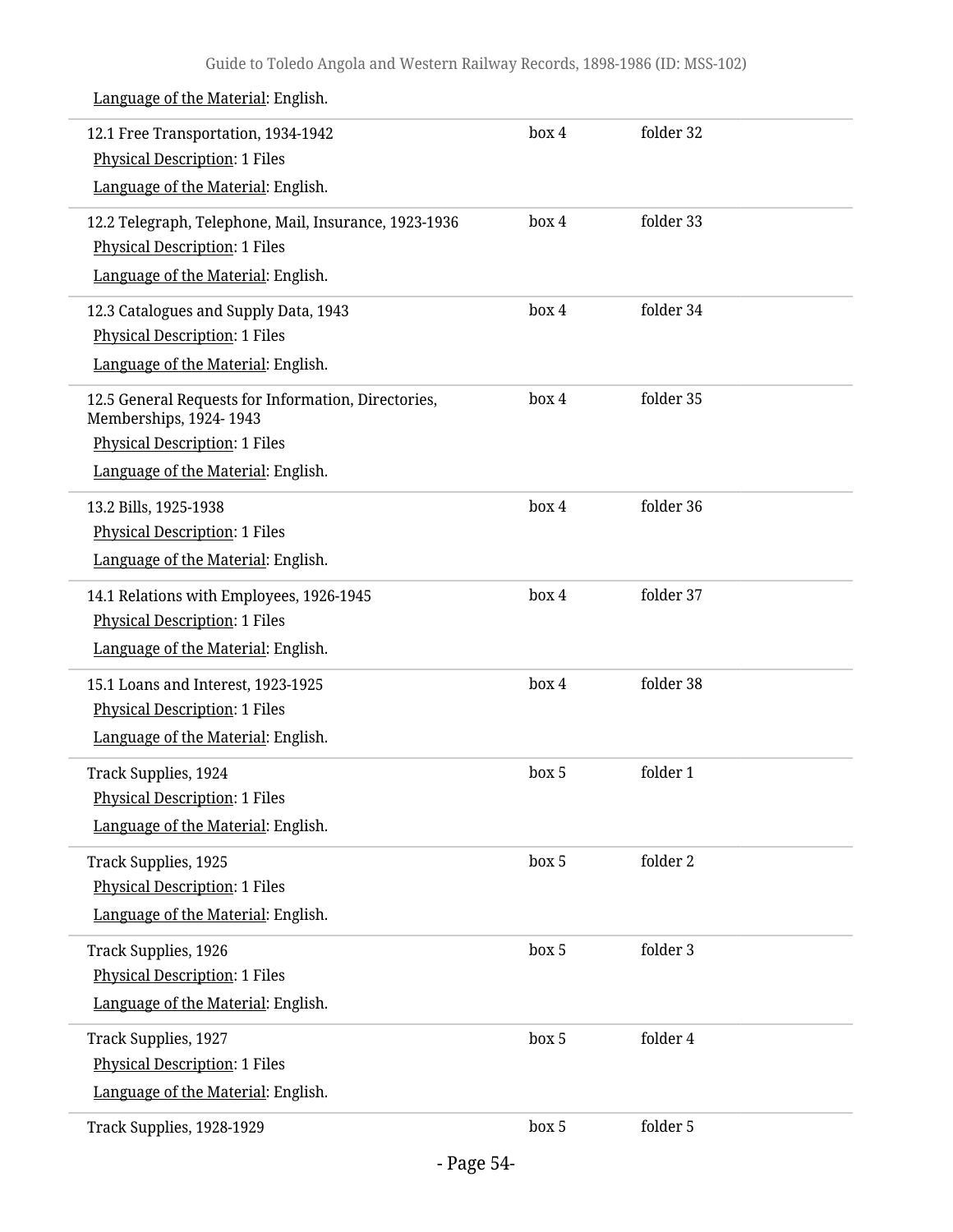| 12.1 Free Transportation, 1934-1942                                           | box 4 | folder 32 |  |
|-------------------------------------------------------------------------------|-------|-----------|--|
| <b>Physical Description: 1 Files</b>                                          |       |           |  |
| Language of the Material: English.                                            |       |           |  |
| 12.2 Telegraph, Telephone, Mail, Insurance, 1923-1936                         | box 4 | folder 33 |  |
| <b>Physical Description: 1 Files</b>                                          |       |           |  |
| Language of the Material: English.                                            |       |           |  |
| 12.3 Catalogues and Supply Data, 1943                                         | box 4 | folder 34 |  |
| <b>Physical Description: 1 Files</b>                                          |       |           |  |
| Language of the Material: English.                                            |       |           |  |
| 12.5 General Requests for Information, Directories,<br>Memberships, 1924-1943 | box 4 | folder 35 |  |
| <b>Physical Description: 1 Files</b>                                          |       |           |  |
| Language of the Material: English.                                            |       |           |  |
| 13.2 Bills, 1925-1938                                                         | box 4 | folder 36 |  |
| <b>Physical Description: 1 Files</b>                                          |       |           |  |
| Language of the Material: English.                                            |       |           |  |
| 14.1 Relations with Employees, 1926-1945                                      | box 4 | folder 37 |  |
| <b>Physical Description: 1 Files</b>                                          |       |           |  |
| Language of the Material: English.                                            |       |           |  |
| 15.1 Loans and Interest, 1923-1925                                            | box 4 | folder 38 |  |
| <b>Physical Description: 1 Files</b>                                          |       |           |  |
| Language of the Material: English.                                            |       |           |  |
| Track Supplies, 1924                                                          | box 5 | folder 1  |  |
| <b>Physical Description: 1 Files</b>                                          |       |           |  |
| Language of the Material: English.                                            |       |           |  |
| Track Supplies, 1925                                                          | box 5 | folder 2  |  |
| <b>Physical Description: 1 Files</b>                                          |       |           |  |
| Language of the Material: English.                                            |       |           |  |
| Track Supplies, 1926                                                          | box 5 | folder 3  |  |
| <b>Physical Description: 1 Files</b>                                          |       |           |  |
| Language of the Material: English.                                            |       |           |  |
| Track Supplies, 1927                                                          | box 5 | folder 4  |  |
| <b>Physical Description: 1 Files</b>                                          |       |           |  |
| Language of the Material: English.                                            |       |           |  |
| Track Supplies, 1928-1929                                                     | box 5 | folder 5  |  |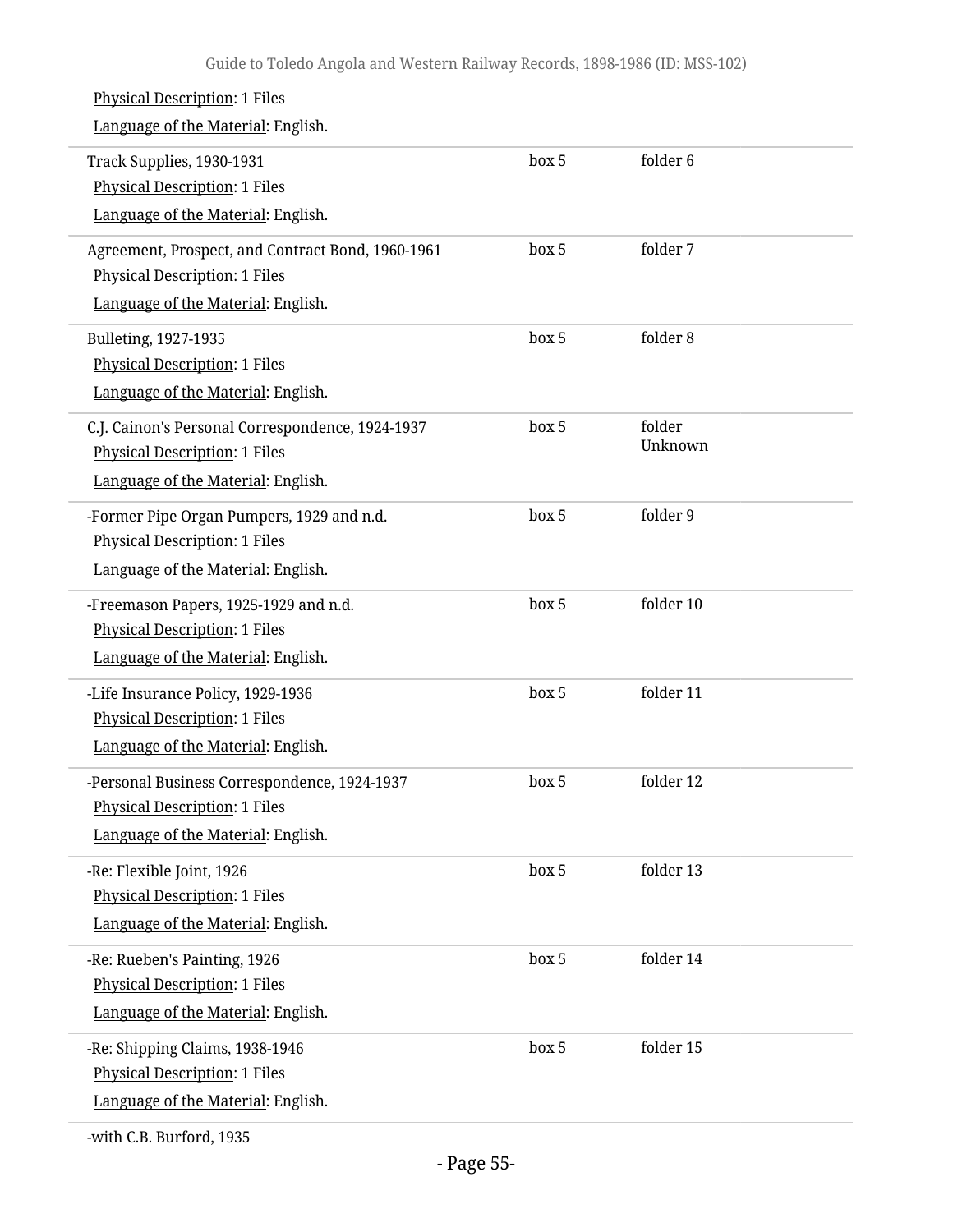| <b>Physical Description: 1 Files</b><br>Language of the Material: English.                                                      |       |                   |  |
|---------------------------------------------------------------------------------------------------------------------------------|-------|-------------------|--|
| Track Supplies, 1930-1931<br><b>Physical Description: 1 Files</b><br>Language of the Material: English.                         | box 5 | folder 6          |  |
| Agreement, Prospect, and Contract Bond, 1960-1961<br><b>Physical Description: 1 Files</b><br>Language of the Material: English. | box 5 | folder 7          |  |
| Bulleting, 1927-1935<br><b>Physical Description: 1 Files</b><br>Language of the Material: English.                              | box 5 | folder 8          |  |
| C.J. Cainon's Personal Correspondence, 1924-1937<br><b>Physical Description: 1 Files</b><br>Language of the Material: English.  | box 5 | folder<br>Unknown |  |
| -Former Pipe Organ Pumpers, 1929 and n.d.<br><b>Physical Description: 1 Files</b><br>Language of the Material: English.         | box 5 | folder 9          |  |
| -Freemason Papers, 1925-1929 and n.d.<br><b>Physical Description: 1 Files</b><br>Language of the Material: English.             | box 5 | folder 10         |  |
| -Life Insurance Policy, 1929-1936<br><b>Physical Description: 1 Files</b><br>Language of the Material: English.                 | box 5 | folder 11         |  |
| Personal Business Correspondence, 1924-1937<br><b>Physical Description: 1 Files</b><br>Language of the Material: English.       | box 5 | folder 12         |  |
| -Re: Flexible Joint, 1926<br><b>Physical Description: 1 Files</b><br>Language of the Material: English.                         | box 5 | folder 13         |  |
| -Re: Rueben's Painting, 1926<br><b>Physical Description: 1 Files</b><br>Language of the Material: English.                      | box 5 | folder 14         |  |
| -Re: Shipping Claims, 1938-1946<br><b>Physical Description: 1 Files</b><br>Language of the Material: English.                   | box 5 | folder 15         |  |
|                                                                                                                                 |       |                   |  |

-with C.B. Burford, 1935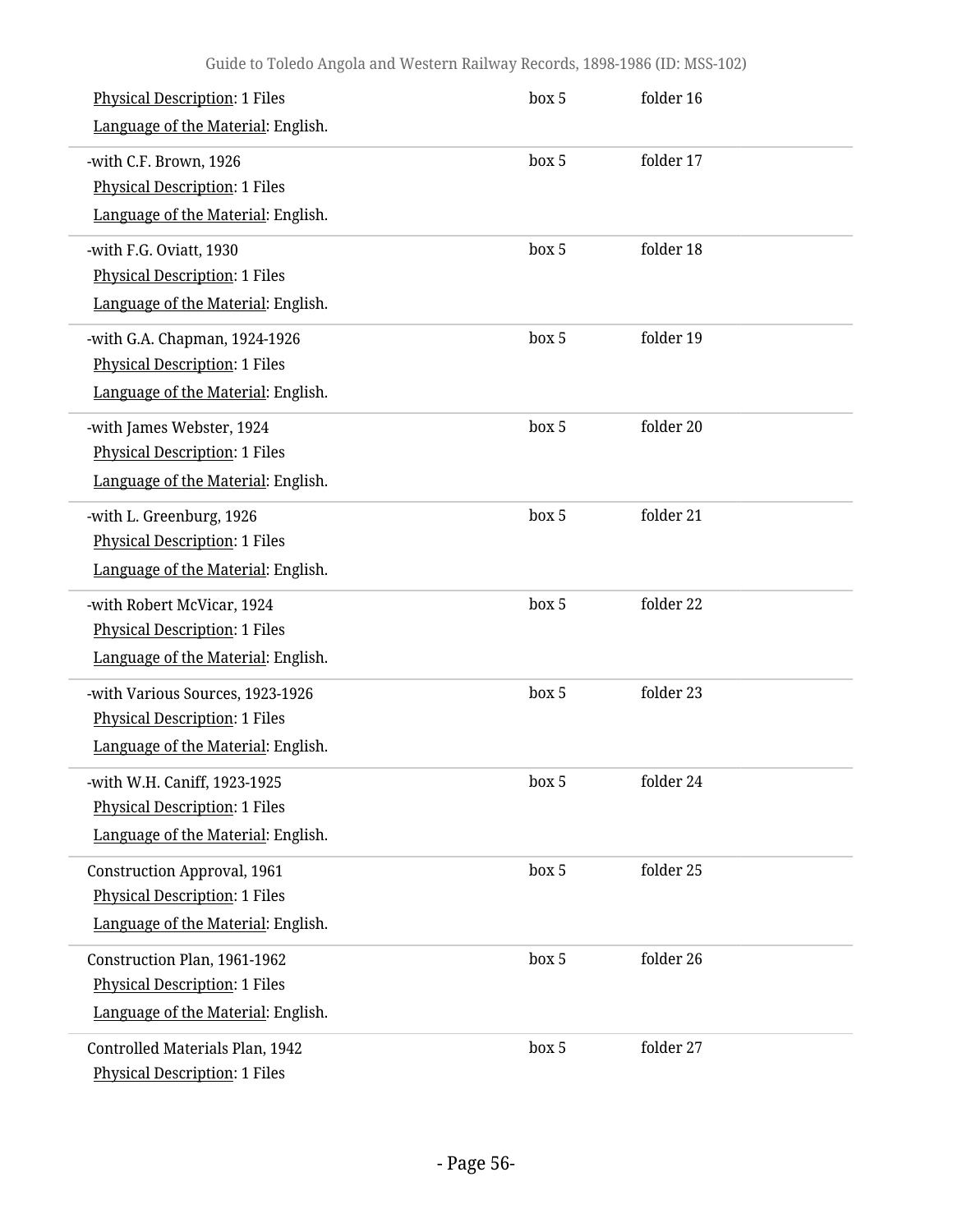| <b>Physical Description: 1 Files</b><br>Language of the Material: English.                                       | box 5 | folder 16 |  |
|------------------------------------------------------------------------------------------------------------------|-------|-----------|--|
| -with C.F. Brown, 1926<br><b>Physical Description: 1 Files</b><br>Language of the Material: English.             | box 5 | folder 17 |  |
| -with F.G. Oviatt, 1930<br><b>Physical Description: 1 Files</b><br>Language of the Material: English.            | box 5 | folder 18 |  |
| -with G.A. Chapman, 1924-1926<br><b>Physical Description: 1 Files</b><br>Language of the Material: English.      | box 5 | folder 19 |  |
| -with James Webster, 1924<br><b>Physical Description: 1 Files</b><br>Language of the Material: English.          | box 5 | folder 20 |  |
| -with L. Greenburg, 1926<br><b>Physical Description: 1 Files</b><br>Language of the Material: English.           | box 5 | folder 21 |  |
| -with Robert McVicar, 1924<br><b>Physical Description: 1 Files</b><br>Language of the Material: English.         | box 5 | folder 22 |  |
| -with Various Sources, 1923-1926<br><b>Physical Description: 1 Files</b><br>Language of the Material: English.   | box 5 | folder 23 |  |
| with W.H. Caniff, 1923-1925-<br><b>Physical Description: 1 Files</b><br>Language of the Material: English.       | box 5 | folder 24 |  |
| <b>Construction Approval, 1961</b><br><b>Physical Description: 1 Files</b><br>Language of the Material: English. | box 5 | folder 25 |  |
| Construction Plan, 1961-1962<br><b>Physical Description: 1 Files</b><br>Language of the Material: English.       | box 5 | folder 26 |  |
| Controlled Materials Plan, 1942<br><b>Physical Description: 1 Files</b>                                          | box 5 | folder 27 |  |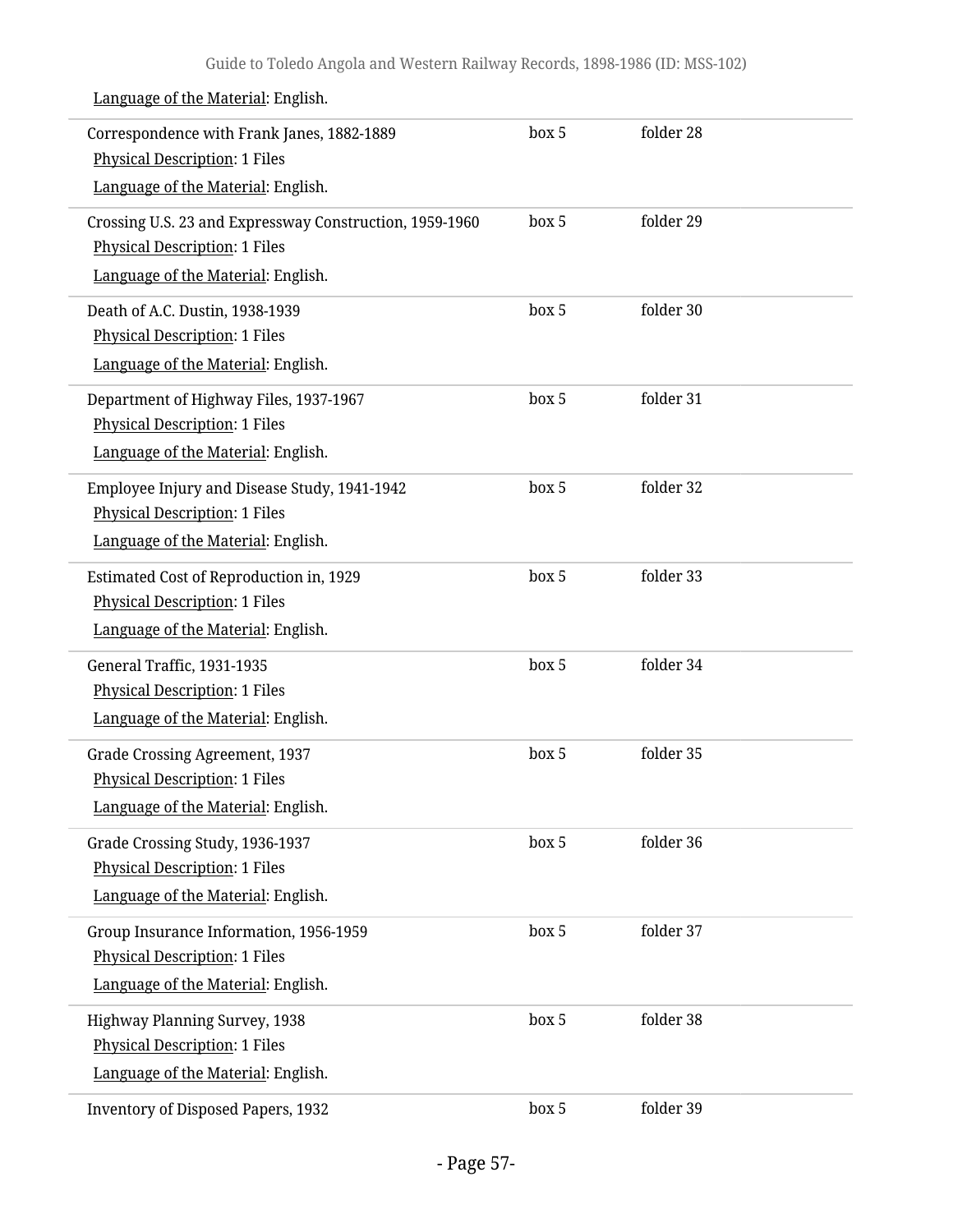| Correspondence with Frank Janes, 1882-1889<br><b>Physical Description: 1 Files</b><br>Language of the Material: English.              | box 5 | folder 28 |  |
|---------------------------------------------------------------------------------------------------------------------------------------|-------|-----------|--|
| Crossing U.S. 23 and Expressway Construction, 1959-1960<br><b>Physical Description: 1 Files</b><br>Language of the Material: English. | box 5 | folder 29 |  |
| Death of A.C. Dustin, 1938-1939<br><b>Physical Description: 1 Files</b><br>Language of the Material: English.                         | box 5 | folder 30 |  |
| Department of Highway Files, 1937-1967<br><b>Physical Description: 1 Files</b><br>Language of the Material: English.                  | box 5 | folder 31 |  |
| Employee Injury and Disease Study, 1941-1942<br><b>Physical Description: 1 Files</b><br>Language of the Material: English.            | box 5 | folder 32 |  |
| Estimated Cost of Reproduction in, 1929<br><b>Physical Description: 1 Files</b><br>Language of the Material: English.                 | box 5 | folder 33 |  |
| General Traffic, 1931-1935<br><b>Physical Description: 1 Files</b><br>Language of the Material: English.                              | box 5 | folder 34 |  |
| <b>Grade Crossing Agreement, 1937</b><br><b>Physical Description: 1 Files</b><br>Language of the Material: English.                   | box 5 | folder 35 |  |
| Grade Crossing Study, 1936-1937<br><b>Physical Description: 1 Files</b><br>Language of the Material: English.                         | box 5 | folder 36 |  |
| Group Insurance Information, 1956-1959<br><b>Physical Description: 1 Files</b><br>Language of the Material: English.                  | box 5 | folder 37 |  |
| Highway Planning Survey, 1938<br><b>Physical Description: 1 Files</b><br>Language of the Material: English.                           | box 5 | folder 38 |  |
| <b>Inventory of Disposed Papers, 1932</b>                                                                                             | box 5 | folder 39 |  |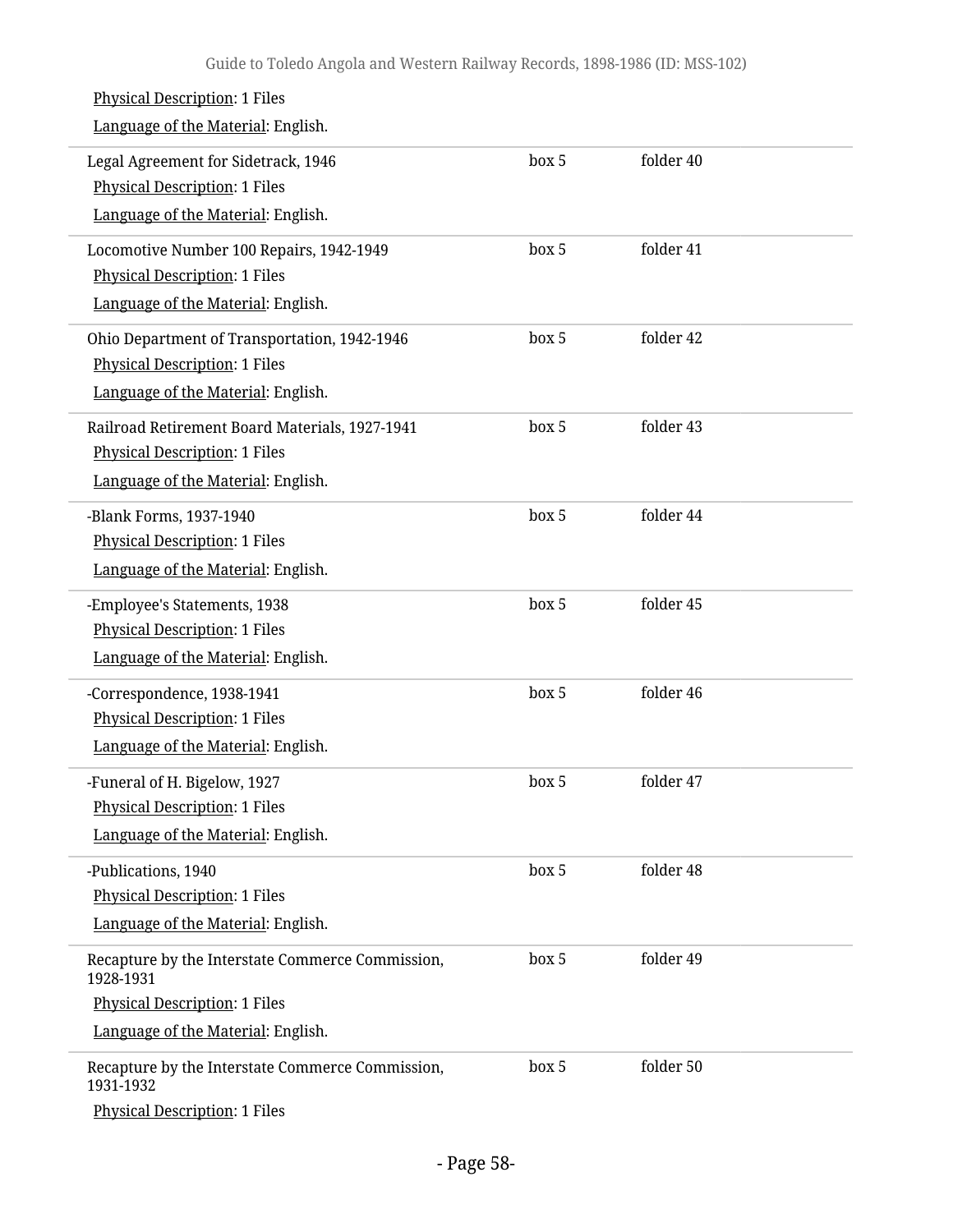| <b>Physical Description: 1 Files</b><br>Language of the Material: English.                                                                  |       |           |  |
|---------------------------------------------------------------------------------------------------------------------------------------------|-------|-----------|--|
| Legal Agreement for Sidetrack, 1946<br><b>Physical Description: 1 Files</b><br>Language of the Material: English.                           | box 5 | folder 40 |  |
| Locomotive Number 100 Repairs, 1942-1949<br><b>Physical Description: 1 Files</b><br>Language of the Material: English.                      | box 5 | folder 41 |  |
| Ohio Department of Transportation, 1942-1946<br><b>Physical Description: 1 Files</b><br>Language of the Material: English.                  | box 5 | folder 42 |  |
| Railroad Retirement Board Materials, 1927-1941<br><b>Physical Description: 1 Files</b><br>Language of the Material: English.                | box 5 | folder 43 |  |
| -Blank Forms, 1937-1940<br><b>Physical Description: 1 Files</b><br>Language of the Material: English.                                       | box 5 | folder 44 |  |
| -Employee's Statements, 1938<br><b>Physical Description: 1 Files</b><br>Language of the Material: English.                                  | box 5 | folder 45 |  |
| -Correspondence, 1938-1941<br><b>Physical Description: 1 Files</b><br>Language of the Material: English.                                    | box 5 | folder 46 |  |
| -Funeral of H. Bigelow, 1927<br><b>Physical Description: 1 Files</b><br>Language of the Material: English.                                  | box 5 | folder 47 |  |
| -Publications, 1940<br><b>Physical Description: 1 Files</b><br>Language of the Material: English.                                           | box 5 | folder 48 |  |
| Recapture by the Interstate Commerce Commission,<br>1928-1931<br><b>Physical Description: 1 Files</b><br>Language of the Material: English. | box 5 | folder 49 |  |
| Recapture by the Interstate Commerce Commission,<br>1931-1932<br>Physical Description: 1 Files                                              | box 5 | folder 50 |  |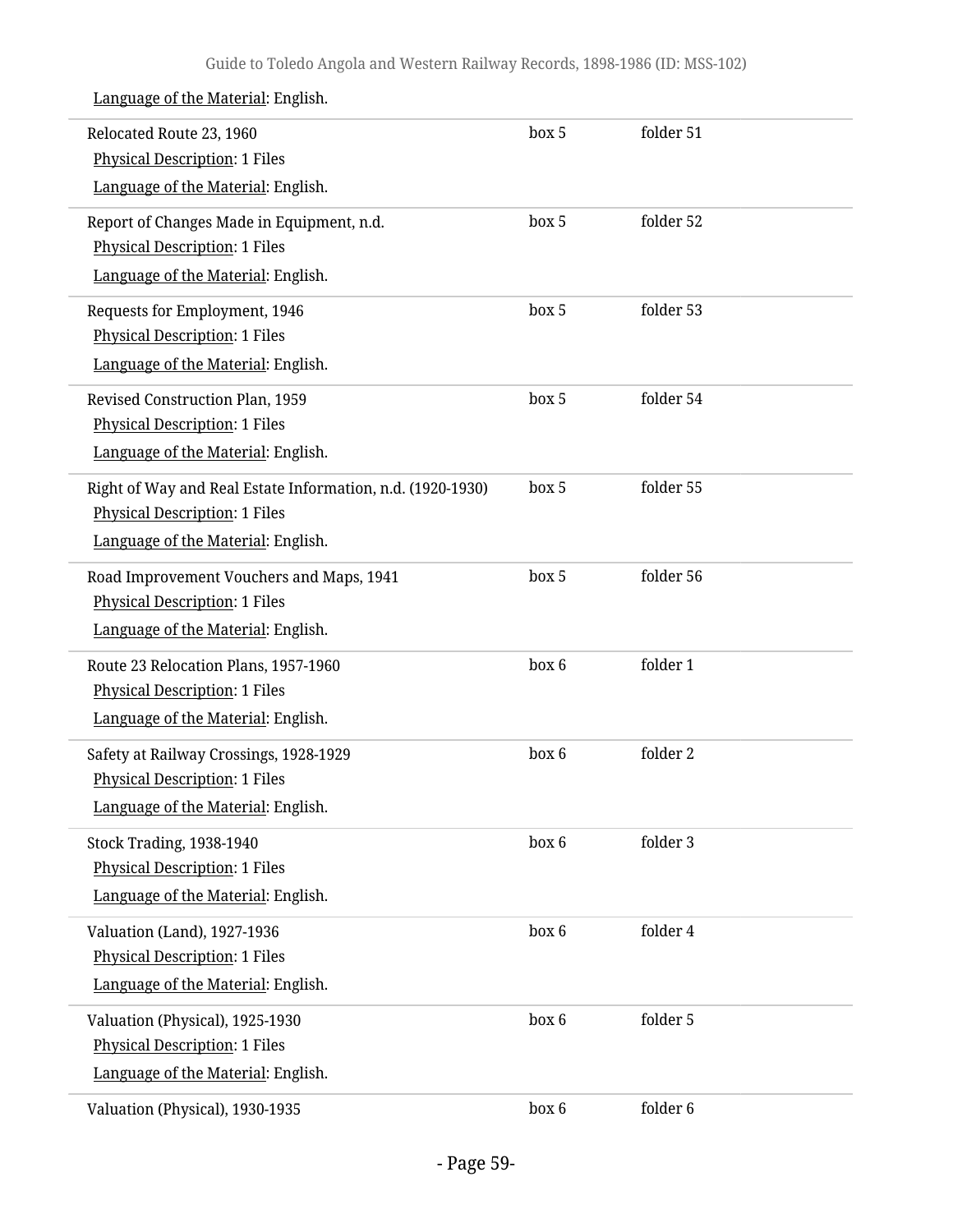| Relocated Route 23, 1960                                                                           | box 5 | folder 51 |  |
|----------------------------------------------------------------------------------------------------|-------|-----------|--|
| <b>Physical Description: 1 Files</b>                                                               |       |           |  |
| Language of the Material: English.                                                                 |       |           |  |
| Report of Changes Made in Equipment, n.d.                                                          | box 5 | folder 52 |  |
| <b>Physical Description: 1 Files</b>                                                               |       |           |  |
| Language of the Material: English.                                                                 |       |           |  |
| Requests for Employment, 1946                                                                      | box 5 | folder 53 |  |
| <b>Physical Description: 1 Files</b><br>Language of the Material: English.                         |       |           |  |
|                                                                                                    |       |           |  |
| Revised Construction Plan, 1959                                                                    | box 5 | folder 54 |  |
| <b>Physical Description: 1 Files</b><br>Language of the Material: English.                         |       |           |  |
|                                                                                                    |       |           |  |
| Right of Way and Real Estate Information, n.d. (1920-1930)<br><b>Physical Description: 1 Files</b> | box 5 | folder 55 |  |
| Language of the Material: English.                                                                 |       |           |  |
|                                                                                                    |       |           |  |
| Road Improvement Vouchers and Maps, 1941<br><b>Physical Description: 1 Files</b>                   | box 5 | folder 56 |  |
| Language of the Material: English.                                                                 |       |           |  |
| Route 23 Relocation Plans, 1957-1960                                                               | box 6 | folder 1  |  |
| <b>Physical Description: 1 Files</b>                                                               |       |           |  |
| Language of the Material: English.                                                                 |       |           |  |
| Safety at Railway Crossings, 1928-1929                                                             | box 6 | folder 2  |  |
| <b>Physical Description: 1 Files</b>                                                               |       |           |  |
| Language of the Material: English.                                                                 |       |           |  |
| <b>Stock Trading, 1938-1940</b>                                                                    | box 6 | folder 3  |  |
| <b>Physical Description: 1 Files</b>                                                               |       |           |  |
| Language of the Material: English.                                                                 |       |           |  |
| Valuation (Land), 1927-1936                                                                        | box 6 | folder 4  |  |
| <b>Physical Description: 1 Files</b>                                                               |       |           |  |
| Language of the Material: English.                                                                 |       |           |  |
| Valuation (Physical), 1925-1930                                                                    | box 6 | folder 5  |  |
| <b>Physical Description: 1 Files</b>                                                               |       |           |  |
| Language of the Material: English.                                                                 |       |           |  |
| Valuation (Physical), 1930-1935                                                                    | box 6 | folder 6  |  |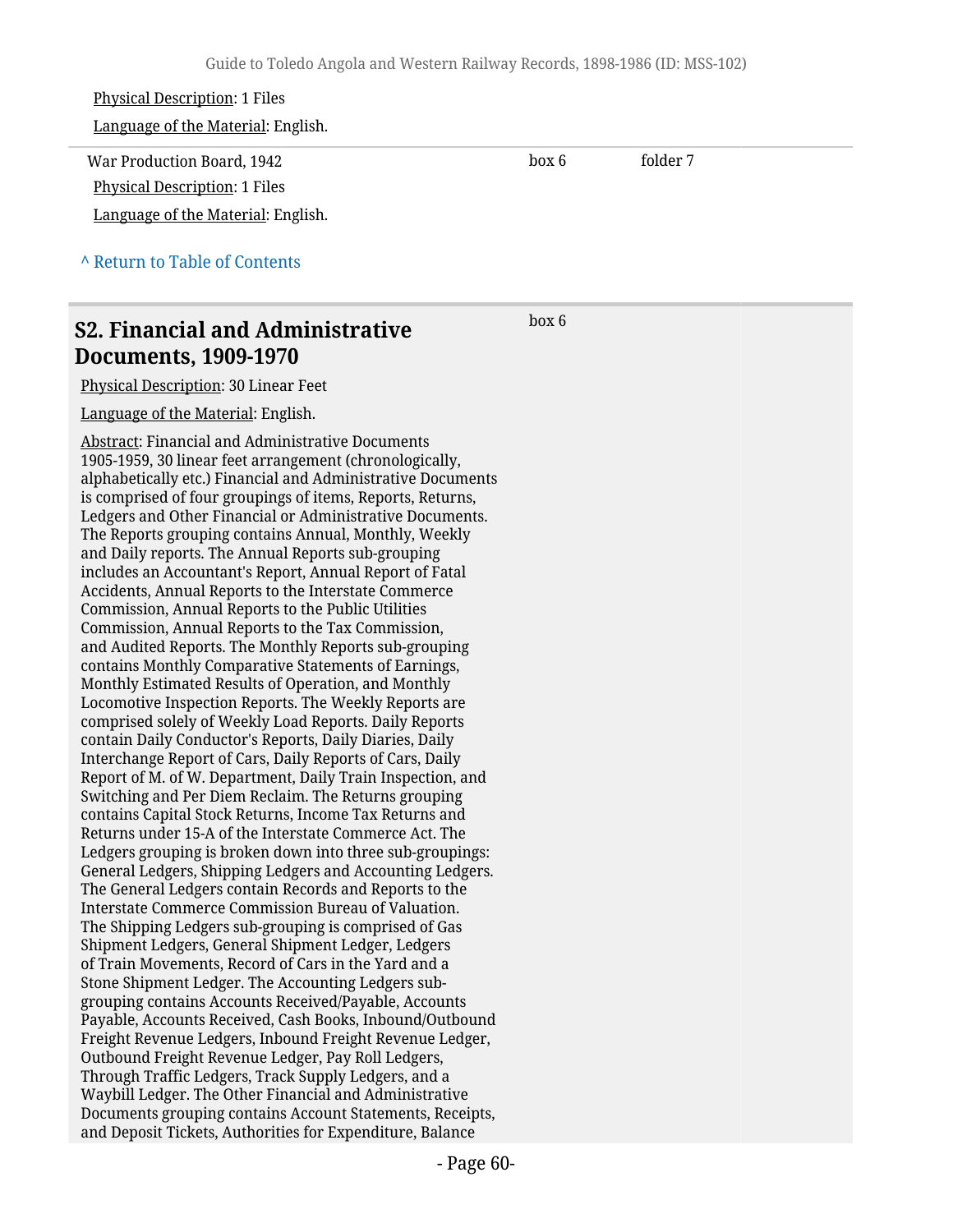# Physical Description: 1 Files Language of the Material: English. War Production Board, 1942 Physical Description: 1 Files Language of the Material: English. box 6 folder 7 **^** [Return to Table of Contents](#page-1-0)

## **S2. Financial and Administrative Documents, 1909-1970**

Physical Description: 30 Linear Feet

Language of the Material: English.

Abstract: Financial and Administrative Documents 1905-1959, 30 linear feet arrangement (chronologically, alphabetically etc.) Financial and Administrative Documents is comprised of four groupings of items, Reports, Returns, Ledgers and Other Financial or Administrative Documents. The Reports grouping contains Annual, Monthly, Weekly and Daily reports. The Annual Reports sub-grouping includes an Accountant's Report, Annual Report of Fatal Accidents, Annual Reports to the Interstate Commerce Commission, Annual Reports to the Public Utilities Commission, Annual Reports to the Tax Commission, and Audited Reports. The Monthly Reports sub-grouping contains Monthly Comparative Statements of Earnings, Monthly Estimated Results of Operation, and Monthly Locomotive Inspection Reports. The Weekly Reports are comprised solely of Weekly Load Reports. Daily Reports contain Daily Conductor's Reports, Daily Diaries, Daily Interchange Report of Cars, Daily Reports of Cars, Daily Report of M. of W. Department, Daily Train Inspection, and Switching and Per Diem Reclaim. The Returns grouping contains Capital Stock Returns, Income Tax Returns and Returns under 15-A of the Interstate Commerce Act. The Ledgers grouping is broken down into three sub-groupings: General Ledgers, Shipping Ledgers and Accounting Ledgers. The General Ledgers contain Records and Reports to the Interstate Commerce Commission Bureau of Valuation. The Shipping Ledgers sub-grouping is comprised of Gas Shipment Ledgers, General Shipment Ledger, Ledgers of Train Movements, Record of Cars in the Yard and a Stone Shipment Ledger. The Accounting Ledgers subgrouping contains Accounts Received/Payable, Accounts Payable, Accounts Received, Cash Books, Inbound/Outbound Freight Revenue Ledgers, Inbound Freight Revenue Ledger, Outbound Freight Revenue Ledger, Pay Roll Ledgers, Through Traffic Ledgers, Track Supply Ledgers, and a Waybill Ledger. The Other Financial and Administrative Documents grouping contains Account Statements, Receipts, and Deposit Tickets, Authorities for Expenditure, Balance

box 6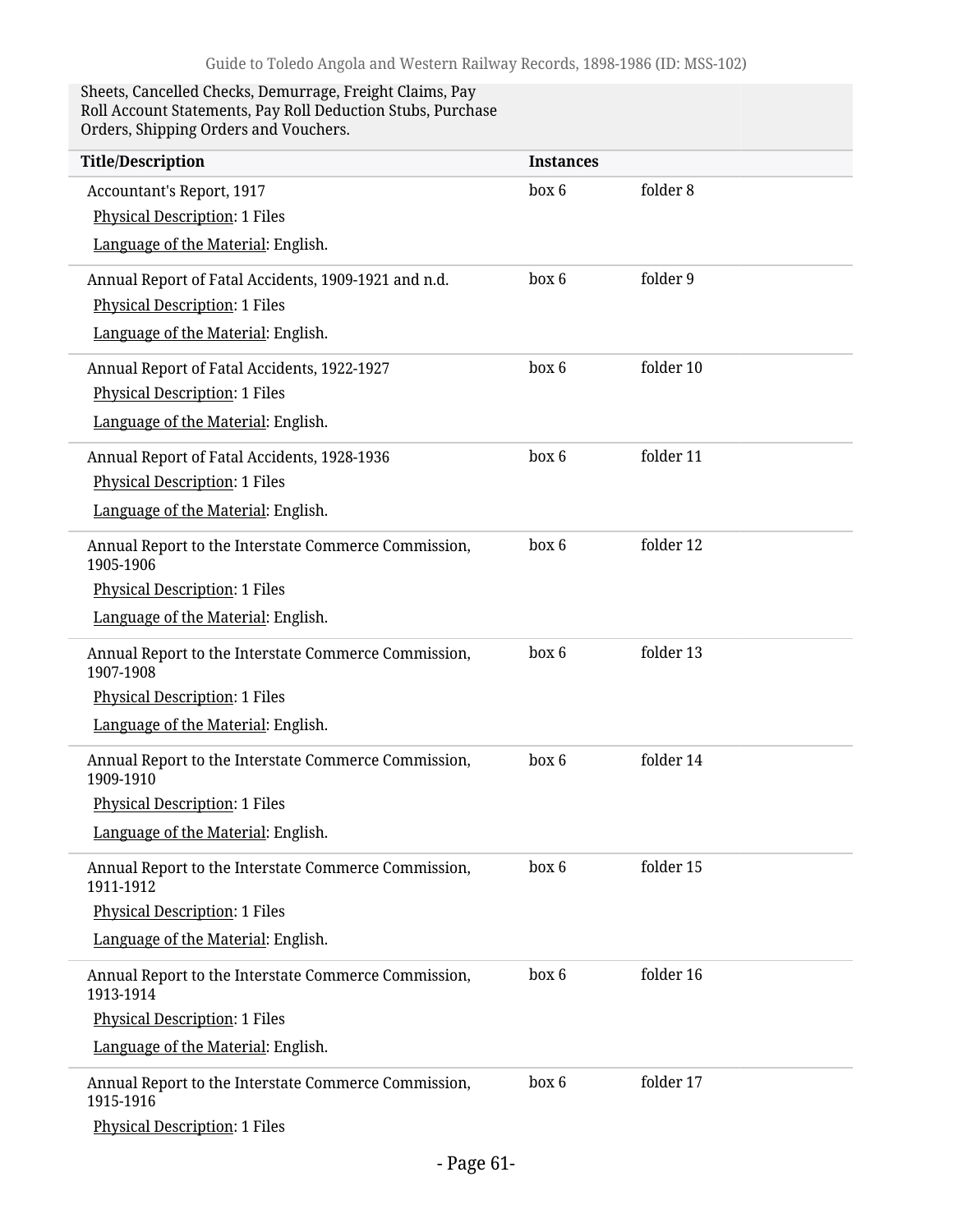#### Sheets, Cancelled Checks, Demurrage, Freight Claims, Pay Roll Account Statements, Pay Roll Deduction Stubs, Purchase Orders, Shipping Orders and Vouchers.

| <b>Title/Description</b>                                          | <b>Instances</b> |           |
|-------------------------------------------------------------------|------------------|-----------|
| Accountant's Report, 1917                                         | box 6            | folder 8  |
| <b>Physical Description: 1 Files</b>                              |                  |           |
| Language of the Material: English.                                |                  |           |
| Annual Report of Fatal Accidents, 1909-1921 and n.d.              | box 6            | folder 9  |
| <b>Physical Description: 1 Files</b>                              |                  |           |
| Language of the Material: English.                                |                  |           |
| Annual Report of Fatal Accidents, 1922-1927                       | box 6            | folder 10 |
| <b>Physical Description: 1 Files</b>                              |                  |           |
| Language of the Material: English.                                |                  |           |
| Annual Report of Fatal Accidents, 1928-1936                       | box 6            | folder 11 |
| <b>Physical Description: 1 Files</b>                              |                  |           |
| Language of the Material: English.                                |                  |           |
| Annual Report to the Interstate Commerce Commission,<br>1905-1906 | box 6            | folder 12 |
| <b>Physical Description: 1 Files</b>                              |                  |           |
| Language of the Material: English.                                |                  |           |
| Annual Report to the Interstate Commerce Commission,<br>1907-1908 | box 6            | folder 13 |
| <b>Physical Description: 1 Files</b>                              |                  |           |
| Language of the Material: English.                                |                  |           |
| Annual Report to the Interstate Commerce Commission,<br>1909-1910 | box 6            | folder 14 |
| <b>Physical Description: 1 Files</b>                              |                  |           |
| Language of the Material: English.                                |                  |           |
| Annual Report to the Interstate Commerce Commission,<br>1911-1912 | box 6            | folder 15 |
| <b>Physical Description: 1 Files</b>                              |                  |           |
| Language of the Material: English.                                |                  |           |
| Annual Report to the Interstate Commerce Commission,<br>1913-1914 | box 6            | folder 16 |
| <b>Physical Description: 1 Files</b>                              |                  |           |
| Language of the Material: English.                                |                  |           |
| Annual Report to the Interstate Commerce Commission,<br>1915-1916 | box 6            | folder 17 |
| <b>Physical Description: 1 Files</b>                              |                  |           |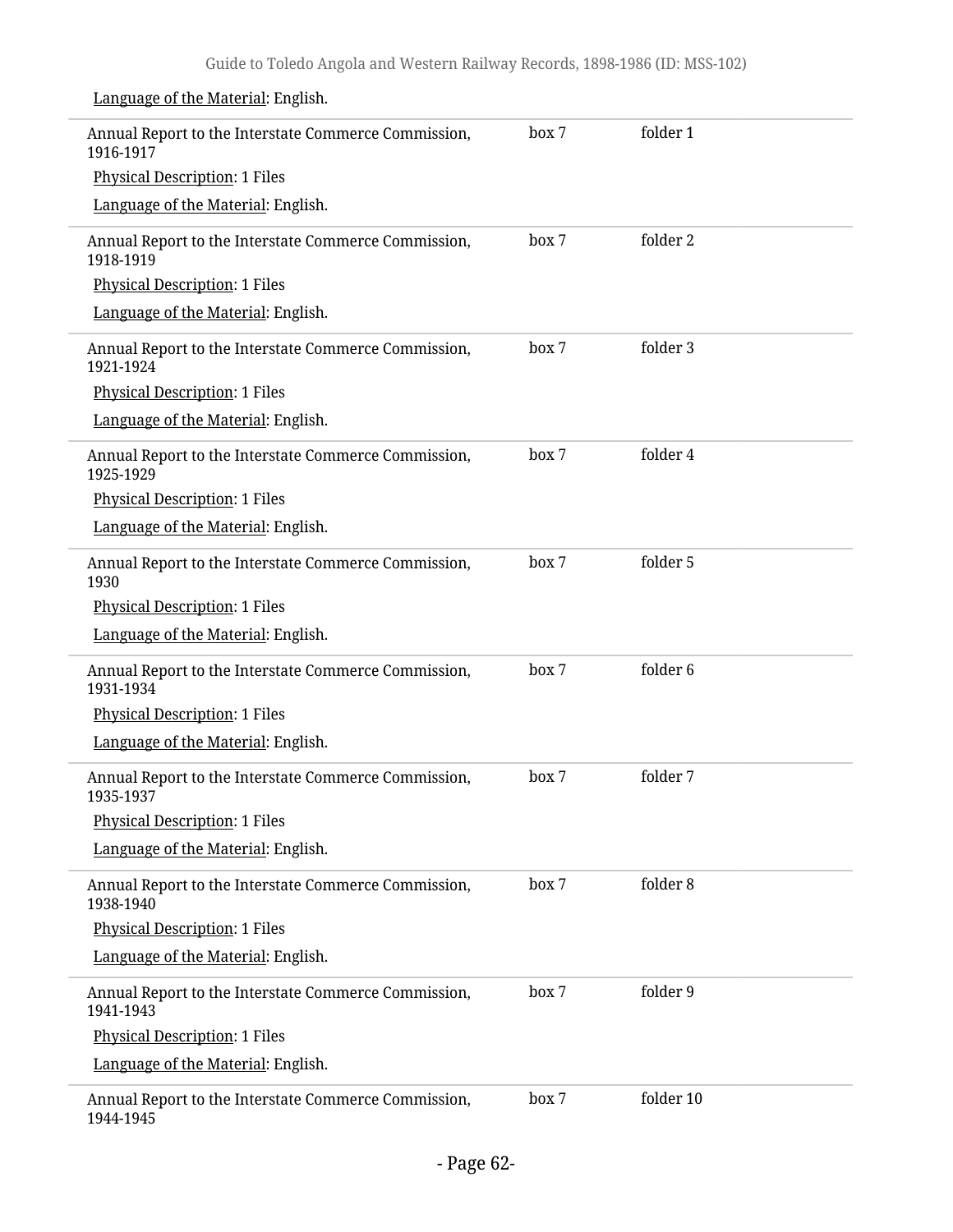| Annual Report to the Interstate Commerce Commission,<br>1916-1917 | box 7 | folder 1  |
|-------------------------------------------------------------------|-------|-----------|
| <b>Physical Description: 1 Files</b>                              |       |           |
| Language of the Material: English.                                |       |           |
| Annual Report to the Interstate Commerce Commission,<br>1918-1919 | box 7 | folder 2  |
| <b>Physical Description: 1 Files</b>                              |       |           |
| Language of the Material: English.                                |       |           |
| Annual Report to the Interstate Commerce Commission,<br>1921-1924 | box 7 | folder 3  |
| <b>Physical Description: 1 Files</b>                              |       |           |
| Language of the Material: English.                                |       |           |
| Annual Report to the Interstate Commerce Commission,<br>1925-1929 | box 7 | folder 4  |
| <b>Physical Description: 1 Files</b>                              |       |           |
| Language of the Material: English.                                |       |           |
| Annual Report to the Interstate Commerce Commission,<br>1930      | box 7 | folder 5  |
| <b>Physical Description: 1 Files</b>                              |       |           |
| Language of the Material: English.                                |       |           |
| Annual Report to the Interstate Commerce Commission,<br>1931-1934 | box 7 | folder 6  |
| <b>Physical Description: 1 Files</b>                              |       |           |
| Language of the Material: English.                                |       |           |
| Annual Report to the Interstate Commerce Commission,<br>1935-1937 | box 7 | folder 7  |
| Physical Description: 1 Files                                     |       |           |
| Language of the Material: English.                                |       |           |
| Annual Report to the Interstate Commerce Commission,<br>1938-1940 | box 7 | folder 8  |
| Physical Description: 1 Files                                     |       |           |
| Language of the Material: English.                                |       |           |
| Annual Report to the Interstate Commerce Commission,<br>1941-1943 | box 7 | folder 9  |
| Physical Description: 1 Files                                     |       |           |
| Language of the Material: English.                                |       |           |
| Annual Report to the Interstate Commerce Commission,<br>1944-1945 | box 7 | folder 10 |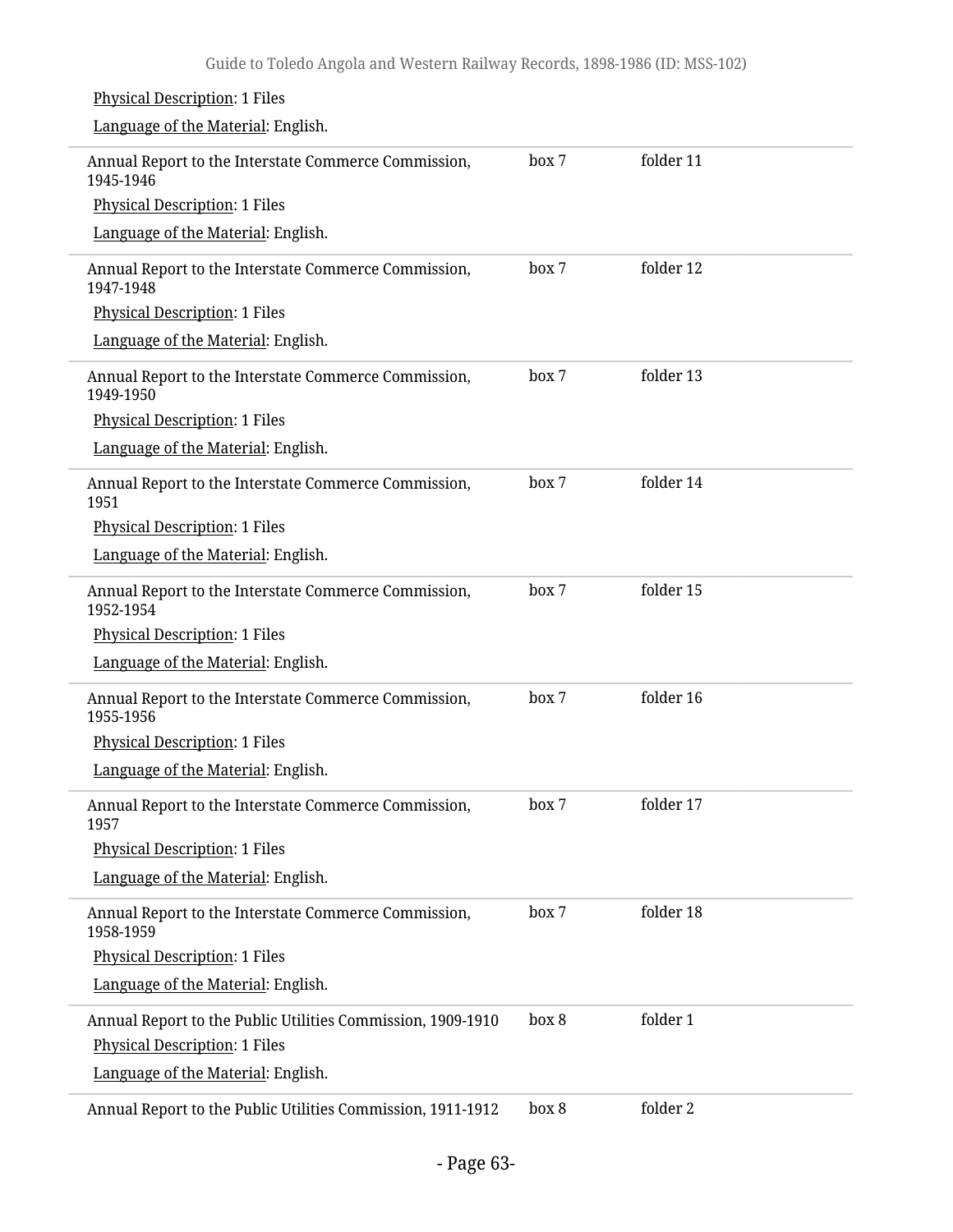## Physical Description: 1 Files Language of the Material: English. Annual Report to the Interstate Commerce Commission, 1945-1946 Physical Description: 1 Files Language of the Material: English. box 7 folder 11 Annual Report to the Interstate Commerce Commission, 1947-1948 Physical Description: 1 Files Language of the Material: English. box 7 folder 12 Annual Report to the Interstate Commerce Commission, 1949-1950 Physical Description: 1 Files Language of the Material: English. box 7 folder 13 Annual Report to the Interstate Commerce Commission, 1951 Physical Description: 1 Files Language of the Material: English. box 7 folder 14 Annual Report to the Interstate Commerce Commission, 1952-1954 Physical Description: 1 Files Language of the Material: English. box 7 folder 15 Annual Report to the Interstate Commerce Commission, 1955-1956 Physical Description: 1 Files Language of the Material: English. box 7 folder 16 Annual Report to the Interstate Commerce Commission, 1957 Physical Description: 1 Files Language of the Material: English. box 7 folder 17 Annual Report to the Interstate Commerce Commission, 1958-1959 Physical Description: 1 Files Language of the Material: English. box 7 folder 18 Annual Report to the Public Utilities Commission, 1909-1910 Physical Description: 1 Files Language of the Material: English. box 8 folder 1 Annual Report to the Public Utilities Commission, 1911-1912 box 8 folder 2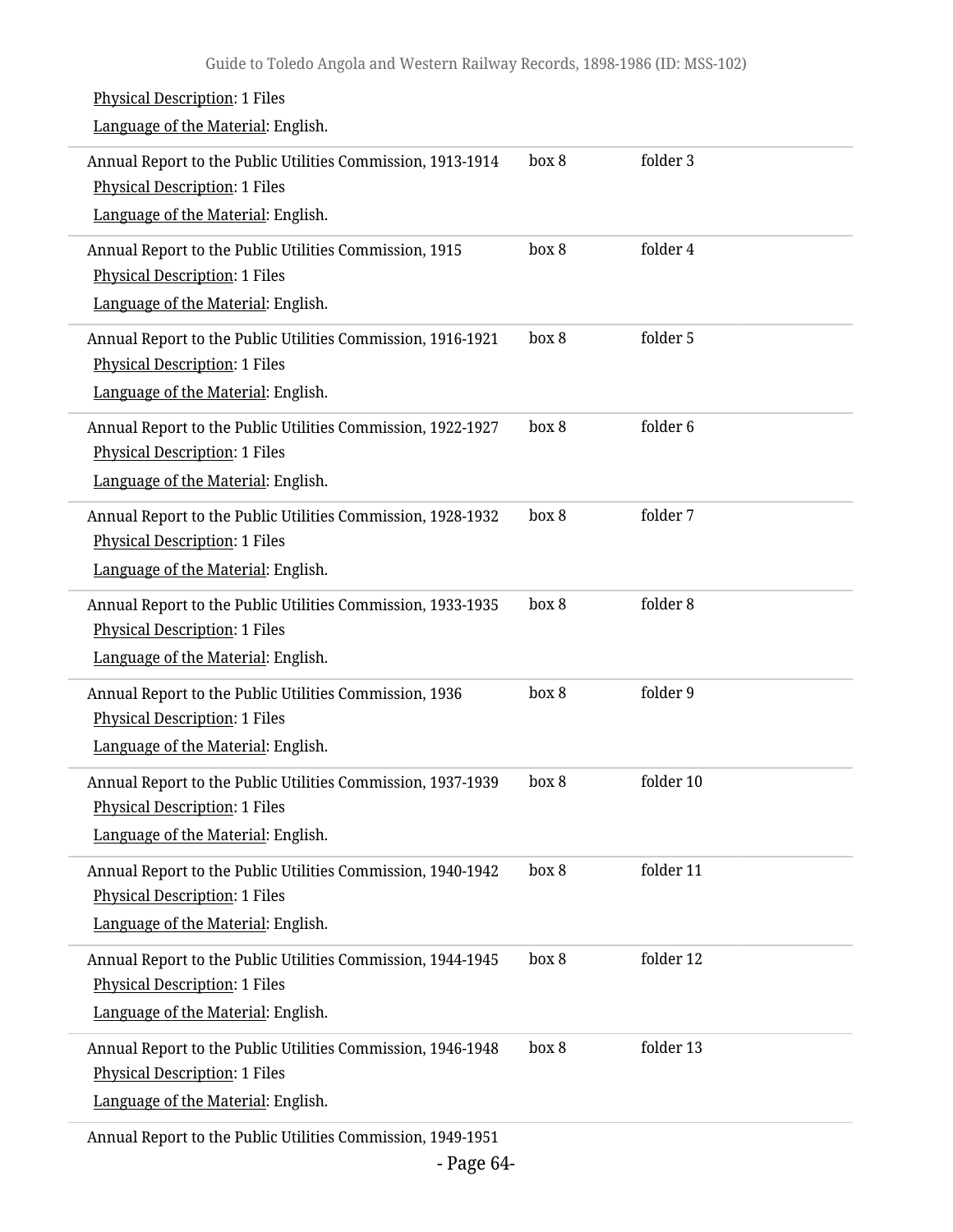| <b>Physical Description: 1 Files</b><br>Language of the Material: English.                                                                |       |           |
|-------------------------------------------------------------------------------------------------------------------------------------------|-------|-----------|
| Annual Report to the Public Utilities Commission, 1913-1914<br><b>Physical Description: 1 Files</b><br>Language of the Material: English. | box 8 | folder 3  |
| Annual Report to the Public Utilities Commission, 1915<br><b>Physical Description: 1 Files</b><br>Language of the Material: English.      | box 8 | folder 4  |
| Annual Report to the Public Utilities Commission, 1916-1921<br><b>Physical Description: 1 Files</b><br>Language of the Material: English. | box 8 | folder 5  |
| Annual Report to the Public Utilities Commission, 1922-1927<br><b>Physical Description: 1 Files</b><br>Language of the Material: English. | box 8 | folder 6  |
| Annual Report to the Public Utilities Commission, 1928-1932<br><b>Physical Description: 1 Files</b><br>Language of the Material: English. | box 8 | folder 7  |
| Annual Report to the Public Utilities Commission, 1933-1935<br><b>Physical Description: 1 Files</b><br>Language of the Material: English. | box 8 | folder 8  |
| Annual Report to the Public Utilities Commission, 1936<br><b>Physical Description: 1 Files</b><br>Language of the Material: English.      | box 8 | folder 9  |
| Annual Report to the Public Utilities Commission, 1937-1939<br><b>Physical Description: 1 Files</b><br>Language of the Material: English. | box 8 | folder 10 |
| Annual Report to the Public Utilities Commission, 1940-1942<br><b>Physical Description: 1 Files</b><br>Language of the Material: English. | box 8 | folder 11 |
| Annual Report to the Public Utilities Commission, 1944-1945<br><b>Physical Description: 1 Files</b><br>Language of the Material: English. | box 8 | folder 12 |
| Annual Report to the Public Utilities Commission, 1946-1948<br>Physical Description: 1 Files<br>Language of the Material: English.        | box 8 | folder 13 |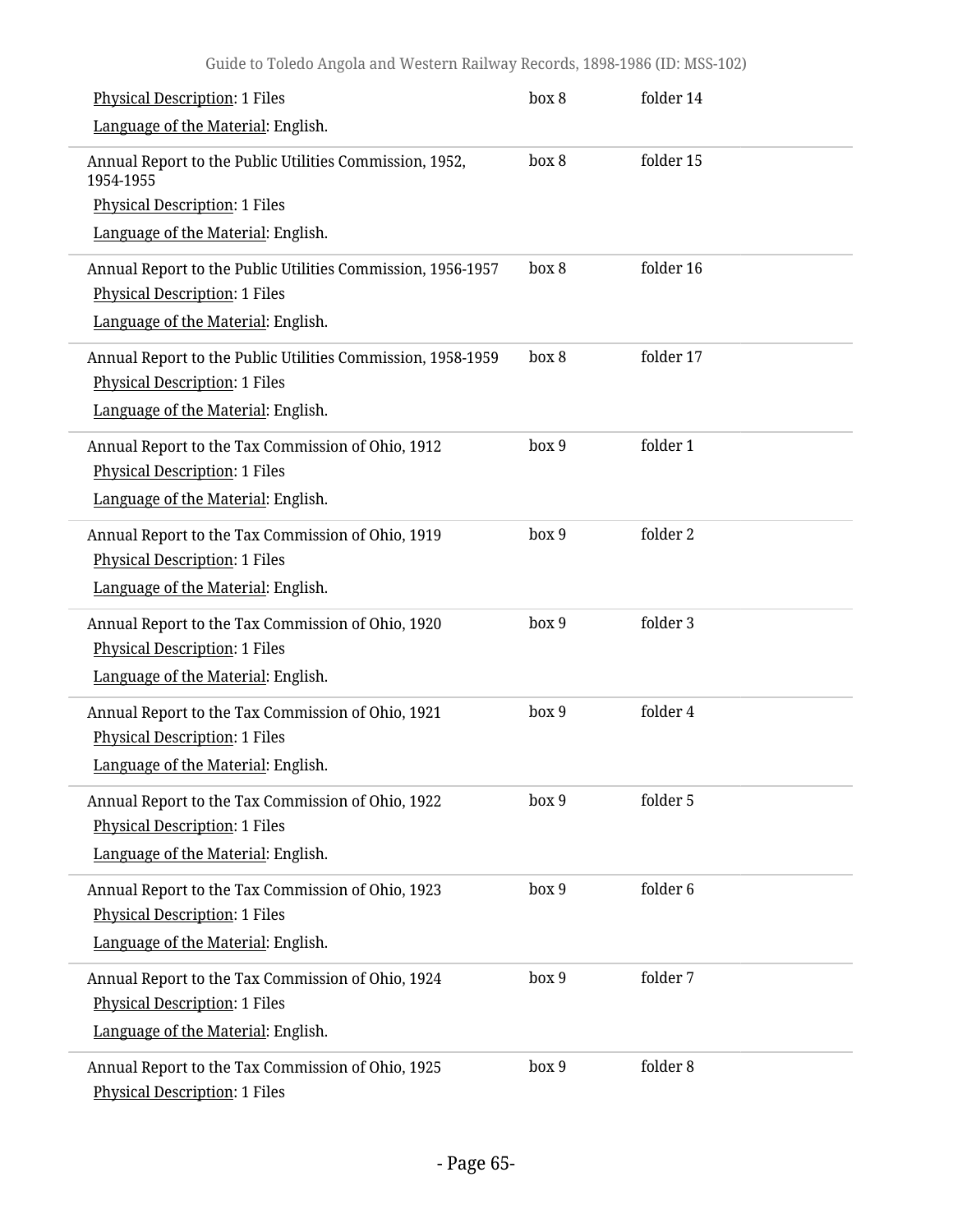| Physical Description: 1 Files                                                                                                             | box 8 | folder 14 |
|-------------------------------------------------------------------------------------------------------------------------------------------|-------|-----------|
| Language of the Material: English.                                                                                                        |       |           |
| Annual Report to the Public Utilities Commission, 1952,<br>1954-1955                                                                      | box 8 | folder 15 |
| <b>Physical Description: 1 Files</b>                                                                                                      |       |           |
| Language of the Material: English.                                                                                                        |       |           |
| Annual Report to the Public Utilities Commission, 1956-1957<br>Physical Description: 1 Files<br>Language of the Material: English.        | box 8 | folder 16 |
| Annual Report to the Public Utilities Commission, 1958-1959<br><b>Physical Description: 1 Files</b><br>Language of the Material: English. | box 8 | folder 17 |
| Annual Report to the Tax Commission of Ohio, 1912<br><b>Physical Description: 1 Files</b><br>Language of the Material: English.           | box 9 | folder 1  |
| Annual Report to the Tax Commission of Ohio, 1919<br><b>Physical Description: 1 Files</b><br>Language of the Material: English.           | box 9 | folder 2  |
| Annual Report to the Tax Commission of Ohio, 1920<br>Physical Description: 1 Files<br>Language of the Material: English.                  | box 9 | folder 3  |
| Annual Report to the Tax Commission of Ohio, 1921<br><b>Physical Description: 1 Files</b><br>Language of the Material: English.           | box 9 | folder 4  |
| Annual Report to the Tax Commission of Ohio, 1922<br>Physical Description: 1 Files<br>Language of the Material: English.                  | box 9 | folder 5  |
| Annual Report to the Tax Commission of Ohio, 1923<br>Physical Description: 1 Files<br>Language of the Material: English.                  | box 9 | folder 6  |
| Annual Report to the Tax Commission of Ohio, 1924<br>Physical Description: 1 Files<br>Language of the Material: English.                  | box 9 | folder 7  |
| Annual Report to the Tax Commission of Ohio, 1925<br><b>Physical Description: 1 Files</b>                                                 | box 9 | folder 8  |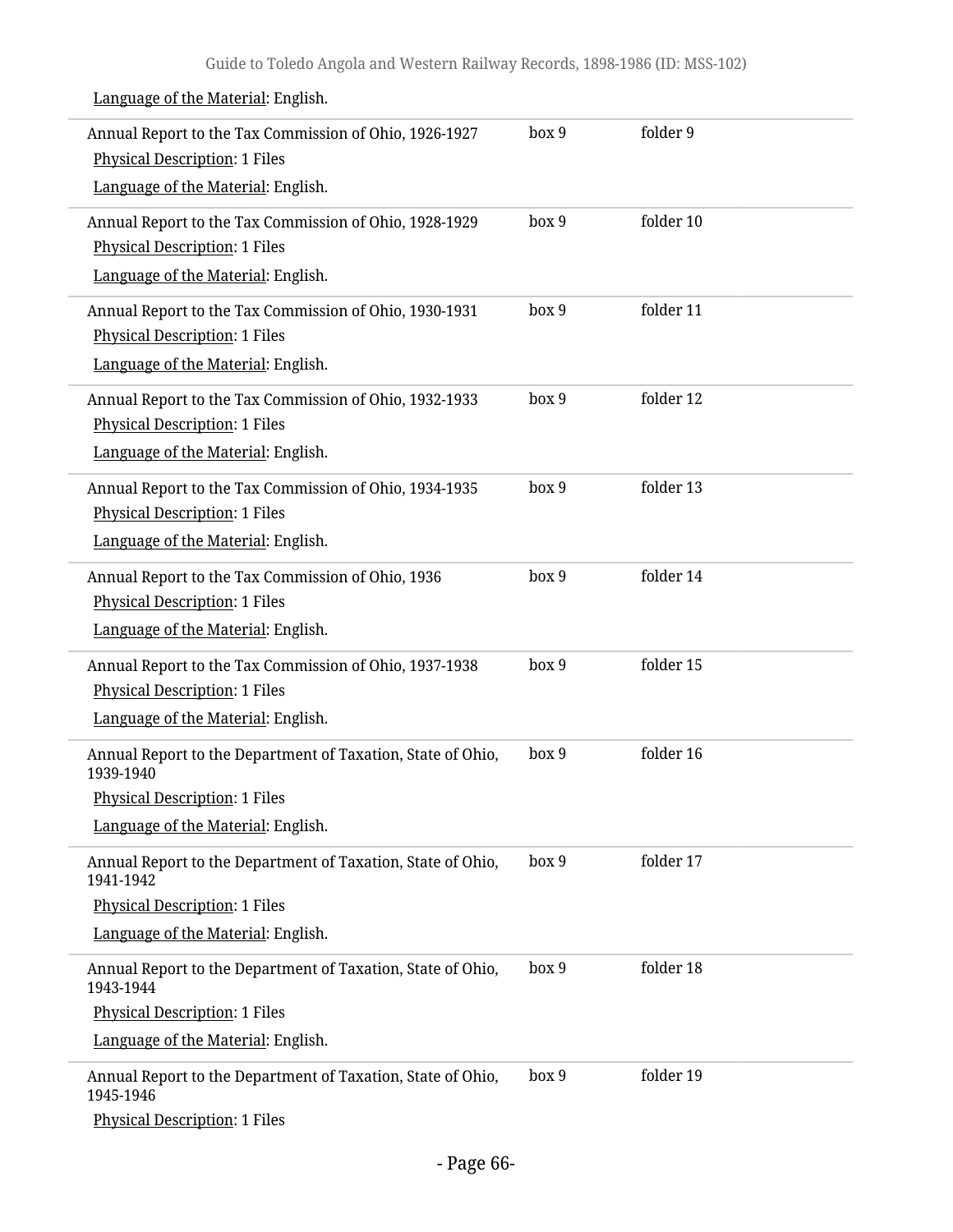| Annual Report to the Tax Commission of Ohio, 1926-1927<br><b>Physical Description: 1 Files</b><br>Language of the Material: English.                   | box 9 | folder 9  |
|--------------------------------------------------------------------------------------------------------------------------------------------------------|-------|-----------|
| Annual Report to the Tax Commission of Ohio, 1928-1929<br><b>Physical Description: 1 Files</b><br>Language of the Material: English.                   | box 9 | folder 10 |
| Annual Report to the Tax Commission of Ohio, 1930-1931<br><b>Physical Description: 1 Files</b><br>Language of the Material: English.                   | box 9 | folder 11 |
| Annual Report to the Tax Commission of Ohio, 1932-1933<br><b>Physical Description: 1 Files</b><br>Language of the Material: English.                   | box 9 | folder 12 |
| Annual Report to the Tax Commission of Ohio, 1934-1935<br><b>Physical Description: 1 Files</b><br>Language of the Material: English.                   | box 9 | folder 13 |
| Annual Report to the Tax Commission of Ohio, 1936<br><b>Physical Description: 1 Files</b><br>Language of the Material: English.                        | box 9 | folder 14 |
| Annual Report to the Tax Commission of Ohio, 1937-1938<br><b>Physical Description: 1 Files</b><br>Language of the Material: English.                   | box 9 | folder 15 |
| Annual Report to the Department of Taxation, State of Ohio,<br>1939-1940<br><b>Physical Description: 1 Files</b><br>Language of the Material: English. | box 9 | folder 16 |
| Annual Report to the Department of Taxation, State of Ohio,<br>1941-1942<br><b>Physical Description: 1 Files</b><br>Language of the Material: English. | box 9 | folder 17 |
| Annual Report to the Department of Taxation, State of Ohio,<br>1943-1944<br><b>Physical Description: 1 Files</b><br>Language of the Material: English. | box 9 | folder 18 |
| Annual Report to the Department of Taxation, State of Ohio,<br>1945-1946<br><b>Physical Description: 1 Files</b>                                       | box 9 | folder 19 |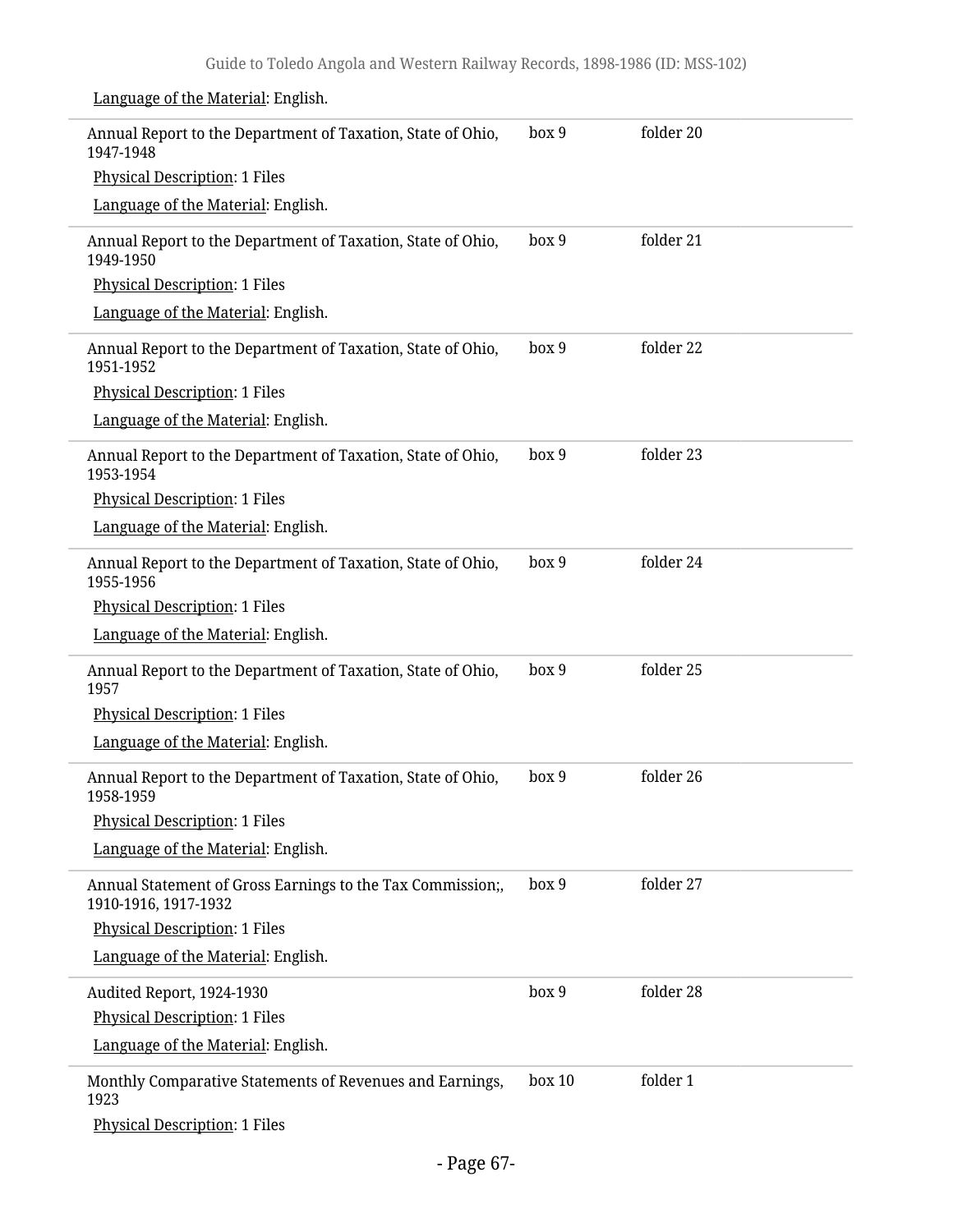Annual Report to the Department of Taxation, State of Ohio, 1947-1948 Physical Description: 1 Files Language of the Material: English. box 9 folder 20 Annual Report to the Department of Taxation, State of Ohio, 1949-1950 Physical Description: 1 Files Language of the Material: English. box 9 folder 21 Annual Report to the Department of Taxation, State of Ohio, 1951-1952 Physical Description: 1 Files Language of the Material: English. box 9 folder 22 Annual Report to the Department of Taxation, State of Ohio, 1953-1954 Physical Description: 1 Files Language of the Material: English. box 9 folder 23 Annual Report to the Department of Taxation, State of Ohio, 1955-1956 Physical Description: 1 Files Language of the Material: English. box 9 folder 24 Annual Report to the Department of Taxation, State of Ohio, 1957 Physical Description: 1 Files Language of the Material: English. box 9 folder 25 Annual Report to the Department of Taxation, State of Ohio, 1958-1959 Physical Description: 1 Files Language of the Material: English. box 9 folder 26 Annual Statement of Gross Earnings to the Tax Commission;, 1910-1916, 1917-1932 Physical Description: 1 Files Language of the Material: English. box 9 folder 27 Audited Report, 1924-1930 Physical Description: 1 Files Language of the Material: English. box 9 folder 28 Monthly Comparative Statements of Revenues and Earnings, 1923 Physical Description: 1 Files box 10 folder 1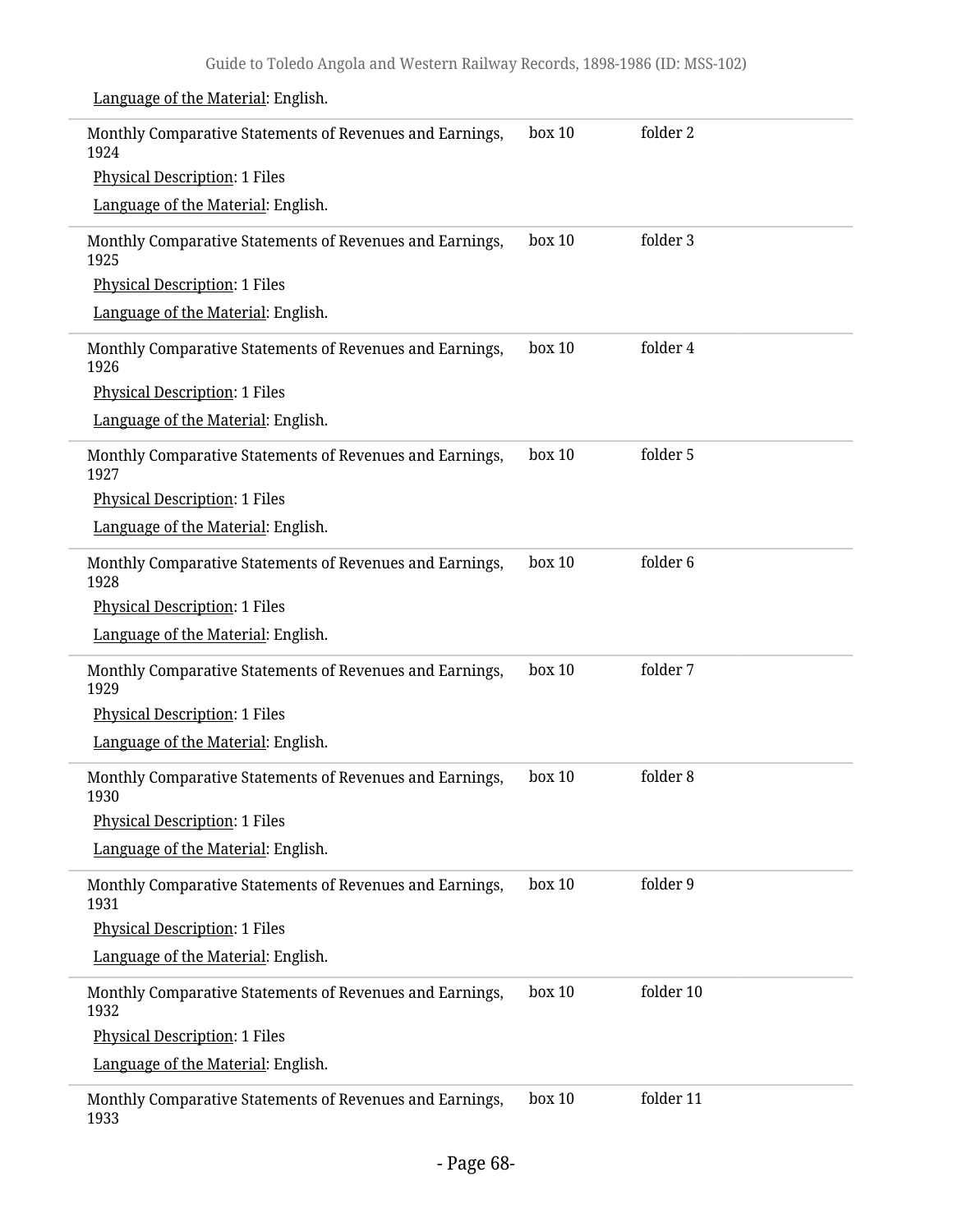| Language of the Material: English.                               |        |           |
|------------------------------------------------------------------|--------|-----------|
| Monthly Comparative Statements of Revenues and Earnings,<br>1924 | box 10 | folder 2  |
| <b>Physical Description: 1 Files</b>                             |        |           |
| Language of the Material: English.                               |        |           |
| Monthly Comparative Statements of Revenues and Earnings,<br>1925 | box 10 | folder 3  |
| <b>Physical Description: 1 Files</b>                             |        |           |
| Language of the Material: English.                               |        |           |
| Monthly Comparative Statements of Revenues and Earnings,<br>1926 | box 10 | folder 4  |
| <b>Physical Description: 1 Files</b>                             |        |           |
| Language of the Material: English.                               |        |           |
| Monthly Comparative Statements of Revenues and Earnings,<br>1927 | box 10 | folder 5  |
| <b>Physical Description: 1 Files</b>                             |        |           |
| Language of the Material: English.                               |        |           |
| Monthly Comparative Statements of Revenues and Earnings,<br>1928 | box 10 | folder 6  |
| <b>Physical Description: 1 Files</b>                             |        |           |
| Language of the Material: English.                               |        |           |
| Monthly Comparative Statements of Revenues and Earnings,<br>1929 | box 10 | folder 7  |
| <b>Physical Description: 1 Files</b>                             |        |           |
| Language of the Material: English.                               |        |           |
| Monthly Comparative Statements of Revenues and Earnings,<br>1930 | box 10 | folder 8  |
| <b>Physical Description: 1 Files</b>                             |        |           |
| Language of the Material: English.                               |        |           |
| Monthly Comparative Statements of Revenues and Earnings,<br>1931 | box 10 | folder 9  |
| <b>Physical Description: 1 Files</b>                             |        |           |
| Language of the Material: English.                               |        |           |
| Monthly Comparative Statements of Revenues and Earnings,<br>1932 | box 10 | folder 10 |
| <b>Physical Description: 1 Files</b>                             |        |           |
| Language of the Material: English.                               |        |           |
| Monthly Comparative Statements of Revenues and Earnings,<br>1933 | box 10 | folder 11 |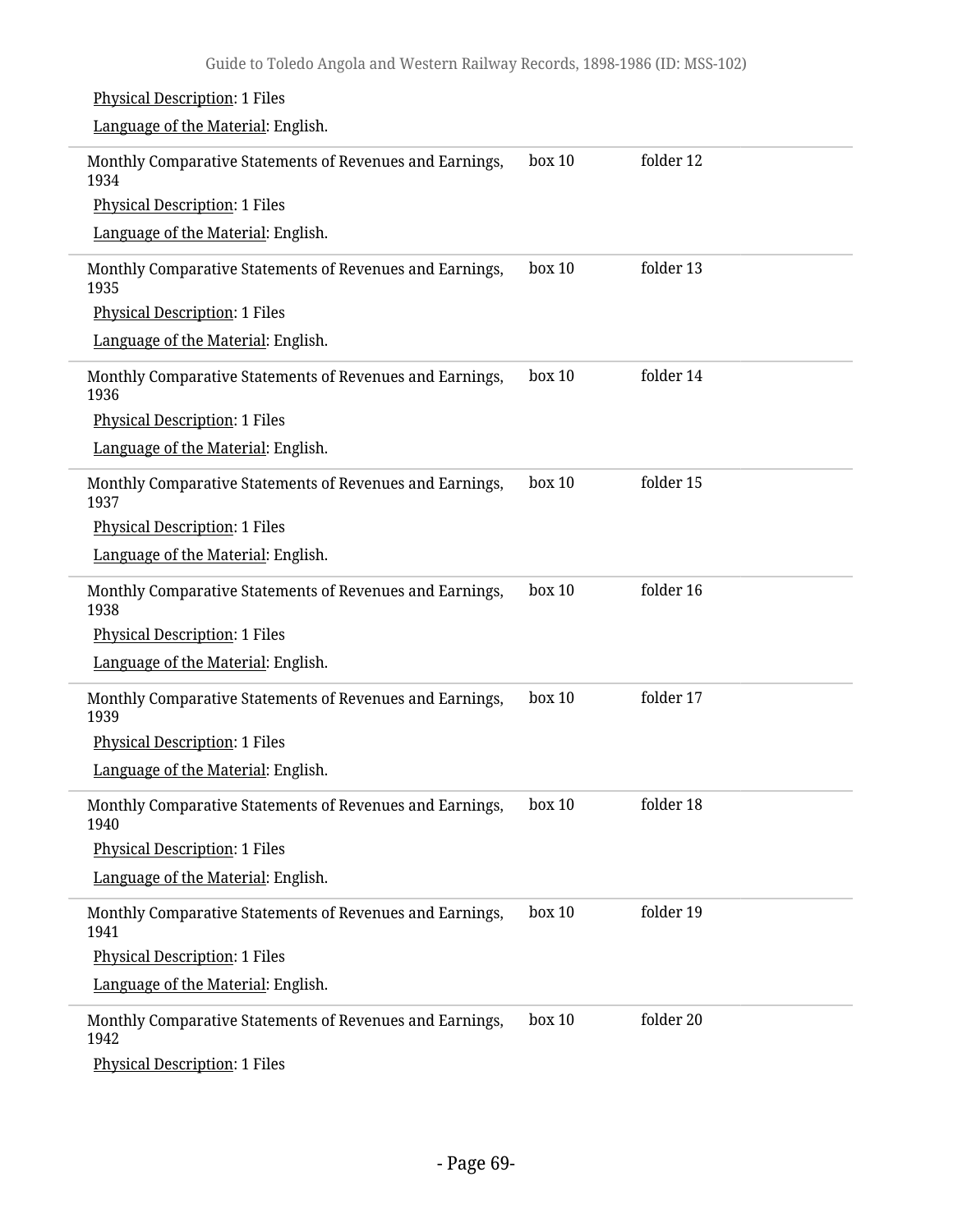### Physical Description: 1 Files Language of the Material: English. Monthly Comparative Statements of Revenues and Earnings, 1934 Physical Description: 1 Files Language of the Material: English. box 10 folder 12 Monthly Comparative Statements of Revenues and Earnings, 1935 Physical Description: 1 Files Language of the Material: English. box 10 folder 13 Monthly Comparative Statements of Revenues and Earnings, 1936 Physical Description: 1 Files Language of the Material: English. box 10 folder 14 Monthly Comparative Statements of Revenues and Earnings, 1937 Physical Description: 1 Files Language of the Material: English. box 10 folder 15 Monthly Comparative Statements of Revenues and Earnings, 1938 Physical Description: 1 Files Language of the Material: English. box 10 folder 16 Monthly Comparative Statements of Revenues and Earnings, 1939 Physical Description: 1 Files Language of the Material: English. box 10 folder 17 Monthly Comparative Statements of Revenues and Earnings, 1940 Physical Description: 1 Files Language of the Material: English. box 10 folder 18 Monthly Comparative Statements of Revenues and Earnings, 1941 Physical Description: 1 Files Language of the Material: English. box 10 folder 19 Monthly Comparative Statements of Revenues and Earnings, 1942 Physical Description: 1 Files box 10 folder 20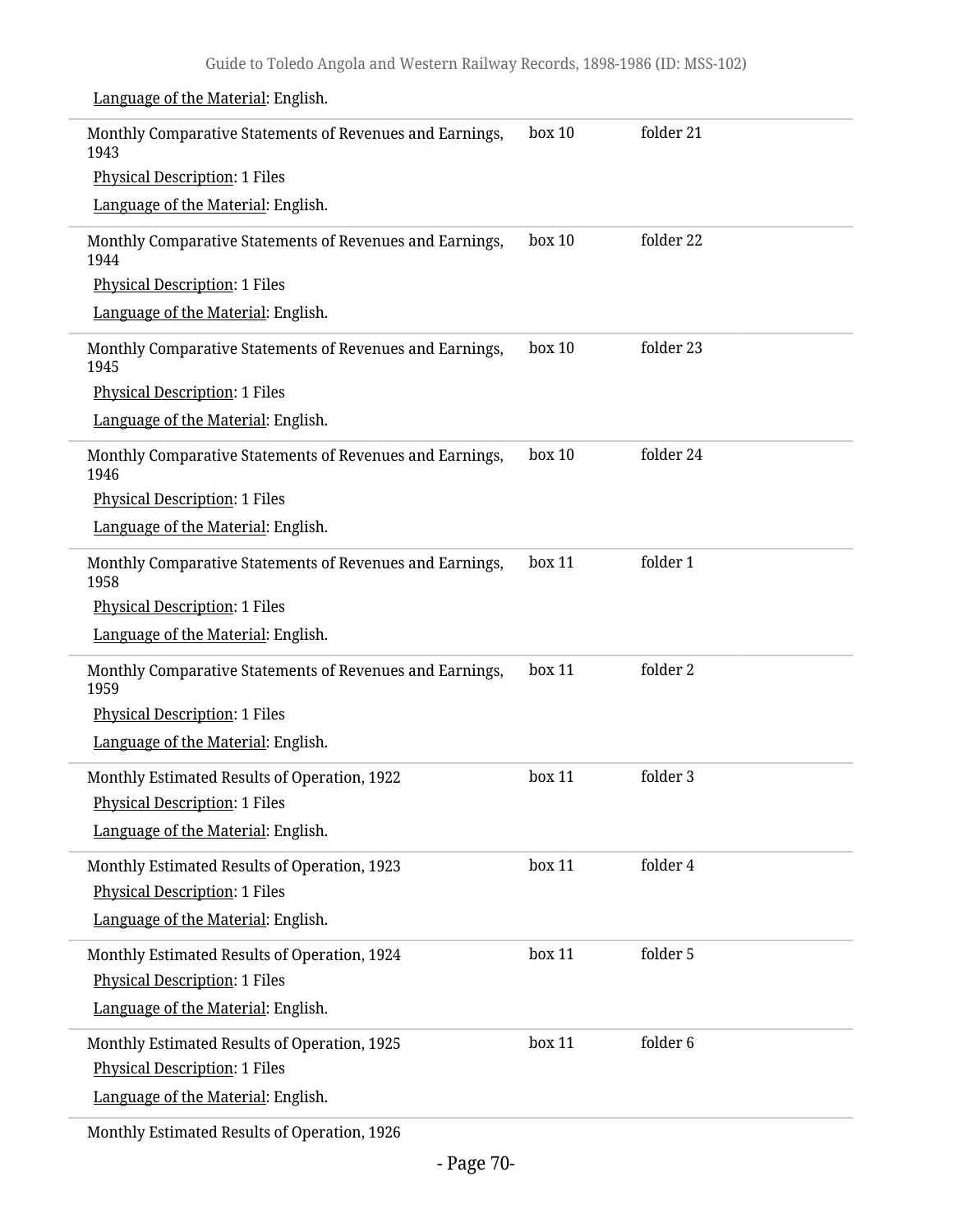| <u>Language of the Material</u> . Linguism.                      |        |           |
|------------------------------------------------------------------|--------|-----------|
| Monthly Comparative Statements of Revenues and Earnings,<br>1943 | box 10 | folder 21 |
| <b>Physical Description: 1 Files</b>                             |        |           |
| Language of the Material: English.                               |        |           |
| Monthly Comparative Statements of Revenues and Earnings,<br>1944 | box 10 | folder 22 |
| <b>Physical Description: 1 Files</b>                             |        |           |
| Language of the Material: English.                               |        |           |
| Monthly Comparative Statements of Revenues and Earnings,<br>1945 | box 10 | folder 23 |
| <b>Physical Description: 1 Files</b>                             |        |           |
| Language of the Material: English.                               |        |           |
| Monthly Comparative Statements of Revenues and Earnings,<br>1946 | box 10 | folder 24 |
| <b>Physical Description: 1 Files</b>                             |        |           |
| Language of the Material: English.                               |        |           |
| Monthly Comparative Statements of Revenues and Earnings,<br>1958 | box 11 | folder 1  |
| <b>Physical Description: 1 Files</b>                             |        |           |
| Language of the Material: English.                               |        |           |
| Monthly Comparative Statements of Revenues and Earnings,<br>1959 | box 11 | folder 2  |
| <b>Physical Description: 1 Files</b>                             |        |           |
| Language of the Material: English.                               |        |           |
| Monthly Estimated Results of Operation, 1922                     | box 11 | folder 3  |
| <b>Physical Description: 1 Files</b>                             |        |           |
| Language of the Material: English.                               |        |           |
| Monthly Estimated Results of Operation, 1923                     | box 11 | folder 4  |
| <b>Physical Description: 1 Files</b>                             |        |           |
| Language of the Material: English.                               |        |           |
| Monthly Estimated Results of Operation, 1924                     | box 11 | folder 5  |
| <b>Physical Description: 1 Files</b>                             |        |           |
| Language of the Material: English.                               |        |           |
| Monthly Estimated Results of Operation, 1925                     | box 11 | folder 6  |
| <b>Physical Description: 1 Files</b>                             |        |           |
| Language of the Material: English.                               |        |           |
| Monthly Estimated Results of Operation, 1926                     |        |           |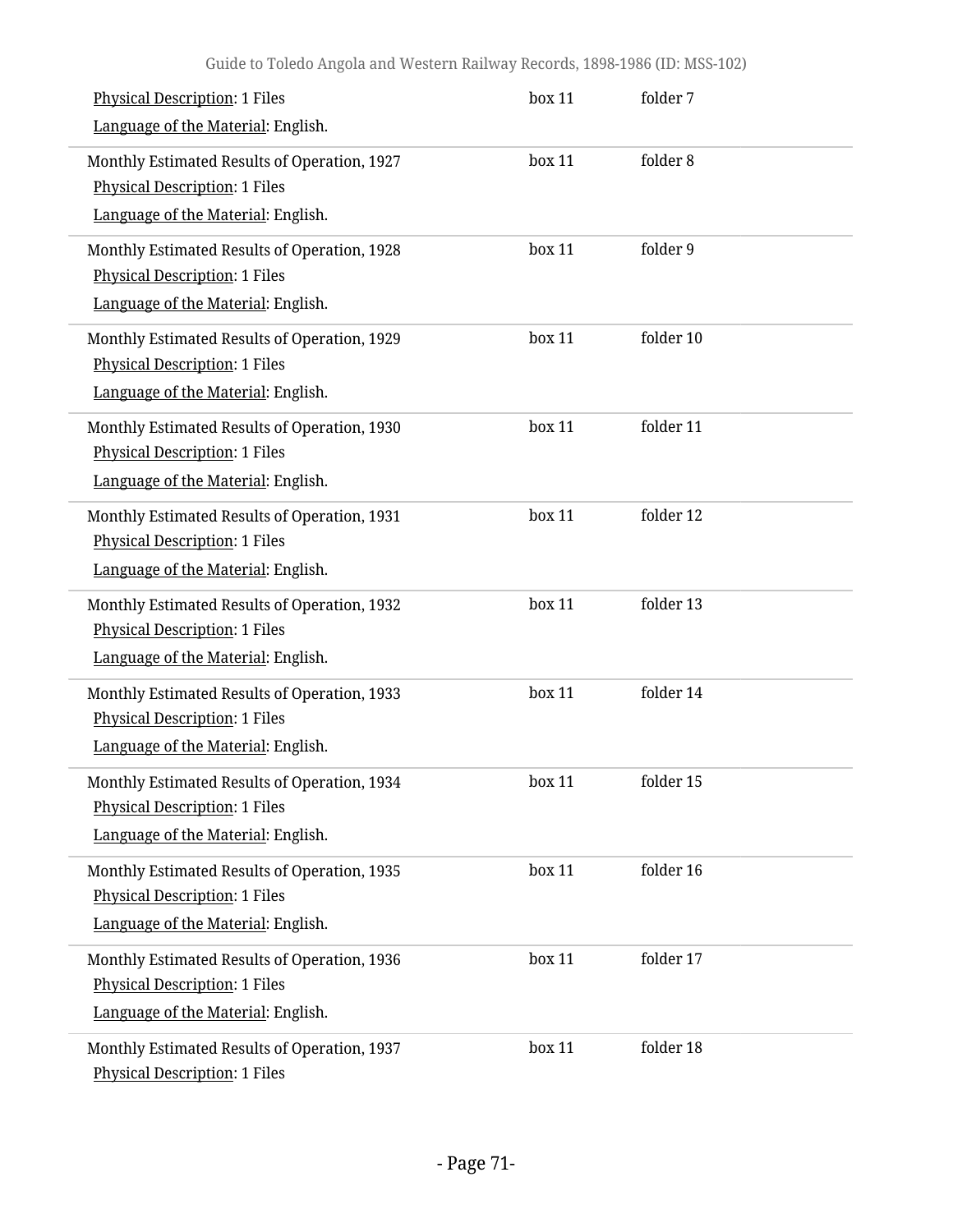| <b>Physical Description: 1 Files</b><br>Language of the Material: English.                                                 | box 11 | folder 7  |  |
|----------------------------------------------------------------------------------------------------------------------------|--------|-----------|--|
| Monthly Estimated Results of Operation, 1927<br><b>Physical Description: 1 Files</b><br>Language of the Material: English. | box 11 | folder 8  |  |
| Monthly Estimated Results of Operation, 1928<br><b>Physical Description: 1 Files</b><br>Language of the Material: English. | box 11 | folder 9  |  |
| Monthly Estimated Results of Operation, 1929<br><b>Physical Description: 1 Files</b><br>Language of the Material: English. | box 11 | folder 10 |  |
| Monthly Estimated Results of Operation, 1930<br><b>Physical Description: 1 Files</b><br>Language of the Material: English. | box 11 | folder 11 |  |
| Monthly Estimated Results of Operation, 1931<br><b>Physical Description: 1 Files</b><br>Language of the Material: English. | box 11 | folder 12 |  |
| Monthly Estimated Results of Operation, 1932<br><b>Physical Description: 1 Files</b><br>Language of the Material: English. | box 11 | folder 13 |  |
| Monthly Estimated Results of Operation, 1933<br><b>Physical Description: 1 Files</b><br>Language of the Material: English. | box 11 | folder 14 |  |
| Monthly Estimated Results of Operation, 1934<br>Physical Description: 1 Files<br>Language of the Material: English.        | box 11 | folder 15 |  |
| Monthly Estimated Results of Operation, 1935<br><b>Physical Description: 1 Files</b><br>Language of the Material: English. | box 11 | folder 16 |  |
| Monthly Estimated Results of Operation, 1936<br><b>Physical Description: 1 Files</b><br>Language of the Material: English. | box 11 | folder 17 |  |
| Monthly Estimated Results of Operation, 1937<br><b>Physical Description: 1 Files</b>                                       | box 11 | folder 18 |  |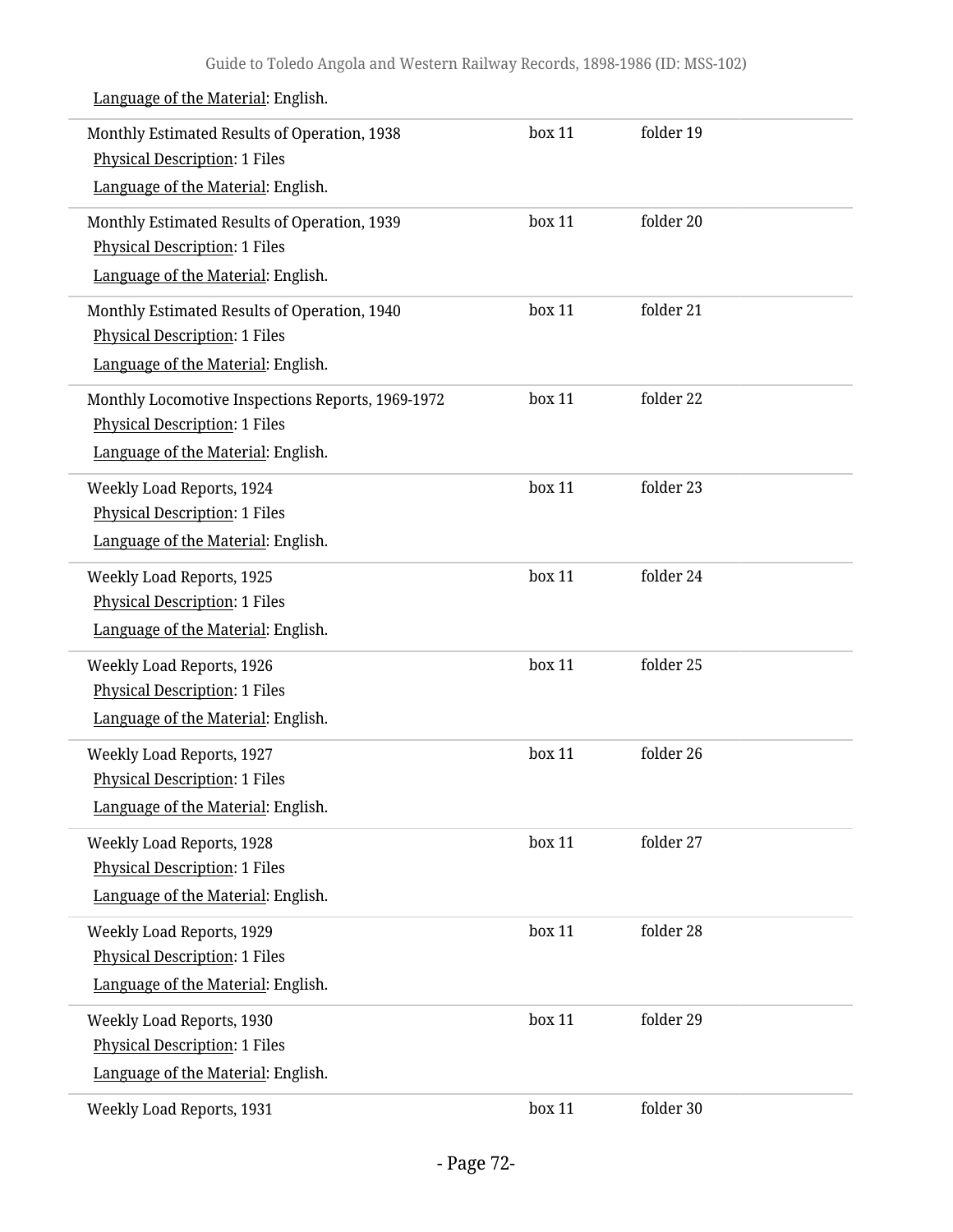| Monthly Estimated Results of Operation, 1938<br><b>Physical Description: 1 Files</b><br>Language of the Material: English.      | box 11 | folder 19 |  |
|---------------------------------------------------------------------------------------------------------------------------------|--------|-----------|--|
| Monthly Estimated Results of Operation, 1939<br><b>Physical Description: 1 Files</b><br>Language of the Material: English.      | box 11 | folder 20 |  |
| Monthly Estimated Results of Operation, 1940<br><b>Physical Description: 1 Files</b><br>Language of the Material: English.      | box 11 | folder 21 |  |
| Monthly Locomotive Inspections Reports, 1969-1972<br><b>Physical Description: 1 Files</b><br>Language of the Material: English. | box 11 | folder 22 |  |
| Weekly Load Reports, 1924<br><b>Physical Description: 1 Files</b><br>Language of the Material: English.                         | box 11 | folder 23 |  |
| <b>Weekly Load Reports, 1925</b><br><b>Physical Description: 1 Files</b><br>Language of the Material: English.                  | box 11 | folder 24 |  |
| Weekly Load Reports, 1926<br><b>Physical Description: 1 Files</b><br>Language of the Material: English.                         | box 11 | folder 25 |  |
| Weekly Load Reports, 1927<br><b>Physical Description: 1 Files</b><br>Language of the Material: English.                         | box 11 | folder 26 |  |
| Weekly Load Reports, 1928<br><b>Physical Description: 1 Files</b><br>Language of the Material: English.                         | box 11 | folder 27 |  |
| Weekly Load Reports, 1929<br><b>Physical Description: 1 Files</b><br>Language of the Material: English.                         | box 11 | folder 28 |  |
| Weekly Load Reports, 1930<br><b>Physical Description: 1 Files</b><br>Language of the Material: English.                         | box 11 | folder 29 |  |
| Weekly Load Reports, 1931                                                                                                       | box 11 | folder 30 |  |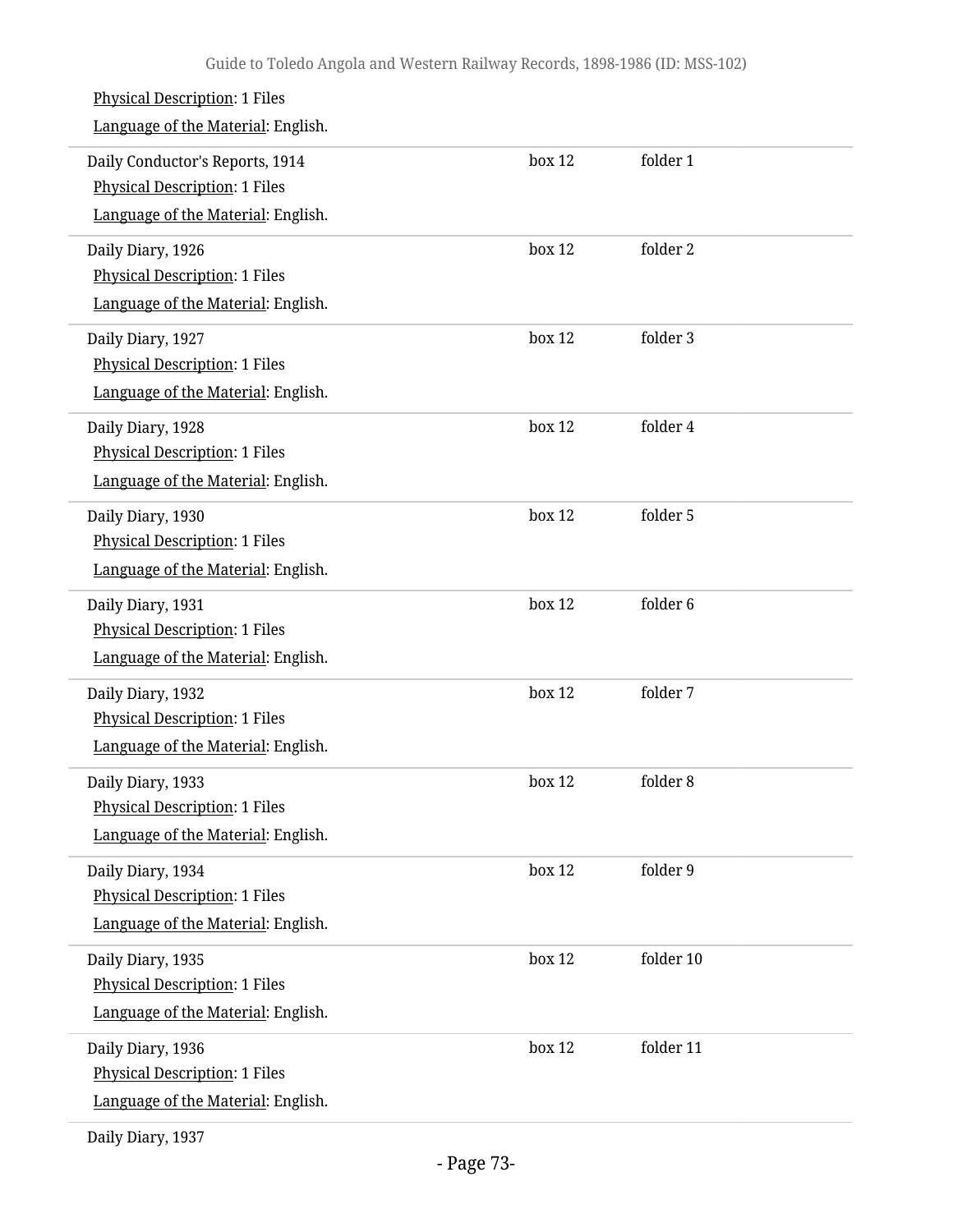| <b>Physical Description: 1 Files</b><br>Language of the Material: English.                             |        |           |
|--------------------------------------------------------------------------------------------------------|--------|-----------|
| Daily Conductor's Reports, 1914<br>Physical Description: 1 Files<br>Language of the Material: English. | box 12 | folder 1  |
| Daily Diary, 1926<br><b>Physical Description: 1 Files</b><br>Language of the Material: English.        | box 12 | folder 2  |
| Daily Diary, 1927<br><b>Physical Description: 1 Files</b><br>Language of the Material: English.        | box 12 | folder 3  |
| Daily Diary, 1928<br>Physical Description: 1 Files<br>Language of the Material: English.               | box 12 | folder 4  |
| Daily Diary, 1930<br>Physical Description: 1 Files<br>Language of the Material: English.               | box 12 | folder 5  |
| Daily Diary, 1931<br>Physical Description: 1 Files<br>Language of the Material: English.               | box 12 | folder 6  |
| Daily Diary, 1932<br><b>Physical Description: 1 Files</b><br>Language of the Material: English.        | box 12 | folder 7  |
| Daily Diary, 1933<br>Physical Description: 1 Files<br>Language of the Material: English.               | box 12 | folder 8  |
| Daily Diary, 1934<br><b>Physical Description: 1 Files</b><br>Language of the Material: English.        | box 12 | folder 9  |
| Daily Diary, 1935<br>Physical Description: 1 Files<br>Language of the Material: English.               | box 12 | folder 10 |
| Daily Diary, 1936<br><b>Physical Description: 1 Files</b><br>Language of the Material: English.        | box 12 | folder 11 |
|                                                                                                        |        |           |

Daily Diary, 1937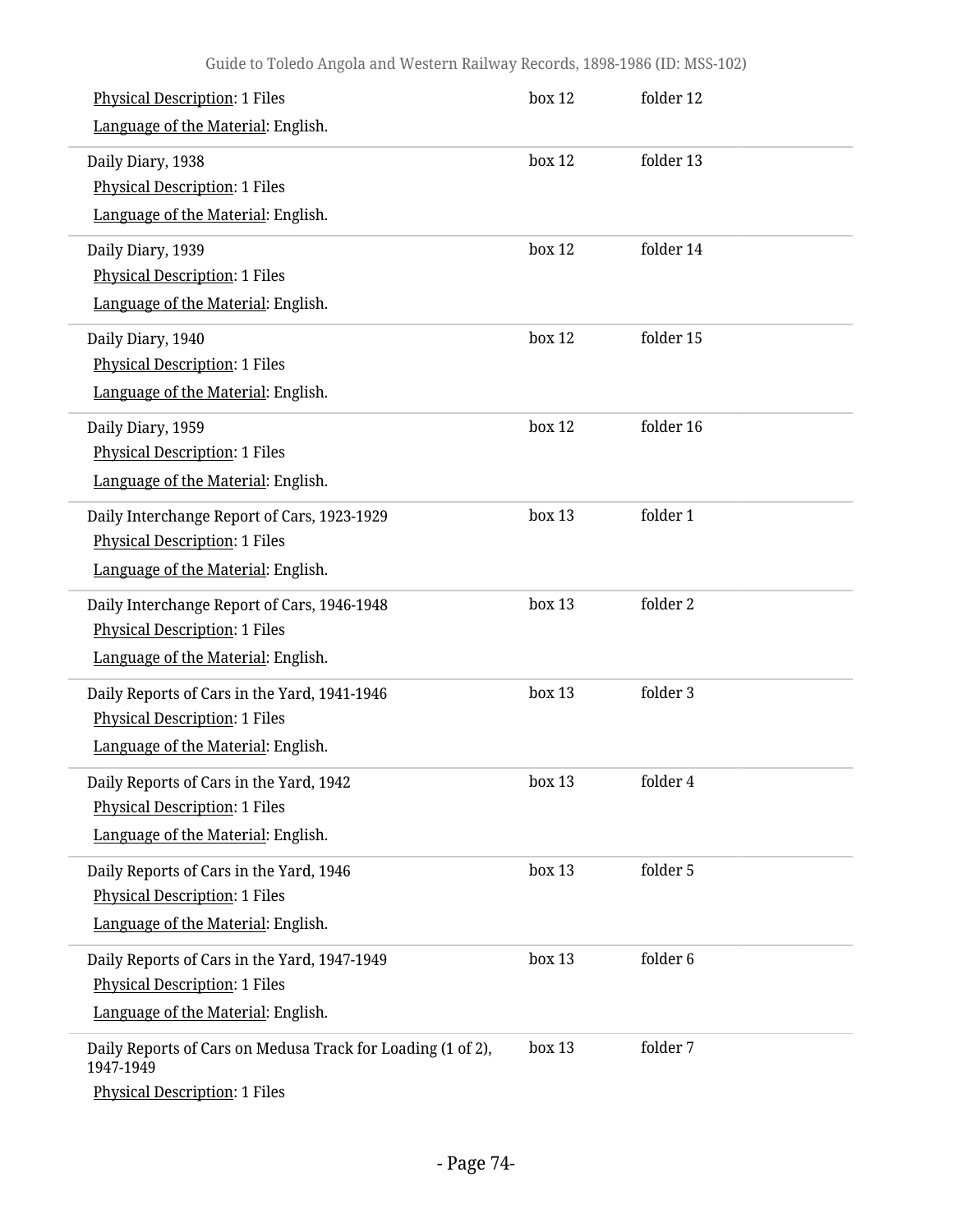| <b>Physical Description: 1 Files</b>                                     | box 12 | folder 12 |
|--------------------------------------------------------------------------|--------|-----------|
| Language of the Material: English.                                       |        |           |
| Daily Diary, 1938                                                        | box 12 | folder 13 |
| <b>Physical Description: 1 Files</b>                                     |        |           |
| Language of the Material: English.                                       |        |           |
| Daily Diary, 1939                                                        | box 12 | folder 14 |
| <b>Physical Description: 1 Files</b>                                     |        |           |
| Language of the Material: English.                                       |        |           |
| Daily Diary, 1940                                                        | box 12 | folder 15 |
| <b>Physical Description: 1 Files</b>                                     |        |           |
| Language of the Material: English.                                       |        |           |
| Daily Diary, 1959                                                        | box 12 | folder 16 |
| <b>Physical Description: 1 Files</b>                                     |        |           |
| Language of the Material: English.                                       |        |           |
| Daily Interchange Report of Cars, 1923-1929                              | box 13 | folder 1  |
| <b>Physical Description: 1 Files</b>                                     |        |           |
| Language of the Material: English.                                       |        |           |
| Daily Interchange Report of Cars, 1946-1948                              | box 13 | folder 2  |
| <b>Physical Description: 1 Files</b>                                     |        |           |
| Language of the Material: English.                                       |        |           |
| Daily Reports of Cars in the Yard, 1941-1946                             | box 13 | folder 3  |
| <b>Physical Description: 1 Files</b>                                     |        |           |
| Language of the Material: English.                                       |        |           |
| Daily Reports of Cars in the Yard, 1942                                  | box 13 | folder 4  |
| <b>Physical Description: 1 Files</b>                                     |        |           |
| Language of the Material: English.                                       |        |           |
| Daily Reports of Cars in the Yard, 1946                                  | box 13 | folder 5  |
| <b>Physical Description: 1 Files</b>                                     |        |           |
| Language of the Material: English.                                       |        |           |
| Daily Reports of Cars in the Yard, 1947-1949                             | box 13 | folder 6  |
| <b>Physical Description: 1 Files</b>                                     |        |           |
| Language of the Material: English.                                       |        |           |
| Daily Reports of Cars on Medusa Track for Loading (1 of 2),<br>1947-1949 | box 13 | folder 7  |
| Physical Description: 1 Files                                            |        |           |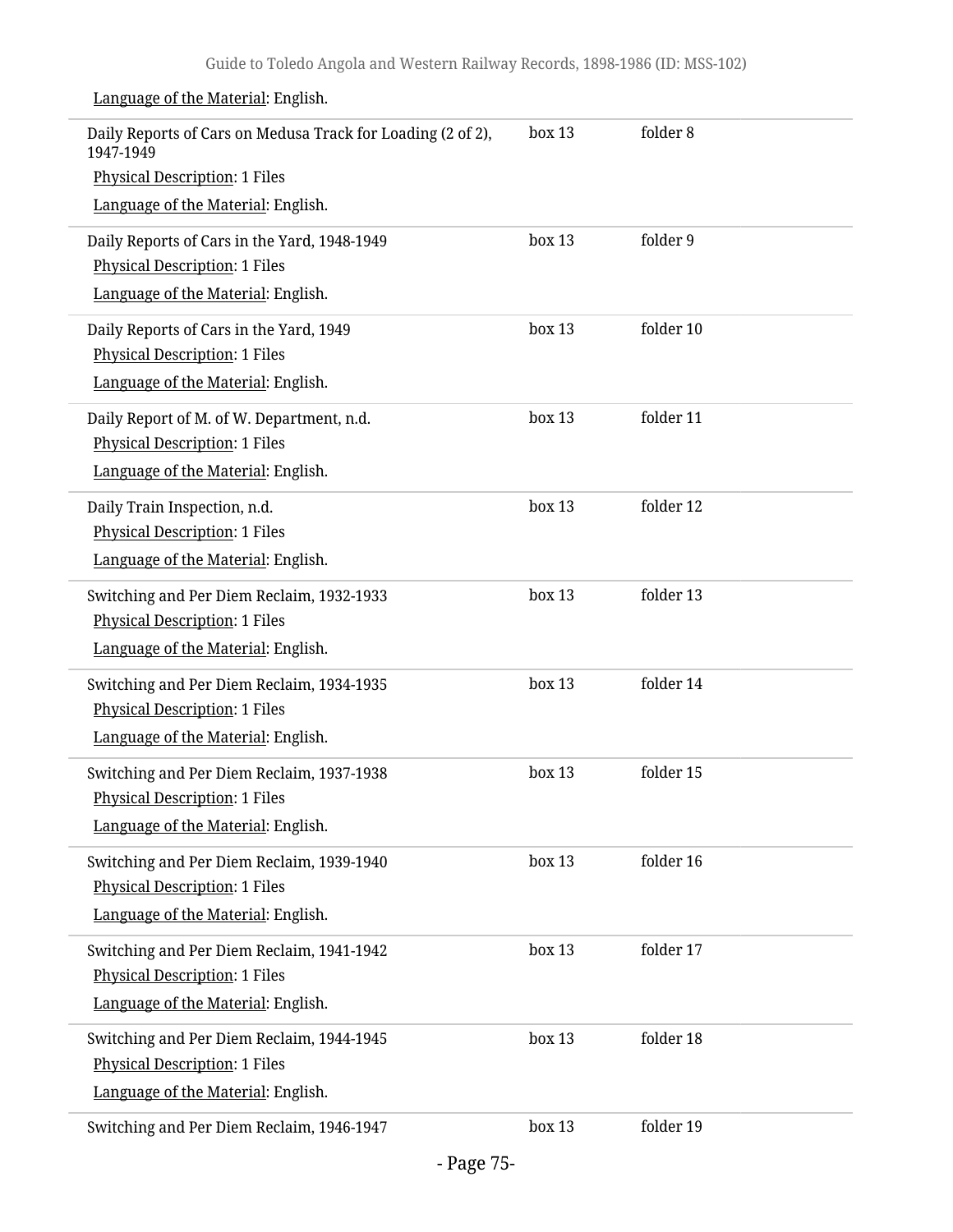| Daily Reports of Cars on Medusa Track for Loading (2 of 2),<br>1947-1949 | box 13 | folder 8  |
|--------------------------------------------------------------------------|--------|-----------|
| <b>Physical Description: 1 Files</b>                                     |        |           |
| Language of the Material: English.                                       |        |           |
| Daily Reports of Cars in the Yard, 1948-1949                             | box 13 | folder 9  |
| <b>Physical Description: 1 Files</b>                                     |        |           |
| Language of the Material: English.                                       |        |           |
| Daily Reports of Cars in the Yard, 1949                                  | box 13 | folder 10 |
| <b>Physical Description: 1 Files</b>                                     |        |           |
| Language of the Material: English.                                       |        |           |
| Daily Report of M. of W. Department, n.d.                                | box 13 | folder 11 |
| <b>Physical Description: 1 Files</b>                                     |        |           |
| Language of the Material: English.                                       |        |           |
| Daily Train Inspection, n.d.                                             | box 13 | folder 12 |
| <b>Physical Description: 1 Files</b>                                     |        |           |
| Language of the Material: English.                                       |        |           |
| Switching and Per Diem Reclaim, 1932-1933                                | box 13 | folder 13 |
| <b>Physical Description: 1 Files</b>                                     |        |           |
| Language of the Material: English.                                       |        |           |
| Switching and Per Diem Reclaim, 1934-1935                                | box 13 | folder 14 |
| <b>Physical Description: 1 Files</b>                                     |        |           |
| Language of the Material: English.                                       |        |           |
| Switching and Per Diem Reclaim, 1937-1938                                | box 13 | folder 15 |
| <b>Physical Description: 1 Files</b>                                     |        |           |
| Language of the Material: English.                                       |        |           |
| Switching and Per Diem Reclaim, 1939-1940                                | box 13 | folder 16 |
| <b>Physical Description: 1 Files</b>                                     |        |           |
| Language of the Material: English.                                       |        |           |
| Switching and Per Diem Reclaim, 1941-1942                                | box 13 | folder 17 |
| <b>Physical Description: 1 Files</b>                                     |        |           |
| Language of the Material: English.                                       |        |           |
| Switching and Per Diem Reclaim, 1944-1945                                | box 13 | folder 18 |
| <b>Physical Description: 1 Files</b>                                     |        |           |
| Language of the Material: English.                                       |        |           |
| Switching and Per Diem Reclaim, 1946-1947                                | box 13 | folder 19 |
|                                                                          |        |           |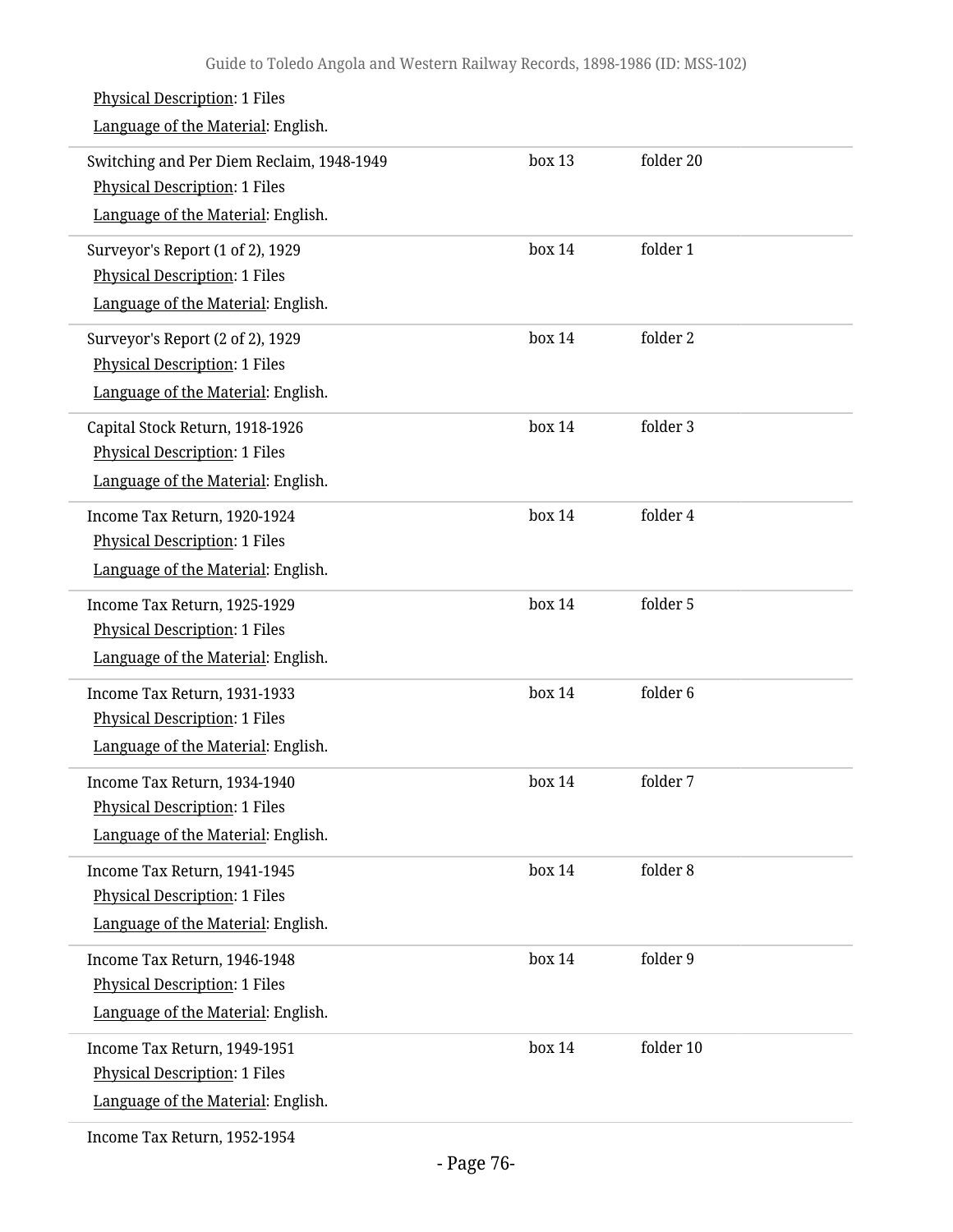| <b>Physical Description: 1 Files</b><br>Language of the Material: English.                                              |        |           |
|-------------------------------------------------------------------------------------------------------------------------|--------|-----------|
| Switching and Per Diem Reclaim, 1948-1949<br><b>Physical Description: 1 Files</b><br>Language of the Material: English. | box 13 | folder 20 |
| Surveyor's Report (1 of 2), 1929<br><b>Physical Description: 1 Files</b><br>Language of the Material: English.          | box 14 | folder 1  |
| Surveyor's Report (2 of 2), 1929<br><b>Physical Description: 1 Files</b><br>Language of the Material: English.          | box 14 | folder 2  |
| Capital Stock Return, 1918-1926<br><b>Physical Description: 1 Files</b><br>Language of the Material: English.           | box 14 | folder 3  |
| Income Tax Return, 1920-1924<br><b>Physical Description: 1 Files</b><br>Language of the Material: English.              | box 14 | folder 4  |
| Income Tax Return, 1925-1929<br><b>Physical Description: 1 Files</b><br>Language of the Material: English.              | box 14 | folder 5  |
| Income Tax Return, 1931-1933<br><b>Physical Description: 1 Files</b><br>Language of the Material: English.              | box 14 | folder 6  |
| Income Tax Return, 1934-1940<br><b>Physical Description: 1 Files</b><br>Language of the Material: English.              | box 14 | folder 7  |
| Income Tax Return, 1941-1945<br><b>Physical Description: 1 Files</b><br>Language of the Material: English.              | box 14 | folder 8  |
| Income Tax Return, 1946-1948<br><b>Physical Description: 1 Files</b><br>Language of the Material: English.              | box 14 | folder 9  |
| Income Tax Return, 1949-1951<br><b>Physical Description: 1 Files</b><br>Language of the Material: English.              | box 14 | folder 10 |
|                                                                                                                         |        |           |

Income Tax Return, 1952-1954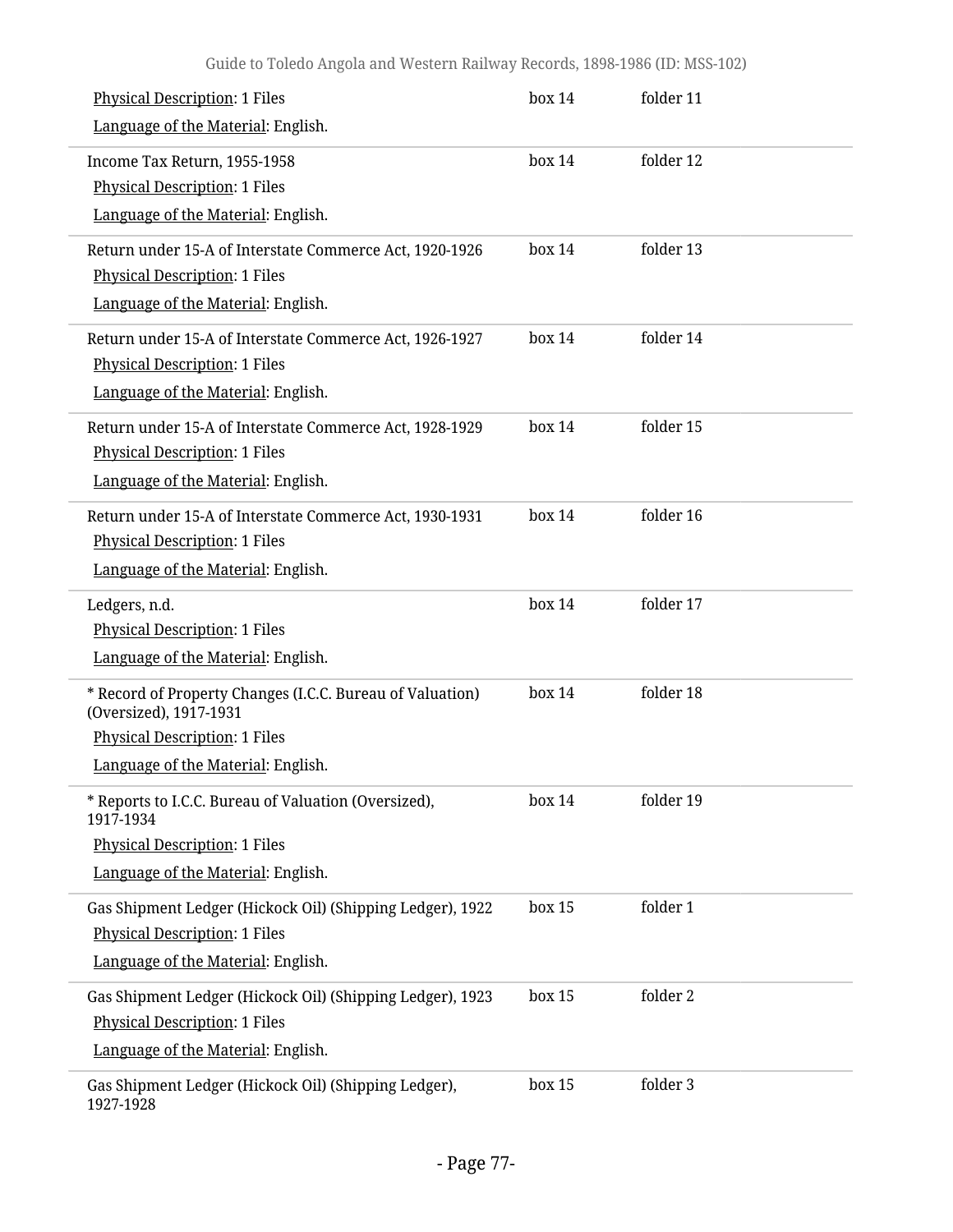| <b>Physical Description: 1 Files</b><br>Language of the Material: English.                                                                                        | box 14 | folder 11 |
|-------------------------------------------------------------------------------------------------------------------------------------------------------------------|--------|-----------|
| Income Tax Return, 1955-1958<br><b>Physical Description: 1 Files</b><br>Language of the Material: English.                                                        | box 14 | folder 12 |
| Return under 15-A of Interstate Commerce Act, 1920-1926<br><b>Physical Description: 1 Files</b><br>Language of the Material: English.                             | box 14 | folder 13 |
| Return under 15-A of Interstate Commerce Act, 1926-1927<br><b>Physical Description: 1 Files</b><br>Language of the Material: English.                             | box 14 | folder 14 |
| Return under 15-A of Interstate Commerce Act, 1928-1929<br><b>Physical Description: 1 Files</b><br>Language of the Material: English.                             | box 14 | folder 15 |
| Return under 15-A of Interstate Commerce Act, 1930-1931<br><b>Physical Description: 1 Files</b><br>Language of the Material: English.                             | box 14 | folder 16 |
| Ledgers, n.d.<br><b>Physical Description: 1 Files</b><br>Language of the Material: English.                                                                       | box 14 | folder 17 |
| * Record of Property Changes (I.C.C. Bureau of Valuation)<br>(Oversized), 1917-1931<br><b>Physical Description: 1 Files</b><br>Language of the Material: English. | box 14 | folder 18 |
| * Reports to I.C.C. Bureau of Valuation (Oversized),<br>1917-1934<br><b>Physical Description: 1 Files</b><br>Language of the Material: English.                   | box 14 | folder 19 |
| Gas Shipment Ledger (Hickock Oil) (Shipping Ledger), 1922<br><b>Physical Description: 1 Files</b><br>Language of the Material: English.                           | box 15 | folder 1  |
| Gas Shipment Ledger (Hickock Oil) (Shipping Ledger), 1923<br><b>Physical Description: 1 Files</b><br>Language of the Material: English.                           | box 15 | folder 2  |
| Gas Shipment Ledger (Hickock Oil) (Shipping Ledger),<br>1927-1928                                                                                                 | box 15 | folder 3  |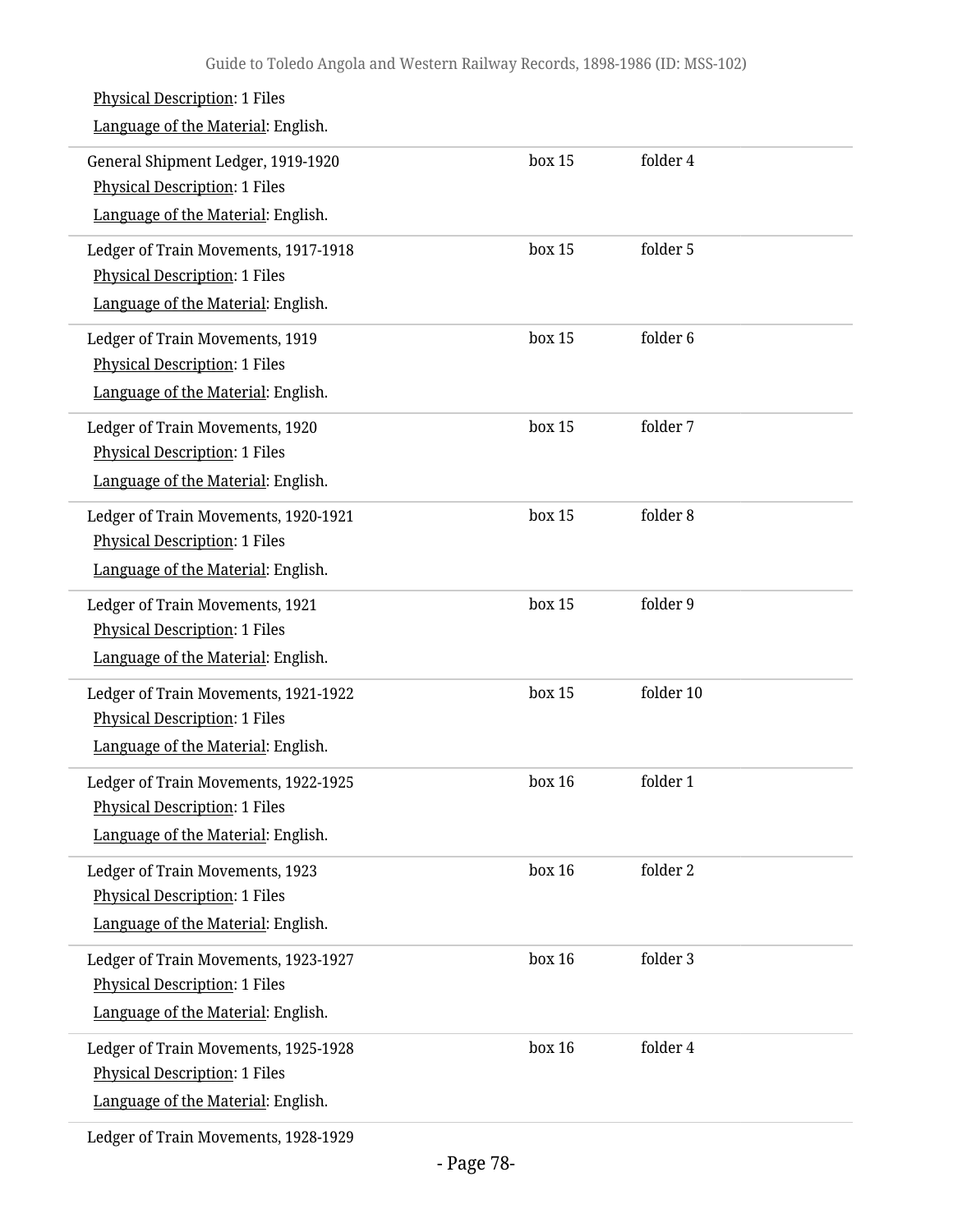| <b>Physical Description: 1 Files</b><br>Language of the Material: English.                                         |        |           |
|--------------------------------------------------------------------------------------------------------------------|--------|-----------|
| General Shipment Ledger, 1919-1920<br><b>Physical Description: 1 Files</b><br>Language of the Material: English.   | box 15 | folder 4  |
| Ledger of Train Movements, 1917-1918<br>Physical Description: 1 Files<br>Language of the Material: English.        | box 15 | folder 5  |
| Ledger of Train Movements, 1919<br><b>Physical Description: 1 Files</b><br>Language of the Material: English.      | box 15 | folder 6  |
| Ledger of Train Movements, 1920<br><b>Physical Description: 1 Files</b><br>Language of the Material: English.      | box 15 | folder 7  |
| Ledger of Train Movements, 1920-1921<br><b>Physical Description: 1 Files</b><br>Language of the Material: English. | box 15 | folder 8  |
| Ledger of Train Movements, 1921<br><b>Physical Description: 1 Files</b><br>Language of the Material: English.      | box 15 | folder 9  |
| Ledger of Train Movements, 1921-1922<br><b>Physical Description: 1 Files</b><br>Language of the Material: English. | box 15 | folder 10 |
| Ledger of Train Movements, 1922-1925<br><b>Physical Description: 1 Files</b><br>Language of the Material: English. | box 16 | folder 1  |
| Ledger of Train Movements, 1923<br><b>Physical Description: 1 Files</b><br>Language of the Material: English.      | box 16 | folder 2  |
| Ledger of Train Movements, 1923-1927<br>Physical Description: 1 Files<br>Language of the Material: English.        | box 16 | folder 3  |
| Ledger of Train Movements, 1925-1928<br><b>Physical Description: 1 Files</b><br>Language of the Material: English. | box 16 | folder 4  |
|                                                                                                                    |        |           |

Ledger of Train Movements, 1928-1929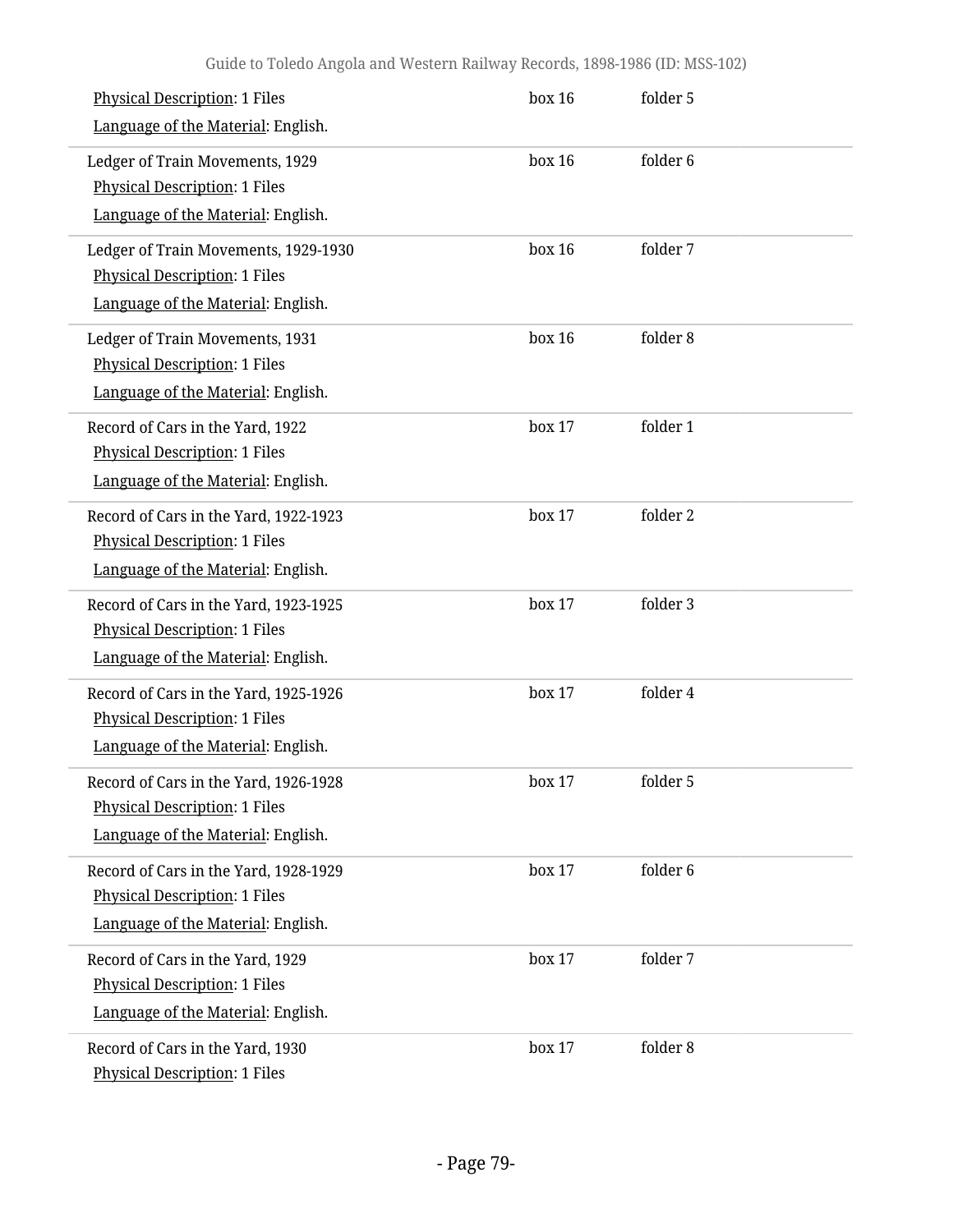| <b>Physical Description: 1 Files</b><br>Language of the Material: English.                                          | box 16 | folder 5 |  |
|---------------------------------------------------------------------------------------------------------------------|--------|----------|--|
| Ledger of Train Movements, 1929<br><b>Physical Description: 1 Files</b><br>Language of the Material: English.       | box 16 | folder 6 |  |
| Ledger of Train Movements, 1929-1930<br><b>Physical Description: 1 Files</b><br>Language of the Material: English.  | box 16 | folder 7 |  |
| Ledger of Train Movements, 1931<br><b>Physical Description: 1 Files</b><br>Language of the Material: English.       | box 16 | folder 8 |  |
| Record of Cars in the Yard, 1922<br><b>Physical Description: 1 Files</b><br>Language of the Material: English.      | box 17 | folder 1 |  |
| Record of Cars in the Yard, 1922-1923<br><b>Physical Description: 1 Files</b><br>Language of the Material: English. | box 17 | folder 2 |  |
| Record of Cars in the Yard, 1923-1925<br><b>Physical Description: 1 Files</b><br>Language of the Material: English. | box 17 | folder 3 |  |
| Record of Cars in the Yard, 1925-1926<br><b>Physical Description: 1 Files</b><br>Language of the Material: English. | box 17 | folder 4 |  |
| Record of Cars in the Yard, 1926-1928<br><b>Physical Description: 1 Files</b><br>Language of the Material: English. | box 17 | folder 5 |  |
| Record of Cars in the Yard, 1928-1929<br><b>Physical Description: 1 Files</b><br>Language of the Material: English. | box 17 | folder 6 |  |
| Record of Cars in the Yard, 1929<br><b>Physical Description: 1 Files</b><br>Language of the Material: English.      | box 17 | folder 7 |  |
| Record of Cars in the Yard, 1930<br><b>Physical Description: 1 Files</b>                                            | box 17 | folder 8 |  |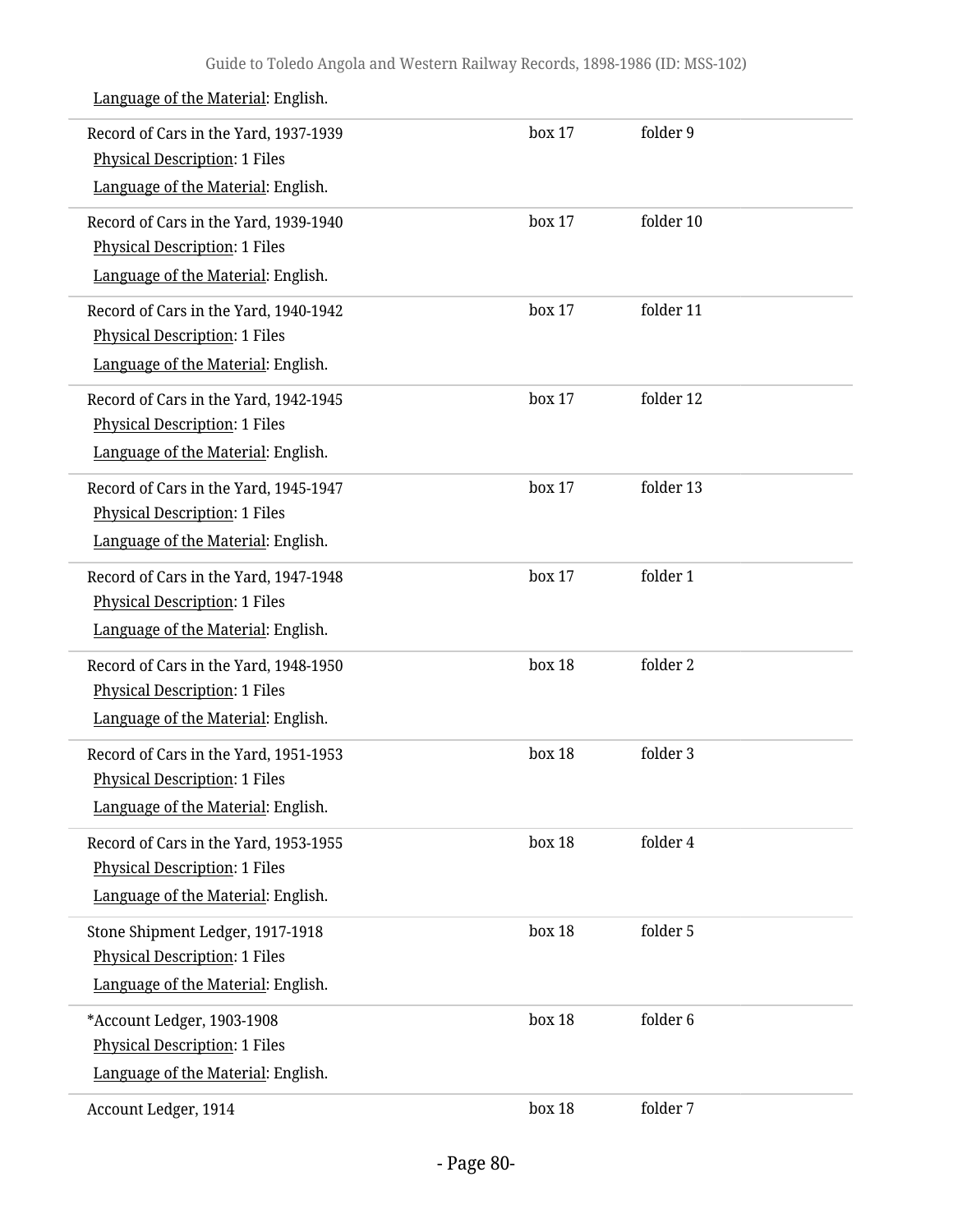| Record of Cars in the Yard, 1937-1939<br><b>Physical Description: 1 Files</b>                                       | box 17 | folder 9  |
|---------------------------------------------------------------------------------------------------------------------|--------|-----------|
| Language of the Material: English.                                                                                  |        |           |
| Record of Cars in the Yard, 1939-1940<br><b>Physical Description: 1 Files</b><br>Language of the Material: English. | box 17 | folder 10 |
| Record of Cars in the Yard, 1940-1942<br><b>Physical Description: 1 Files</b><br>Language of the Material: English. | box 17 | folder 11 |
| Record of Cars in the Yard, 1942-1945<br><b>Physical Description: 1 Files</b><br>Language of the Material: English. | box 17 | folder 12 |
| Record of Cars in the Yard, 1945-1947<br><b>Physical Description: 1 Files</b><br>Language of the Material: English. | box 17 | folder 13 |
| Record of Cars in the Yard, 1947-1948<br><b>Physical Description: 1 Files</b><br>Language of the Material: English. | box 17 | folder 1  |
| Record of Cars in the Yard, 1948-1950<br><b>Physical Description: 1 Files</b><br>Language of the Material: English. | box 18 | folder 2  |
| Record of Cars in the Yard, 1951-1953<br><b>Physical Description: 1 Files</b><br>Language of the Material: English. | box 18 | folder 3  |
| Record of Cars in the Yard, 1953-1955<br><b>Physical Description: 1 Files</b><br>Language of the Material: English. | box 18 | folder 4  |
| Stone Shipment Ledger, 1917-1918<br><b>Physical Description: 1 Files</b><br>Language of the Material: English.      | box 18 | folder 5  |
| *Account Ledger, 1903-1908<br><b>Physical Description: 1 Files</b><br>Language of the Material: English.            | box 18 | folder 6  |
| Account Ledger, 1914                                                                                                | box 18 | folder 7  |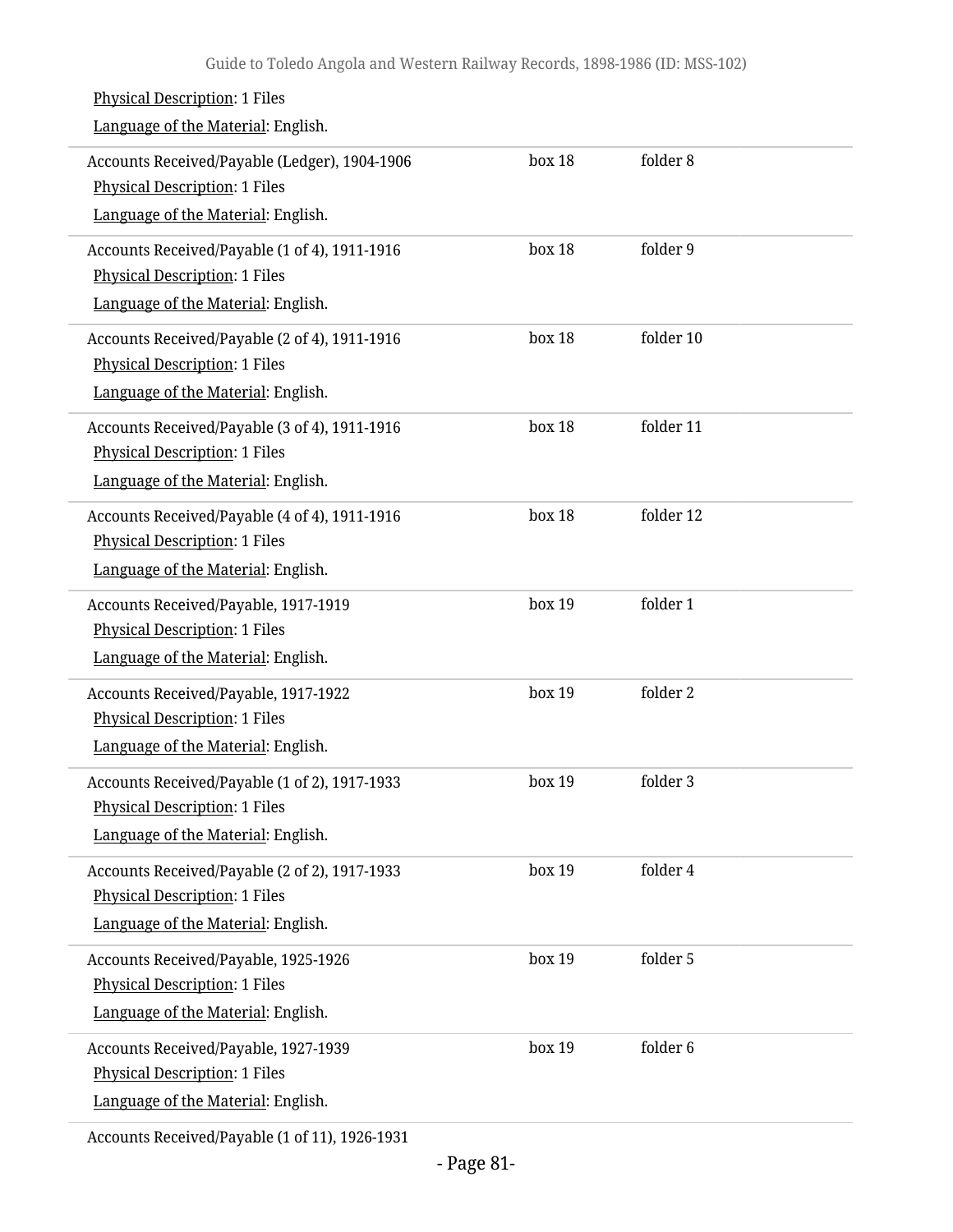| <b>Physical Description: 1 Files</b><br>Language of the Material: English.                                                  |        |           |
|-----------------------------------------------------------------------------------------------------------------------------|--------|-----------|
| Accounts Received/Payable (Ledger), 1904-1906<br><b>Physical Description: 1 Files</b><br>Language of the Material: English. | box 18 | folder 8  |
| Accounts Received/Payable (1 of 4), 1911-1916<br><b>Physical Description: 1 Files</b><br>Language of the Material: English. | box 18 | folder 9  |
| Accounts Received/Payable (2 of 4), 1911-1916<br><b>Physical Description: 1 Files</b><br>Language of the Material: English. | box 18 | folder 10 |
| Accounts Received/Payable (3 of 4), 1911-1916<br><b>Physical Description: 1 Files</b><br>Language of the Material: English. | box 18 | folder 11 |
| Accounts Received/Payable (4 of 4), 1911-1916<br><b>Physical Description: 1 Files</b><br>Language of the Material: English. | box 18 | folder 12 |
| Accounts Received/Payable, 1917-1919<br><b>Physical Description: 1 Files</b><br>Language of the Material: English.          | box 19 | folder 1  |
| Accounts Received/Payable, 1917-1922<br><b>Physical Description: 1 Files</b><br>Language of the Material: English.          | box 19 | folder 2  |
| Accounts Received/Payable (1 of 2), 1917-1933<br><b>Physical Description: 1 Files</b><br>Language of the Material: English. | box 19 | folder 3  |
| Accounts Received/Payable (2 of 2), 1917-1933<br><b>Physical Description: 1 Files</b><br>Language of the Material: English. | box 19 | folder 4  |
| Accounts Received/Payable, 1925-1926<br><b>Physical Description: 1 Files</b><br>Language of the Material: English.          | box 19 | folder 5  |
| Accounts Received/Payable, 1927-1939<br><b>Physical Description: 1 Files</b><br>Language of the Material: English.          | box 19 | folder 6  |

Accounts Received/Payable (1 of 11), 1926-1931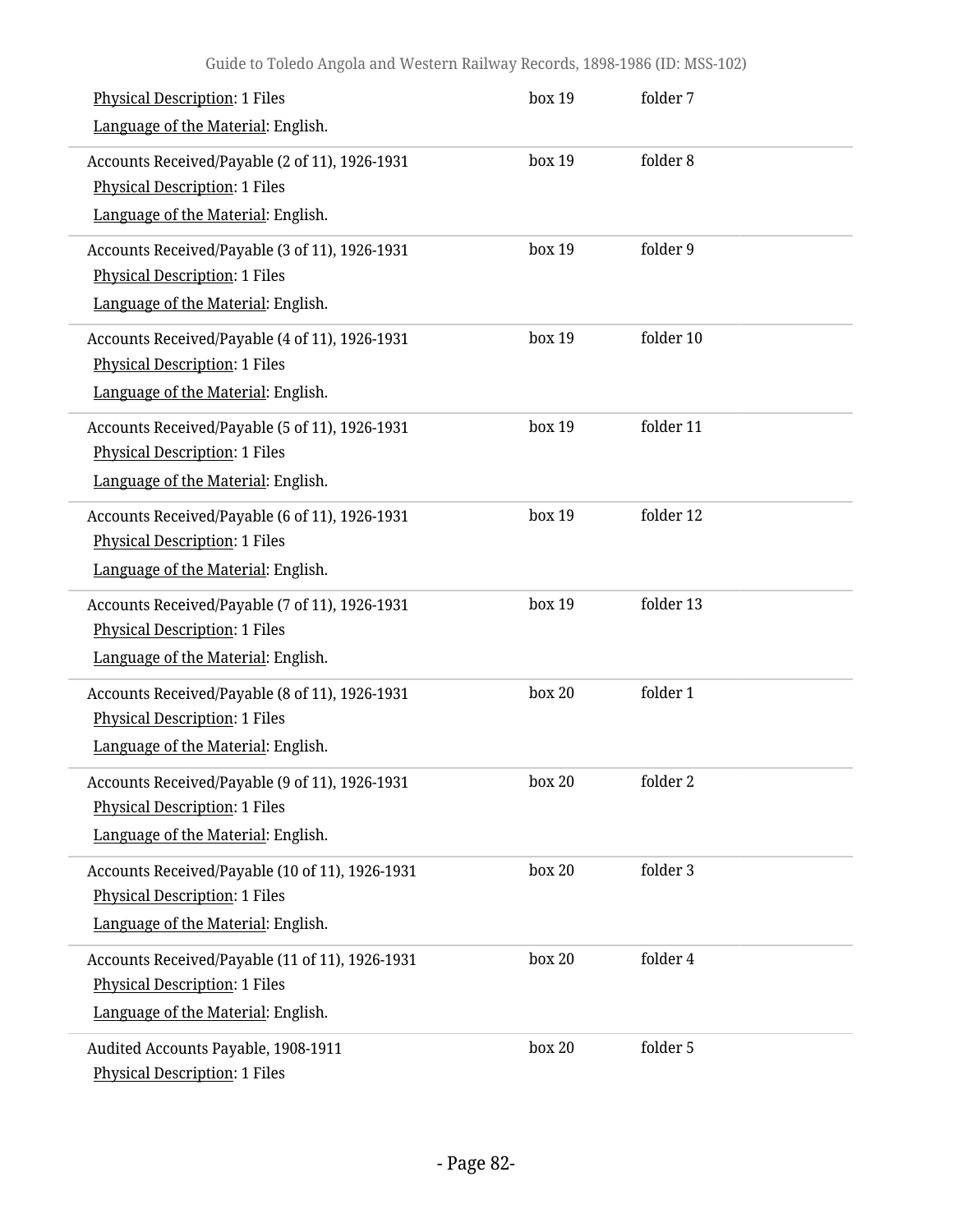| <b>Physical Description: 1 Files</b><br>Language of the Material: English.                                                    | box 19 | folder 7  |  |
|-------------------------------------------------------------------------------------------------------------------------------|--------|-----------|--|
| Accounts Received/Payable (2 of 11), 1926-1931<br>Physical Description: 1 Files<br>Language of the Material: English.         | box 19 | folder 8  |  |
| Accounts Received/Payable (3 of 11), 1926-1931<br><b>Physical Description: 1 Files</b><br>Language of the Material: English.  | box 19 | folder 9  |  |
| Accounts Received/Payable (4 of 11), 1926-1931<br><b>Physical Description: 1 Files</b><br>Language of the Material: English.  | box 19 | folder 10 |  |
| Accounts Received/Payable (5 of 11), 1926-1931<br><b>Physical Description: 1 Files</b><br>Language of the Material: English.  | box 19 | folder 11 |  |
| Accounts Received/Payable (6 of 11), 1926-1931<br><b>Physical Description: 1 Files</b><br>Language of the Material: English.  | box 19 | folder 12 |  |
| Accounts Received/Payable (7 of 11), 1926-1931<br><b>Physical Description: 1 Files</b><br>Language of the Material: English.  | box 19 | folder 13 |  |
| Accounts Received/Payable (8 of 11), 1926-1931<br><b>Physical Description: 1 Files</b><br>Language of the Material: English.  | box 20 | folder 1  |  |
| Accounts Received/Payable (9 of 11), 1926-1931<br><b>Physical Description: 1 Files</b><br>Language of the Material: English.  | box 20 | folder 2  |  |
| Accounts Received/Payable (10 of 11), 1926-1931<br><b>Physical Description: 1 Files</b><br>Language of the Material: English. | box 20 | folder 3  |  |
| Accounts Received/Payable (11 of 11), 1926-1931<br><b>Physical Description: 1 Files</b><br>Language of the Material: English. | box 20 | folder 4  |  |
| Audited Accounts Payable, 1908-1911<br><b>Physical Description: 1 Files</b>                                                   | box 20 | folder 5  |  |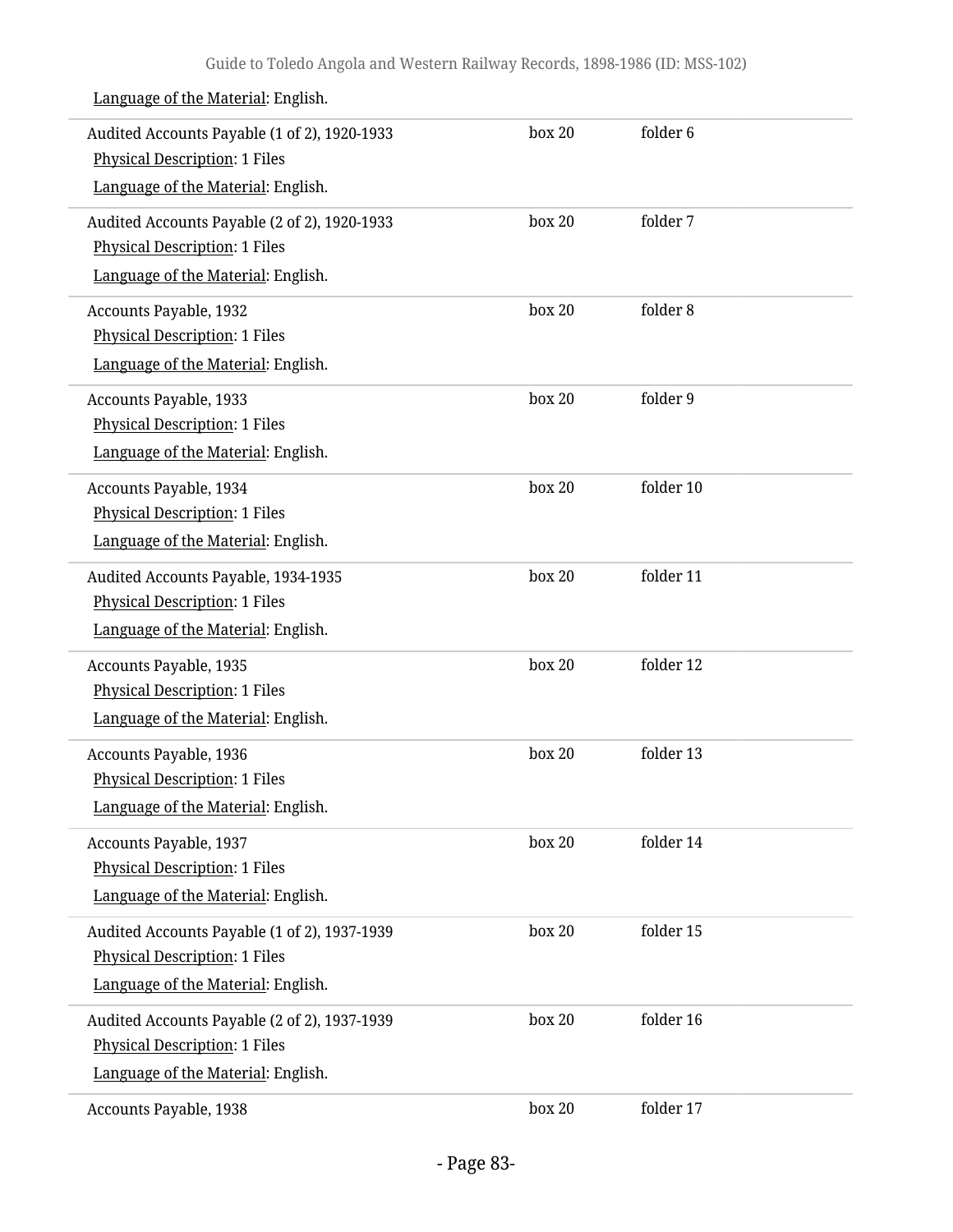| Audited Accounts Payable (1 of 2), 1920-1933                                         | box 20 | folder <sub>6</sub> |  |
|--------------------------------------------------------------------------------------|--------|---------------------|--|
| <b>Physical Description: 1 Files</b><br>Language of the Material: English.           |        |                     |  |
|                                                                                      |        |                     |  |
| Audited Accounts Payable (2 of 2), 1920-1933<br><b>Physical Description: 1 Files</b> | box 20 | folder 7            |  |
| Language of the Material: English.                                                   |        |                     |  |
|                                                                                      |        |                     |  |
| Accounts Payable, 1932<br><b>Physical Description: 1 Files</b>                       | box 20 | folder 8            |  |
| Language of the Material: English.                                                   |        |                     |  |
|                                                                                      |        |                     |  |
| Accounts Payable, 1933<br><b>Physical Description: 1 Files</b>                       | box 20 | folder 9            |  |
| Language of the Material: English.                                                   |        |                     |  |
|                                                                                      |        |                     |  |
| Accounts Payable, 1934<br><b>Physical Description: 1 Files</b>                       | box 20 | folder 10           |  |
| Language of the Material: English.                                                   |        |                     |  |
|                                                                                      |        | folder 11           |  |
| Audited Accounts Payable, 1934-1935<br><b>Physical Description: 1 Files</b>          | box 20 |                     |  |
| Language of the Material: English.                                                   |        |                     |  |
| Accounts Payable, 1935                                                               | box 20 | folder 12           |  |
| <b>Physical Description: 1 Files</b>                                                 |        |                     |  |
| Language of the Material: English.                                                   |        |                     |  |
| Accounts Payable, 1936                                                               | box 20 | folder 13           |  |
| <b>Physical Description: 1 Files</b>                                                 |        |                     |  |
| Language of the Material: English.                                                   |        |                     |  |
| Accounts Payable, 1937                                                               | box 20 | folder 14           |  |
| <b>Physical Description: 1 Files</b>                                                 |        |                     |  |
| Language of the Material: English.                                                   |        |                     |  |
| Audited Accounts Payable (1 of 2), 1937-1939                                         | box 20 | folder 15           |  |
| <b>Physical Description: 1 Files</b>                                                 |        |                     |  |
| Language of the Material: English.                                                   |        |                     |  |
| Audited Accounts Payable (2 of 2), 1937-1939                                         | box 20 | folder 16           |  |
| <b>Physical Description: 1 Files</b>                                                 |        |                     |  |
| Language of the Material: English.                                                   |        |                     |  |
| Accounts Payable, 1938                                                               | box 20 | folder 17           |  |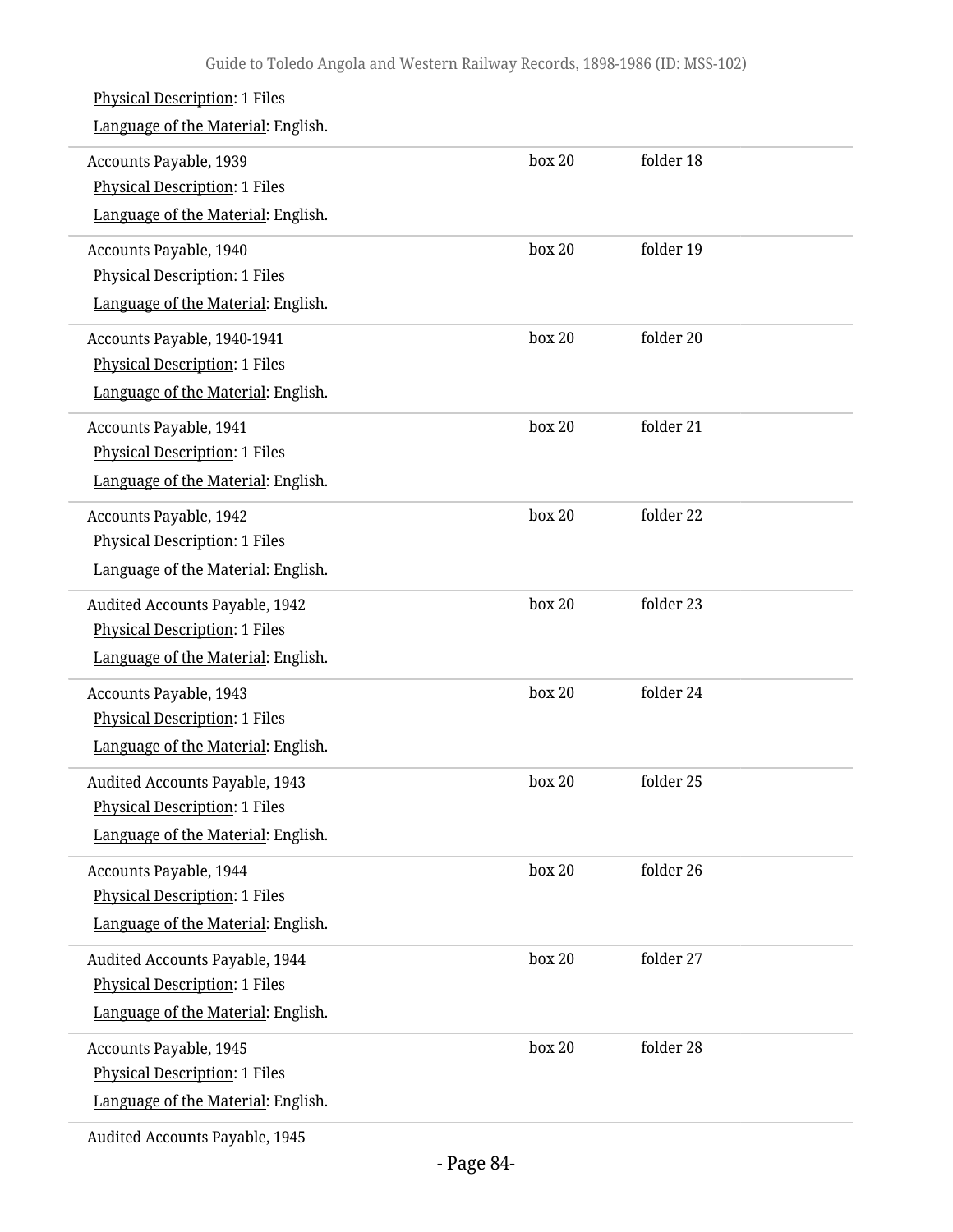| <b>Physical Description: 1 Files</b><br>Language of the Material: English.                                   |        |           |
|--------------------------------------------------------------------------------------------------------------|--------|-----------|
| Accounts Payable, 1939<br><b>Physical Description: 1 Files</b><br>Language of the Material: English.         | box 20 | folder 18 |
| Accounts Payable, 1940<br><b>Physical Description: 1 Files</b><br>Language of the Material: English.         | box 20 | folder 19 |
| Accounts Payable, 1940-1941<br><b>Physical Description: 1 Files</b><br>Language of the Material: English.    | box 20 | folder 20 |
| Accounts Payable, 1941<br><b>Physical Description: 1 Files</b><br>Language of the Material: English.         | box 20 | folder 21 |
| Accounts Payable, 1942<br><b>Physical Description: 1 Files</b><br>Language of the Material: English.         | box 20 | folder 22 |
| Audited Accounts Payable, 1942<br><b>Physical Description: 1 Files</b><br>Language of the Material: English. | box 20 | folder 23 |
| Accounts Payable, 1943<br><b>Physical Description: 1 Files</b><br>Language of the Material: English.         | box 20 | folder 24 |
| <b>Audited Accounts Payable, 1943</b><br>Physical Description: 1 Files<br>Language of the Material: English. | box 20 | folder 25 |
| Accounts Payable, 1944<br><b>Physical Description: 1 Files</b><br>Language of the Material: English.         | box 20 | folder 26 |
| Audited Accounts Payable, 1944<br><b>Physical Description: 1 Files</b><br>Language of the Material: English. | box 20 | folder 27 |
| Accounts Payable, 1945<br><b>Physical Description: 1 Files</b><br>Language of the Material: English.         | box 20 | folder 28 |
| Audited Accounts Payable, 1945                                                                               |        |           |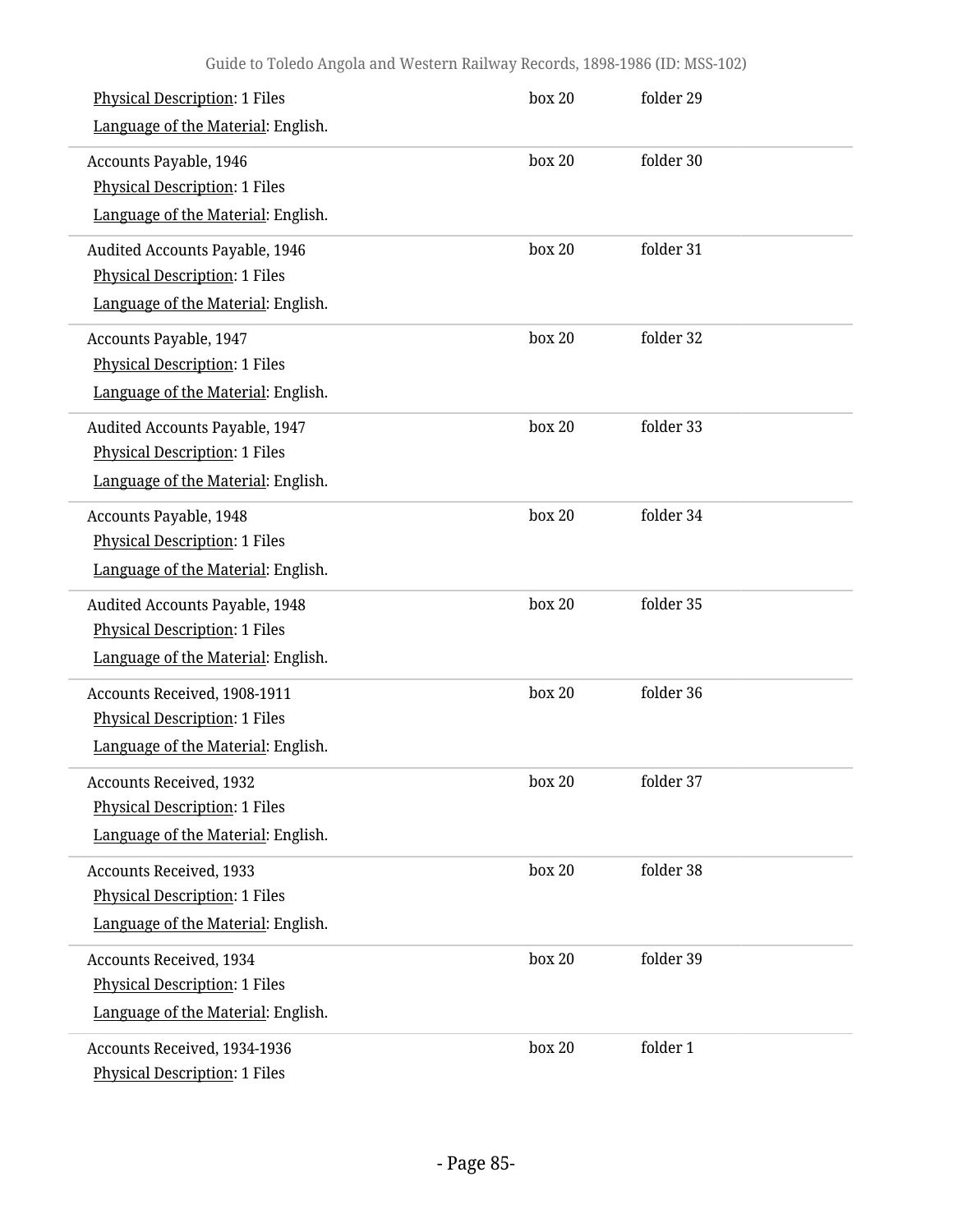| <b>Physical Description: 1 Files</b><br>Language of the Material: English.                                   | box 20 | folder 29 |
|--------------------------------------------------------------------------------------------------------------|--------|-----------|
| Accounts Payable, 1946<br><b>Physical Description: 1 Files</b><br>Language of the Material: English.         | box 20 | folder 30 |
| Audited Accounts Payable, 1946<br><b>Physical Description: 1 Files</b><br>Language of the Material: English. | box 20 | folder 31 |
| Accounts Payable, 1947<br><b>Physical Description: 1 Files</b><br>Language of the Material: English.         | box 20 | folder 32 |
| Audited Accounts Payable, 1947<br><b>Physical Description: 1 Files</b><br>Language of the Material: English. | box 20 | folder 33 |
| Accounts Payable, 1948<br><b>Physical Description: 1 Files</b><br>Language of the Material: English.         | box 20 | folder 34 |
| Audited Accounts Payable, 1948<br><b>Physical Description: 1 Files</b><br>Language of the Material: English. | box 20 | folder 35 |
| Accounts Received, 1908-1911<br><b>Physical Description: 1 Files</b><br>Language of the Material: English.   | box 20 | folder 36 |
| <b>Accounts Received, 1932</b><br><b>Physical Description: 1 Files</b><br>Language of the Material: English. | box 20 | folder 37 |
| <b>Accounts Received, 1933</b><br><b>Physical Description: 1 Files</b><br>Language of the Material: English. | box 20 | folder 38 |
| <b>Accounts Received, 1934</b><br><b>Physical Description: 1 Files</b><br>Language of the Material: English. | box 20 | folder 39 |
| Accounts Received, 1934-1936<br><b>Physical Description: 1 Files</b>                                         | box 20 | folder 1  |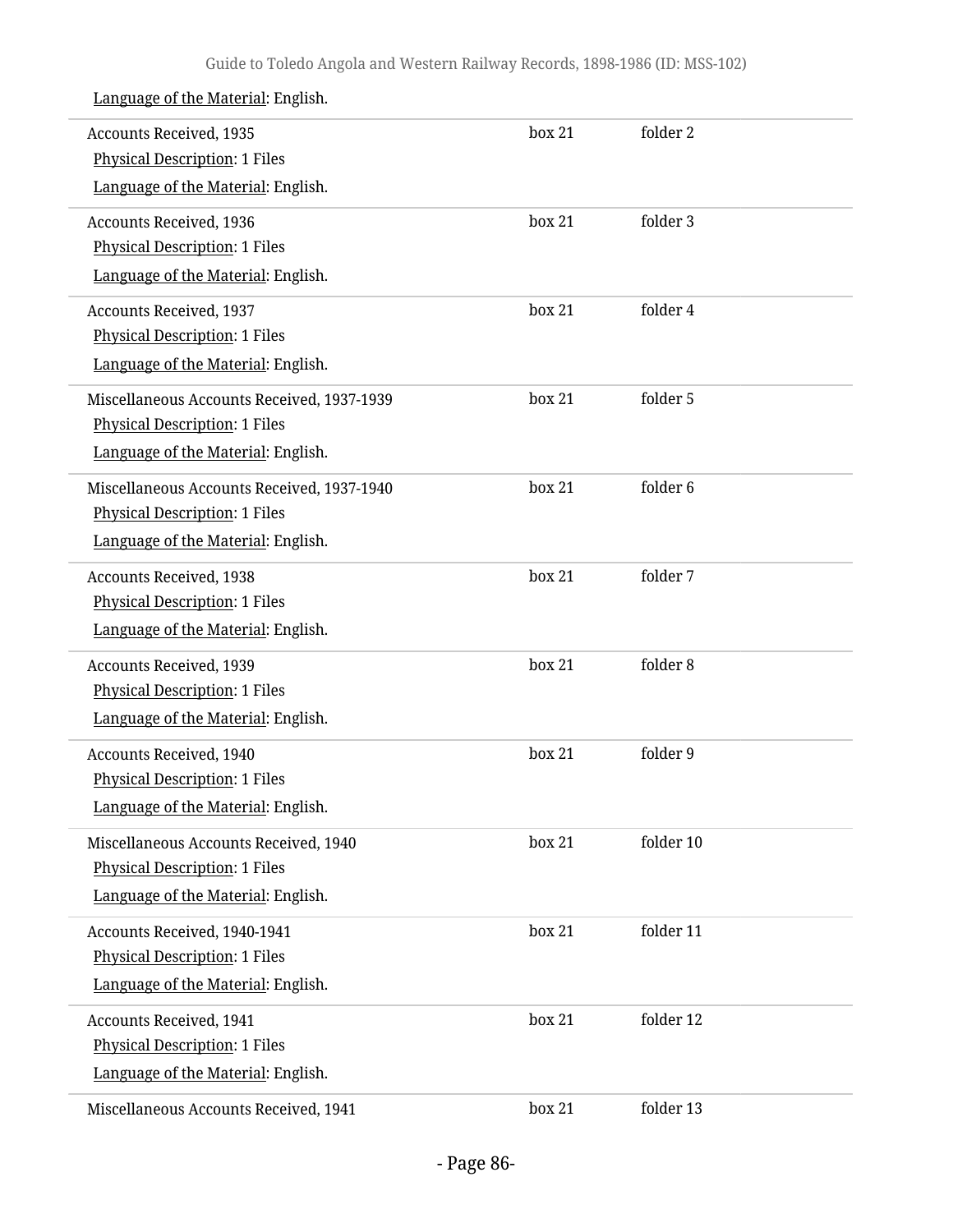| Accounts Received, 1935<br><b>Physical Description: 1 Files</b> | box 21 | folder 2  |
|-----------------------------------------------------------------|--------|-----------|
| Language of the Material: English.                              |        |           |
| <b>Accounts Received, 1936</b>                                  | box 21 | folder 3  |
| Physical Description: 1 Files                                   |        |           |
| Language of the Material: English.                              |        |           |
| <b>Accounts Received, 1937</b>                                  | box 21 | folder 4  |
| <b>Physical Description: 1 Files</b>                            |        |           |
| Language of the Material: English.                              |        |           |
| Miscellaneous Accounts Received, 1937-1939                      | box 21 | folder 5  |
| <b>Physical Description: 1 Files</b>                            |        |           |
| Language of the Material: English.                              |        |           |
| Miscellaneous Accounts Received, 1937-1940                      | box 21 | folder 6  |
| <b>Physical Description: 1 Files</b>                            |        |           |
| Language of the Material: English.                              |        |           |
| <b>Accounts Received, 1938</b>                                  | box 21 | folder 7  |
| Physical Description: 1 Files                                   |        |           |
| Language of the Material: English.                              |        |           |
| <b>Accounts Received, 1939</b>                                  | box 21 | folder 8  |
| Physical Description: 1 Files                                   |        |           |
| Language of the Material: English.                              |        |           |
| <b>Accounts Received, 1940</b>                                  | box 21 | folder 9  |
| Physical Description: 1 Files                                   |        |           |
| Language of the Material: English.                              |        |           |
| Miscellaneous Accounts Received, 1940                           | box 21 | folder 10 |
| <b>Physical Description: 1 Files</b>                            |        |           |
| Language of the Material: English.                              |        |           |
| Accounts Received, 1940-1941                                    | box 21 | folder 11 |
| <b>Physical Description: 1 Files</b>                            |        |           |
| Language of the Material: English.                              |        |           |
| <b>Accounts Received, 1941</b>                                  | box 21 | folder 12 |
| <b>Physical Description: 1 Files</b>                            |        |           |
| Language of the Material: English.                              |        |           |
| Miscellaneous Accounts Received, 1941                           | box 21 | folder 13 |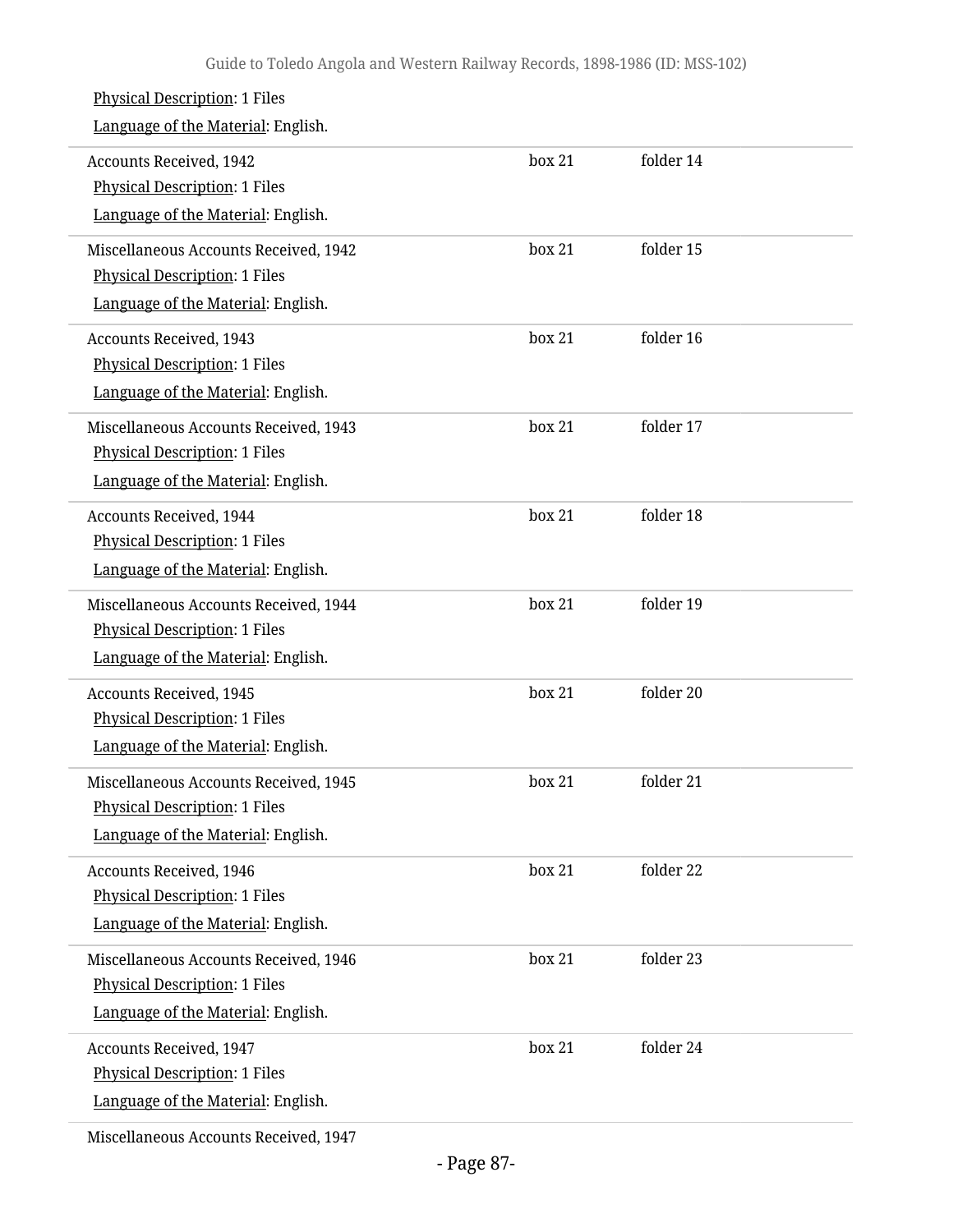| <b>Physical Description: 1 Files</b><br>Language of the Material: English.                                          |        |           |
|---------------------------------------------------------------------------------------------------------------------|--------|-----------|
| <b>Accounts Received, 1942</b><br><b>Physical Description: 1 Files</b><br>Language of the Material: English.        | box 21 | folder 14 |
| Miscellaneous Accounts Received, 1942<br>Physical Description: 1 Files<br>Language of the Material: English.        | box 21 | folder 15 |
| <b>Accounts Received, 1943</b><br>Physical Description: 1 Files<br>Language of the Material: English.               | box 21 | folder 16 |
| Miscellaneous Accounts Received, 1943<br><b>Physical Description: 1 Files</b><br>Language of the Material: English. | box 21 | folder 17 |
| <b>Accounts Received, 1944</b><br><b>Physical Description: 1 Files</b><br>Language of the Material: English.        | box 21 | folder 18 |
| Miscellaneous Accounts Received, 1944<br><b>Physical Description: 1 Files</b><br>Language of the Material: English. | box 21 | folder 19 |
| <b>Accounts Received, 1945</b><br>Physical Description: 1 Files<br>Language of the Material: English.               | box 21 | folder 20 |
| Miscellaneous Accounts Received, 1945<br><b>Physical Description: 1 Files</b><br>Language of the Material: English. | box 21 | folder 21 |
| <b>Accounts Received, 1946</b><br><b>Physical Description: 1 Files</b><br>Language of the Material: English.        | box 21 | folder 22 |
| Miscellaneous Accounts Received, 1946<br><b>Physical Description: 1 Files</b><br>Language of the Material: English. | box 21 | folder 23 |
| <b>Accounts Received, 1947</b><br>Physical Description: 1 Files<br>Language of the Material: English.               | box 21 | folder 24 |
|                                                                                                                     |        |           |

Miscellaneous Accounts Received, 1947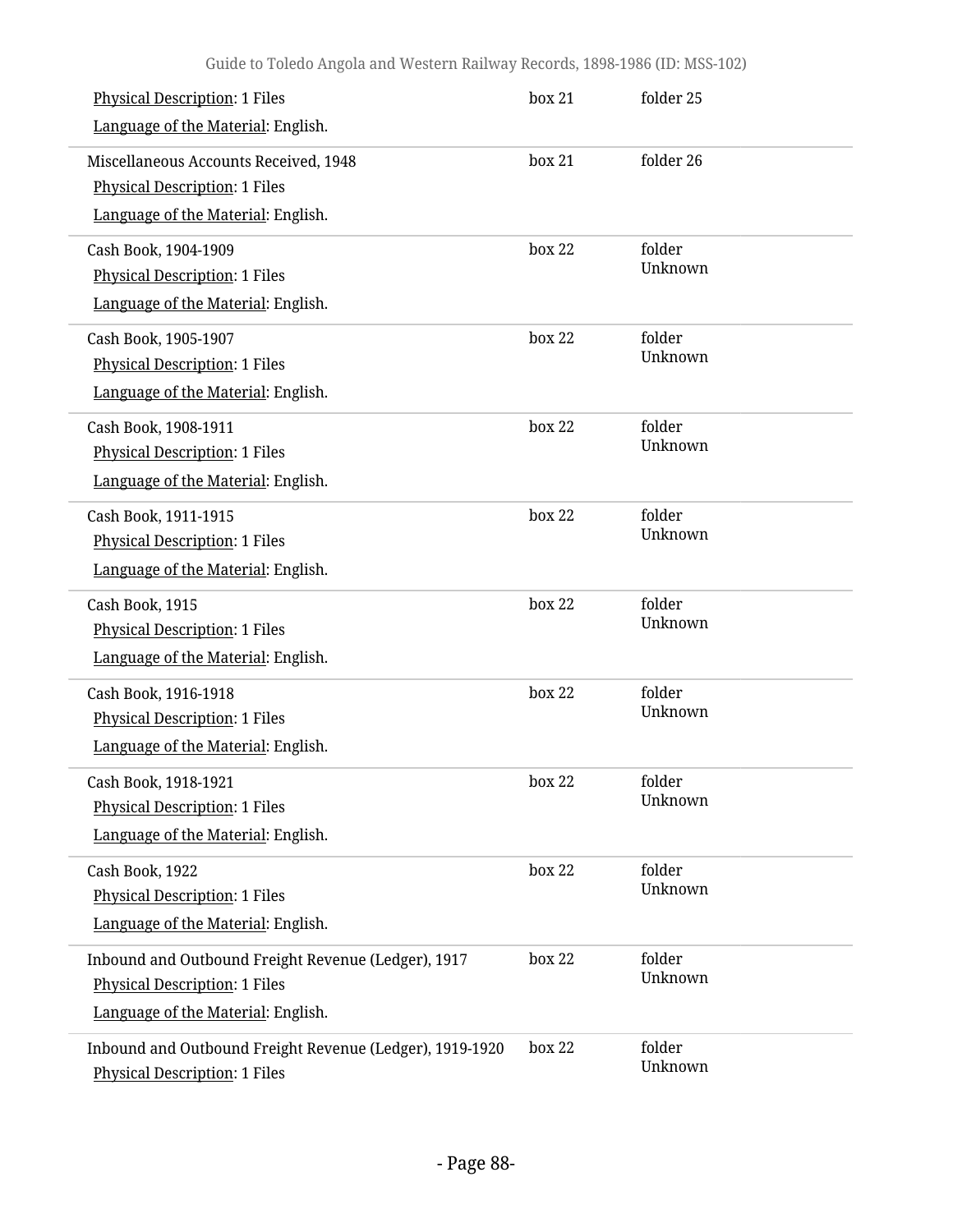| <b>Physical Description: 1 Files</b>                                                             | box 21 | folder 25         |
|--------------------------------------------------------------------------------------------------|--------|-------------------|
| Language of the Material: English.                                                               |        |                   |
| Miscellaneous Accounts Received, 1948                                                            | box 21 | folder 26         |
| <b>Physical Description: 1 Files</b>                                                             |        |                   |
| Language of the Material: English.                                                               |        |                   |
| Cash Book, 1904-1909                                                                             | box 22 | folder            |
| <b>Physical Description: 1 Files</b>                                                             |        | Unknown           |
| Language of the Material: English.                                                               |        |                   |
| Cash Book, 1905-1907                                                                             | box 22 | folder            |
| <b>Physical Description: 1 Files</b>                                                             |        | Unknown           |
| Language of the Material: English.                                                               |        |                   |
| Cash Book, 1908-1911                                                                             | box 22 | folder            |
| <b>Physical Description: 1 Files</b>                                                             |        | Unknown           |
| Language of the Material: English.                                                               |        |                   |
| Cash Book, 1911-1915                                                                             | box 22 | folder            |
| <b>Physical Description: 1 Files</b>                                                             |        | Unknown           |
| Language of the Material: English.                                                               |        |                   |
| Cash Book, 1915                                                                                  | box 22 | folder            |
| <b>Physical Description: 1 Files</b>                                                             |        | Unknown           |
| Language of the Material: English.                                                               |        |                   |
| Cash Book, 1916-1918                                                                             | box 22 | folder            |
| <b>Physical Description: 1 Files</b>                                                             |        | Unknown           |
| Language of the Material: English.                                                               |        |                   |
| Cash Book, 1918-1921                                                                             | box 22 | folder            |
| <b>Physical Description: 1 Files</b>                                                             |        | Unknown           |
| Language of the Material: English.                                                               |        |                   |
| Cash Book, 1922                                                                                  | box 22 | folder            |
| <b>Physical Description: 1 Files</b>                                                             |        | Unknown           |
| Language of the Material: English.                                                               |        |                   |
| Inbound and Outbound Freight Revenue (Ledger), 1917                                              | box 22 | folder            |
| <b>Physical Description: 1 Files</b>                                                             |        | Unknown           |
| Language of the Material: English.                                                               |        |                   |
| Inbound and Outbound Freight Revenue (Ledger), 1919-1920<br><b>Physical Description: 1 Files</b> | box 22 | folder<br>Unknown |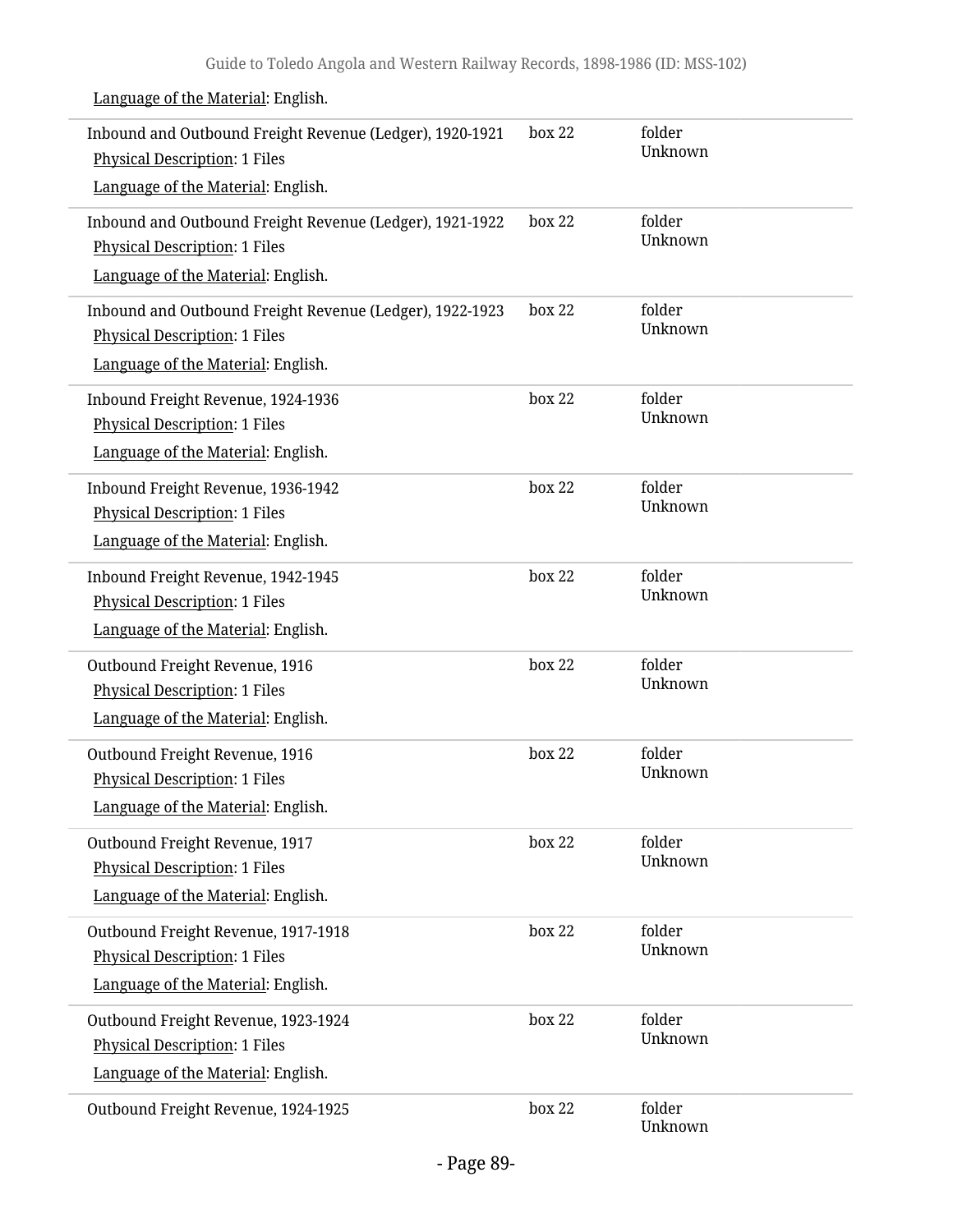| Inbound and Outbound Freight Revenue (Ledger), 1920-1921<br><b>Physical Description: 1 Files</b><br>Language of the Material: English. | box 22 | folder<br>Unknown |
|----------------------------------------------------------------------------------------------------------------------------------------|--------|-------------------|
| Inbound and Outbound Freight Revenue (Ledger), 1921-1922<br><b>Physical Description: 1 Files</b><br>Language of the Material: English. | box 22 | folder<br>Unknown |
| Inbound and Outbound Freight Revenue (Ledger), 1922-1923<br><b>Physical Description: 1 Files</b><br>Language of the Material: English. | box 22 | folder<br>Unknown |
| Inbound Freight Revenue, 1924-1936<br><b>Physical Description: 1 Files</b><br>Language of the Material: English.                       | box 22 | folder<br>Unknown |
| Inbound Freight Revenue, 1936-1942<br><b>Physical Description: 1 Files</b><br>Language of the Material: English.                       | box 22 | folder<br>Unknown |
| Inbound Freight Revenue, 1942-1945<br><b>Physical Description: 1 Files</b><br>Language of the Material: English.                       | box 22 | folder<br>Unknown |
| Outbound Freight Revenue, 1916<br><b>Physical Description: 1 Files</b><br>Language of the Material: English.                           | box 22 | folder<br>Unknown |
| Outbound Freight Revenue, 1916<br><b>Physical Description: 1 Files</b><br>Language of the Material: English.                           | box 22 | folder<br>Unknown |
| Outbound Freight Revenue, 1917<br><b>Physical Description: 1 Files</b><br>Language of the Material: English.                           | box 22 | folder<br>Unknown |
| Outbound Freight Revenue, 1917-1918<br><b>Physical Description: 1 Files</b><br>Language of the Material: English.                      | box 22 | folder<br>Unknown |
| Outbound Freight Revenue, 1923-1924<br><b>Physical Description: 1 Files</b><br>Language of the Material: English.                      | box 22 | folder<br>Unknown |
| Outbound Freight Revenue, 1924-1925                                                                                                    | box 22 | folder<br>Unknown |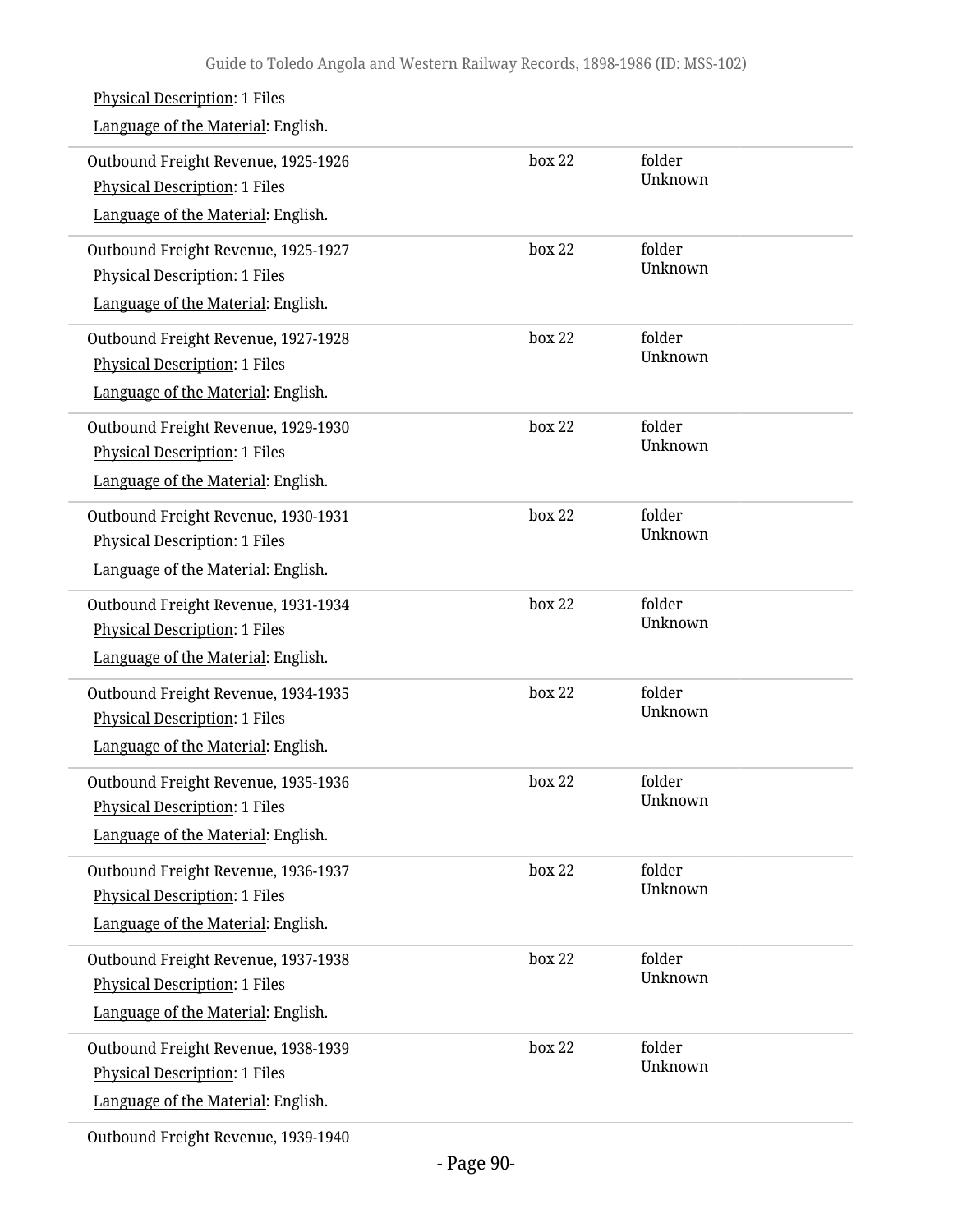| <b>Physical Description: 1 Files</b><br>Language of the Material: English.                                        |        |                   |
|-------------------------------------------------------------------------------------------------------------------|--------|-------------------|
| Outbound Freight Revenue, 1925-1926<br><b>Physical Description: 1 Files</b><br>Language of the Material: English. | box 22 | folder<br>Unknown |
| Outbound Freight Revenue, 1925-1927<br><b>Physical Description: 1 Files</b><br>Language of the Material: English. | box 22 | folder<br>Unknown |
| Outbound Freight Revenue, 1927-1928<br><b>Physical Description: 1 Files</b><br>Language of the Material: English. | box 22 | folder<br>Unknown |
| Outbound Freight Revenue, 1929-1930<br><b>Physical Description: 1 Files</b><br>Language of the Material: English. | box 22 | folder<br>Unknown |
| Outbound Freight Revenue, 1930-1931<br><b>Physical Description: 1 Files</b><br>Language of the Material: English. | box 22 | folder<br>Unknown |
| Outbound Freight Revenue, 1931-1934<br><b>Physical Description: 1 Files</b><br>Language of the Material: English. | box 22 | folder<br>Unknown |
| Outbound Freight Revenue, 1934-1935<br><b>Physical Description: 1 Files</b><br>Language of the Material: English. | box 22 | folder<br>Unknown |
| Outbound Freight Revenue, 1935-1936<br><b>Physical Description: 1 Files</b><br>Language of the Material: English. | box 22 | folder<br>Unknown |
| Outbound Freight Revenue, 1936-1937<br><b>Physical Description: 1 Files</b><br>Language of the Material: English. | box 22 | folder<br>Unknown |
| Outbound Freight Revenue, 1937-1938<br><b>Physical Description: 1 Files</b><br>Language of the Material: English. | box 22 | folder<br>Unknown |
| Outbound Freight Revenue, 1938-1939<br><b>Physical Description: 1 Files</b><br>Language of the Material: English. | box 22 | folder<br>Unknown |
|                                                                                                                   |        |                   |

Outbound Freight Revenue, 1939-1940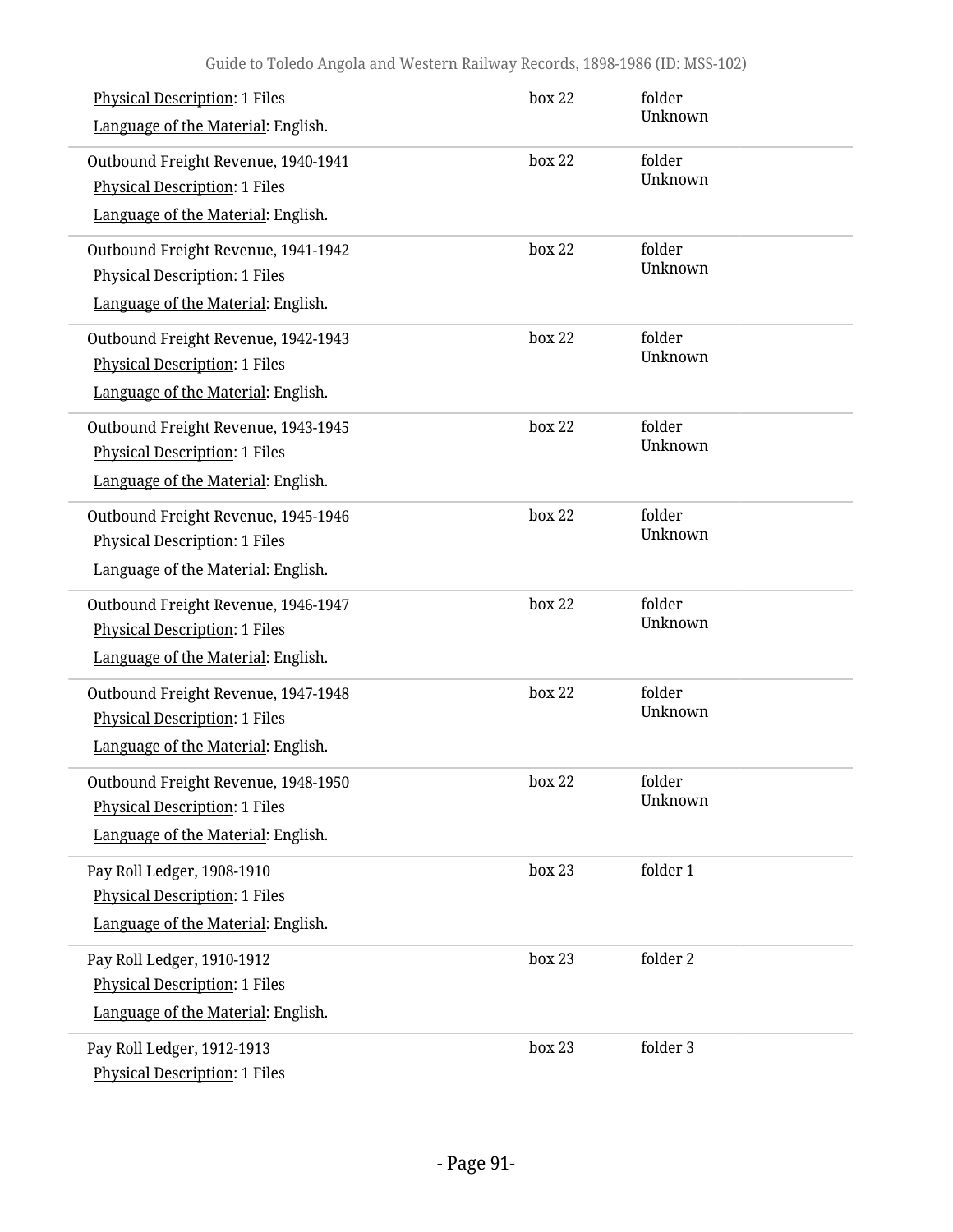| <b>Physical Description: 1 Files</b><br>Language of the Material: English.                                        | box 22 | folder<br>Unknown |
|-------------------------------------------------------------------------------------------------------------------|--------|-------------------|
| Outbound Freight Revenue, 1940-1941<br><b>Physical Description: 1 Files</b><br>Language of the Material: English. | box 22 | folder<br>Unknown |
| Outbound Freight Revenue, 1941-1942<br><b>Physical Description: 1 Files</b><br>Language of the Material: English. | box 22 | folder<br>Unknown |
| Outbound Freight Revenue, 1942-1943<br><b>Physical Description: 1 Files</b><br>Language of the Material: English. | box 22 | folder<br>Unknown |
| Outbound Freight Revenue, 1943-1945<br><b>Physical Description: 1 Files</b><br>Language of the Material: English. | box 22 | folder<br>Unknown |
| Outbound Freight Revenue, 1945-1946<br><b>Physical Description: 1 Files</b><br>Language of the Material: English. | box 22 | folder<br>Unknown |
| Outbound Freight Revenue, 1946-1947<br><b>Physical Description: 1 Files</b><br>Language of the Material: English. | box 22 | folder<br>Unknown |
| Outbound Freight Revenue, 1947-1948<br><b>Physical Description: 1 Files</b><br>Language of the Material: English. | box 22 | folder<br>Unknown |
| Outbound Freight Revenue, 1948-1950<br><b>Physical Description: 1 Files</b><br>Language of the Material: English. | box 22 | folder<br>Unknown |
| Pay Roll Ledger, 1908-1910<br><b>Physical Description: 1 Files</b><br>Language of the Material: English.          | box 23 | folder 1          |
| Pay Roll Ledger, 1910-1912<br><b>Physical Description: 1 Files</b><br>Language of the Material: English.          | box 23 | folder 2          |
| Pay Roll Ledger, 1912-1913<br><b>Physical Description: 1 Files</b>                                                | box 23 | folder 3          |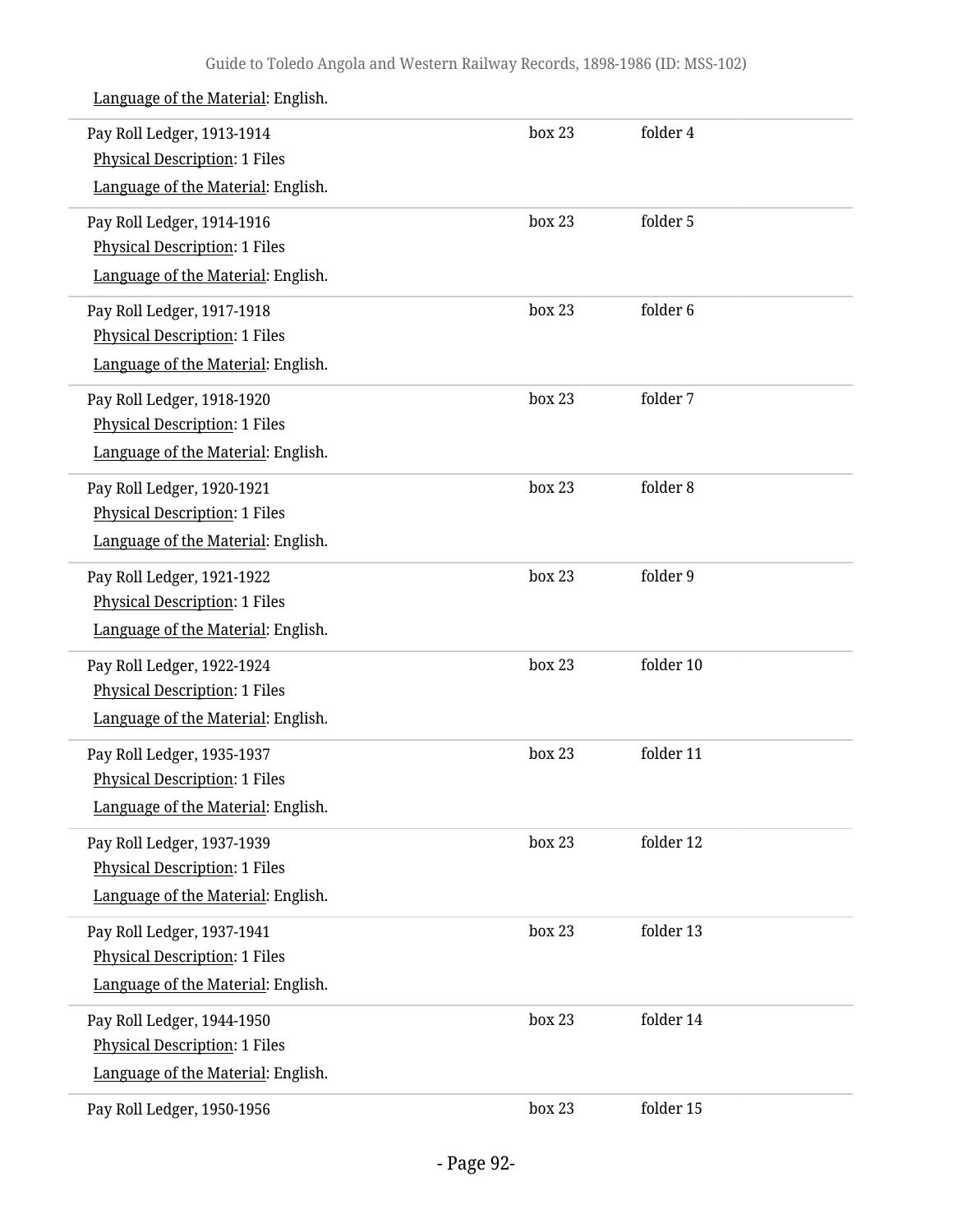| Pay Roll Ledger, 1913-1914<br><b>Physical Description: 1 Files</b> | box 23 | folder 4  |  |
|--------------------------------------------------------------------|--------|-----------|--|
| Language of the Material: English.                                 |        |           |  |
| Pay Roll Ledger, 1914-1916                                         | box 23 | folder 5  |  |
| <b>Physical Description: 1 Files</b>                               |        |           |  |
| Language of the Material: English.                                 |        |           |  |
| Pay Roll Ledger, 1917-1918                                         | box 23 | folder 6  |  |
| <b>Physical Description: 1 Files</b>                               |        |           |  |
| Language of the Material: English.                                 |        |           |  |
| Pay Roll Ledger, 1918-1920                                         | box 23 | folder 7  |  |
| <b>Physical Description: 1 Files</b>                               |        |           |  |
| Language of the Material: English.                                 |        |           |  |
| Pay Roll Ledger, 1920-1921                                         | box 23 | folder 8  |  |
| <b>Physical Description: 1 Files</b>                               |        |           |  |
| Language of the Material: English.                                 |        |           |  |
| Pay Roll Ledger, 1921-1922                                         | box 23 | folder 9  |  |
| <b>Physical Description: 1 Files</b>                               |        |           |  |
| Language of the Material: English.                                 |        |           |  |
| Pay Roll Ledger, 1922-1924                                         | box 23 | folder 10 |  |
| Physical Description: 1 Files                                      |        |           |  |
| Language of the Material: English.                                 |        |           |  |
| Pay Roll Ledger, 1935-1937                                         | box 23 | folder 11 |  |
| <b>Physical Description: 1 Files</b>                               |        |           |  |
| Language of the Material: English.                                 |        |           |  |
| Pay Roll Ledger, 1937-1939                                         | box 23 | folder 12 |  |
| <b>Physical Description: 1 Files</b>                               |        |           |  |
| Language of the Material: English.                                 |        |           |  |
| Pay Roll Ledger, 1937-1941                                         | box 23 | folder 13 |  |
| <b>Physical Description: 1 Files</b>                               |        |           |  |
| Language of the Material: English.                                 |        |           |  |
| Pay Roll Ledger, 1944-1950                                         | box 23 | folder 14 |  |
| <b>Physical Description: 1 Files</b>                               |        |           |  |
| Language of the Material: English.                                 |        |           |  |
| Pay Roll Ledger, 1950-1956                                         | box 23 | folder 15 |  |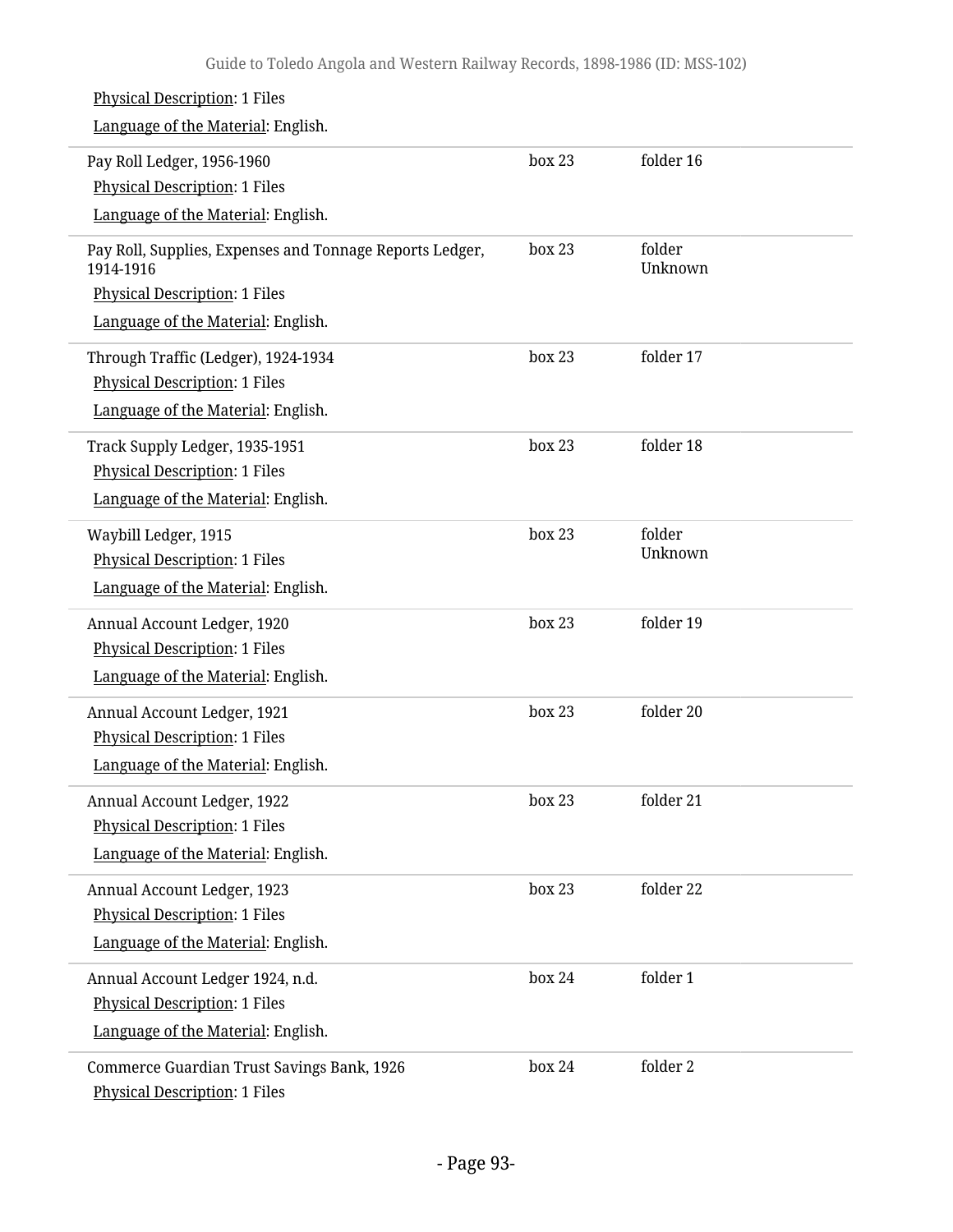| <b>Physical Description: 1 Files</b><br>Language of the Material: English. |        |                   |  |
|----------------------------------------------------------------------------|--------|-------------------|--|
|                                                                            | box 23 | folder 16         |  |
| Pay Roll Ledger, 1956-1960<br><b>Physical Description: 1 Files</b>         |        |                   |  |
| Language of the Material: English.                                         |        |                   |  |
|                                                                            |        |                   |  |
| Pay Roll, Supplies, Expenses and Tonnage Reports Ledger,<br>1914-1916      | box 23 | folder<br>Unknown |  |
| <b>Physical Description: 1 Files</b>                                       |        |                   |  |
| Language of the Material: English.                                         |        |                   |  |
| Through Traffic (Ledger), 1924-1934                                        | box 23 | folder 17         |  |
| <b>Physical Description: 1 Files</b>                                       |        |                   |  |
| Language of the Material: English.                                         |        |                   |  |
| Track Supply Ledger, 1935-1951                                             | box 23 | folder 18         |  |
| <b>Physical Description: 1 Files</b>                                       |        |                   |  |
| Language of the Material: English.                                         |        |                   |  |
| Waybill Ledger, 1915                                                       | box 23 | folder            |  |
| <b>Physical Description: 1 Files</b>                                       |        | Unknown           |  |
| Language of the Material: English.                                         |        |                   |  |
| Annual Account Ledger, 1920                                                | box 23 | folder 19         |  |
| <b>Physical Description: 1 Files</b>                                       |        |                   |  |
| Language of the Material: English.                                         |        |                   |  |
| Annual Account Ledger, 1921                                                | box 23 | folder 20         |  |
| <b>Physical Description: 1 Files</b>                                       |        |                   |  |
| Language of the Material: English.                                         |        |                   |  |
| Annual Account Ledger, 1922                                                | box 23 | folder 21         |  |
| <b>Physical Description: 1 Files</b>                                       |        |                   |  |
| Language of the Material: English.                                         |        |                   |  |
| Annual Account Ledger, 1923                                                | box 23 | folder 22         |  |
| <b>Physical Description: 1 Files</b>                                       |        |                   |  |
| Language of the Material: English.                                         |        |                   |  |
| Annual Account Ledger 1924, n.d.                                           | box 24 | folder 1          |  |
| <b>Physical Description: 1 Files</b>                                       |        |                   |  |
| Language of the Material: English.                                         |        |                   |  |
| Commerce Guardian Trust Savings Bank, 1926                                 | box 24 | folder 2          |  |
| <b>Physical Description: 1 Files</b>                                       |        |                   |  |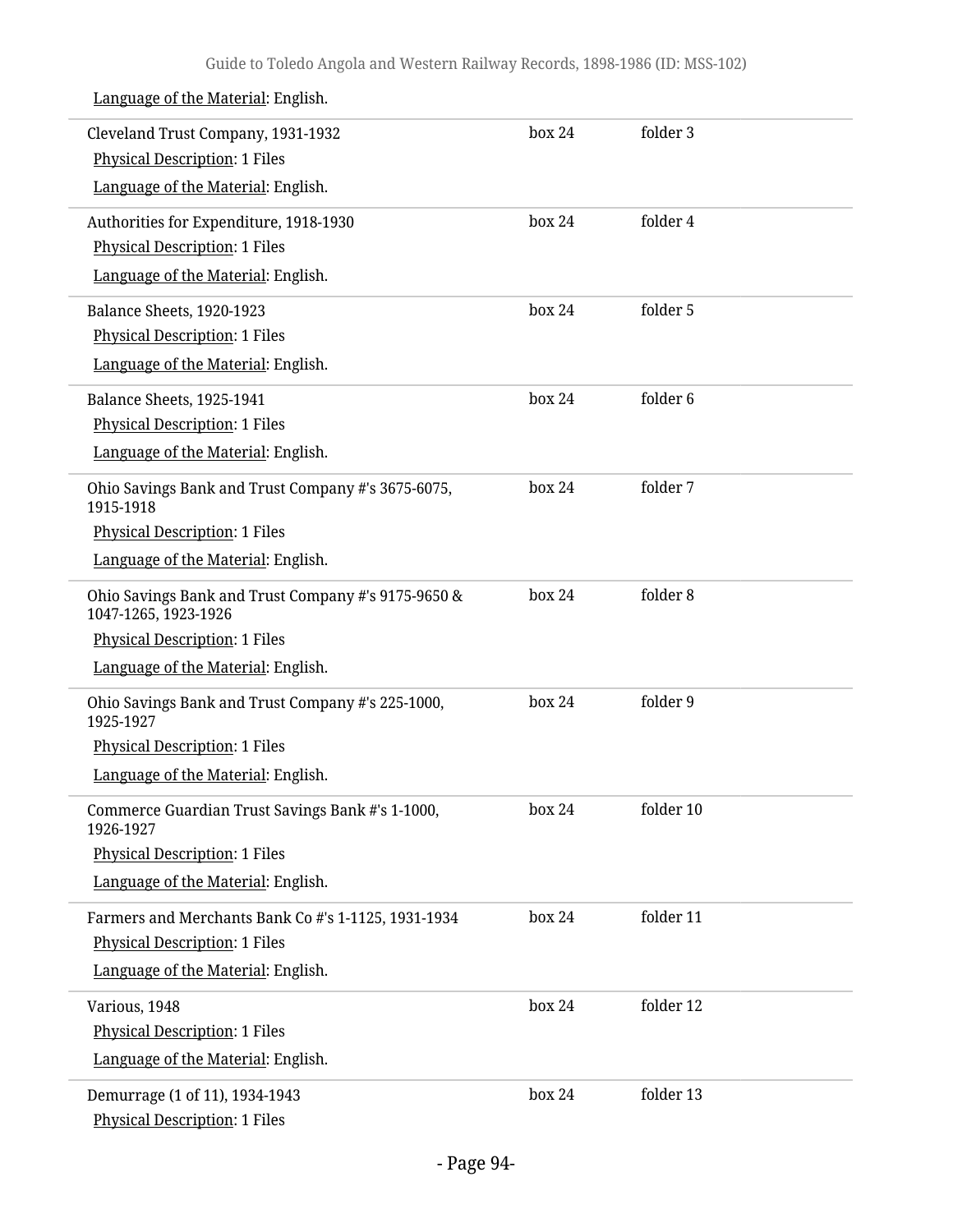Language of the Material: English. Cleveland Trust Company, 1931-1932 Physical Description: 1 Files Language of the Material: English. box 24 folder 3 Authorities for Expenditure, 1918-1930 Physical Description: 1 Files Language of the Material: English. box 24 folder 4 Balance Sheets, 1920-1923 Physical Description: 1 Files Language of the Material: English. box 24 folder 5 Balance Sheets, 1925-1941 Physical Description: 1 Files Language of the Material: English. box 24 folder 6 Ohio Savings Bank and Trust Company #'s 3675-6075, 1915-1918 Physical Description: 1 Files Language of the Material: English. box 24 folder 7 Ohio Savings Bank and Trust Company #'s 9175-9650 & 1047-1265, 1923-1926 Physical Description: 1 Files Language of the Material: English. box 24 folder 8 Ohio Savings Bank and Trust Company #'s 225-1000, 1925-1927 Physical Description: 1 Files Language of the Material: English. box 24 folder 9 Commerce Guardian Trust Savings Bank #'s 1-1000, 1926-1927 Physical Description: 1 Files Language of the Material: English. box 24 folder 10 Farmers and Merchants Bank Co #'s 1-1125, 1931-1934 Physical Description: 1 Files Language of the Material: English. box 24 folder 11 Various, 1948 Physical Description: 1 Files Language of the Material: English. box 24 folder 12 Demurrage (1 of 11), 1934-1943 Physical Description: 1 Files box 24 folder 13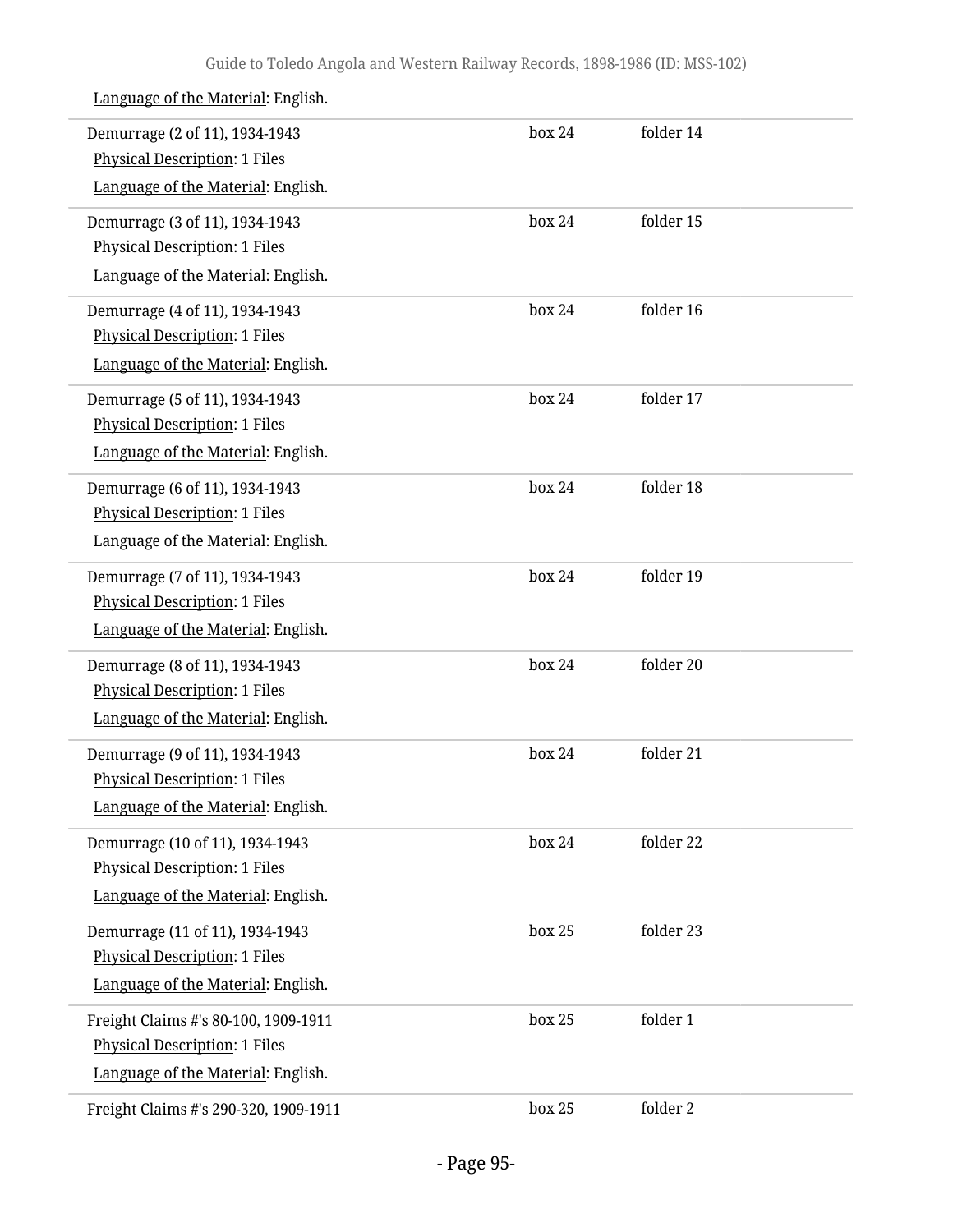| Demurrage (2 of 11), 1934-1943<br><b>Physical Description: 1 Files</b><br>Language of the Material: English.       | box 24 | folder 14 |  |
|--------------------------------------------------------------------------------------------------------------------|--------|-----------|--|
| Demurrage (3 of 11), 1934-1943<br><b>Physical Description: 1 Files</b><br>Language of the Material: English.       | box 24 | folder 15 |  |
| Demurrage (4 of 11), 1934-1943<br><b>Physical Description: 1 Files</b><br>Language of the Material: English.       | box 24 | folder 16 |  |
| Demurrage (5 of 11), 1934-1943<br><b>Physical Description: 1 Files</b><br>Language of the Material: English.       | box 24 | folder 17 |  |
| Demurrage (6 of 11), 1934-1943<br><b>Physical Description: 1 Files</b><br>Language of the Material: English.       | box 24 | folder 18 |  |
| Demurrage (7 of 11), 1934-1943<br><b>Physical Description: 1 Files</b><br>Language of the Material: English.       | box 24 | folder 19 |  |
| Demurrage (8 of 11), 1934-1943<br><b>Physical Description: 1 Files</b><br>Language of the Material: English.       | box 24 | folder 20 |  |
| Demurrage (9 of 11), 1934-1943<br><b>Physical Description: 1 Files</b><br>Language of the Material: English.       | box 24 | folder 21 |  |
| Demurrage (10 of 11), 1934-1943<br><b>Physical Description: 1 Files</b><br>Language of the Material: English.      | box 24 | folder 22 |  |
| Demurrage (11 of 11), 1934-1943<br><b>Physical Description: 1 Files</b><br>Language of the Material: English.      | box 25 | folder 23 |  |
| Freight Claims #'s 80-100, 1909-1911<br><b>Physical Description: 1 Files</b><br>Language of the Material: English. | box 25 | folder 1  |  |
| Freight Claims #'s 290-320, 1909-1911                                                                              | box 25 | folder 2  |  |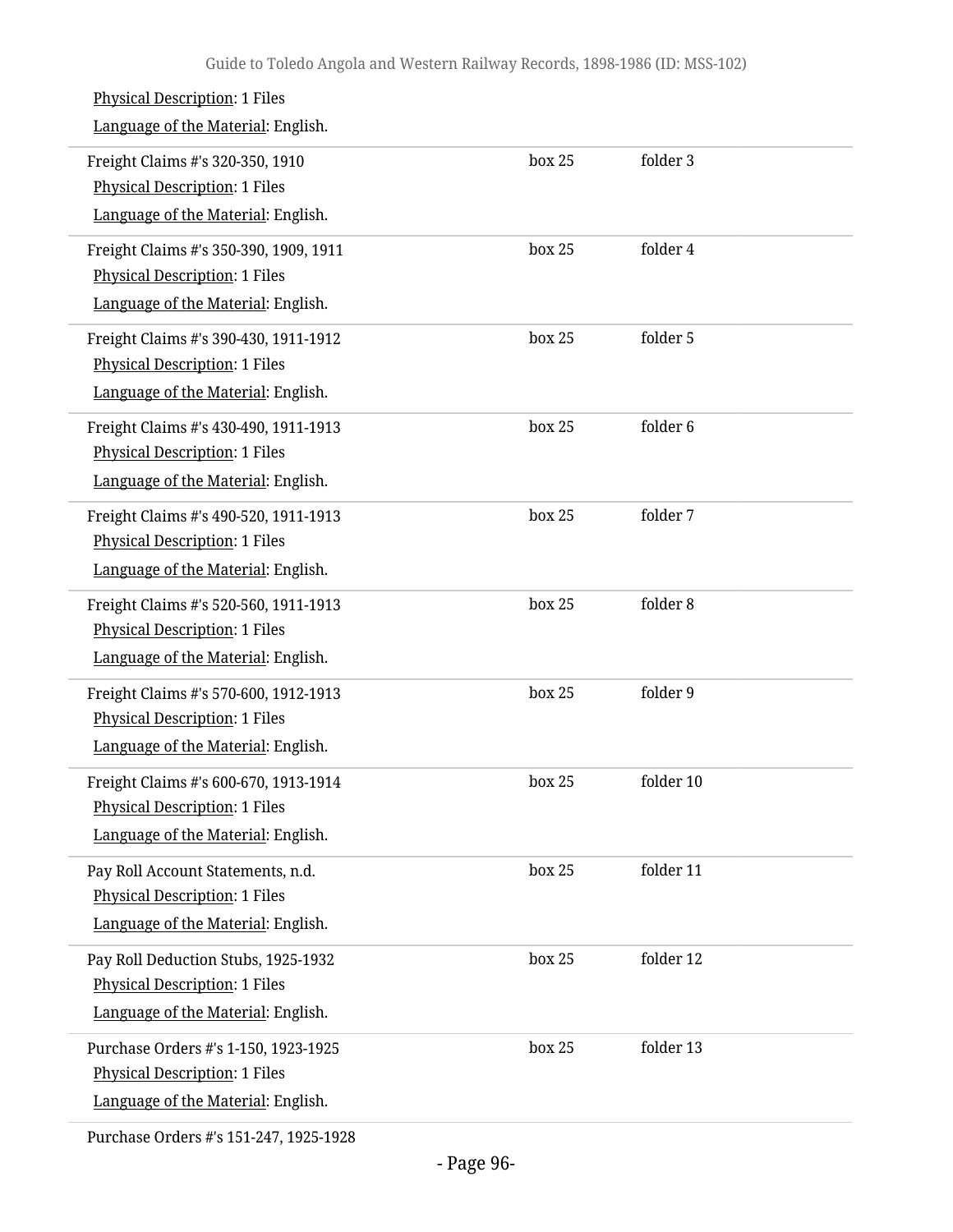| <b>Physical Description: 1 Files</b><br>Language of the Material: English.                                           |        |                     |
|----------------------------------------------------------------------------------------------------------------------|--------|---------------------|
| Freight Claims #'s 320-350, 1910<br><b>Physical Description: 1 Files</b><br>Language of the Material: English.       | box 25 | folder 3            |
| Freight Claims #'s 350-390, 1909, 1911<br><b>Physical Description: 1 Files</b><br>Language of the Material: English. | box 25 | folder 4            |
| Freight Claims #'s 390-430, 1911-1912<br><b>Physical Description: 1 Files</b><br>Language of the Material: English.  | box 25 | folder 5            |
| Freight Claims #'s 430-490, 1911-1913<br><b>Physical Description: 1 Files</b><br>Language of the Material: English.  | box 25 | folder <sub>6</sub> |
| Freight Claims #'s 490-520, 1911-1913<br><b>Physical Description: 1 Files</b><br>Language of the Material: English.  | box 25 | folder 7            |
| Freight Claims #'s 520-560, 1911-1913<br><b>Physical Description: 1 Files</b><br>Language of the Material: English.  | box 25 | folder 8            |
| Freight Claims #'s 570-600, 1912-1913<br><b>Physical Description: 1 Files</b><br>Language of the Material: English.  | box 25 | folder 9            |
| Freight Claims #'s 600-670, 1913-1914<br><b>Physical Description: 1 Files</b><br>Language of the Material: English.  | box 25 | folder 10           |
| Pay Roll Account Statements, n.d.<br><b>Physical Description: 1 Files</b><br>Language of the Material: English.      | box 25 | folder 11           |
| Pay Roll Deduction Stubs, 1925-1932<br><b>Physical Description: 1 Files</b><br>Language of the Material: English.    | box 25 | folder 12           |
| Purchase Orders #'s 1-150, 1923-1925<br><b>Physical Description: 1 Files</b><br>Language of the Material: English.   | box 25 | folder 13           |
|                                                                                                                      |        |                     |

Purchase Orders #'s 151-247, 1925-1928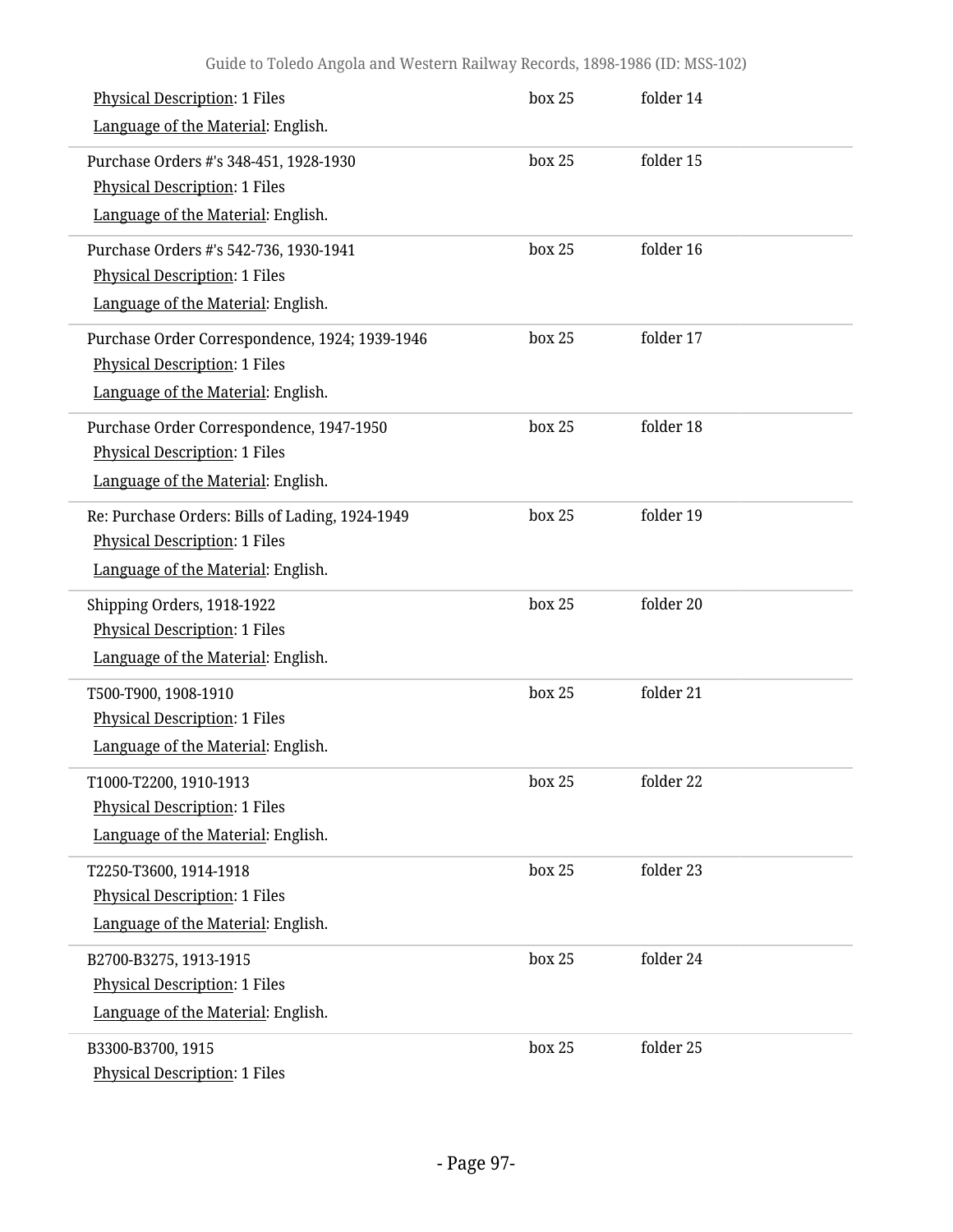| <b>Physical Description: 1 Files</b><br>Language of the Material: English.                                                    | box 25 | folder 14 |  |
|-------------------------------------------------------------------------------------------------------------------------------|--------|-----------|--|
| Purchase Orders #'s 348-451, 1928-1930<br><b>Physical Description: 1 Files</b><br>Language of the Material: English.          | box 25 | folder 15 |  |
| Purchase Orders #'s 542-736, 1930-1941<br><b>Physical Description: 1 Files</b><br>Language of the Material: English.          | box 25 | folder 16 |  |
| Purchase Order Correspondence, 1924; 1939-1946<br><b>Physical Description: 1 Files</b><br>Language of the Material: English.  | box 25 | folder 17 |  |
| Purchase Order Correspondence, 1947-1950<br><b>Physical Description: 1 Files</b><br>Language of the Material: English.        | box 25 | folder 18 |  |
| Re: Purchase Orders: Bills of Lading, 1924-1949<br><b>Physical Description: 1 Files</b><br>Language of the Material: English. | box 25 | folder 19 |  |
| Shipping Orders, 1918-1922<br><b>Physical Description: 1 Files</b><br>Language of the Material: English.                      | box 25 | folder 20 |  |
| T500-T900, 1908-1910<br><b>Physical Description: 1 Files</b><br>Language of the Material: English.                            | box 25 | folder 21 |  |
| T1000-T2200, 1910-1913<br><b>Physical Description: 1 Files</b><br>Language of the Material: English.                          | box 25 | folder 22 |  |
| T2250-T3600, 1914-1918<br><b>Physical Description: 1 Files</b><br>Language of the Material: English.                          | box 25 | folder 23 |  |
| B2700-B3275, 1913-1915<br><b>Physical Description: 1 Files</b><br>Language of the Material: English.                          | box 25 | folder 24 |  |
| B3300-B3700, 1915<br><b>Physical Description: 1 Files</b>                                                                     | box 25 | folder 25 |  |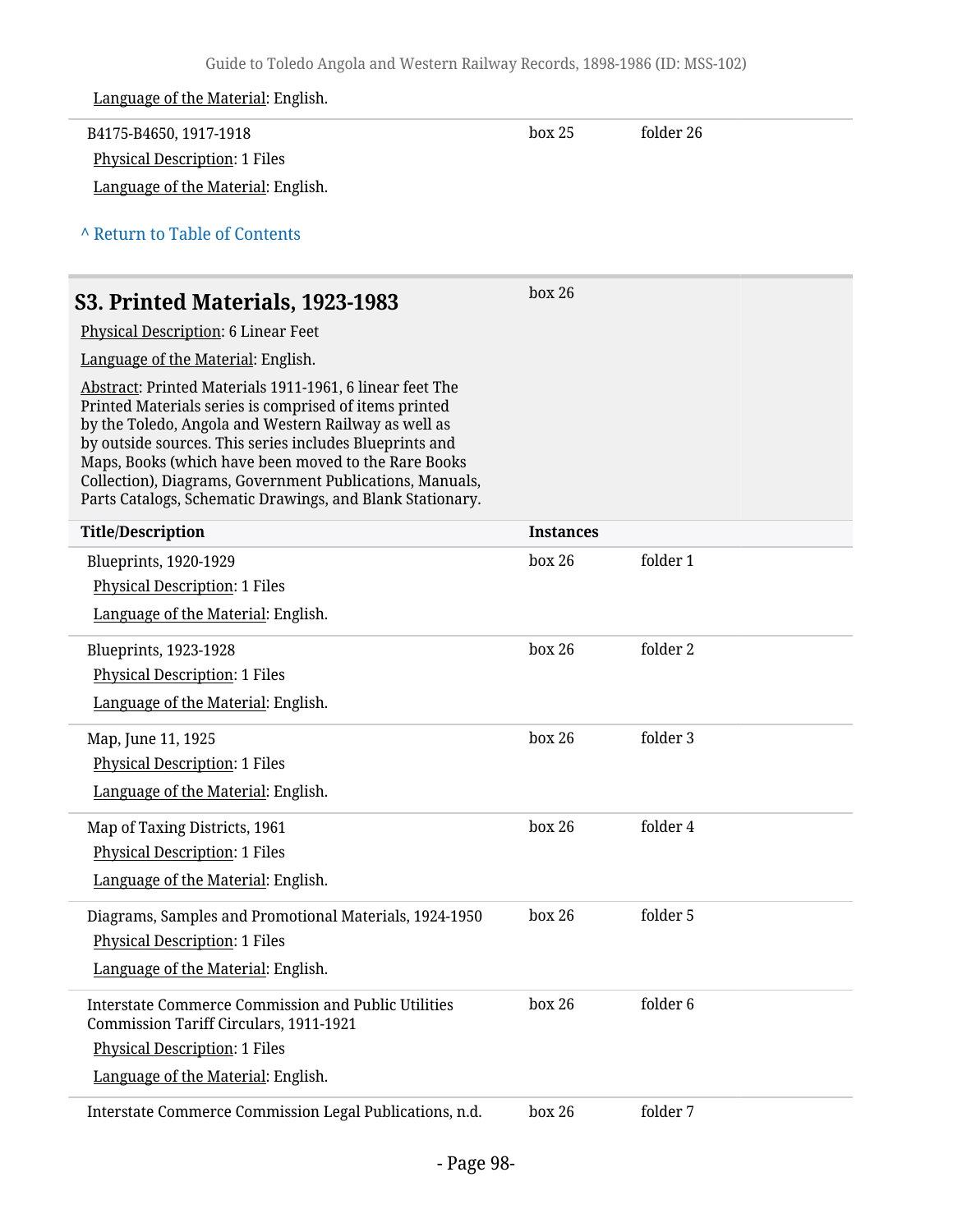| Language of the Material: English.                                                                                                                                                                                                                                                                                                                                                                                     |                  |           |  |
|------------------------------------------------------------------------------------------------------------------------------------------------------------------------------------------------------------------------------------------------------------------------------------------------------------------------------------------------------------------------------------------------------------------------|------------------|-----------|--|
| B4175-B4650, 1917-1918                                                                                                                                                                                                                                                                                                                                                                                                 | box 25           | folder 26 |  |
| <b>Physical Description: 1 Files</b>                                                                                                                                                                                                                                                                                                                                                                                   |                  |           |  |
| Language of the Material: English.                                                                                                                                                                                                                                                                                                                                                                                     |                  |           |  |
| A Return to Table of Contents                                                                                                                                                                                                                                                                                                                                                                                          |                  |           |  |
| S3. Printed Materials, 1923-1983                                                                                                                                                                                                                                                                                                                                                                                       | box 26           |           |  |
| Physical Description: 6 Linear Feet                                                                                                                                                                                                                                                                                                                                                                                    |                  |           |  |
| Language of the Material: English.                                                                                                                                                                                                                                                                                                                                                                                     |                  |           |  |
| Abstract: Printed Materials 1911-1961, 6 linear feet The<br>Printed Materials series is comprised of items printed<br>by the Toledo, Angola and Western Railway as well as<br>by outside sources. This series includes Blueprints and<br>Maps, Books (which have been moved to the Rare Books<br>Collection), Diagrams, Government Publications, Manuals,<br>Parts Catalogs, Schematic Drawings, and Blank Stationary. |                  |           |  |
| <b>Title/Description</b>                                                                                                                                                                                                                                                                                                                                                                                               | <b>Instances</b> |           |  |
| Blueprints, 1920-1929                                                                                                                                                                                                                                                                                                                                                                                                  | box 26           | folder 1  |  |
| <b>Physical Description: 1 Files</b>                                                                                                                                                                                                                                                                                                                                                                                   |                  |           |  |
| Language of the Material: English.                                                                                                                                                                                                                                                                                                                                                                                     |                  |           |  |
| <b>Blueprints, 1923-1928</b>                                                                                                                                                                                                                                                                                                                                                                                           | box 26           | folder 2  |  |
| <b>Physical Description: 1 Files</b>                                                                                                                                                                                                                                                                                                                                                                                   |                  |           |  |
| Language of the Material: English.                                                                                                                                                                                                                                                                                                                                                                                     |                  |           |  |
| Map, June 11, 1925                                                                                                                                                                                                                                                                                                                                                                                                     | box 26           | folder 3  |  |
| <b>Physical Description: 1 Files</b>                                                                                                                                                                                                                                                                                                                                                                                   |                  |           |  |
| Language of the Material: English.                                                                                                                                                                                                                                                                                                                                                                                     |                  |           |  |
| Map of Taxing Districts, 1961                                                                                                                                                                                                                                                                                                                                                                                          | box 26           | folder 4  |  |
| <b>Physical Description: 1 Files</b>                                                                                                                                                                                                                                                                                                                                                                                   |                  |           |  |
| Language of the Material: English.                                                                                                                                                                                                                                                                                                                                                                                     |                  |           |  |
| Diagrams, Samples and Promotional Materials, 1924-1950                                                                                                                                                                                                                                                                                                                                                                 | box 26           | folder 5  |  |
| <b>Physical Description: 1 Files</b>                                                                                                                                                                                                                                                                                                                                                                                   |                  |           |  |
| Language of the Material: English.                                                                                                                                                                                                                                                                                                                                                                                     |                  |           |  |
| <b>Interstate Commerce Commission and Public Utilities</b><br>Commission Tariff Circulars, 1911-1921                                                                                                                                                                                                                                                                                                                   | box 26           | folder 6  |  |
| <b>Physical Description: 1 Files</b>                                                                                                                                                                                                                                                                                                                                                                                   |                  |           |  |
| Language of the Material: English.                                                                                                                                                                                                                                                                                                                                                                                     |                  |           |  |
| Interstate Commerce Commission Legal Publications, n.d.                                                                                                                                                                                                                                                                                                                                                                | box 26           | folder 7  |  |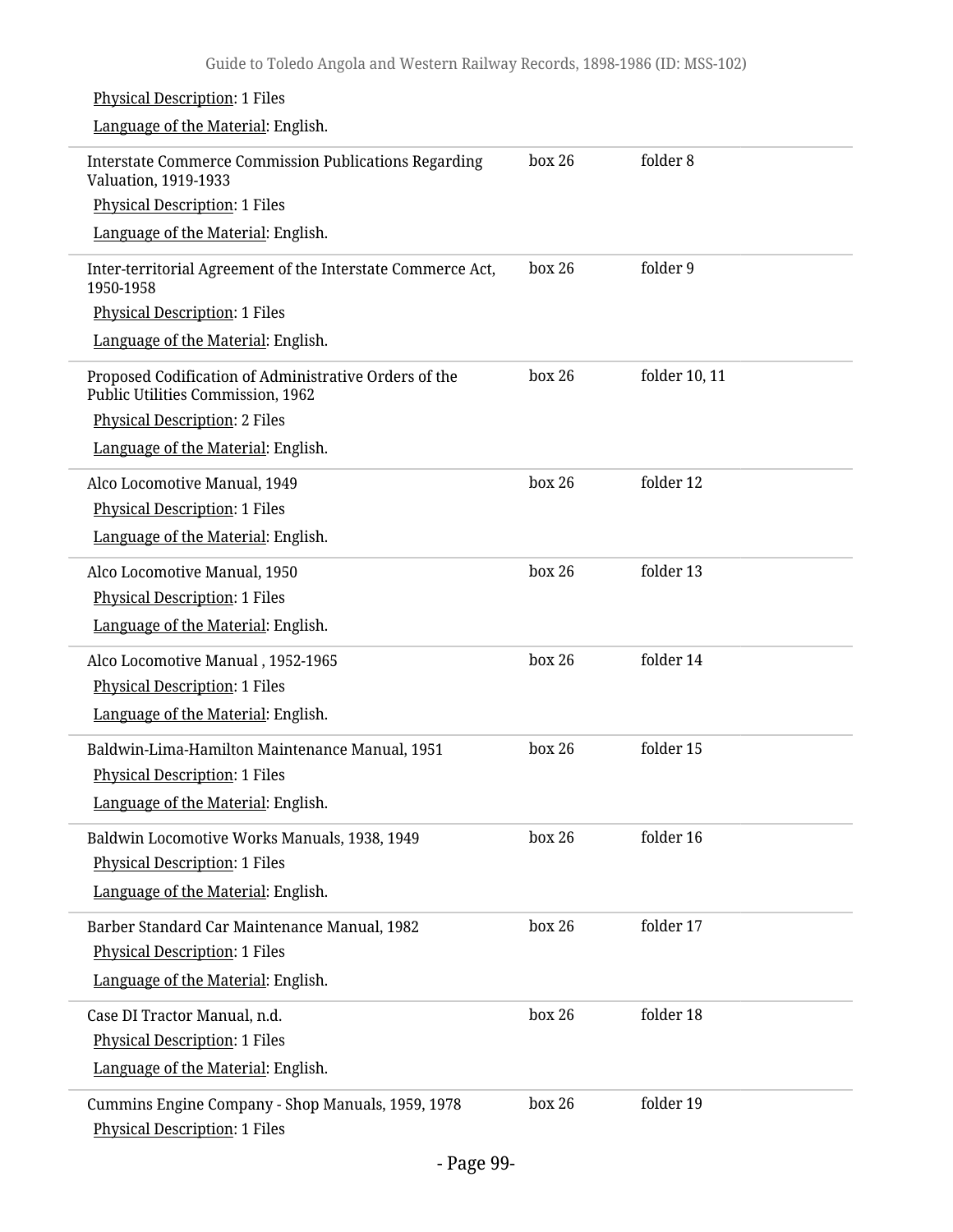| <b>Physical Description: 1 Files</b>                                                       |        |               |
|--------------------------------------------------------------------------------------------|--------|---------------|
| Language of the Material: English.                                                         |        |               |
| <b>Interstate Commerce Commission Publications Regarding</b><br>Valuation, 1919-1933       | box 26 | folder 8      |
| <b>Physical Description: 1 Files</b>                                                       |        |               |
| Language of the Material: English.                                                         |        |               |
| Inter-territorial Agreement of the Interstate Commerce Act,<br>1950-1958                   | box 26 | folder 9      |
| <b>Physical Description: 1 Files</b>                                                       |        |               |
| Language of the Material: English.                                                         |        |               |
| Proposed Codification of Administrative Orders of the<br>Public Utilities Commission, 1962 | box 26 | folder 10, 11 |
| <b>Physical Description: 2 Files</b>                                                       |        |               |
| Language of the Material: English.                                                         |        |               |
| Alco Locomotive Manual, 1949                                                               | box 26 | folder 12     |
| <b>Physical Description: 1 Files</b>                                                       |        |               |
| Language of the Material: English.                                                         |        |               |
| Alco Locomotive Manual, 1950                                                               | box 26 | folder 13     |
| <b>Physical Description: 1 Files</b>                                                       |        |               |
| Language of the Material: English.                                                         |        |               |
| Alco Locomotive Manual, 1952-1965                                                          | box 26 | folder 14     |
| <b>Physical Description: 1 Files</b>                                                       |        |               |
| Language of the Material: English.                                                         |        |               |
| Baldwin-Lima-Hamilton Maintenance Manual, 1951                                             | box 26 | folder 15     |
| <b>Physical Description: 1 Files</b>                                                       |        |               |
| Language of the Material: English.                                                         |        |               |
| Baldwin Locomotive Works Manuals, 1938, 1949                                               | box 26 | folder 16     |
| <b>Physical Description: 1 Files</b>                                                       |        |               |
| Language of the Material: English.                                                         |        |               |
| Barber Standard Car Maintenance Manual, 1982                                               | box 26 | folder 17     |
| <b>Physical Description: 1 Files</b>                                                       |        |               |
| Language of the Material: English.                                                         |        |               |
| Case DI Tractor Manual, n.d.                                                               | box 26 | folder 18     |
| <b>Physical Description: 1 Files</b>                                                       |        |               |
| Language of the Material: English.                                                         |        |               |
| Cummins Engine Company - Shop Manuals, 1959, 1978                                          | box 26 | folder 19     |
| <b>Physical Description: 1 Files</b>                                                       |        |               |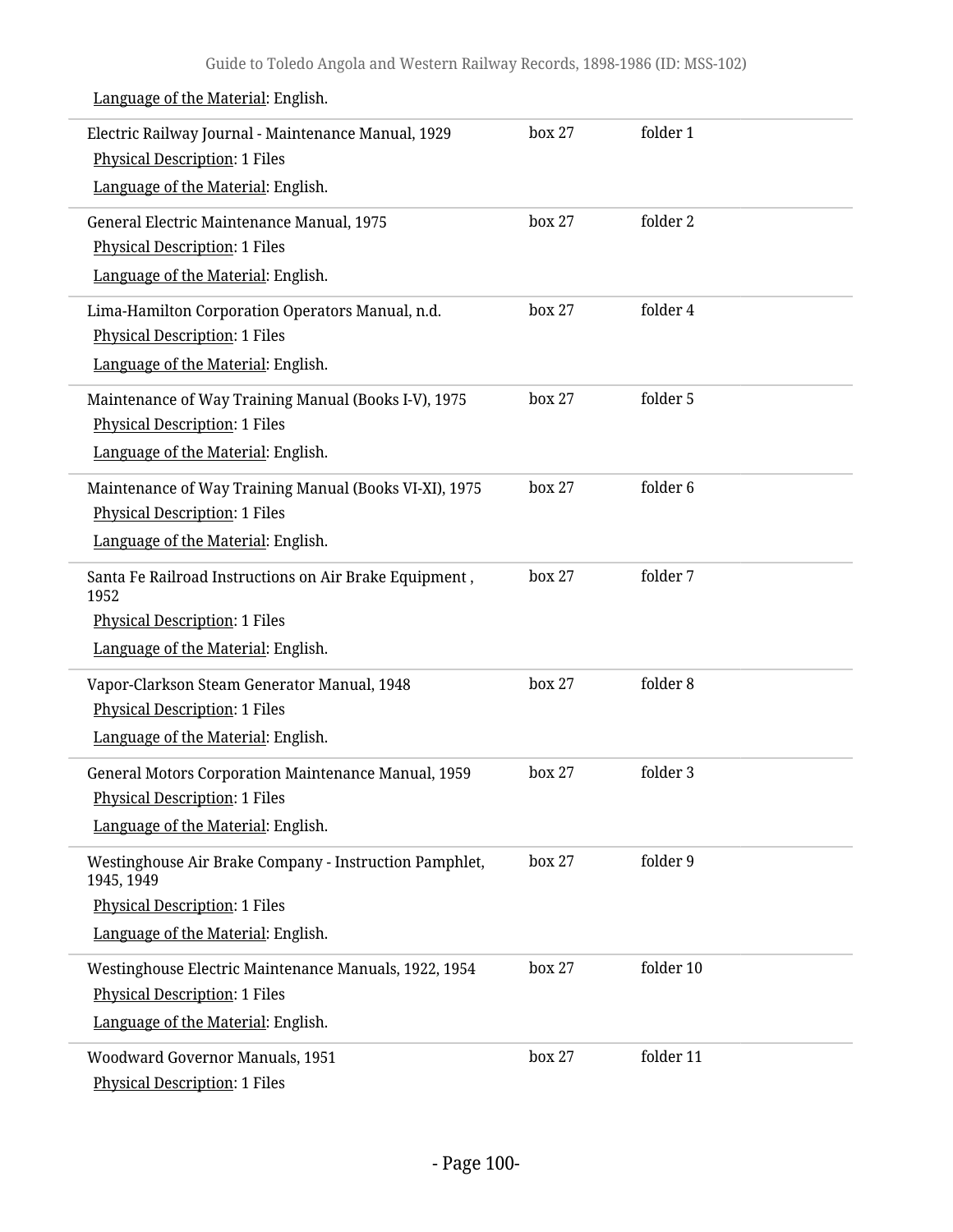| Electric Railway Journal - Maintenance Manual, 1929<br><b>Physical Description: 1 Files</b><br>Language of the Material: English.                  | box 27 | folder 1  |
|----------------------------------------------------------------------------------------------------------------------------------------------------|--------|-----------|
| General Electric Maintenance Manual, 1975<br><b>Physical Description: 1 Files</b><br>Language of the Material: English.                            | box 27 | folder 2  |
| Lima-Hamilton Corporation Operators Manual, n.d.<br><b>Physical Description: 1 Files</b><br>Language of the Material: English.                     | box 27 | folder 4  |
| Maintenance of Way Training Manual (Books I-V), 1975<br><b>Physical Description: 1 Files</b><br>Language of the Material: English.                 | box 27 | folder 5  |
| Maintenance of Way Training Manual (Books VI-XI), 1975<br><b>Physical Description: 1 Files</b><br>Language of the Material: English.               | box 27 | folder 6  |
| Santa Fe Railroad Instructions on Air Brake Equipment,<br>1952<br><b>Physical Description: 1 Files</b><br>Language of the Material: English.       | box 27 | folder 7  |
| Vapor-Clarkson Steam Generator Manual, 1948<br><b>Physical Description: 1 Files</b><br>Language of the Material: English.                          | box 27 | folder 8  |
| General Motors Corporation Maintenance Manual, 1959<br><b>Physical Description: 1 Files</b><br>Language of the Material: English.                  | box 27 | folder 3  |
| Westinghouse Air Brake Company - Instruction Pamphlet,<br>1945, 1949<br><b>Physical Description: 1 Files</b><br>Language of the Material: English. | box 27 | folder 9  |
| Westinghouse Electric Maintenance Manuals, 1922, 1954<br><b>Physical Description: 1 Files</b><br>Language of the Material: English.                | box 27 | folder 10 |
| Woodward Governor Manuals, 1951<br>Physical Description: 1 Files                                                                                   | box 27 | folder 11 |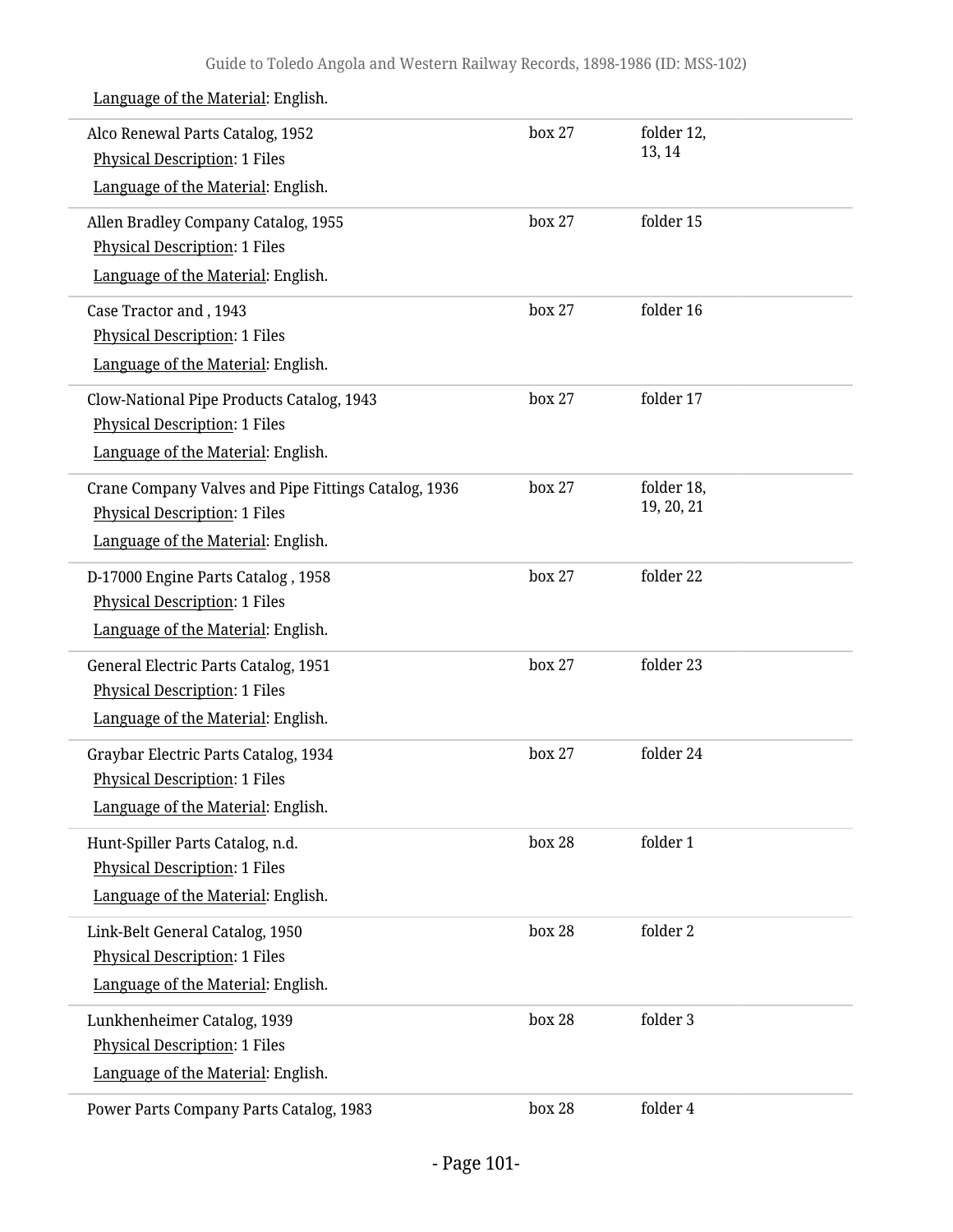| Alco Renewal Parts Catalog, 1952<br><b>Physical Description: 1 Files</b><br>Language of the Material: English.                     | box 27 | folder 12,<br>13, 14     |  |
|------------------------------------------------------------------------------------------------------------------------------------|--------|--------------------------|--|
| Allen Bradley Company Catalog, 1955<br><b>Physical Description: 1 Files</b><br>Language of the Material: English.                  | box 27 | folder 15                |  |
| Case Tractor and, 1943<br><b>Physical Description: 1 Files</b><br>Language of the Material: English.                               | box 27 | folder 16                |  |
| Clow-National Pipe Products Catalog, 1943<br><b>Physical Description: 1 Files</b><br>Language of the Material: English.            | box 27 | folder 17                |  |
| Crane Company Valves and Pipe Fittings Catalog, 1936<br><b>Physical Description: 1 Files</b><br>Language of the Material: English. | box 27 | folder 18,<br>19, 20, 21 |  |
| D-17000 Engine Parts Catalog, 1958<br><b>Physical Description: 1 Files</b><br>Language of the Material: English.                   | box 27 | folder 22                |  |
| General Electric Parts Catalog, 1951<br><b>Physical Description: 1 Files</b><br>Language of the Material: English.                 | box 27 | folder 23                |  |
| Graybar Electric Parts Catalog, 1934<br><b>Physical Description: 1 Files</b><br>Language of the Material: English.                 | box 27 | folder 24                |  |
| Hunt-Spiller Parts Catalog, n.d.<br><b>Physical Description: 1 Files</b><br>Language of the Material: English.                     | box 28 | folder 1                 |  |
| Link-Belt General Catalog, 1950<br><b>Physical Description: 1 Files</b><br>Language of the Material: English.                      | box 28 | folder 2                 |  |
| Lunkhenheimer Catalog, 1939<br><b>Physical Description: 1 Files</b><br>Language of the Material: English.                          | box 28 | folder 3                 |  |
| Power Parts Company Parts Catalog, 1983                                                                                            | box 28 | folder 4                 |  |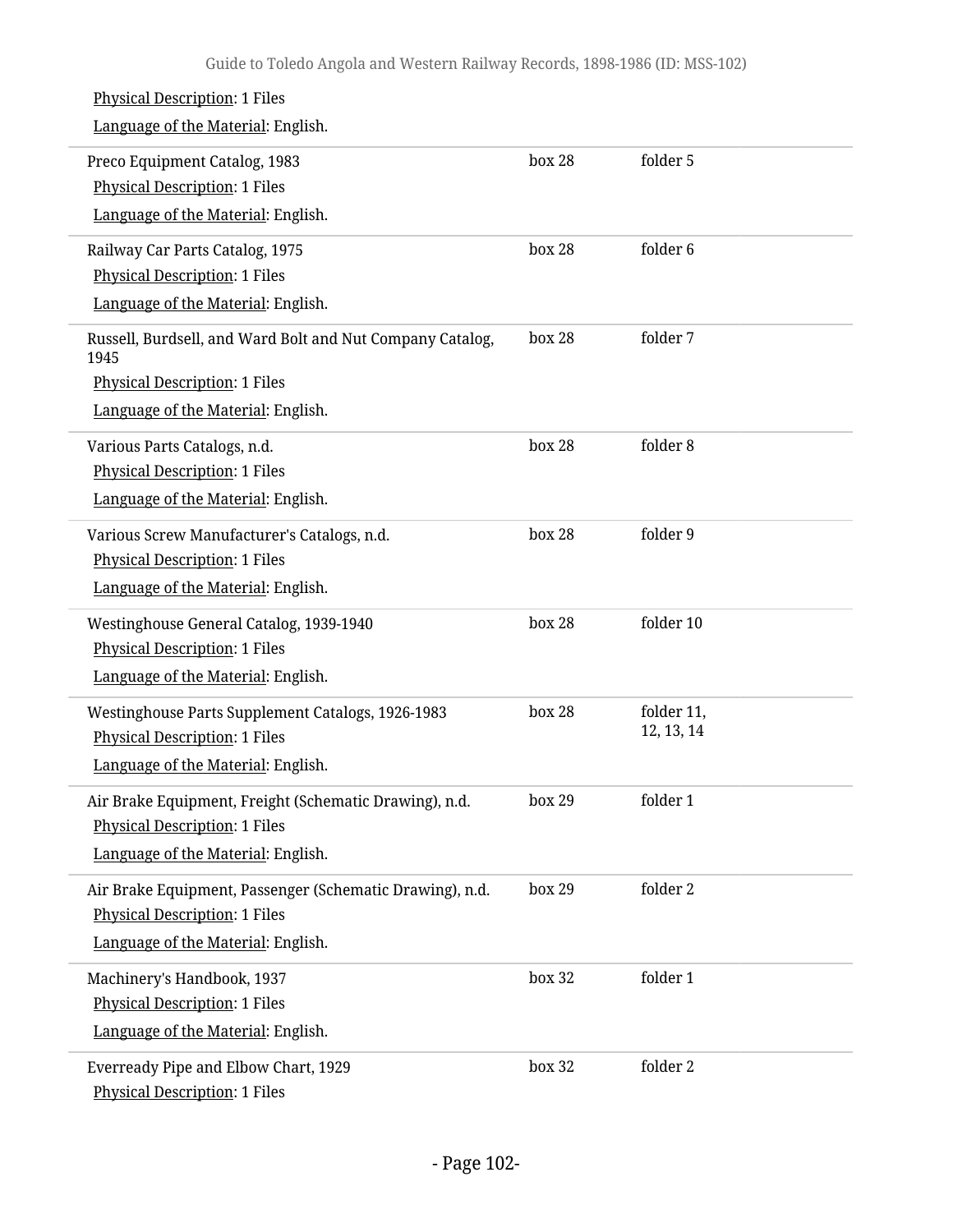| <b>Physical Description: 1 Files</b>                              |        |                     |
|-------------------------------------------------------------------|--------|---------------------|
| Language of the Material: English.                                |        |                     |
| Preco Equipment Catalog, 1983                                     | box 28 | folder 5            |
| <b>Physical Description: 1 Files</b>                              |        |                     |
| Language of the Material: English.                                |        |                     |
| Railway Car Parts Catalog, 1975                                   | box 28 | folder <sub>6</sub> |
| <b>Physical Description: 1 Files</b>                              |        |                     |
| Language of the Material: English.                                |        |                     |
| Russell, Burdsell, and Ward Bolt and Nut Company Catalog,<br>1945 | box 28 | folder 7            |
| <b>Physical Description: 1 Files</b>                              |        |                     |
| Language of the Material: English.                                |        |                     |
| Various Parts Catalogs, n.d.                                      | box 28 | folder 8            |
| <b>Physical Description: 1 Files</b>                              |        |                     |
| Language of the Material: English.                                |        |                     |
| Various Screw Manufacturer's Catalogs, n.d.                       | box 28 | folder 9            |
| <b>Physical Description: 1 Files</b>                              |        |                     |
| Language of the Material: English.                                |        |                     |
| Westinghouse General Catalog, 1939-1940                           | box 28 | folder 10           |
| <b>Physical Description: 1 Files</b>                              |        |                     |
| Language of the Material: English.                                |        |                     |
| Westinghouse Parts Supplement Catalogs, 1926-1983                 | box 28 | folder 11,          |
| <b>Physical Description: 1 Files</b>                              |        | 12, 13, 14          |
| Language of the Material: English.                                |        |                     |
| Air Brake Equipment, Freight (Schematic Drawing), n.d.            | box 29 | folder 1            |
| <b>Physical Description: 1 Files</b>                              |        |                     |
| Language of the Material: English.                                |        |                     |
| Air Brake Equipment, Passenger (Schematic Drawing), n.d.          | box 29 | folder 2            |
| <b>Physical Description: 1 Files</b>                              |        |                     |
| Language of the Material: English.                                |        |                     |
| Machinery's Handbook, 1937                                        | box 32 | folder 1            |
| <b>Physical Description: 1 Files</b>                              |        |                     |
| Language of the Material: English.                                |        |                     |
| Everready Pipe and Elbow Chart, 1929                              | box 32 | folder 2            |
| <b>Physical Description: 1 Files</b>                              |        |                     |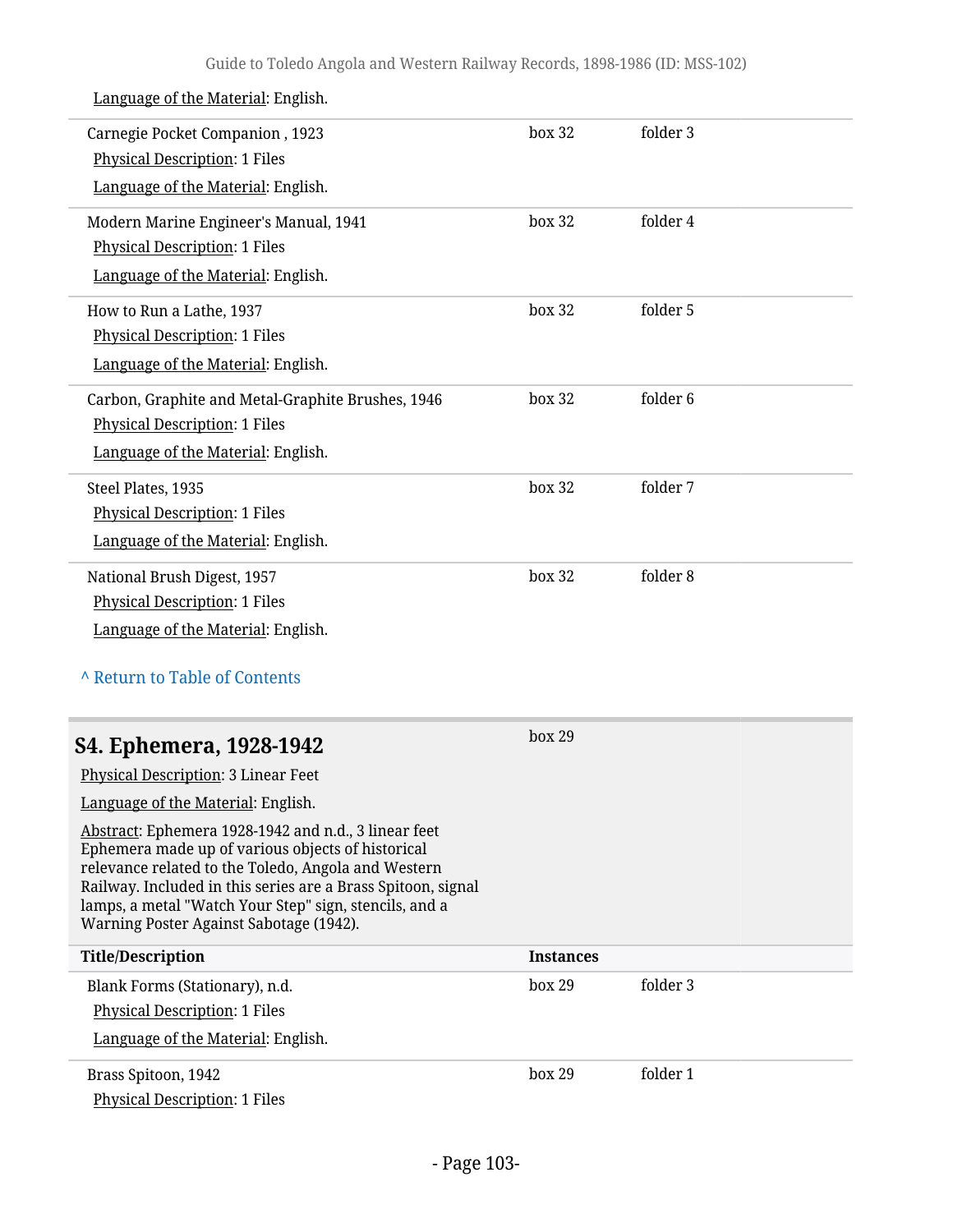| Language of the Material: English.                                                                                                                                                                                                                                                                                                    |                  |          |
|---------------------------------------------------------------------------------------------------------------------------------------------------------------------------------------------------------------------------------------------------------------------------------------------------------------------------------------|------------------|----------|
| Carnegie Pocket Companion, 1923<br><b>Physical Description: 1 Files</b><br>Language of the Material: English.                                                                                                                                                                                                                         | box 32           | folder 3 |
|                                                                                                                                                                                                                                                                                                                                       |                  |          |
| Modern Marine Engineer's Manual, 1941<br><b>Physical Description: 1 Files</b>                                                                                                                                                                                                                                                         | box 32           | folder 4 |
| Language of the Material: English.                                                                                                                                                                                                                                                                                                    |                  |          |
|                                                                                                                                                                                                                                                                                                                                       |                  |          |
| How to Run a Lathe, 1937                                                                                                                                                                                                                                                                                                              | box 32           | folder 5 |
| <b>Physical Description: 1 Files</b>                                                                                                                                                                                                                                                                                                  |                  |          |
| Language of the Material: English.                                                                                                                                                                                                                                                                                                    |                  |          |
| Carbon, Graphite and Metal-Graphite Brushes, 1946                                                                                                                                                                                                                                                                                     | box 32           | folder 6 |
| <b>Physical Description: 1 Files</b>                                                                                                                                                                                                                                                                                                  |                  |          |
| Language of the Material: English.                                                                                                                                                                                                                                                                                                    |                  |          |
| Steel Plates, 1935                                                                                                                                                                                                                                                                                                                    | box 32           | folder 7 |
| <b>Physical Description: 1 Files</b>                                                                                                                                                                                                                                                                                                  |                  |          |
| Language of the Material: English.                                                                                                                                                                                                                                                                                                    |                  |          |
| National Brush Digest, 1957                                                                                                                                                                                                                                                                                                           | box 32           | folder 8 |
| <b>Physical Description: 1 Files</b>                                                                                                                                                                                                                                                                                                  |                  |          |
| Language of the Material: English.                                                                                                                                                                                                                                                                                                    |                  |          |
| A Return to Table of Contents                                                                                                                                                                                                                                                                                                         |                  |          |
| S4. Ephemera, 1928-1942                                                                                                                                                                                                                                                                                                               | box 29           |          |
| Physical Description: 3 Linear Feet                                                                                                                                                                                                                                                                                                   |                  |          |
| Language of the Material: English.                                                                                                                                                                                                                                                                                                    |                  |          |
| Abstract: Ephemera 1928-1942 and n.d., 3 linear feet<br>Ephemera made up of various objects of historical<br>relevance related to the Toledo, Angola and Western<br>Railway. Included in this series are a Brass Spitoon, signal<br>lamps, a metal "Watch Your Step" sign, stencils, and a<br>Warning Poster Against Sabotage (1942). |                  |          |
| <b>Title/Description</b>                                                                                                                                                                                                                                                                                                              | <b>Instances</b> |          |
| Blank Forms (Stationary), n.d.                                                                                                                                                                                                                                                                                                        | box 29           | folder 3 |
| <b>Physical Description: 1 Files</b>                                                                                                                                                                                                                                                                                                  |                  |          |
| Language of the Material: English.                                                                                                                                                                                                                                                                                                    |                  |          |
|                                                                                                                                                                                                                                                                                                                                       |                  |          |
| Brass Spitoon, 1942                                                                                                                                                                                                                                                                                                                   | box 29           | folder 1 |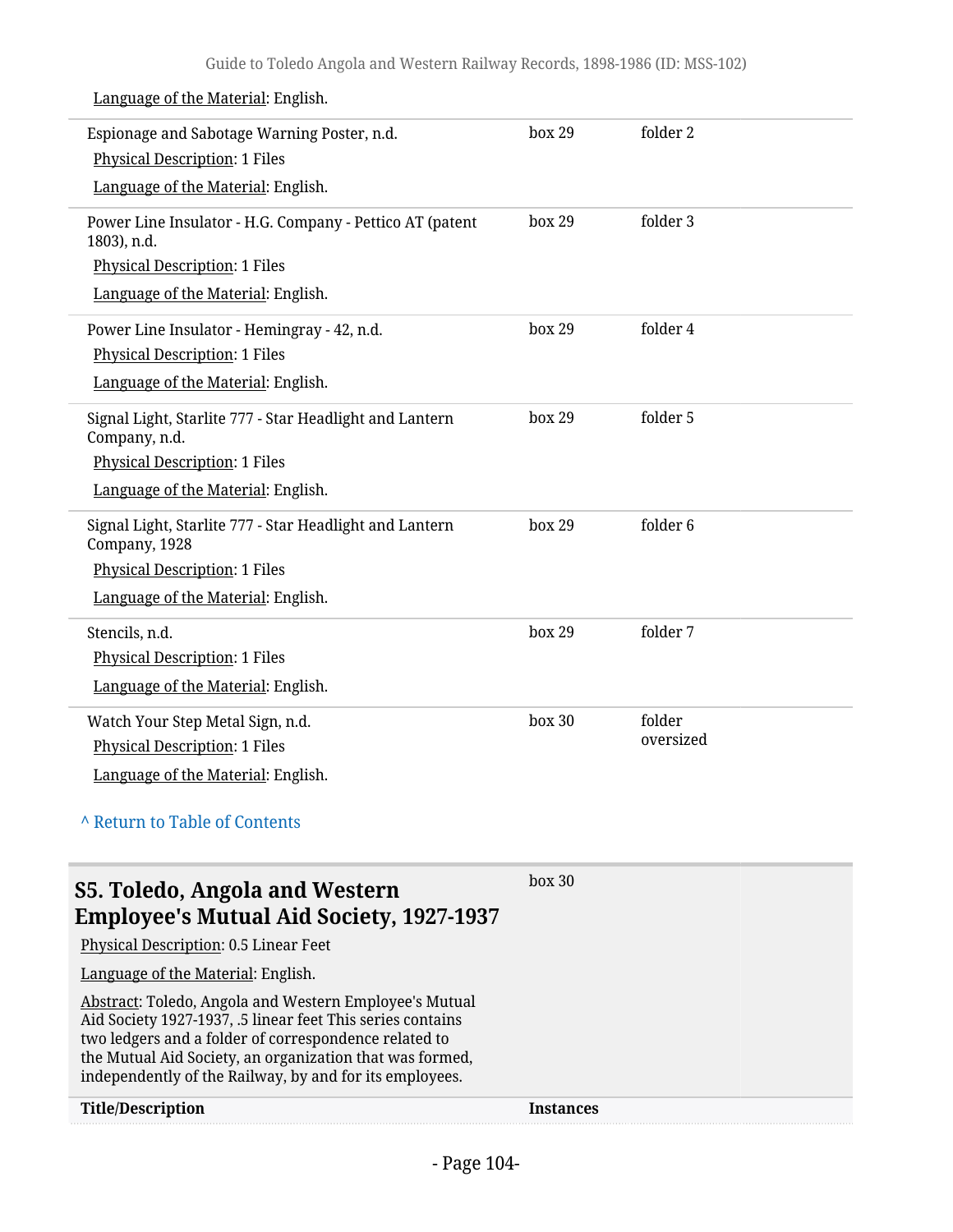| Espionage and Sabotage Warning Poster, n.d.<br><b>Physical Description: 1 Files</b>                                                                                                                                                                                                                  | box 29           | folder 2  |
|------------------------------------------------------------------------------------------------------------------------------------------------------------------------------------------------------------------------------------------------------------------------------------------------------|------------------|-----------|
| Language of the Material: English.                                                                                                                                                                                                                                                                   |                  |           |
| Power Line Insulator - H.G. Company - Pettico AT (patent<br>1803), n.d.                                                                                                                                                                                                                              | box 29           | folder 3  |
| <b>Physical Description: 1 Files</b>                                                                                                                                                                                                                                                                 |                  |           |
| Language of the Material: English.                                                                                                                                                                                                                                                                   |                  |           |
| Power Line Insulator - Hemingray - 42, n.d.                                                                                                                                                                                                                                                          | box 29           | folder 4  |
| <b>Physical Description: 1 Files</b>                                                                                                                                                                                                                                                                 |                  |           |
| Language of the Material: English.                                                                                                                                                                                                                                                                   |                  |           |
| Signal Light, Starlite 777 - Star Headlight and Lantern<br>Company, n.d.                                                                                                                                                                                                                             | box 29           | folder 5  |
| <b>Physical Description: 1 Files</b>                                                                                                                                                                                                                                                                 |                  |           |
| Language of the Material: English.                                                                                                                                                                                                                                                                   |                  |           |
| Signal Light, Starlite 777 - Star Headlight and Lantern<br>Company, 1928                                                                                                                                                                                                                             | box 29           | folder 6  |
| <b>Physical Description: 1 Files</b>                                                                                                                                                                                                                                                                 |                  |           |
| Language of the Material: English.                                                                                                                                                                                                                                                                   |                  |           |
| Stencils, n.d.                                                                                                                                                                                                                                                                                       | box 29           | folder 7  |
| <b>Physical Description: 1 Files</b>                                                                                                                                                                                                                                                                 |                  |           |
| Language of the Material: English.                                                                                                                                                                                                                                                                   |                  |           |
| Watch Your Step Metal Sign, n.d.                                                                                                                                                                                                                                                                     | box 30           | folder    |
| <b>Physical Description: 1 Files</b>                                                                                                                                                                                                                                                                 |                  | oversized |
| Language of the Material: English.                                                                                                                                                                                                                                                                   |                  |           |
| A Return to Table of Contents                                                                                                                                                                                                                                                                        |                  |           |
| S5. Toledo, Angola and Western                                                                                                                                                                                                                                                                       | box 30           |           |
| <b>Employee's Mutual Aid Society, 1927-1937</b>                                                                                                                                                                                                                                                      |                  |           |
| Physical Description: 0.5 Linear Feet                                                                                                                                                                                                                                                                |                  |           |
| Language of the Material: English.                                                                                                                                                                                                                                                                   |                  |           |
| Abstract: Toledo, Angola and Western Employee's Mutual<br>Aid Society 1927-1937, .5 linear feet This series contains<br>two ledgers and a folder of correspondence related to<br>the Mutual Aid Society, an organization that was formed,<br>independently of the Railway, by and for its employees. |                  |           |
| <b>Title/Description</b>                                                                                                                                                                                                                                                                             | <b>Instances</b> |           |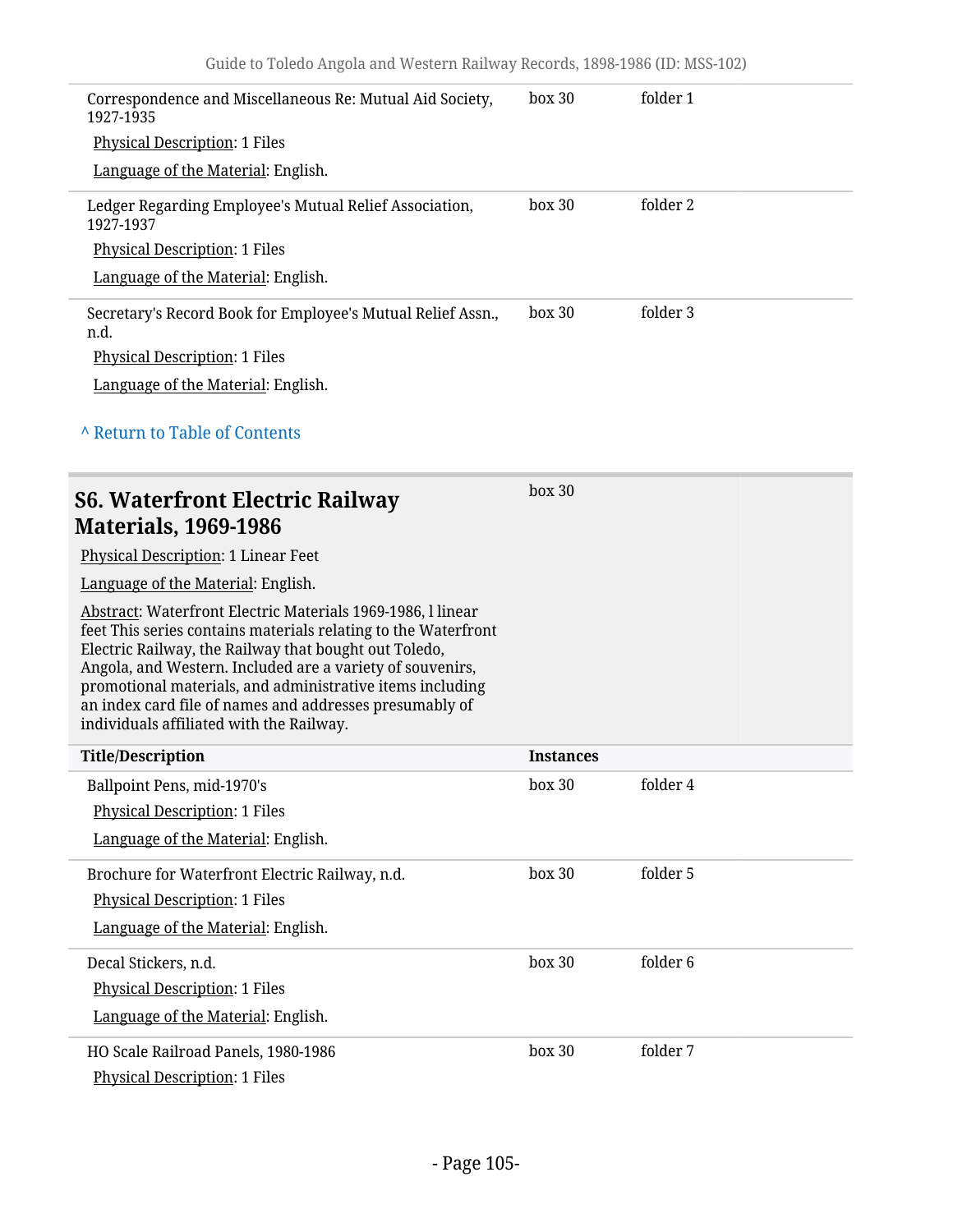| Correspondence and Miscellaneous Re: Mutual Aid Society,<br>1927-1935                                                                                                                                                                                                                                                                                                                                                   | box 30           | folder 1 |
|-------------------------------------------------------------------------------------------------------------------------------------------------------------------------------------------------------------------------------------------------------------------------------------------------------------------------------------------------------------------------------------------------------------------------|------------------|----------|
| <b>Physical Description: 1 Files</b>                                                                                                                                                                                                                                                                                                                                                                                    |                  |          |
| Language of the Material: English.                                                                                                                                                                                                                                                                                                                                                                                      |                  |          |
| Ledger Regarding Employee's Mutual Relief Association,<br>1927-1937                                                                                                                                                                                                                                                                                                                                                     | box 30           | folder 2 |
| <b>Physical Description: 1 Files</b>                                                                                                                                                                                                                                                                                                                                                                                    |                  |          |
| Language of the Material: English.                                                                                                                                                                                                                                                                                                                                                                                      |                  |          |
| Secretary's Record Book for Employee's Mutual Relief Assn.,<br>n.d.                                                                                                                                                                                                                                                                                                                                                     | box 30           | folder 3 |
| <b>Physical Description: 1 Files</b>                                                                                                                                                                                                                                                                                                                                                                                    |                  |          |
| Language of the Material: English.                                                                                                                                                                                                                                                                                                                                                                                      |                  |          |
| A Return to Table of Contents                                                                                                                                                                                                                                                                                                                                                                                           |                  |          |
| <b>S6. Waterfront Electric Railway</b><br><b>Materials, 1969-1986</b>                                                                                                                                                                                                                                                                                                                                                   | box 30           |          |
| Physical Description: 1 Linear Feet                                                                                                                                                                                                                                                                                                                                                                                     |                  |          |
| Language of the Material: English.                                                                                                                                                                                                                                                                                                                                                                                      |                  |          |
|                                                                                                                                                                                                                                                                                                                                                                                                                         |                  |          |
| Abstract: Waterfront Electric Materials 1969-1986, l linear<br>feet This series contains materials relating to the Waterfront<br>Electric Railway, the Railway that bought out Toledo,<br>Angola, and Western. Included are a variety of souvenirs,<br>promotional materials, and administrative items including<br>an index card file of names and addresses presumably of<br>individuals affiliated with the Railway. |                  |          |
| <b>Title/Description</b>                                                                                                                                                                                                                                                                                                                                                                                                | <b>Instances</b> |          |
| Ballpoint Pens, mid-1970's<br><b>Physical Description: 1 Files</b><br>Language of the Material: English.                                                                                                                                                                                                                                                                                                                | box 30           | folder 4 |
| Brochure for Waterfront Electric Railway, n.d.<br><b>Physical Description: 1 Files</b>                                                                                                                                                                                                                                                                                                                                  | box 30           | folder 5 |
| Language of the Material: English.                                                                                                                                                                                                                                                                                                                                                                                      |                  |          |
| Decal Stickers, n.d.                                                                                                                                                                                                                                                                                                                                                                                                    | box 30           | folder 6 |
| <b>Physical Description: 1 Files</b>                                                                                                                                                                                                                                                                                                                                                                                    |                  |          |
| Language of the Material: English.<br>HO Scale Railroad Panels, 1980-1986                                                                                                                                                                                                                                                                                                                                               | box 30           | folder 7 |

Physical Description: 1 Files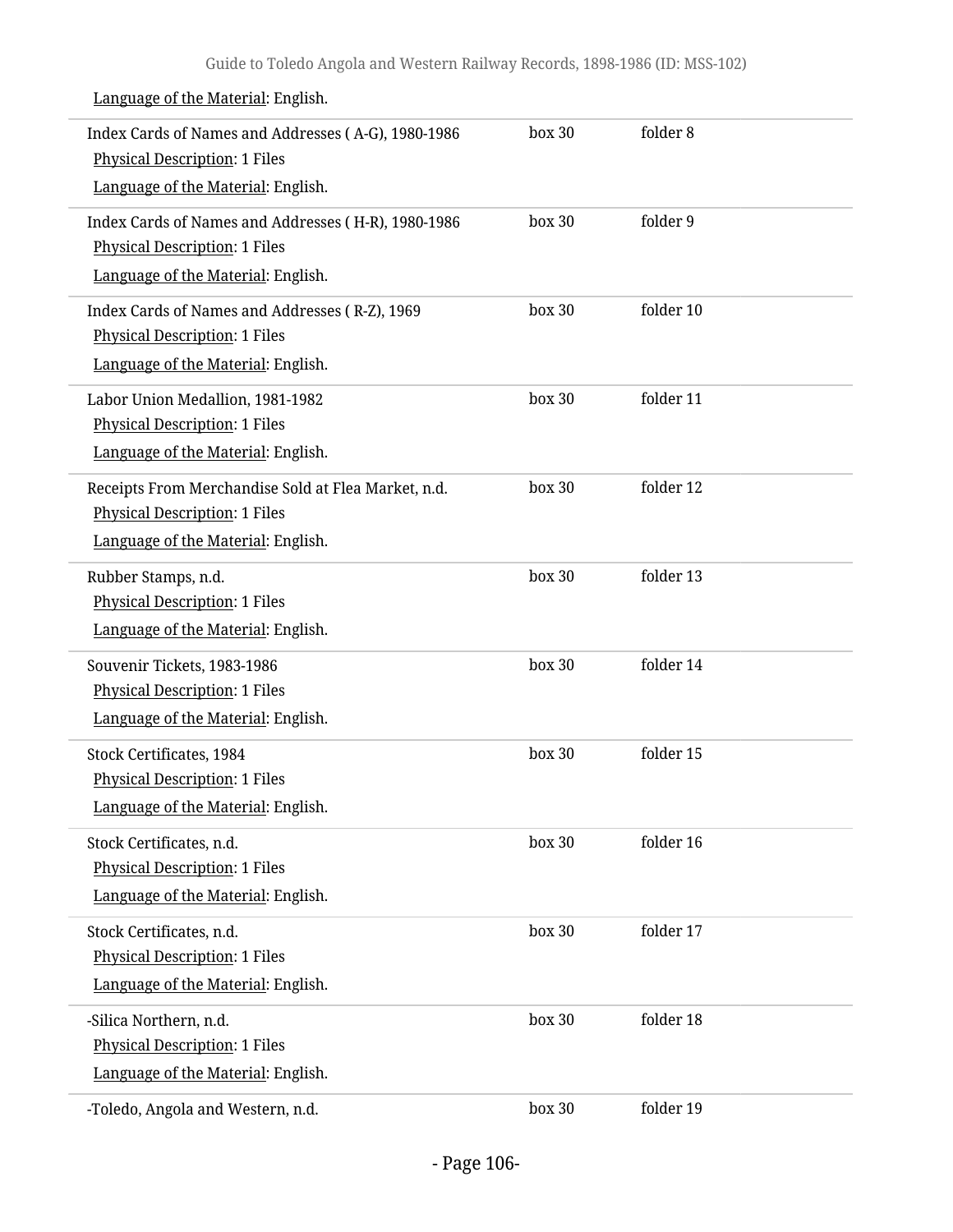| Index Cards of Names and Addresses (A-G), 1980-1986<br><b>Physical Description: 1 Files</b><br>Language of the Material: English. | box 30 | folder 8  |
|-----------------------------------------------------------------------------------------------------------------------------------|--------|-----------|
| Index Cards of Names and Addresses (H-R), 1980-1986<br><b>Physical Description: 1 Files</b><br>Language of the Material: English. | box 30 | folder 9  |
| Index Cards of Names and Addresses (R-Z), 1969<br><b>Physical Description: 1 Files</b><br>Language of the Material: English.      | box 30 | folder 10 |
| Labor Union Medallion, 1981-1982<br><b>Physical Description: 1 Files</b><br>Language of the Material: English.                    | box 30 | folder 11 |
| Receipts From Merchandise Sold at Flea Market, n.d.<br><b>Physical Description: 1 Files</b><br>Language of the Material: English. | box 30 | folder 12 |
| Rubber Stamps, n.d.<br><b>Physical Description: 1 Files</b><br>Language of the Material: English.                                 | box 30 | folder 13 |
| Souvenir Tickets, 1983-1986<br>Physical Description: 1 Files<br>Language of the Material: English.                                | box 30 | folder 14 |
| Stock Certificates, 1984<br>Physical Description: 1 Files<br>Language of the Material: English.                                   | box 30 | folder 15 |
| Stock Certificates, n.d.<br><b>Physical Description: 1 Files</b><br>Language of the Material: English.                            | box 30 | folder 16 |
| Stock Certificates, n.d.<br><b>Physical Description: 1 Files</b><br>Language of the Material: English.                            | box 30 | folder 17 |
| -Silica Northern, n.d.<br>Physical Description: 1 Files<br>Language of the Material: English.                                     | box 30 | folder 18 |
| -Toledo, Angola and Western, n.d.                                                                                                 | box 30 | folder 19 |